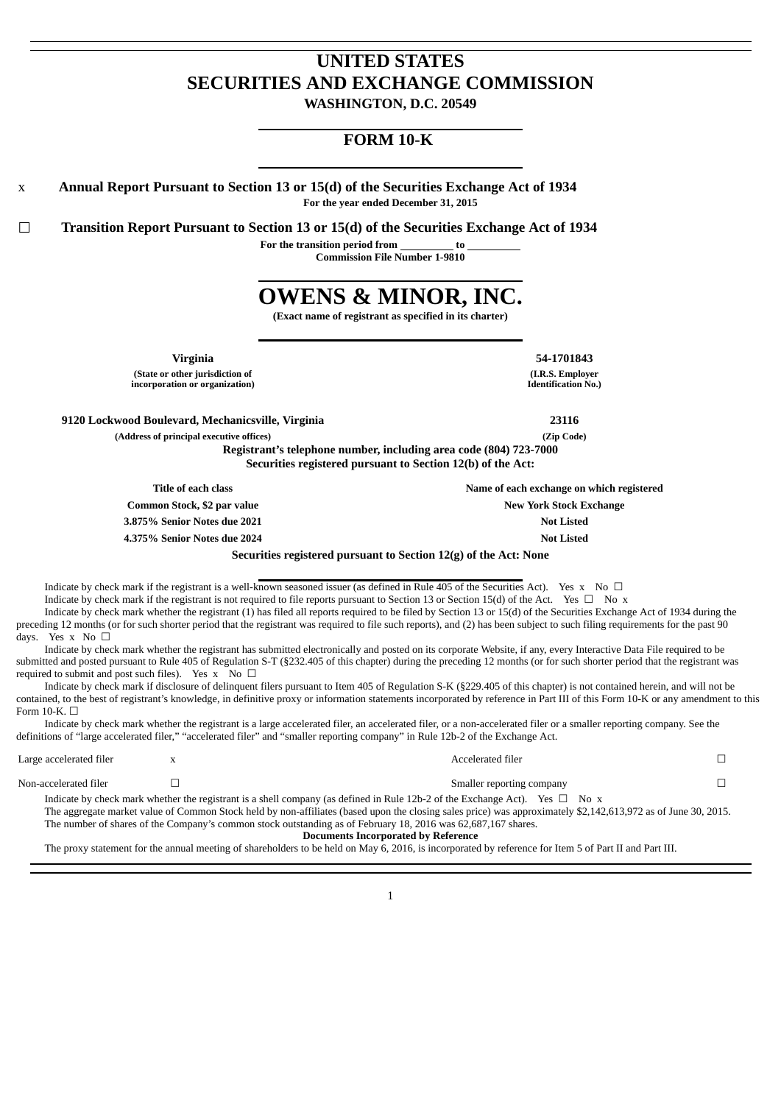# **UNITED STATES SECURITIES AND EXCHANGE COMMISSION**

**WASHINGTON, D.C. 20549**

# **FORM 10-K**

x **Annual Report Pursuant to Section 13 or 15(d) of the Securities Exchange Act of 1934 For the year ended December 31, 2015**

☐ **Transition Report Pursuant to Section 13 or 15(d) of the Securities Exchange Act of 1934**

For the transition period from \_\_\_\_\_\_\_\_\_\_ to **Commission File Number 1-9810**

# **OWENS & MINOR, INC.**

**(Exact name of registrant as specified in its charter)**

**Virginia 54-1701843**

**(State or other jurisdiction of incorporation or organization)** **(I.R.S. Employer**

**Identification No.)**

**9120 Lockwood Boulevard, Mechanicsville, Virginia 23116**

**(Address of principal executive offices) (Zip Code)**

**Registrant's telephone number, including area code (804) 723-7000 Securities registered pursuant to Section 12(b) of the Act:**

| Title of each class                                              | Name of each exchange on which registered |  |  |  |  |  |  |
|------------------------------------------------------------------|-------------------------------------------|--|--|--|--|--|--|
| Common Stock, \$2 par value                                      | <b>New York Stock Exchange</b>            |  |  |  |  |  |  |
| 3.875% Senior Notes due 2021                                     | Not Listed                                |  |  |  |  |  |  |
| 4.375% Senior Notes due 2024                                     | Not Listed                                |  |  |  |  |  |  |
| Securities registered pursuant to Section 12(g) of the Act: None |                                           |  |  |  |  |  |  |

Indicate by check mark if the registrant is a well-known seasoned issuer (as defined in Rule 405 of the Securities Act). Yes x No  $\Box$ 

Indicate by check mark if the registrant is not required to file reports pursuant to Section 13 or Section 15(d) of the Act. Yes  $\Box$  No x

Indicate by check mark whether the registrant (1) has filed all reports required to be filed by Section 13 or 15(d) of the Securities Exchange Act of 1934 during the preceding 12 months (or for such shorter period that the registrant was required to file such reports), and (2) has been subject to such filing requirements for the past 90 days. Yes x No □

Indicate by check mark whether the registrant has submitted electronically and posted on its corporate Website, if any, every Interactive Data File required to be submitted and posted pursuant to Rule 405 of Regulation S-T (§232.405 of this chapter) during the preceding 12 months (or for such shorter period that the registrant was required to submit and post such files). Yes  $x \in No \square$ 

Indicate by check mark if disclosure of delinquent filers pursuant to Item 405 of Regulation S-K (§229.405 of this chapter) is not contained herein, and will not be contained, to the best of registrant's knowledge, in definitive proxy or information statements incorporated by reference in Part III of this Form 10-K or any amendment to this Form 10-K.  $\Box$ 

Indicate by check mark whether the registrant is a large accelerated filer, an accelerated filer, or a non-accelerated filer or a smaller reporting company. See the definitions of "large accelerated filer," "accelerated filer" and "smaller reporting company" in Rule 12b-2 of the Exchange Act.

Large accelerated filer  $\Box$ 

Non-accelerated filer ☐ Smaller reporting company ☐

Indicate by check mark whether the registrant is a shell company (as defined in Rule 12b-2 of the Exchange Act). Yes  $\Box$  No x The aggregate market value of Common Stock held by non-affiliates (based upon the closing sales price) was approximately \$2,142,613,972 as of June 30, 2015. The number of shares of the Company's common stock outstanding as of February 18, 2016 was 62,687,167 shares. **Documents Incorporated by Reference**

The proxy statement for the annual meeting of shareholders to be held on May 6, 2016, is incorporated by reference for Item 5 of Part II and Part III.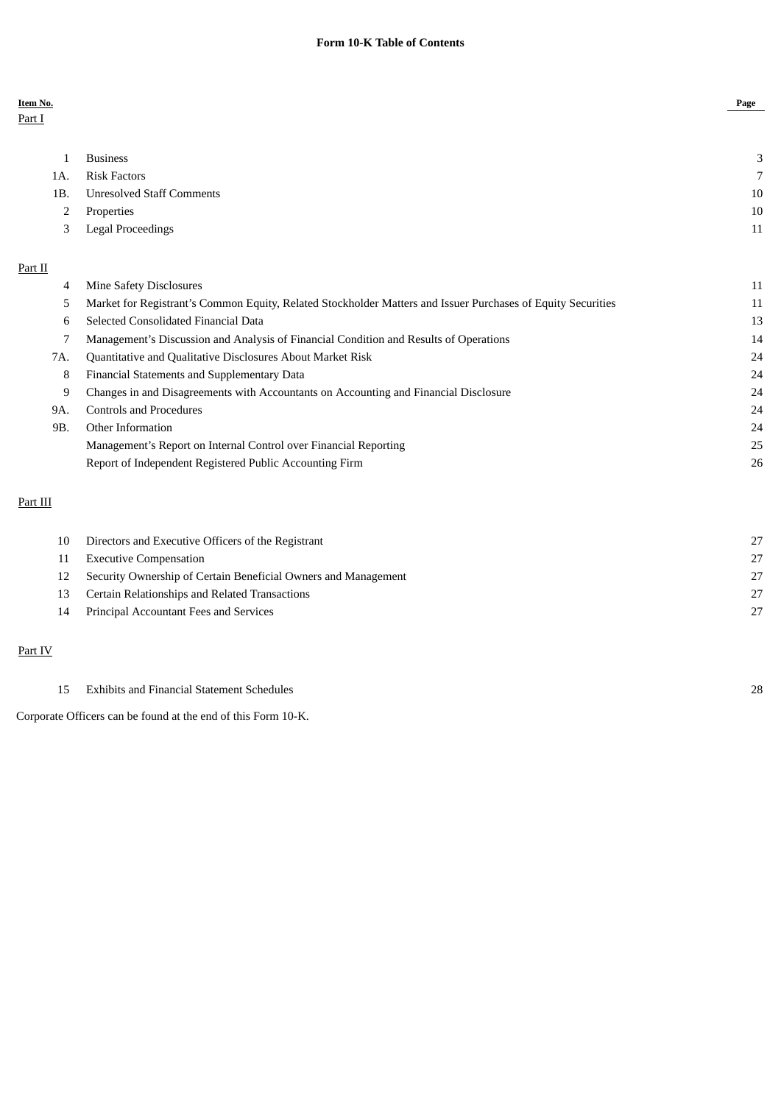| Item No. |                                                                                                              | Page |
|----------|--------------------------------------------------------------------------------------------------------------|------|
| Part I   |                                                                                                              |      |
|          |                                                                                                              |      |
| 1        | <b>Business</b>                                                                                              | 3    |
| 1A.      | <b>Risk Factors</b>                                                                                          | 7    |
| 1B.      | <b>Unresolved Staff Comments</b>                                                                             | 10   |
| 2        | Properties                                                                                                   | 10   |
| 3        | <b>Legal Proceedings</b>                                                                                     | 11   |
|          |                                                                                                              |      |
| Part II  |                                                                                                              |      |
| 4        | Mine Safety Disclosures                                                                                      | 11   |
| 5        | Market for Registrant's Common Equity, Related Stockholder Matters and Issuer Purchases of Equity Securities | 11   |
| 6        | Selected Consolidated Financial Data                                                                         | 13   |
| 7        | Management's Discussion and Analysis of Financial Condition and Results of Operations                        | 14   |
| 7A.      | Quantitative and Qualitative Disclosures About Market Risk                                                   | 24   |
| 8        | Financial Statements and Supplementary Data                                                                  | 24   |
| 9        | Changes in and Disagreements with Accountants on Accounting and Financial Disclosure                         | 24   |
| 9A.      | <b>Controls and Procedures</b>                                                                               | 24   |
| 9B.      | Other Information                                                                                            | 24   |
|          | Management's Report on Internal Control over Financial Reporting                                             | 25   |
|          | Report of Independent Registered Public Accounting Firm                                                      | 26   |
|          |                                                                                                              |      |
| Part III |                                                                                                              |      |

| 10 | Directors and Executive Officers of the Registrant             | 27 |
|----|----------------------------------------------------------------|----|
| 11 | <b>Executive Compensation</b>                                  | 27 |
| 12 | Security Ownership of Certain Beneficial Owners and Management | 27 |
| 13 | Certain Relationships and Related Transactions                 | 27 |
| 14 | Principal Accountant Fees and Services                         | 27 |
|    |                                                                |    |

# [Part](#page-26-6) IV

15 Exhibits and Financial Statement [Schedules](#page-27-0) [28](#page-27-0)

<span id="page-1-0"></span>Corporate Officers can be found at the end of this Form 10-K.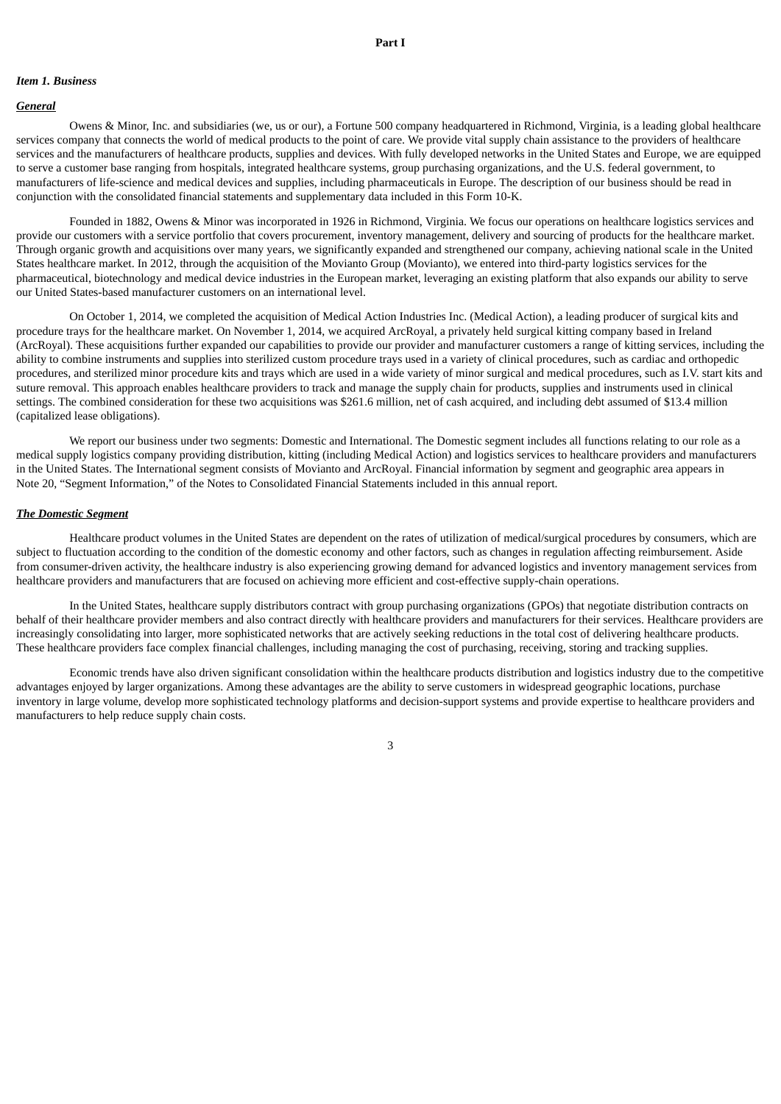## <span id="page-2-0"></span>*Item 1. Business*

## *General*

Owens & Minor, Inc. and subsidiaries (we, us or our), a Fortune 500 company headquartered in Richmond, Virginia, is a leading global healthcare services company that connects the world of medical products to the point of care. We provide vital supply chain assistance to the providers of healthcare services and the manufacturers of healthcare products, supplies and devices. With fully developed networks in the United States and Europe, we are equipped to serve a customer base ranging from hospitals, integrated healthcare systems, group purchasing organizations, and the U.S. federal government, to manufacturers of life-science and medical devices and supplies, including pharmaceuticals in Europe. The description of our business should be read in conjunction with the consolidated financial statements and supplementary data included in this Form 10-K.

Founded in 1882, Owens & Minor was incorporated in 1926 in Richmond, Virginia. We focus our operations on healthcare logistics services and provide our customers with a service portfolio that covers procurement, inventory management, delivery and sourcing of products for the healthcare market. Through organic growth and acquisitions over many years, we significantly expanded and strengthened our company, achieving national scale in the United States healthcare market. In 2012, through the acquisition of the Movianto Group (Movianto), we entered into third-party logistics services for the pharmaceutical, biotechnology and medical device industries in the European market, leveraging an existing platform that also expands our ability to serve our United States-based manufacturer customers on an international level.

On October 1, 2014, we completed the acquisition of Medical Action Industries Inc. (Medical Action), a leading producer of surgical kits and procedure trays for the healthcare market. On November 1, 2014, we acquired ArcRoyal, a privately held surgical kitting company based in Ireland (ArcRoyal). These acquisitions further expanded our capabilities to provide our provider and manufacturer customers a range of kitting services, including the ability to combine instruments and supplies into sterilized custom procedure trays used in a variety of clinical procedures, such as cardiac and orthopedic procedures, and sterilized minor procedure kits and trays which are used in a wide variety of minor surgical and medical procedures, such as I.V. start kits and suture removal. This approach enables healthcare providers to track and manage the supply chain for products, supplies and instruments used in clinical settings. The combined consideration for these two acquisitions was \$261.6 million, net of cash acquired, and including debt assumed of \$13.4 million (capitalized lease obligations).

We report our business under two segments: Domestic and International. The Domestic segment includes all functions relating to our role as a medical supply logistics company providing distribution, kitting (including Medical Action) and logistics services to healthcare providers and manufacturers in the United States. The International segment consists of Movianto and ArcRoyal. Financial information by segment and geographic area appears in Note 20, "Segment Information," of the Notes to Consolidated Financial Statements included in this annual report.

## *The Domestic Segment*

Healthcare product volumes in the United States are dependent on the rates of utilization of medical/surgical procedures by consumers, which are subject to fluctuation according to the condition of the domestic economy and other factors, such as changes in regulation affecting reimbursement. Aside from consumer-driven activity, the healthcare industry is also experiencing growing demand for advanced logistics and inventory management services from healthcare providers and manufacturers that are focused on achieving more efficient and cost-effective supply-chain operations.

In the United States, healthcare supply distributors contract with group purchasing organizations (GPOs) that negotiate distribution contracts on behalf of their healthcare provider members and also contract directly with healthcare providers and manufacturers for their services. Healthcare providers are increasingly consolidating into larger, more sophisticated networks that are actively seeking reductions in the total cost of delivering healthcare products. These healthcare providers face complex financial challenges, including managing the cost of purchasing, receiving, storing and tracking supplies.

Economic trends have also driven significant consolidation within the healthcare products distribution and logistics industry due to the competitive advantages enjoyed by larger organizations. Among these advantages are the ability to serve customers in widespread geographic locations, purchase inventory in large volume, develop more sophisticated technology platforms and decision-support systems and provide expertise to healthcare providers and manufacturers to help reduce supply chain costs.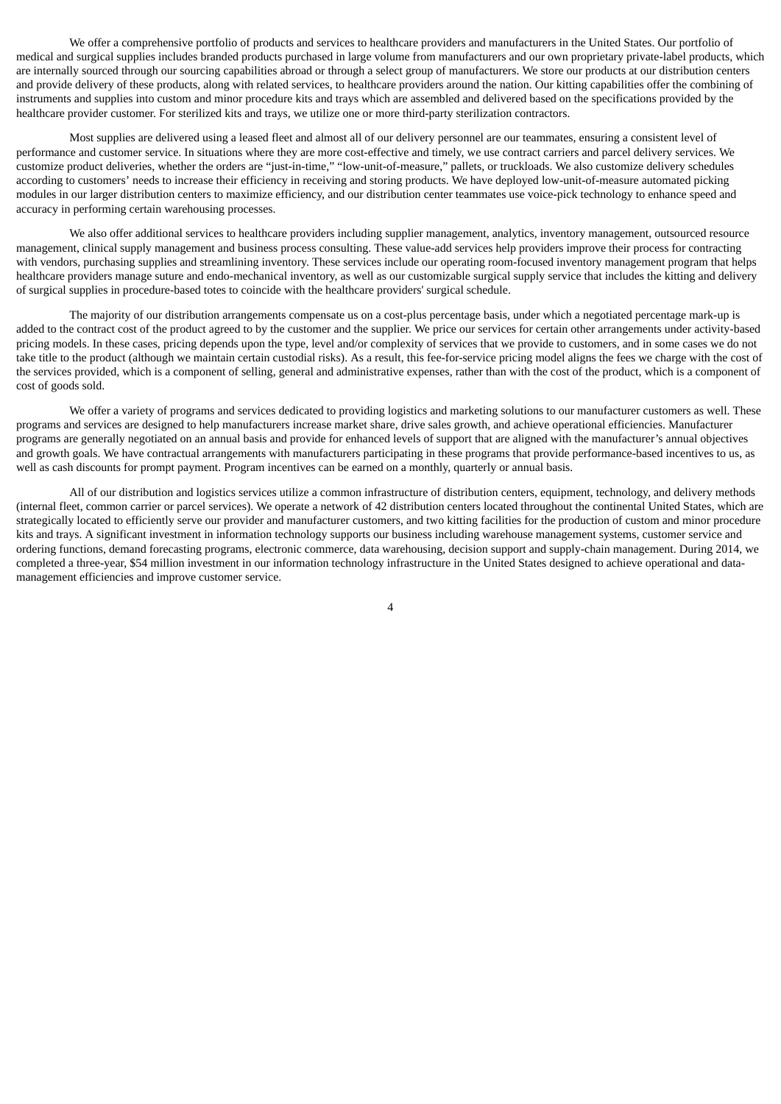We offer a comprehensive portfolio of products and services to healthcare providers and manufacturers in the United States. Our portfolio of medical and surgical supplies includes branded products purchased in large volume from manufacturers and our own proprietary private-label products, which are internally sourced through our sourcing capabilities abroad or through a select group of manufacturers. We store our products at our distribution centers and provide delivery of these products, along with related services, to healthcare providers around the nation. Our kitting capabilities offer the combining of instruments and supplies into custom and minor procedure kits and trays which are assembled and delivered based on the specifications provided by the healthcare provider customer. For sterilized kits and trays, we utilize one or more third-party sterilization contractors.

Most supplies are delivered using a leased fleet and almost all of our delivery personnel are our teammates, ensuring a consistent level of performance and customer service. In situations where they are more cost-effective and timely, we use contract carriers and parcel delivery services. We customize product deliveries, whether the orders are "just-in-time," "low-unit-of-measure," pallets, or truckloads. We also customize delivery schedules according to customers' needs to increase their efficiency in receiving and storing products. We have deployed low-unit-of-measure automated picking modules in our larger distribution centers to maximize efficiency, and our distribution center teammates use voice-pick technology to enhance speed and accuracy in performing certain warehousing processes.

We also offer additional services to healthcare providers including supplier management, analytics, inventory management, outsourced resource management, clinical supply management and business process consulting. These value-add services help providers improve their process for contracting with vendors, purchasing supplies and streamlining inventory. These services include our operating room-focused inventory management program that helps healthcare providers manage suture and endo-mechanical inventory, as well as our customizable surgical supply service that includes the kitting and delivery of surgical supplies in procedure-based totes to coincide with the healthcare providers' surgical schedule.

The majority of our distribution arrangements compensate us on a cost-plus percentage basis, under which a negotiated percentage mark-up is added to the contract cost of the product agreed to by the customer and the supplier. We price our services for certain other arrangements under activity-based pricing models. In these cases, pricing depends upon the type, level and/or complexity of services that we provide to customers, and in some cases we do not take title to the product (although we maintain certain custodial risks). As a result, this fee-for-service pricing model aligns the fees we charge with the cost of the services provided, which is a component of selling, general and administrative expenses, rather than with the cost of the product, which is a component of cost of goods sold.

We offer a variety of programs and services dedicated to providing logistics and marketing solutions to our manufacturer customers as well. These programs and services are designed to help manufacturers increase market share, drive sales growth, and achieve operational efficiencies. Manufacturer programs are generally negotiated on an annual basis and provide for enhanced levels of support that are aligned with the manufacturer's annual objectives and growth goals. We have contractual arrangements with manufacturers participating in these programs that provide performance-based incentives to us, as well as cash discounts for prompt payment. Program incentives can be earned on a monthly, quarterly or annual basis.

All of our distribution and logistics services utilize a common infrastructure of distribution centers, equipment, technology, and delivery methods (internal fleet, common carrier or parcel services). We operate a network of 42 distribution centers located throughout the continental United States, which are strategically located to efficiently serve our provider and manufacturer customers, and two kitting facilities for the production of custom and minor procedure kits and trays. A significant investment in information technology supports our business including warehouse management systems, customer service and ordering functions, demand forecasting programs, electronic commerce, data warehousing, decision support and supply-chain management. During 2014, we completed a three-year, \$54 million investment in our information technology infrastructure in the United States designed to achieve operational and datamanagement efficiencies and improve customer service.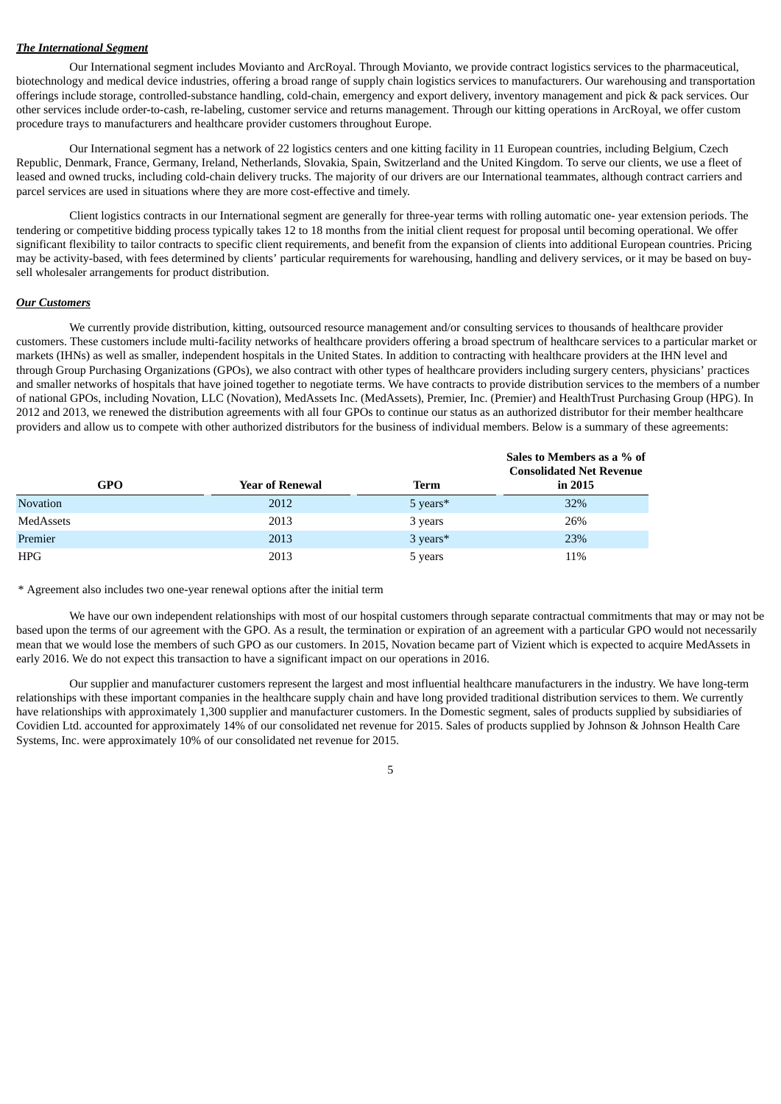## *The International Segment*

Our International segment includes Movianto and ArcRoyal. Through Movianto, we provide contract logistics services to the pharmaceutical, biotechnology and medical device industries, offering a broad range of supply chain logistics services to manufacturers. Our warehousing and transportation offerings include storage, controlled-substance handling, cold-chain, emergency and export delivery, inventory management and pick & pack services. Our other services include order-to-cash, re-labeling, customer service and returns management. Through our kitting operations in ArcRoyal, we offer custom procedure trays to manufacturers and healthcare provider customers throughout Europe.

Our International segment has a network of 22 logistics centers and one kitting facility in 11 European countries, including Belgium, Czech Republic, Denmark, France, Germany, Ireland, Netherlands, Slovakia, Spain, Switzerland and the United Kingdom. To serve our clients, we use a fleet of leased and owned trucks, including cold-chain delivery trucks. The majority of our drivers are our International teammates, although contract carriers and parcel services are used in situations where they are more cost-effective and timely.

Client logistics contracts in our International segment are generally for three-year terms with rolling automatic one- year extension periods. The tendering or competitive bidding process typically takes 12 to 18 months from the initial client request for proposal until becoming operational. We offer significant flexibility to tailor contracts to specific client requirements, and benefit from the expansion of clients into additional European countries. Pricing may be activity-based, with fees determined by clients' particular requirements for warehousing, handling and delivery services, or it may be based on buysell wholesaler arrangements for product distribution.

#### *Our Customers*

We currently provide distribution, kitting, outsourced resource management and/or consulting services to thousands of healthcare provider customers. These customers include multi-facility networks of healthcare providers offering a broad spectrum of healthcare services to a particular market or markets (IHNs) as well as smaller, independent hospitals in the United States. In addition to contracting with healthcare providers at the IHN level and through Group Purchasing Organizations (GPOs), we also contract with other types of healthcare providers including surgery centers, physicians' practices and smaller networks of hospitals that have joined together to negotiate terms. We have contracts to provide distribution services to the members of a number of national GPOs, including Novation, LLC (Novation), MedAssets Inc. (MedAssets), Premier, Inc. (Premier) and HealthTrust Purchasing Group (HPG). In 2012 and 2013, we renewed the distribution agreements with all four GPOs to continue our status as an authorized distributor for their member healthcare providers and allow us to compete with other authorized distributors for the business of individual members. Below is a summary of these agreements:

|                 |                        |          | Sales to Members as a % of<br><b>Consolidated Net Revenue</b> |
|-----------------|------------------------|----------|---------------------------------------------------------------|
| <b>GPO</b>      | <b>Year of Renewal</b> | Term     | in 2015                                                       |
| <b>Novation</b> | 2012                   | 5 years* | 32%                                                           |
| MedAssets       | 2013                   | 3 years  | 26%                                                           |
| Premier         | 2013                   | 3 years* | 23%                                                           |
| <b>HPG</b>      | 2013                   | 5 years  | 11%                                                           |

\* Agreement also includes two one-year renewal options after the initial term

We have our own independent relationships with most of our hospital customers through separate contractual commitments that may or may not be based upon the terms of our agreement with the GPO. As a result, the termination or expiration of an agreement with a particular GPO would not necessarily mean that we would lose the members of such GPO as our customers. In 2015, Novation became part of Vizient which is expected to acquire MedAssets in early 2016. We do not expect this transaction to have a significant impact on our operations in 2016.

Our supplier and manufacturer customers represent the largest and most influential healthcare manufacturers in the industry. We have long-term relationships with these important companies in the healthcare supply chain and have long provided traditional distribution services to them. We currently have relationships with approximately 1,300 supplier and manufacturer customers. In the Domestic segment, sales of products supplied by subsidiaries of Covidien Ltd. accounted for approximately 14% of our consolidated net revenue for 2015. Sales of products supplied by Johnson & Johnson Health Care Systems, Inc. were approximately 10% of our consolidated net revenue for 2015.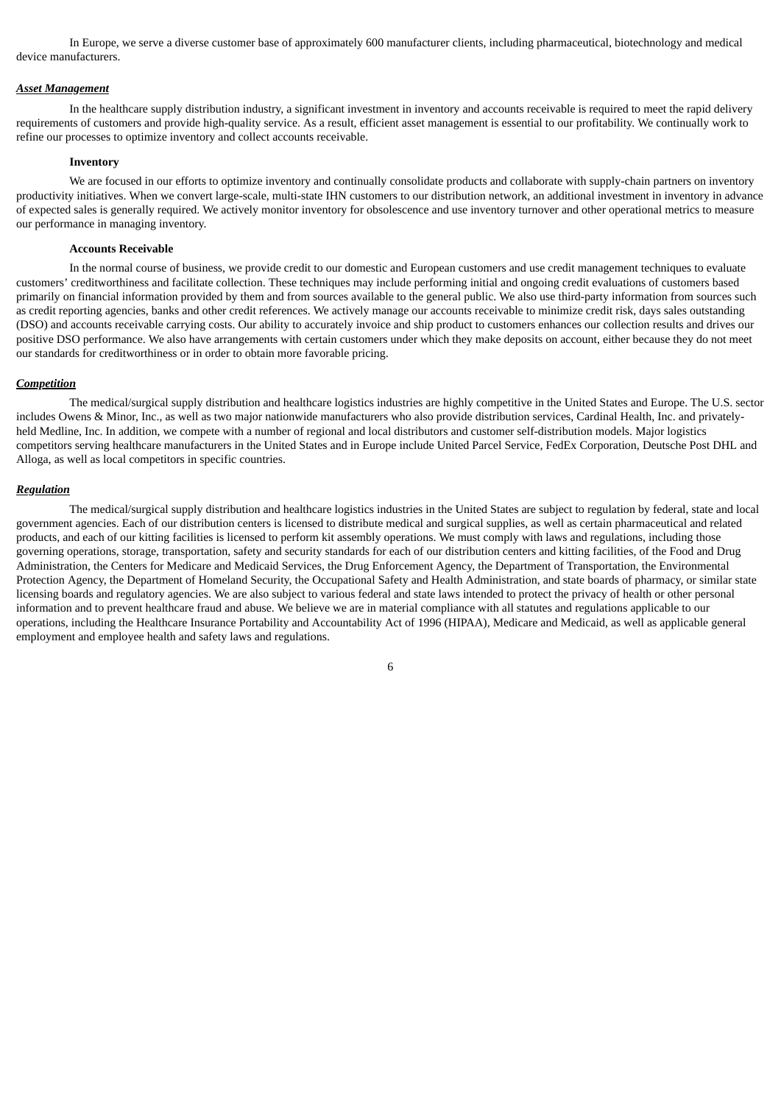In Europe, we serve a diverse customer base of approximately 600 manufacturer clients, including pharmaceutical, biotechnology and medical device manufacturers.

#### *Asset Management*

In the healthcare supply distribution industry, a significant investment in inventory and accounts receivable is required to meet the rapid delivery requirements of customers and provide high-quality service. As a result, efficient asset management is essential to our profitability. We continually work to refine our processes to optimize inventory and collect accounts receivable.

#### **Inventory**

We are focused in our efforts to optimize inventory and continually consolidate products and collaborate with supply-chain partners on inventory productivity initiatives. When we convert large-scale, multi-state IHN customers to our distribution network, an additional investment in inventory in advance of expected sales is generally required. We actively monitor inventory for obsolescence and use inventory turnover and other operational metrics to measure our performance in managing inventory.

#### **Accounts Receivable**

In the normal course of business, we provide credit to our domestic and European customers and use credit management techniques to evaluate customers' creditworthiness and facilitate collection. These techniques may include performing initial and ongoing credit evaluations of customers based primarily on financial information provided by them and from sources available to the general public. We also use third-party information from sources such as credit reporting agencies, banks and other credit references. We actively manage our accounts receivable to minimize credit risk, days sales outstanding (DSO) and accounts receivable carrying costs. Our ability to accurately invoice and ship product to customers enhances our collection results and drives our positive DSO performance. We also have arrangements with certain customers under which they make deposits on account, either because they do not meet our standards for creditworthiness or in order to obtain more favorable pricing.

#### *Competition*

The medical/surgical supply distribution and healthcare logistics industries are highly competitive in the United States and Europe. The U.S. sector includes Owens & Minor, Inc., as well as two major nationwide manufacturers who also provide distribution services, Cardinal Health, Inc. and privatelyheld Medline, Inc. In addition, we compete with a number of regional and local distributors and customer self-distribution models. Major logistics competitors serving healthcare manufacturers in the United States and in Europe include United Parcel Service, FedEx Corporation, Deutsche Post DHL and Alloga, as well as local competitors in specific countries.

#### *Regulation*

The medical/surgical supply distribution and healthcare logistics industries in the United States are subject to regulation by federal, state and local government agencies. Each of our distribution centers is licensed to distribute medical and surgical supplies, as well as certain pharmaceutical and related products, and each of our kitting facilities is licensed to perform kit assembly operations. We must comply with laws and regulations, including those governing operations, storage, transportation, safety and security standards for each of our distribution centers and kitting facilities, of the Food and Drug Administration, the Centers for Medicare and Medicaid Services, the Drug Enforcement Agency, the Department of Transportation, the Environmental Protection Agency, the Department of Homeland Security, the Occupational Safety and Health Administration, and state boards of pharmacy, or similar state licensing boards and regulatory agencies. We are also subject to various federal and state laws intended to protect the privacy of health or other personal information and to prevent healthcare fraud and abuse. We believe we are in material compliance with all statutes and regulations applicable to our operations, including the Healthcare Insurance Portability and Accountability Act of 1996 (HIPAA), Medicare and Medicaid, as well as applicable general employment and employee health and safety laws and regulations.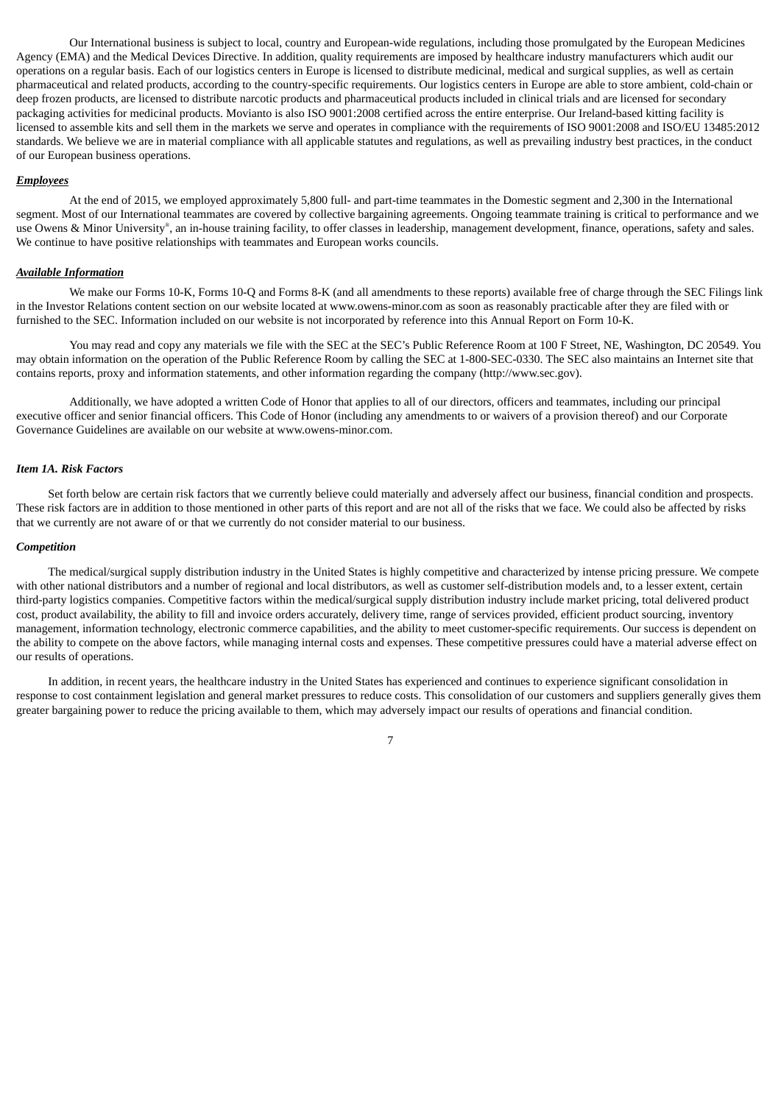Our International business is subject to local, country and European-wide regulations, including those promulgated by the European Medicines Agency (EMA) and the Medical Devices Directive. In addition, quality requirements are imposed by healthcare industry manufacturers which audit our operations on a regular basis. Each of our logistics centers in Europe is licensed to distribute medicinal, medical and surgical supplies, as well as certain pharmaceutical and related products, according to the country-specific requirements. Our logistics centers in Europe are able to store ambient, cold-chain or deep frozen products, are licensed to distribute narcotic products and pharmaceutical products included in clinical trials and are licensed for secondary packaging activities for medicinal products. Movianto is also ISO 9001:2008 certified across the entire enterprise. Our Ireland-based kitting facility is licensed to assemble kits and sell them in the markets we serve and operates in compliance with the requirements of ISO 9001:2008 and ISO/EU 13485:2012 standards. We believe we are in material compliance with all applicable statutes and regulations, as well as prevailing industry best practices, in the conduct of our European business operations.

#### *Employees*

At the end of 2015, we employed approximately 5,800 full- and part-time teammates in the Domestic segment and 2,300 in the International segment. Most of our International teammates are covered by collective bargaining agreements. Ongoing teammate training is critical to performance and we use Owens & Minor University®, an in-house training facility, to offer classes in leadership, management development, finance, operations, safety and sales. We continue to have positive relationships with teammates and European works councils.

#### *Available Information*

We make our Forms 10-K, Forms 10-Q and Forms 8-K (and all amendments to these reports) available free of charge through the SEC Filings link in the Investor Relations content section on our website located at www.owens-minor.com as soon as reasonably practicable after they are filed with or furnished to the SEC. Information included on our website is not incorporated by reference into this Annual Report on Form 10-K.

You may read and copy any materials we file with the SEC at the SEC's Public Reference Room at 100 F Street, NE, Washington, DC 20549. You may obtain information on the operation of the Public Reference Room by calling the SEC at 1-800-SEC-0330. The SEC also maintains an Internet site that contains reports, proxy and information statements, and other information regarding the company (http://www.sec.gov).

Additionally, we have adopted a written Code of Honor that applies to all of our directors, officers and teammates, including our principal executive officer and senior financial officers. This Code of Honor (including any amendments to or waivers of a provision thereof) and our Corporate Governance Guidelines are available on our website at www.owens-minor.com.

#### <span id="page-6-0"></span>*Item 1A. Risk Factors*

Set forth below are certain risk factors that we currently believe could materially and adversely affect our business, financial condition and prospects. These risk factors are in addition to those mentioned in other parts of this report and are not all of the risks that we face. We could also be affected by risks that we currently are not aware of or that we currently do not consider material to our business.

#### *Competition*

The medical/surgical supply distribution industry in the United States is highly competitive and characterized by intense pricing pressure. We compete with other national distributors and a number of regional and local distributors, as well as customer self-distribution models and, to a lesser extent, certain third-party logistics companies. Competitive factors within the medical/surgical supply distribution industry include market pricing, total delivered product cost, product availability, the ability to fill and invoice orders accurately, delivery time, range of services provided, efficient product sourcing, inventory management, information technology, electronic commerce capabilities, and the ability to meet customer-specific requirements. Our success is dependent on the ability to compete on the above factors, while managing internal costs and expenses. These competitive pressures could have a material adverse effect on our results of operations.

In addition, in recent years, the healthcare industry in the United States has experienced and continues to experience significant consolidation in response to cost containment legislation and general market pressures to reduce costs. This consolidation of our customers and suppliers generally gives them greater bargaining power to reduce the pricing available to them, which may adversely impact our results of operations and financial condition.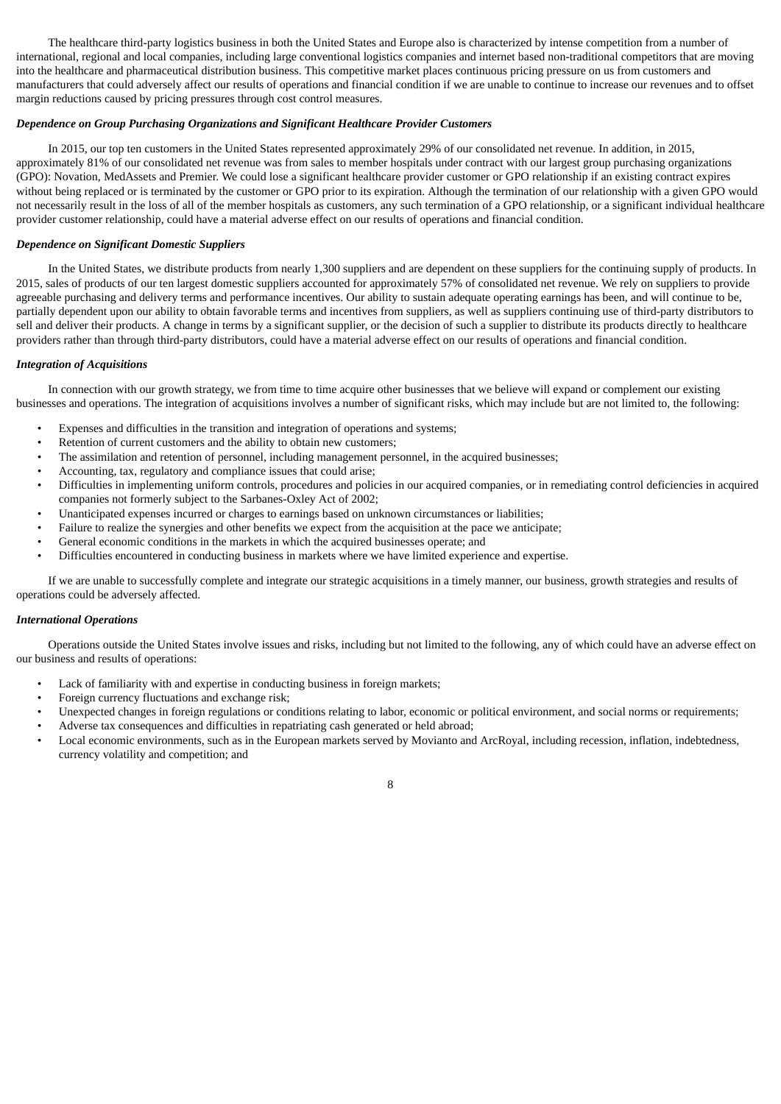The healthcare third-party logistics business in both the United States and Europe also is characterized by intense competition from a number of international, regional and local companies, including large conventional logistics companies and internet based non-traditional competitors that are moving into the healthcare and pharmaceutical distribution business. This competitive market places continuous pricing pressure on us from customers and manufacturers that could adversely affect our results of operations and financial condition if we are unable to continue to increase our revenues and to offset margin reductions caused by pricing pressures through cost control measures.

## *Dependence on Group Purchasing Organizations and Significant Healthcare Provider Customers*

In 2015, our top ten customers in the United States represented approximately 29% of our consolidated net revenue. In addition, in 2015, approximately 81% of our consolidated net revenue was from sales to member hospitals under contract with our largest group purchasing organizations (GPO): Novation, MedAssets and Premier. We could lose a significant healthcare provider customer or GPO relationship if an existing contract expires without being replaced or is terminated by the customer or GPO prior to its expiration. Although the termination of our relationship with a given GPO would not necessarily result in the loss of all of the member hospitals as customers, any such termination of a GPO relationship, or a significant individual healthcare provider customer relationship, could have a material adverse effect on our results of operations and financial condition.

## *Dependence on Significant Domestic Suppliers*

In the United States, we distribute products from nearly 1,300 suppliers and are dependent on these suppliers for the continuing supply of products. In 2015, sales of products of our ten largest domestic suppliers accounted for approximately 57% of consolidated net revenue. We rely on suppliers to provide agreeable purchasing and delivery terms and performance incentives. Our ability to sustain adequate operating earnings has been, and will continue to be, partially dependent upon our ability to obtain favorable terms and incentives from suppliers, as well as suppliers continuing use of third-party distributors to sell and deliver their products. A change in terms by a significant supplier, or the decision of such a supplier to distribute its products directly to healthcare providers rather than through third-party distributors, could have a material adverse effect on our results of operations and financial condition.

## *Integration of Acquisitions*

In connection with our growth strategy, we from time to time acquire other businesses that we believe will expand or complement our existing businesses and operations. The integration of acquisitions involves a number of significant risks, which may include but are not limited to, the following:

- Expenses and difficulties in the transition and integration of operations and systems;
- Retention of current customers and the ability to obtain new customers;
- The assimilation and retention of personnel, including management personnel, in the acquired businesses;
- Accounting, tax, regulatory and compliance issues that could arise;
- Difficulties in implementing uniform controls, procedures and policies in our acquired companies, or in remediating control deficiencies in acquired companies not formerly subject to the Sarbanes-Oxley Act of 2002;
- Unanticipated expenses incurred or charges to earnings based on unknown circumstances or liabilities;
- Failure to realize the synergies and other benefits we expect from the acquisition at the pace we anticipate;
- General economic conditions in the markets in which the acquired businesses operate; and
- Difficulties encountered in conducting business in markets where we have limited experience and expertise.

If we are unable to successfully complete and integrate our strategic acquisitions in a timely manner, our business, growth strategies and results of operations could be adversely affected.

#### *International Operations*

Operations outside the United States involve issues and risks, including but not limited to the following, any of which could have an adverse effect on our business and results of operations:

- Lack of familiarity with and expertise in conducting business in foreign markets;
- Foreign currency fluctuations and exchange risk;
- Unexpected changes in foreign regulations or conditions relating to labor, economic or political environment, and social norms or requirements;
- Adverse tax consequences and difficulties in repatriating cash generated or held abroad;
- Local economic environments, such as in the European markets served by Movianto and ArcRoyal, including recession, inflation, indebtedness, currency volatility and competition; and

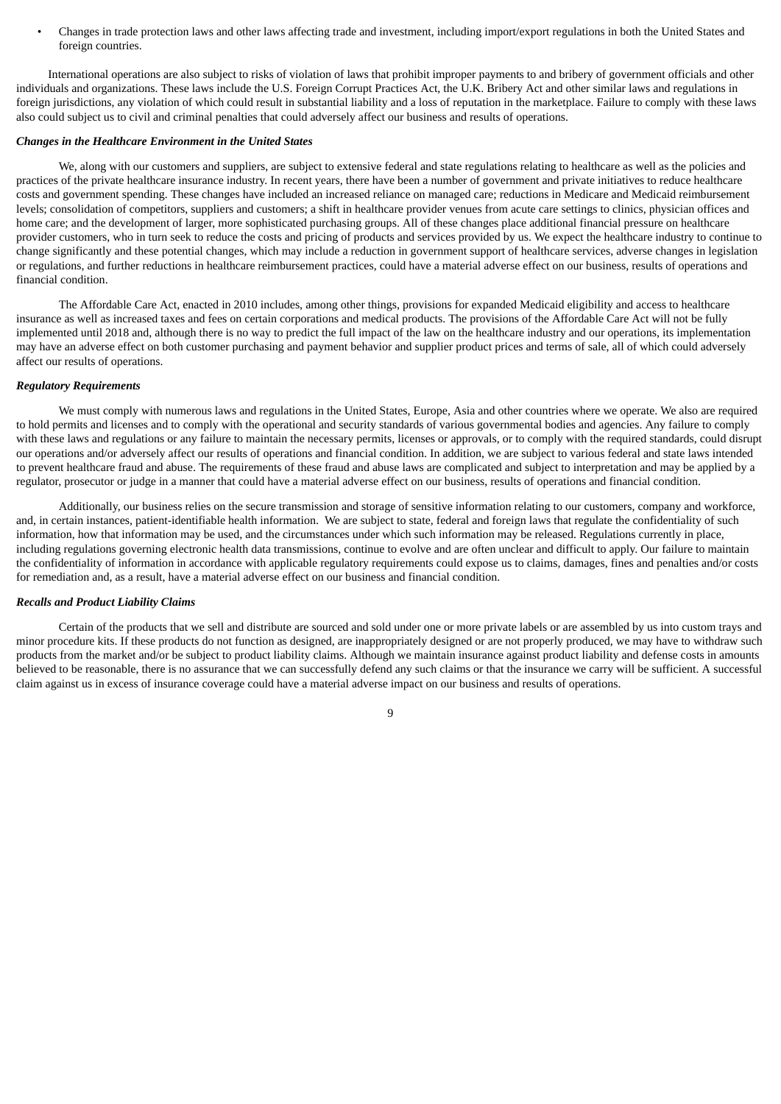• Changes in trade protection laws and other laws affecting trade and investment, including import/export regulations in both the United States and foreign countries.

International operations are also subject to risks of violation of laws that prohibit improper payments to and bribery of government officials and other individuals and organizations. These laws include the U.S. Foreign Corrupt Practices Act, the U.K. Bribery Act and other similar laws and regulations in foreign jurisdictions, any violation of which could result in substantial liability and a loss of reputation in the marketplace. Failure to comply with these laws also could subject us to civil and criminal penalties that could adversely affect our business and results of operations.

## *Changes in the Healthcare Environment in the United States*

We, along with our customers and suppliers, are subject to extensive federal and state regulations relating to healthcare as well as the policies and practices of the private healthcare insurance industry. In recent years, there have been a number of government and private initiatives to reduce healthcare costs and government spending. These changes have included an increased reliance on managed care; reductions in Medicare and Medicaid reimbursement levels; consolidation of competitors, suppliers and customers; a shift in healthcare provider venues from acute care settings to clinics, physician offices and home care; and the development of larger, more sophisticated purchasing groups. All of these changes place additional financial pressure on healthcare provider customers, who in turn seek to reduce the costs and pricing of products and services provided by us. We expect the healthcare industry to continue to change significantly and these potential changes, which may include a reduction in government support of healthcare services, adverse changes in legislation or regulations, and further reductions in healthcare reimbursement practices, could have a material adverse effect on our business, results of operations and financial condition.

The Affordable Care Act, enacted in 2010 includes, among other things, provisions for expanded Medicaid eligibility and access to healthcare insurance as well as increased taxes and fees on certain corporations and medical products. The provisions of the Affordable Care Act will not be fully implemented until 2018 and, although there is no way to predict the full impact of the law on the healthcare industry and our operations, its implementation may have an adverse effect on both customer purchasing and payment behavior and supplier product prices and terms of sale, all of which could adversely affect our results of operations.

### *Regulatory Requirements*

We must comply with numerous laws and regulations in the United States, Europe, Asia and other countries where we operate. We also are required to hold permits and licenses and to comply with the operational and security standards of various governmental bodies and agencies. Any failure to comply with these laws and regulations or any failure to maintain the necessary permits, licenses or approvals, or to comply with the required standards, could disrupt our operations and/or adversely affect our results of operations and financial condition. In addition, we are subject to various federal and state laws intended to prevent healthcare fraud and abuse. The requirements of these fraud and abuse laws are complicated and subject to interpretation and may be applied by a regulator, prosecutor or judge in a manner that could have a material adverse effect on our business, results of operations and financial condition.

Additionally, our business relies on the secure transmission and storage of sensitive information relating to our customers, company and workforce, and, in certain instances, patient-identifiable health information. We are subject to state, federal and foreign laws that regulate the confidentiality of such information, how that information may be used, and the circumstances under which such information may be released. Regulations currently in place, including regulations governing electronic health data transmissions, continue to evolve and are often unclear and difficult to apply. Our failure to maintain the confidentiality of information in accordance with applicable regulatory requirements could expose us to claims, damages, fines and penalties and/or costs for remediation and, as a result, have a material adverse effect on our business and financial condition.

## *Recalls and Product Liability Claims*

Certain of the products that we sell and distribute are sourced and sold under one or more private labels or are assembled by us into custom trays and minor procedure kits. If these products do not function as designed, are inappropriately designed or are not properly produced, we may have to withdraw such products from the market and/or be subject to product liability claims. Although we maintain insurance against product liability and defense costs in amounts believed to be reasonable, there is no assurance that we can successfully defend any such claims or that the insurance we carry will be sufficient. A successful claim against us in excess of insurance coverage could have a material adverse impact on our business and results of operations.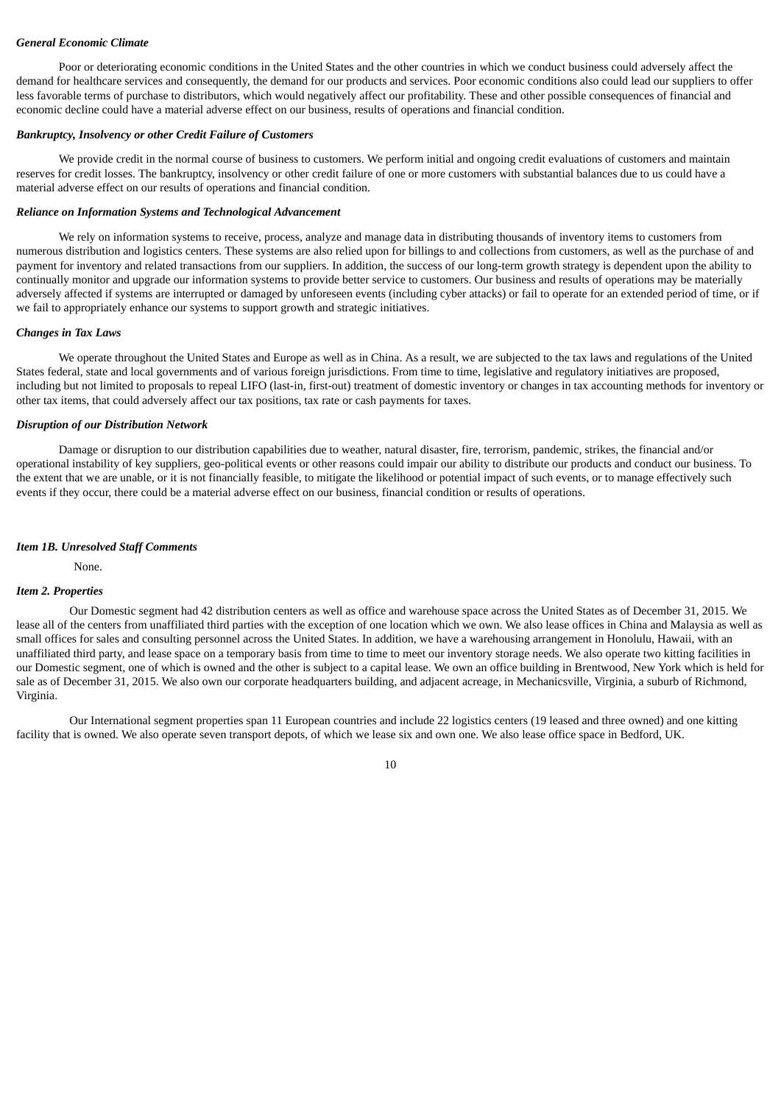#### *General Economic Climate*

Poor or deteriorating economic conditions in the United States and the other countries in which we conduct business could adversely affect the demand for healthcare services and consequently, the demand for our products and services. Poor economic conditions also could lead our suppliers to offer less favorable terms of purchase to distributors, which would negatively affect our profitability. These and other possible consequences of financial and economic decline could have a material adverse effect on our business, results of operations and financial condition.

#### *Bankruptcy, Insolvency or other Credit Failure of Customers*

We provide credit in the normal course of business to customers. We perform initial and ongoing credit evaluations of customers and maintain reserves for credit losses. The bankruptcy, insolvency or other credit failure of one or more customers with substantial balances due to us could have a material adverse effect on our results of operations and financial condition.

#### *Reliance on Information Systems and Technological Advancement*

We rely on information systems to receive, process, analyze and manage data in distributing thousands of inventory items to customers from numerous distribution and logistics centers. These systems are also relied upon for billings to and collections from customers, as well as the purchase of and payment for inventory and related transactions from our suppliers. In addition, the success of our long-term growth strategy is dependent upon the ability to continually monitor and upgrade our information systems to provide better service to customers. Our business and results of operations may be materially adversely affected if systems are interrupted or damaged by unforeseen events (including cyber attacks) or fail to operate for an extended period of time, or if we fail to appropriately enhance our systems to support growth and strategic initiatives.

#### *Changes in Tax Laws*

We operate throughout the United States and Europe as well as in China. As a result, we are subjected to the tax laws and regulations of the United States federal, state and local governments and of various foreign jurisdictions. From time to time, legislative and regulatory initiatives are proposed, including but not limited to proposals to repeal LIFO (last-in, first-out) treatment of domestic inventory or changes in tax accounting methods for inventory or other tax items, that could adversely affect our tax positions, tax rate or cash payments for taxes.

#### *Disruption of our Distribution Network*

Damage or disruption to our distribution capabilities due to weather, natural disaster, fire, terrorism, pandemic, strikes, the financial and/or operational instability of key suppliers, geo-political events or other reasons could impair our ability to distribute our products and conduct our business. To the extent that we are unable, or it is not financially feasible, to mitigate the likelihood or potential impact of such events, or to manage effectively such events if they occur, there could be a material adverse effect on our business, financial condition or results of operations.

#### <span id="page-9-0"></span>*Item 1B. Unresolved Staff Comments*

None.

#### <span id="page-9-1"></span>*Item 2. Properties*

Our Domestic segment had 42 distribution centers as well as office and warehouse space across the United States as of December 31, 2015. We lease all of the centers from unaffiliated third parties with the exception of one location which we own. We also lease offices in China and Malaysia as well as small offices for sales and consulting personnel across the United States. In addition, we have a warehousing arrangement in Honolulu, Hawaii, with an unaffiliated third party, and lease space on a temporary basis from time to time to meet our inventory storage needs. We also operate two kitting facilities in our Domestic segment, one of which is owned and the other is subject to a capital lease. We own an office building in Brentwood, New York which is held for sale as of December 31, 2015. We also own our corporate headquarters building, and adjacent acreage, in Mechanicsville, Virginia, a suburb of Richmond, Virginia.

Our International segment properties span 11 European countries and include 22 logistics centers (19 leased and three owned) and one kitting facility that is owned. We also operate seven transport depots, of which we lease six and own one. We also lease office space in Bedford, UK.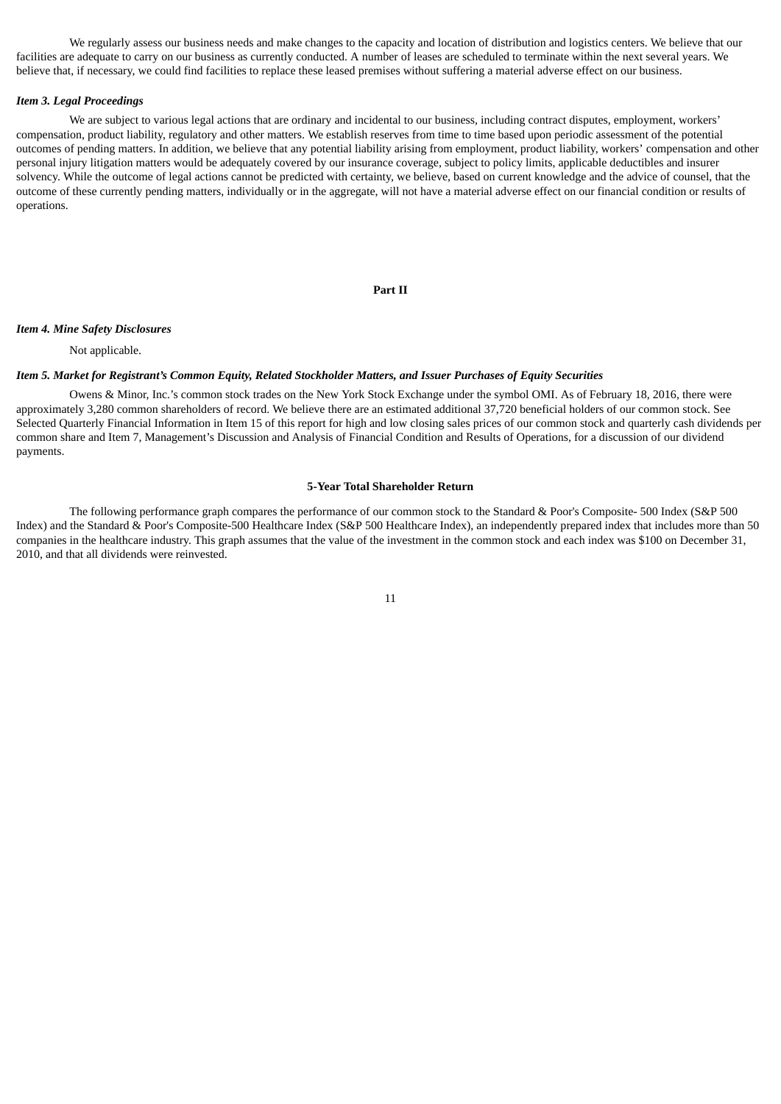We regularly assess our business needs and make changes to the capacity and location of distribution and logistics centers. We believe that our facilities are adequate to carry on our business as currently conducted. A number of leases are scheduled to terminate within the next several years. We believe that, if necessary, we could find facilities to replace these leased premises without suffering a material adverse effect on our business.

#### <span id="page-10-0"></span>*Item 3. Legal Proceedings*

<span id="page-10-1"></span>We are subject to various legal actions that are ordinary and incidental to our business, including contract disputes, employment, workers' compensation, product liability, regulatory and other matters. We establish reserves from time to time based upon periodic assessment of the potential outcomes of pending matters. In addition, we believe that any potential liability arising from employment, product liability, workers' compensation and other personal injury litigation matters would be adequately covered by our insurance coverage, subject to policy limits, applicable deductibles and insurer solvency. While the outcome of legal actions cannot be predicted with certainty, we believe, based on current knowledge and the advice of counsel, that the outcome of these currently pending matters, individually or in the aggregate, will not have a material adverse effect on our financial condition or results of operations.

#### **Part II**

#### <span id="page-10-2"></span>*Item 4. Mine Safety Disclosures*

Not applicable.

## <span id="page-10-3"></span>Item 5. Market for Registrant's Common Equity, Related Stockholder Matters, and Issuer Purchases of Equity Securities

Owens & Minor, Inc.'s common stock trades on the New York Stock Exchange under the symbol OMI. As of February 18, 2016, there were approximately 3,280 common shareholders of record. We believe there are an estimated additional 37,720 beneficial holders of our common stock. See Selected Quarterly Financial Information in Item 15 of this report for high and low closing sales prices of our common stock and quarterly cash dividends per common share and Item 7, Management's Discussion and Analysis of Financial Condition and Results of Operations, for a discussion of our dividend payments.

#### **5-Year Total Shareholder Return**

The following performance graph compares the performance of our common stock to the Standard & Poor's Composite- 500 Index (S&P 500 Index) and the Standard & Poor's Composite-500 Healthcare Index (S&P 500 Healthcare Index), an independently prepared index that includes more than 50 companies in the healthcare industry. This graph assumes that the value of the investment in the common stock and each index was \$100 on December 31, 2010, and that all dividends were reinvested.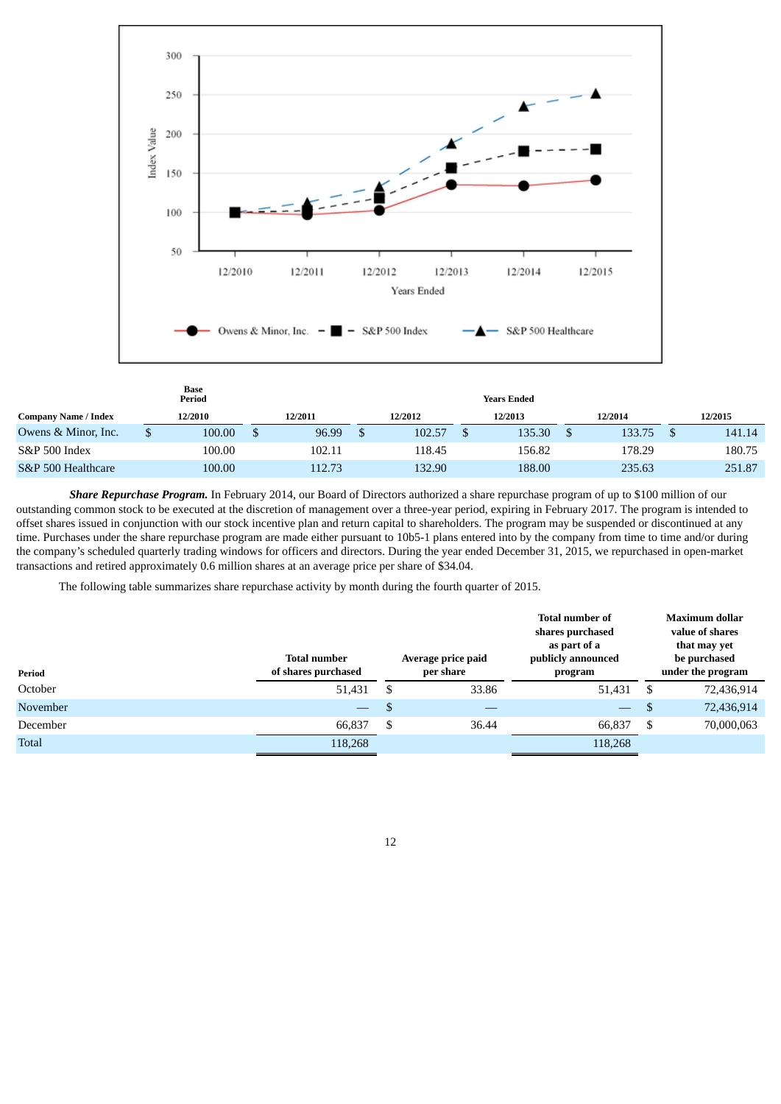

| Base<br>Period              |  |         |  |         |  |         |         |         |         |
|-----------------------------|--|---------|--|---------|--|---------|---------|---------|---------|
| <b>Company Name / Index</b> |  | 12/2010 |  | 12/2011 |  | 12/2012 | 12/2013 | 12/2014 | 12/2015 |
| Owens & Minor, Inc.         |  | 100.00  |  | 96.99   |  | 102.57  | 135.30  | 133.75  | 141.14  |
| S&P 500 Index               |  | 100.00  |  | 102.11  |  | 118.45  | 156.82  | 178.29  | 180.75  |
| S&P 500 Healthcare          |  | 100.00  |  | 112.73  |  | 132.90  | 188.00  | 235.63  | 251.87  |

*Share Repurchase Program.* In February 2014, our Board of Directors authorized a share repurchase program of up to \$100 million of our outstanding common stock to be executed at the discretion of management over a three-year period, expiring in February 2017. The program is intended to offset shares issued in conjunction with our stock incentive plan and return capital to shareholders. The program may be suspended or discontinued at any time. Purchases under the share repurchase program are made either pursuant to 10b5-1 plans entered into by the company from time to time and/or during the company's scheduled quarterly trading windows for officers and directors. During the year ended December 31, 2015, we repurchased in open-market transactions and retired approximately 0.6 million shares at an average price per share of \$34.04.

The following table summarizes share repurchase activity by month during the fourth quarter of 2015.

<span id="page-11-0"></span>

| Period       | <b>Total number</b><br>of shares purchased |    | Average price paid<br>per share | <b>Total number of</b><br>shares purchased<br>as part of a<br>publicly announced<br>program |      | <b>Maximum dollar</b><br>value of shares<br>that may yet<br>be purchased<br>under the program |
|--------------|--------------------------------------------|----|---------------------------------|---------------------------------------------------------------------------------------------|------|-----------------------------------------------------------------------------------------------|
| October      | 51,431                                     | S  | 33.86                           | 51,431                                                                                      | - \$ | 72,436,914                                                                                    |
| November     | $\overline{\phantom{0}}$                   | -S |                                 | $\qquad \qquad -$                                                                           | - \$ | 72,436,914                                                                                    |
| December     | 66,837                                     | \$ | 36.44                           | 66,837                                                                                      | -\$  | 70,000,063                                                                                    |
| <b>Total</b> | 118,268                                    |    |                                 | 118,268                                                                                     |      |                                                                                               |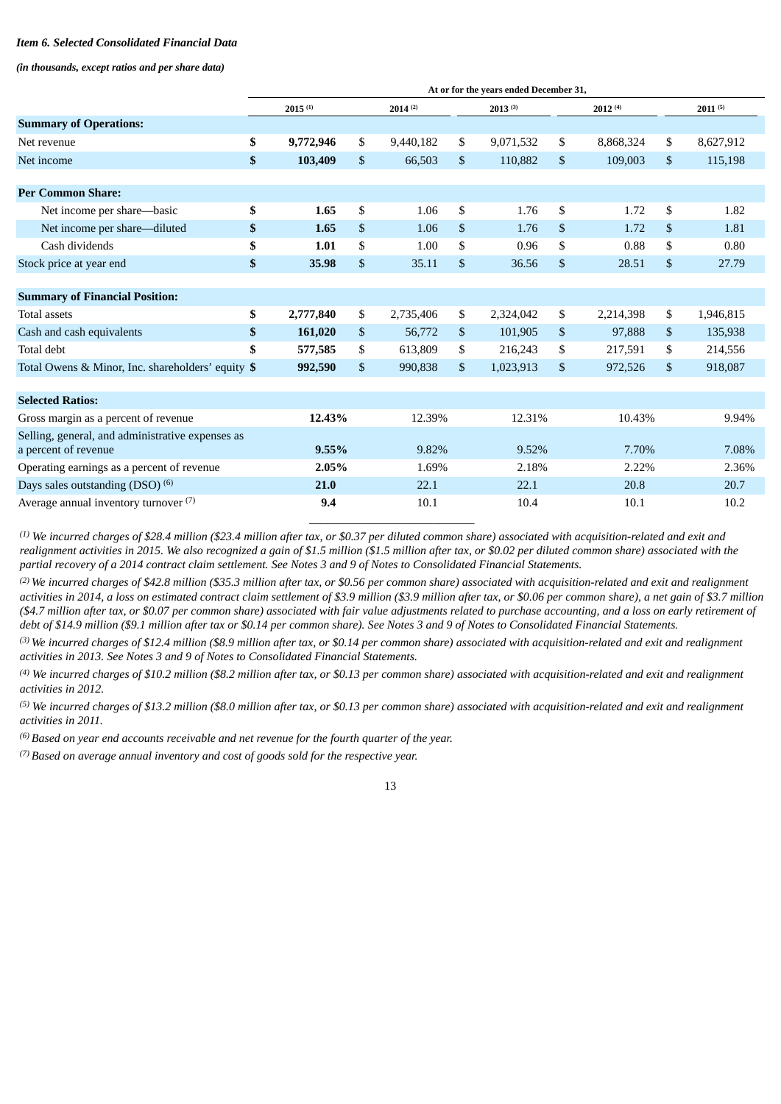## *Item 6. Selected Consolidated Financial Data*

*(in thousands, except ratios and per share data)*

|                                                                          |                 |                 | At or for the years ended December 31, |                 |              |              |
|--------------------------------------------------------------------------|-----------------|-----------------|----------------------------------------|-----------------|--------------|--------------|
|                                                                          | $2015^{(1)}$    | $2014^{(2)}$    | $2013^{(3)}$                           | 2012(4)         |              | $2011^{(5)}$ |
| <b>Summary of Operations:</b>                                            |                 |                 |                                        |                 |              |              |
| Net revenue                                                              | \$<br>9,772,946 | \$<br>9,440,182 | \$<br>9,071,532                        | \$<br>8,868,324 | \$           | 8,627,912    |
| Net income                                                               | \$<br>103,409   | \$<br>66,503    | \$<br>110,882                          | \$<br>109,003   | \$           | 115,198      |
| <b>Per Common Share:</b>                                                 |                 |                 |                                        |                 |              |              |
| Net income per share—basic                                               | \$<br>1.65      | \$<br>1.06      | \$<br>1.76                             | \$<br>1.72      | \$           | 1.82         |
| Net income per share—diluted                                             | \$<br>1.65      | \$<br>1.06      | \$<br>1.76                             | \$<br>1.72      | \$           | 1.81         |
| Cash dividends                                                           | \$<br>1.01      | \$<br>1.00      | \$<br>0.96                             | \$<br>0.88      | \$           | 0.80         |
| Stock price at year end                                                  | \$<br>35.98     | \$<br>35.11     | \$<br>36.56                            | \$<br>28.51     | \$           | 27.79        |
| <b>Summary of Financial Position:</b>                                    |                 |                 |                                        |                 |              |              |
| <b>Total assets</b>                                                      | \$<br>2,777,840 | \$<br>2,735,406 | \$<br>2,324,042                        | \$<br>2,214,398 | \$           | 1,946,815    |
| Cash and cash equivalents                                                | \$<br>161,020   | \$<br>56,772    | \$<br>101,905                          | \$<br>97,888    | \$           | 135,938      |
| Total debt                                                               | \$<br>577,585   | \$<br>613,809   | \$<br>216,243                          | \$<br>217,591   | \$           | 214,556      |
| Total Owens & Minor, Inc. shareholders' equity \$                        | 992,590         | \$<br>990,838   | \$<br>1,023,913                        | \$<br>972,526   | $\mathbb{S}$ | 918,087      |
| <b>Selected Ratios:</b>                                                  |                 |                 |                                        |                 |              |              |
| Gross margin as a percent of revenue                                     | 12.43%          | 12.39%          | 12.31%                                 | 10.43%          |              | 9.94%        |
| Selling, general, and administrative expenses as<br>a percent of revenue | 9.55%           | 9.82%           | 9.52%                                  | 7.70%           |              | 7.08%        |
| Operating earnings as a percent of revenue                               | 2.05%           | 1.69%           | 2.18%                                  | 2.22%           |              | 2.36%        |
| Days sales outstanding $(DSO)$ <sup><math>(6)</math></sup>               | 21.0            | 22.1            | 22.1                                   | 20.8            |              | 20.7         |
| Average annual inventory turnover (7)                                    | 9.4             | 10.1            | 10.4                                   | 10.1            |              | 10.2         |

 $^{(1)}$  We incurred charges of \$28.4 million (\$23.4 million after tax, or \$0.37 per diluted common share) associated with acquisition-related and exit and realignment activities in 2015. We also recognized a gain of \$1.5 million (\$1.5 million after tax, or \$0.02 per diluted common share) associated with the partial recovery of a 2014 contract claim settlement. See Notes 3 and 9 of Notes to Consolidated Financial Statements.

(2) We incurred charges of \$42.8 million (\$35.3 million after tax, or \$0.56 per common share) associated with acquisition-related and exit and realignment activities in 2014, a loss on estimated contract claim settlement of \$3.9 million (\$3.9 million after tax, or \$0.06 per common share), a net gain of \$3.7 million (\$4.7 million after tax, or \$0.07 per common share) associated with fair value adjustments related to purchase accounting, and a loss on early retirement of debt of \$14.9 million (\$9.1 million after tax or \$0.14 per common share). See Notes 3 and 9 of Notes to Consolidated Financial Statements.

 $^{(3)}$  We incurred charges of \$12.4 million (\$8.9 million after tax, or \$0.14 per common share) associated with acquisition-related and exit and realignment *activities in 2013. See Notes 3 and 9 of Notes to Consolidated Financial Statements.*

 $^{(4)}$  We incurred charges of \$10.2 million (\$8.2 million after tax, or \$0.13 per common share) associated with acquisition-related and exit and realignment *activities in 2012.*

 $^{(5)}$  We incurred charges of \$13.2 million (\$8.0 million after tax, or \$0.13 per common share) associated with acquisition-related and exit and realignment *activities in 2011.*

*(6) Based on year end accounts receivable and net revenue for the fourth quarter of the year.*

<span id="page-12-0"></span>*(7) Based on average annual inventory and cost of goods sold for the respective year.*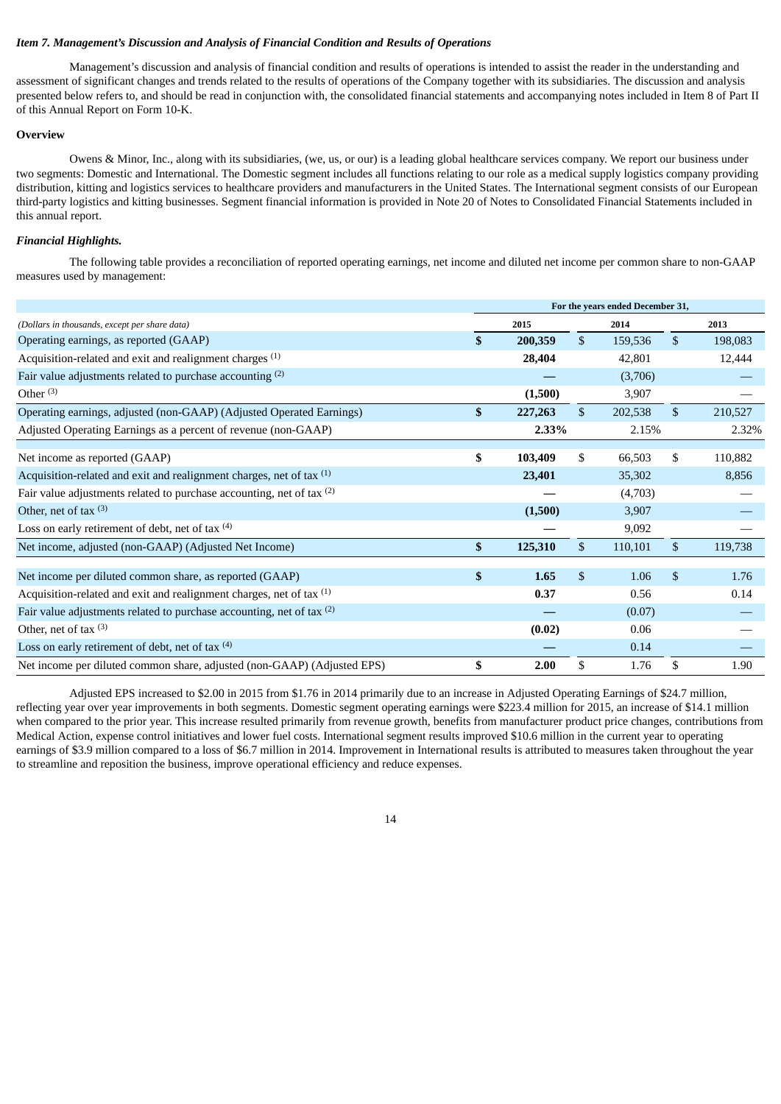## *Item 7. Management's Discussion and Analysis of Financial Condition and Results of Operations*

Management's discussion and analysis of financial condition and results of operations is intended to assist the reader in the understanding and assessment of significant changes and trends related to the results of operations of the Company together with its subsidiaries. The discussion and analysis presented below refers to, and should be read in conjunction with, the consolidated financial statements and accompanying notes included in Item 8 of Part II of this Annual Report on Form 10-K.

## **Overview**

Owens & Minor, Inc., along with its subsidiaries, (we, us, or our) is a leading global healthcare services company. We report our business under two segments: Domestic and International. The Domestic segment includes all functions relating to our role as a medical supply logistics company providing distribution, kitting and logistics services to healthcare providers and manufacturers in the United States. The International segment consists of our European third-party logistics and kitting businesses. Segment financial information is provided in Note 20 of Notes to Consolidated Financial Statements included in this annual report.

## *Financial Highlights.*

The following table provides a reconciliation of reported operating earnings, net income and diluted net income per common share to non-GAAP measures used by management:

|                                                                         |               | For the years ended December 31, |         |                |         |
|-------------------------------------------------------------------------|---------------|----------------------------------|---------|----------------|---------|
| (Dollars in thousands, except per share data)                           | 2015          |                                  | 2014    |                | 2013    |
| Operating earnings, as reported (GAAP)                                  | \$<br>200,359 | $\mathfrak{S}$                   | 159,536 | $\mathbb{S}$   | 198,083 |
| Acquisition-related and exit and realignment charges (1)                | 28,404        |                                  | 42,801  |                | 12,444  |
| Fair value adjustments related to purchase accounting (2)               |               |                                  | (3,706) |                |         |
| Other $(3)$                                                             | (1,500)       |                                  | 3,907   |                |         |
| Operating earnings, adjusted (non-GAAP) (Adjusted Operated Earnings)    | \$<br>227,263 | $\mathbb{S}$                     | 202,538 | $\mathbb{S}$   | 210,527 |
| Adjusted Operating Earnings as a percent of revenue (non-GAAP)          | 2.33%         |                                  | 2.15%   |                | 2.32%   |
| Net income as reported (GAAP)                                           | \$<br>103,409 | \$                               | 66,503  | \$             | 110,882 |
| Acquisition-related and exit and realignment charges, net of tax $(1)$  | 23,401        |                                  | 35,302  |                | 8,856   |
| Fair value adjustments related to purchase accounting, net of tax $(2)$ |               |                                  | (4,703) |                |         |
| Other, net of tax $(3)$                                                 | (1,500)       |                                  | 3,907   |                |         |
| Loss on early retirement of debt, net of tax $(4)$                      |               |                                  | 9,092   |                |         |
| Net income, adjusted (non-GAAP) (Adjusted Net Income)                   | \$<br>125,310 | \$                               | 110,101 | $\mathfrak{S}$ | 119,738 |
| Net income per diluted common share, as reported (GAAP)                 | \$<br>1.65    | \$                               | 1.06    | $\mathbb{S}$   | 1.76    |
| Acquisition-related and exit and realignment charges, net of tax $(1)$  | 0.37          |                                  | 0.56    |                | 0.14    |
| Fair value adjustments related to purchase accounting, net of tax $(2)$ |               |                                  | (0.07)  |                |         |
| Other, net of tax $(3)$                                                 | (0.02)        |                                  | 0.06    |                |         |
| Loss on early retirement of debt, net of tax $(4)$                      |               |                                  | 0.14    |                |         |
| Net income per diluted common share, adjusted (non-GAAP) (Adjusted EPS) | \$<br>2.00    | \$                               | 1.76    | \$             | 1.90    |

Adjusted EPS increased to \$2.00 in 2015 from \$1.76 in 2014 primarily due to an increase in Adjusted Operating Earnings of \$24.7 million, reflecting year over year improvements in both segments. Domestic segment operating earnings were \$223.4 million for 2015, an increase of \$14.1 million when compared to the prior year. This increase resulted primarily from revenue growth, benefits from manufacturer product price changes, contributions from Medical Action, expense control initiatives and lower fuel costs. International segment results improved \$10.6 million in the current year to operating earnings of \$3.9 million compared to a loss of \$6.7 million in 2014. Improvement in International results is attributed to measures taken throughout the year to streamline and reposition the business, improve operational efficiency and reduce expenses.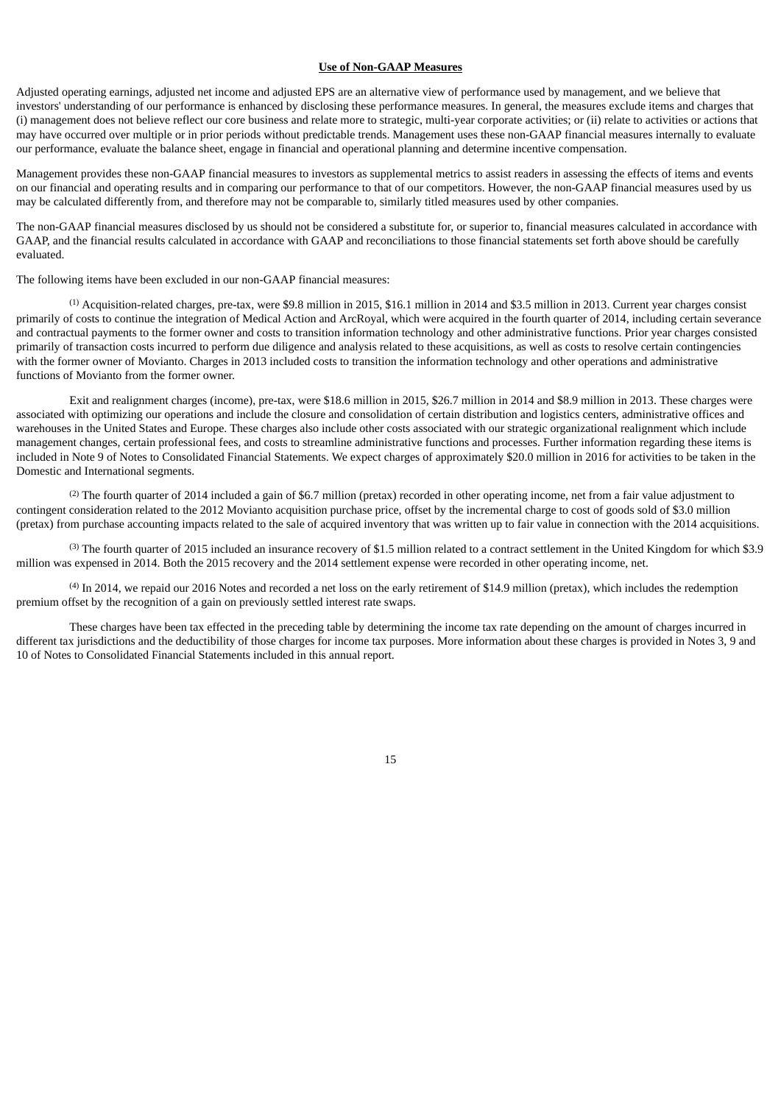## **Use of Non-GAAP Measures**

Adjusted operating earnings, adjusted net income and adjusted EPS are an alternative view of performance used by management, and we believe that investors' understanding of our performance is enhanced by disclosing these performance measures. In general, the measures exclude items and charges that (i) management does not believe reflect our core business and relate more to strategic, multi-year corporate activities; or (ii) relate to activities or actions that may have occurred over multiple or in prior periods without predictable trends. Management uses these non-GAAP financial measures internally to evaluate our performance, evaluate the balance sheet, engage in financial and operational planning and determine incentive compensation.

Management provides these non-GAAP financial measures to investors as supplemental metrics to assist readers in assessing the effects of items and events on our financial and operating results and in comparing our performance to that of our competitors. However, the non-GAAP financial measures used by us may be calculated differently from, and therefore may not be comparable to, similarly titled measures used by other companies.

The non-GAAP financial measures disclosed by us should not be considered a substitute for, or superior to, financial measures calculated in accordance with GAAP, and the financial results calculated in accordance with GAAP and reconciliations to those financial statements set forth above should be carefully evaluated.

The following items have been excluded in our non-GAAP financial measures:

(1) Acquisition-related charges, pre-tax, were \$9.8 million in 2015, \$16.1 million in 2014 and \$3.5 million in 2013. Current year charges consist primarily of costs to continue the integration of Medical Action and ArcRoyal, which were acquired in the fourth quarter of 2014, including certain severance and contractual payments to the former owner and costs to transition information technology and other administrative functions. Prior year charges consisted primarily of transaction costs incurred to perform due diligence and analysis related to these acquisitions, as well as costs to resolve certain contingencies with the former owner of Movianto. Charges in 2013 included costs to transition the information technology and other operations and administrative functions of Movianto from the former owner.

Exit and realignment charges (income), pre-tax, were \$18.6 million in 2015, \$26.7 million in 2014 and \$8.9 million in 2013. These charges were associated with optimizing our operations and include the closure and consolidation of certain distribution and logistics centers, administrative offices and warehouses in the United States and Europe. These charges also include other costs associated with our strategic organizational realignment which include management changes, certain professional fees, and costs to streamline administrative functions and processes. Further information regarding these items is included in Note 9 of Notes to Consolidated Financial Statements. We expect charges of approximately \$20.0 million in 2016 for activities to be taken in the Domestic and International segments.

 $<sup>(2)</sup>$  The fourth quarter of 2014 included a gain of \$6.7 million (pretax) recorded in other operating income, net from a fair value adjustment to</sup> contingent consideration related to the 2012 Movianto acquisition purchase price, offset by the incremental charge to cost of goods sold of \$3.0 million (pretax) from purchase accounting impacts related to the sale of acquired inventory that was written up to fair value in connection with the 2014 acquisitions.

(3) The fourth quarter of 2015 included an insurance recovery of \$1.5 million related to a contract settlement in the United Kingdom for which \$3.9 million was expensed in 2014. Both the 2015 recovery and the 2014 settlement expense were recorded in other operating income, net.

(4) In 2014, we repaid our 2016 Notes and recorded a net loss on the early retirement of \$14.9 million (pretax), which includes the redemption premium offset by the recognition of a gain on previously settled interest rate swaps.

These charges have been tax effected in the preceding table by determining the income tax rate depending on the amount of charges incurred in different tax jurisdictions and the deductibility of those charges for income tax purposes. More information about these charges is provided in Notes 3, 9 and 10 of Notes to Consolidated Financial Statements included in this annual report.

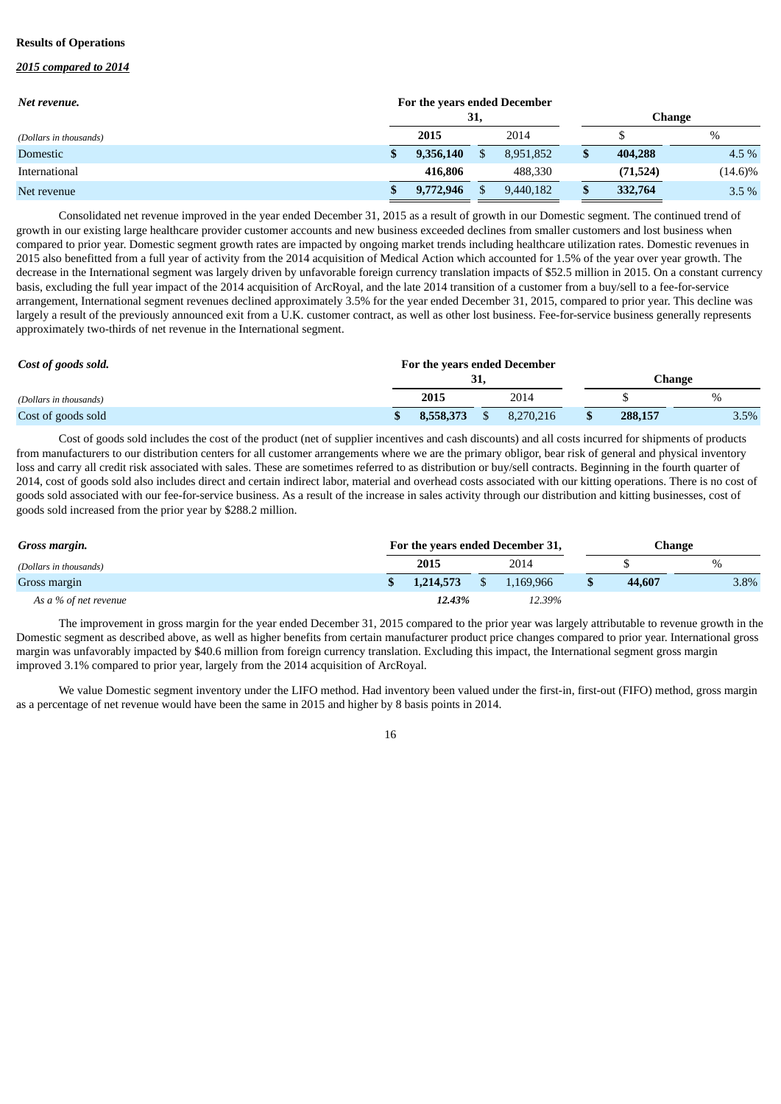## **Results of Operations**

## *2015 compared to 2014*

| Net revenue.           | For the years ended December |           |  |           |  |          |            |  |  |
|------------------------|------------------------------|-----------|--|-----------|--|----------|------------|--|--|
|                        | 31,                          |           |  |           |  |          | Change     |  |  |
| (Dollars in thousands) |                              | 2015      |  | 2014      |  |          | $\%$       |  |  |
| Domestic               |                              | 9,356,140 |  | 8,951,852 |  | 404,288  | $4.5\%$    |  |  |
| International          |                              | 416,806   |  | 488,330   |  | (71,524) | $(14.6)\%$ |  |  |
| Net revenue            |                              | 9,772,946 |  | 9,440,182 |  | 332,764  | $3.5\%$    |  |  |

Consolidated net revenue improved in the year ended December 31, 2015 as a result of growth in our Domestic segment. The continued trend of growth in our existing large healthcare provider customer accounts and new business exceeded declines from smaller customers and lost business when compared to prior year. Domestic segment growth rates are impacted by ongoing market trends including healthcare utilization rates. Domestic revenues in 2015 also benefitted from a full year of activity from the 2014 acquisition of Medical Action which accounted for 1.5% of the year over year growth. The decrease in the International segment was largely driven by unfavorable foreign currency translation impacts of \$52.5 million in 2015. On a constant currency basis, excluding the full year impact of the 2014 acquisition of ArcRoyal, and the late 2014 transition of a customer from a buy/sell to a fee-for-service arrangement, International segment revenues declined approximately 3.5% for the year ended December 31, 2015, compared to prior year. This decline was largely a result of the previously announced exit from a U.K. customer contract, as well as other lost business. Fee-for-service business generally represents approximately two-thirds of net revenue in the International segment.

| Cost of goods sold.    | For the years ended December |  |           |  |         |      |  |  |  |
|------------------------|------------------------------|--|-----------|--|---------|------|--|--|--|
|                        | 31,                          |  | Change    |  |         |      |  |  |  |
| (Dollars in thousands) | 2015                         |  | 2014      |  |         | $\%$ |  |  |  |
| Cost of goods sold     | 8,558,373                    |  | 8,270,216 |  | 288,157 | 3.5% |  |  |  |

Cost of goods sold includes the cost of the product (net of supplier incentives and cash discounts) and all costs incurred for shipments of products from manufacturers to our distribution centers for all customer arrangements where we are the primary obligor, bear risk of general and physical inventory loss and carry all credit risk associated with sales. These are sometimes referred to as distribution or buy/sell contracts. Beginning in the fourth quarter of 2014, cost of goods sold also includes direct and certain indirect labor, material and overhead costs associated with our kitting operations. There is no cost of goods sold associated with our fee-for-service business. As a result of the increase in sales activity through our distribution and kitting businesses, cost of goods sold increased from the prior year by \$288.2 million.

| Gross margin.          |           | For the years ended December 31, |        | Change |  |
|------------------------|-----------|----------------------------------|--------|--------|--|
| (Dollars in thousands) | 2015      | 2014                             |        | $\%$   |  |
| Gross margin           | 1,214,573 | 1.169.966                        | 44,607 | 3.8%   |  |
| As a % of net revenue  | 12.43%    | 12.39%                           |        |        |  |

The improvement in gross margin for the year ended December 31, 2015 compared to the prior year was largely attributable to revenue growth in the Domestic segment as described above, as well as higher benefits from certain manufacturer product price changes compared to prior year. International gross margin was unfavorably impacted by \$40.6 million from foreign currency translation. Excluding this impact, the International segment gross margin improved 3.1% compared to prior year, largely from the 2014 acquisition of ArcRoyal.

We value Domestic segment inventory under the LIFO method. Had inventory been valued under the first-in, first-out (FIFO) method, gross margin as a percentage of net revenue would have been the same in 2015 and higher by 8 basis points in 2014.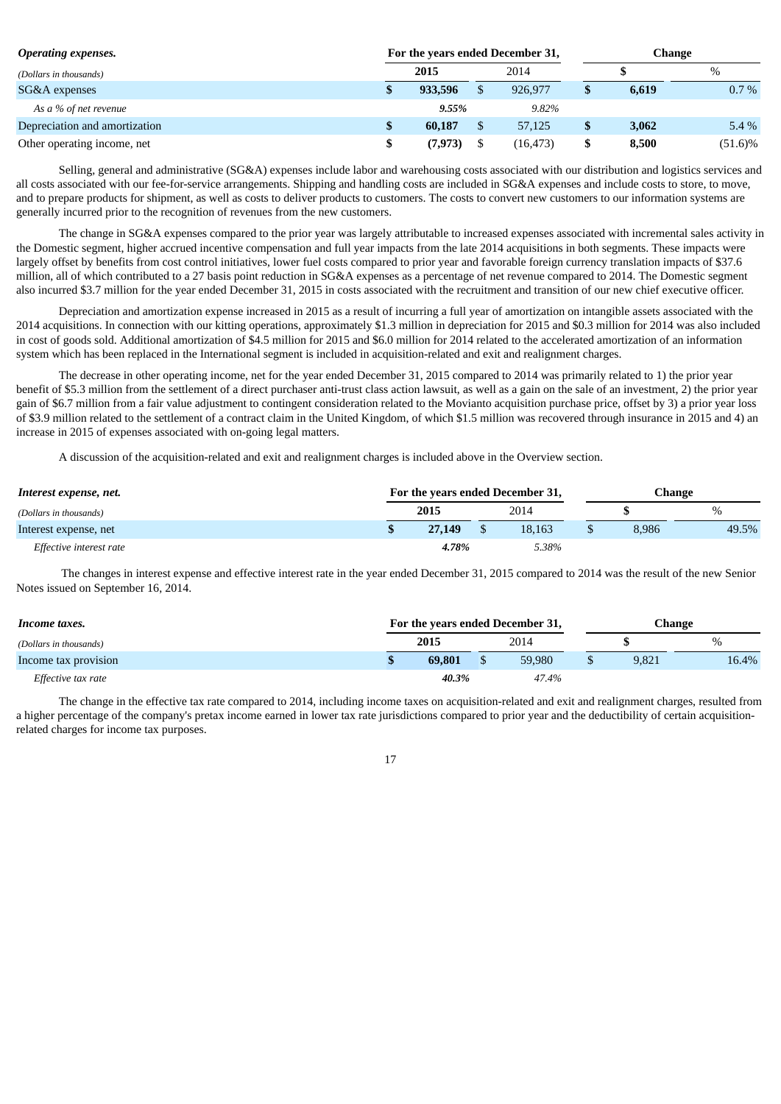| Operating expenses.           | For the years ended December 31, |  |           | Change |       |            |  |
|-------------------------------|----------------------------------|--|-----------|--------|-------|------------|--|
| (Dollars in thousands)        | 2015                             |  | 2014      |        |       | $\%$       |  |
| SG&A expenses                 | 933,596                          |  | 926.977   |        | 6,619 | $0.7\%$    |  |
| As a % of net revenue         | 9.55%                            |  | 9.82%     |        |       |            |  |
| Depreciation and amortization | 60,187                           |  | 57.125    |        | 3,062 | $5.4\%$    |  |
| Other operating income, net   | (7, 973)                         |  | (16, 473) |        | 8,500 | $(51.6)\%$ |  |

Selling, general and administrative (SG&A) expenses include labor and warehousing costs associated with our distribution and logistics services and all costs associated with our fee-for-service arrangements. Shipping and handling costs are included in SG&A expenses and include costs to store, to move, and to prepare products for shipment, as well as costs to deliver products to customers. The costs to convert new customers to our information systems are generally incurred prior to the recognition of revenues from the new customers.

The change in SG&A expenses compared to the prior year was largely attributable to increased expenses associated with incremental sales activity in the Domestic segment, higher accrued incentive compensation and full year impacts from the late 2014 acquisitions in both segments. These impacts were largely offset by benefits from cost control initiatives, lower fuel costs compared to prior year and favorable foreign currency translation impacts of \$37.6 million, all of which contributed to a 27 basis point reduction in SG&A expenses as a percentage of net revenue compared to 2014. The Domestic segment also incurred \$3.7 million for the year ended December 31, 2015 in costs associated with the recruitment and transition of our new chief executive officer.

Depreciation and amortization expense increased in 2015 as a result of incurring a full year of amortization on intangible assets associated with the 2014 acquisitions. In connection with our kitting operations, approximately \$1.3 million in depreciation for 2015 and \$0.3 million for 2014 was also included in cost of goods sold. Additional amortization of \$4.5 million for 2015 and \$6.0 million for 2014 related to the accelerated amortization of an information system which has been replaced in the International segment is included in acquisition-related and exit and realignment charges.

The decrease in other operating income, net for the year ended December 31, 2015 compared to 2014 was primarily related to 1) the prior year benefit of \$5.3 million from the settlement of a direct purchaser anti-trust class action lawsuit, as well as a gain on the sale of an investment, 2) the prior year gain of \$6.7 million from a fair value adjustment to contingent consideration related to the Movianto acquisition purchase price, offset by 3) a prior year loss of \$3.9 million related to the settlement of a contract claim in the United Kingdom, of which \$1.5 million was recovered through insurance in 2015 and 4) an increase in 2015 of expenses associated with on-going legal matters.

A discussion of the acquisition-related and exit and realignment charges is included above in the Overview section.

| Interest expense, net.  |        | For the years ended December 31, | Change |       |       |  |
|-------------------------|--------|----------------------------------|--------|-------|-------|--|
| (Dollars in thousands)  | 2015   | 2014                             |        |       | $\%$  |  |
| Interest expense, net   | 27,149 | 18.163                           |        | 8.986 | 49.5% |  |
| Effective interest rate | 4.78%  | 5.38%                            |        |       |       |  |

The changes in interest expense and effective interest rate in the year ended December 31, 2015 compared to 2014 was the result of the new Senior Notes issued on September 16, 2014.

| Income taxes.          | For the years ended December 31, |        |  |        |  | Change |       |  |  |
|------------------------|----------------------------------|--------|--|--------|--|--------|-------|--|--|
| (Dollars in thousands) |                                  | 2015   |  | 2014   |  |        | $\%$  |  |  |
| Income tax provision   |                                  | 69,801 |  | 59,980 |  | 9.821  | 16.4% |  |  |
| Effective tax rate     |                                  | 40.3%  |  | 47.4%  |  |        |       |  |  |

The change in the effective tax rate compared to 2014, including income taxes on acquisition-related and exit and realignment charges, resulted from a higher percentage of the company's pretax income earned in lower tax rate jurisdictions compared to prior year and the deductibility of certain acquisitionrelated charges for income tax purposes.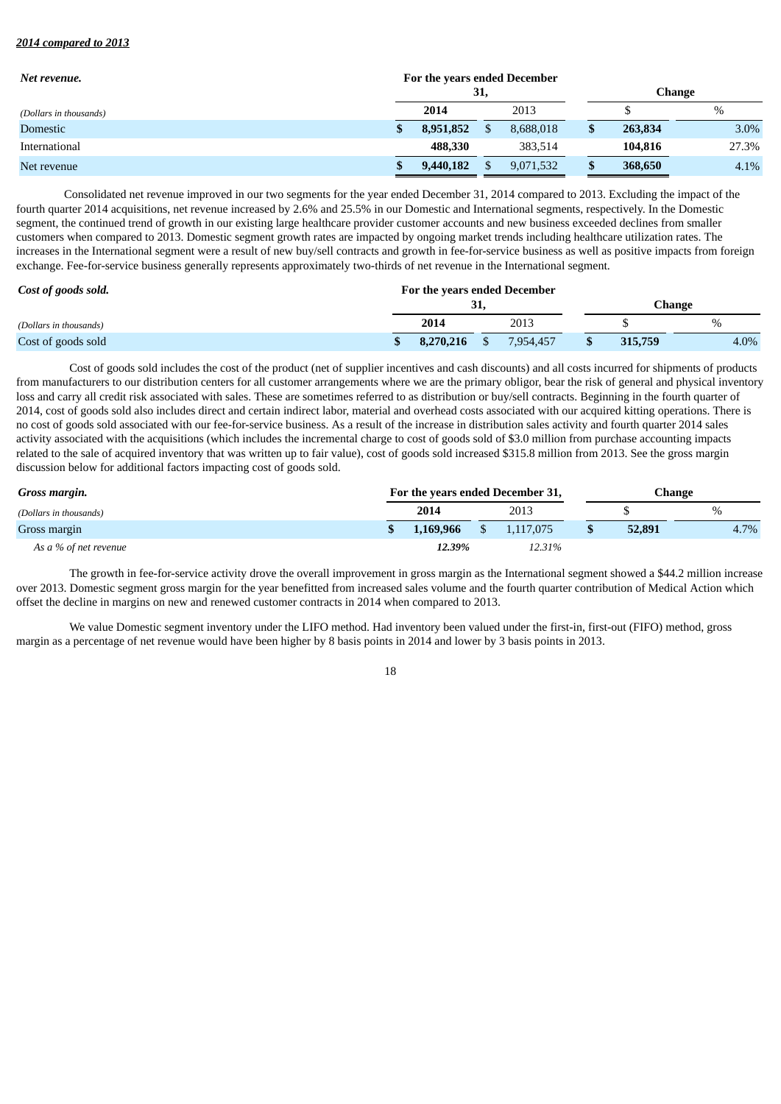## *2014 compared to 2013*

| Net revenue.           | For the years ended December |           |  |           |  |        |         |         |
|------------------------|------------------------------|-----------|--|-----------|--|--------|---------|---------|
|                        | 31,                          |           |  |           |  | Change |         |         |
| (Dollars in thousands) |                              | 2014      |  | 2013      |  |        |         | $\%$    |
| Domestic               |                              | 8,951,852 |  | 8,688,018 |  |        | 263,834 | $3.0\%$ |
| International          |                              | 488,330   |  | 383,514   |  |        | 104,816 | 27.3%   |
| Net revenue            |                              | 9,440,182 |  | 9,071,532 |  |        | 368,650 | $4.1\%$ |

Consolidated net revenue improved in our two segments for the year ended December 31, 2014 compared to 2013. Excluding the impact of the fourth quarter 2014 acquisitions, net revenue increased by 2.6% and 25.5% in our Domestic and International segments, respectively. In the Domestic segment, the continued trend of growth in our existing large healthcare provider customer accounts and new business exceeded declines from smaller customers when compared to 2013. Domestic segment growth rates are impacted by ongoing market trends including healthcare utilization rates. The increases in the International segment were a result of new buy/sell contracts and growth in fee-for-service business as well as positive impacts from foreign exchange. Fee-for-service business generally represents approximately two-thirds of net revenue in the International segment.

| Cost of goods sold.    | For the years ended December |           |  |           |  |         |        |  |  |  |  |
|------------------------|------------------------------|-----------|--|-----------|--|---------|--------|--|--|--|--|
|                        | 31,                          |           |  |           |  |         | Change |  |  |  |  |
| (Dollars in thousands) |                              | 2014      |  | 2013      |  |         |        |  |  |  |  |
| Cost of goods sold     |                              | 8,270,216 |  | 7,954,457 |  | 315,759 | 4.0%   |  |  |  |  |

Cost of goods sold includes the cost of the product (net of supplier incentives and cash discounts) and all costs incurred for shipments of products from manufacturers to our distribution centers for all customer arrangements where we are the primary obligor, bear the risk of general and physical inventory loss and carry all credit risk associated with sales. These are sometimes referred to as distribution or buy/sell contracts. Beginning in the fourth quarter of 2014, cost of goods sold also includes direct and certain indirect labor, material and overhead costs associated with our acquired kitting operations. There is no cost of goods sold associated with our fee-for-service business. As a result of the increase in distribution sales activity and fourth quarter 2014 sales activity associated with the acquisitions (which includes the incremental charge to cost of goods sold of \$3.0 million from purchase accounting impacts related to the sale of acquired inventory that was written up to fair value), cost of goods sold increased \$315.8 million from 2013. See the gross margin discussion below for additional factors impacting cost of goods sold.

| Gross margin.          |           | For the years ended December 31, | Change |        |         |  |
|------------------------|-----------|----------------------------------|--------|--------|---------|--|
| (Dollars in thousands) | 2014      | 2013                             |        |        | %       |  |
| Gross margin           | 1.169.966 | 1.117.075                        |        | 52,891 | $4.7\%$ |  |
| As a % of net revenue  | 12.39%    | 12.31%                           |        |        |         |  |

The growth in fee-for-service activity drove the overall improvement in gross margin as the International segment showed a \$44.2 million increase over 2013. Domestic segment gross margin for the year benefitted from increased sales volume and the fourth quarter contribution of Medical Action which offset the decline in margins on new and renewed customer contracts in 2014 when compared to 2013.

We value Domestic segment inventory under the LIFO method. Had inventory been valued under the first-in, first-out (FIFO) method, gross margin as a percentage of net revenue would have been higher by 8 basis points in 2014 and lower by 3 basis points in 2013.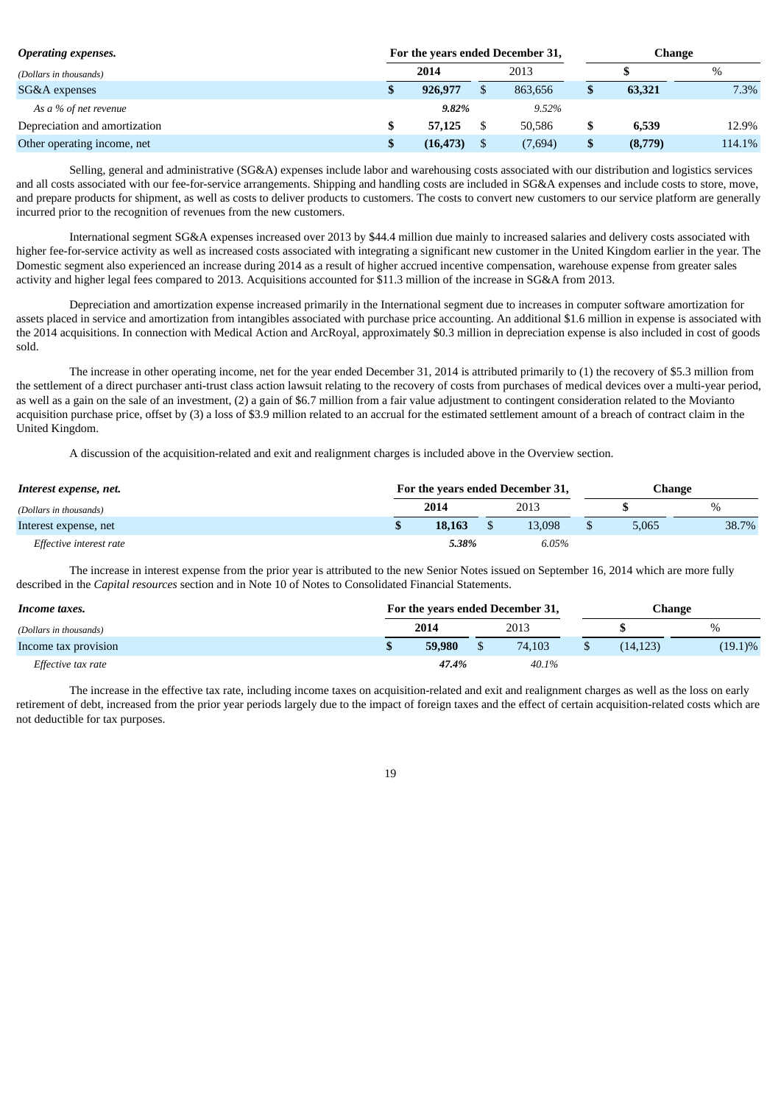| Operating expenses.           |           |  | For the years ended December 31, | Change |         |        |  |
|-------------------------------|-----------|--|----------------------------------|--------|---------|--------|--|
| (Dollars in thousands)        | 2014      |  | 2013                             |        |         | $\%$   |  |
| SG&A expenses                 | 926,977   |  | 863.656                          |        | 63,321  | 7.3%   |  |
| As a % of net revenue         | 9.82%     |  | 9.52%                            |        |         |        |  |
| Depreciation and amortization | 57,125    |  | 50,586                           |        | 6,539   | 12.9%  |  |
| Other operating income, net   | (16, 473) |  | (7,694)                          |        | (8,779) | 114.1% |  |

Selling, general and administrative (SG&A) expenses include labor and warehousing costs associated with our distribution and logistics services and all costs associated with our fee-for-service arrangements. Shipping and handling costs are included in SG&A expenses and include costs to store, move, and prepare products for shipment, as well as costs to deliver products to customers. The costs to convert new customers to our service platform are generally incurred prior to the recognition of revenues from the new customers.

International segment SG&A expenses increased over 2013 by \$44.4 million due mainly to increased salaries and delivery costs associated with higher fee-for-service activity as well as increased costs associated with integrating a significant new customer in the United Kingdom earlier in the year. The Domestic segment also experienced an increase during 2014 as a result of higher accrued incentive compensation, warehouse expense from greater sales activity and higher legal fees compared to 2013. Acquisitions accounted for \$11.3 million of the increase in SG&A from 2013.

Depreciation and amortization expense increased primarily in the International segment due to increases in computer software amortization for assets placed in service and amortization from intangibles associated with purchase price accounting. An additional \$1.6 million in expense is associated with the 2014 acquisitions. In connection with Medical Action and ArcRoyal, approximately \$0.3 million in depreciation expense is also included in cost of goods sold.

The increase in other operating income, net for the year ended December 31, 2014 is attributed primarily to (1) the recovery of \$5.3 million from the settlement of a direct purchaser anti-trust class action lawsuit relating to the recovery of costs from purchases of medical devices over a multi-year period, as well as a gain on the sale of an investment, (2) a gain of \$6.7 million from a fair value adjustment to contingent consideration related to the Movianto acquisition purchase price, offset by (3) a loss of \$3.9 million related to an accrual for the estimated settlement amount of a breach of contract claim in the United Kingdom.

A discussion of the acquisition-related and exit and realignment charges is included above in the Overview section.

| Interest expense, net.  | For the years ended December 31, |        |  |        |  | Change |       |  |  |
|-------------------------|----------------------------------|--------|--|--------|--|--------|-------|--|--|
| (Dollars in thousands)  |                                  | 2014   |  | 2013   |  |        | %     |  |  |
| Interest expense, net   |                                  | 18,163 |  | 13.098 |  | 5,065  | 38.7% |  |  |
| Effective interest rate |                                  | 5.38%  |  | 6.05%  |  |        |       |  |  |

The increase in interest expense from the prior year is attributed to the new Senior Notes issued on September 16, 2014 which are more fully described in the *Capital resources* section and in Note 10 of Notes to Consolidated Financial Statements.

| Income taxes.          |              |  | For the years ended December 31, | Change |          |            |  |
|------------------------|--------------|--|----------------------------------|--------|----------|------------|--|
| (Dollars in thousands) | 2014<br>2013 |  |                                  |        |          | $\%$       |  |
| Income tax provision   | 59,980       |  | 74.103                           |        | (14.123) | $(19.1)\%$ |  |
| Effective tax rate     | 47.4%        |  | 40.1%                            |        |          |            |  |

The increase in the effective tax rate, including income taxes on acquisition-related and exit and realignment charges as well as the loss on early retirement of debt, increased from the prior year periods largely due to the impact of foreign taxes and the effect of certain acquisition-related costs which are not deductible for tax purposes.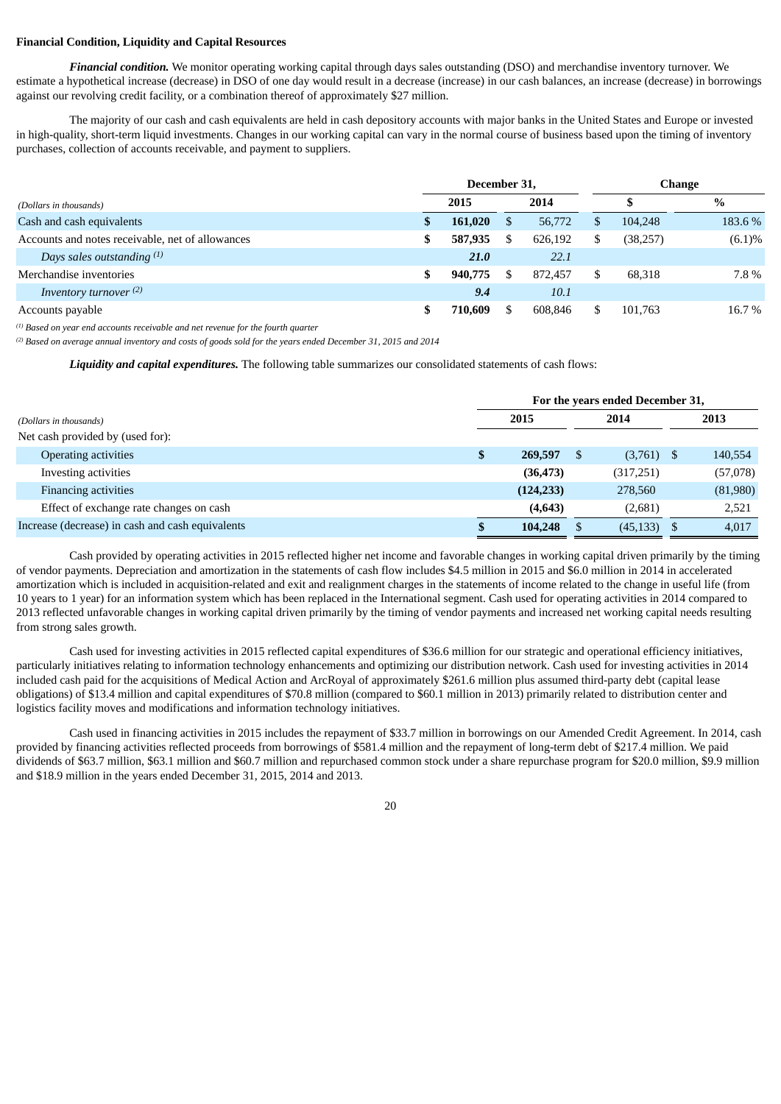## **Financial Condition, Liquidity and Capital Resources**

*Financial condition.* We monitor operating working capital through days sales outstanding (DSO) and merchandise inventory turnover. We estimate a hypothetical increase (decrease) in DSO of one day would result in a decrease (increase) in our cash balances, an increase (decrease) in borrowings against our revolving credit facility, or a combination thereof of approximately \$27 million.

The majority of our cash and cash equivalents are held in cash depository accounts with major banks in the United States and Europe or invested in high-quality, short-term liquid investments. Changes in our working capital can vary in the normal course of business based upon the timing of inventory purchases, collection of accounts receivable, and payment to suppliers.

|                                                  | December 31, |          |         | Change |           |         |  |  |
|--------------------------------------------------|--------------|----------|---------|--------|-----------|---------|--|--|
| (Dollars in thousands)                           | 2015         |          | 2014    |        |           | $\%$    |  |  |
| Cash and cash equivalents                        | 161,020      | <b>S</b> | 56,772  | S.     | 104.248   | 183.6 % |  |  |
| Accounts and notes receivable, net of allowances | 587,935      | \$       | 626,192 | \$     | (38, 257) | (6.1)%  |  |  |
| Days sales outstanding $(1)$                     | <b>21.0</b>  |          | 22.1    |        |           |         |  |  |
| Merchandise inventories                          | 940,775      | \$.      | 872.457 | \$     | 68.318    | 7.8%    |  |  |
| Inventory turnover $(2)$                         | 9.4          |          | 10.1    |        |           |         |  |  |
| Accounts payable                                 | 710.609      |          | 608.846 |        | 101.763   | 16.7 %  |  |  |

*(1) Based on year end accounts receivable and net revenue for the fourth quarter*

(2) Based on average annual inventory and costs of goods sold for the years ended December 31, 2015 and 2014

*Liquidity and capital expenditures.* The following table summarizes our consolidated statements of cash flows:

|                                                  | For the years ended December 31, |            |  |            |      |          |  |  |
|--------------------------------------------------|----------------------------------|------------|--|------------|------|----------|--|--|
| (Dollars in thousands)                           |                                  | 2015       |  | 2014       |      | 2013     |  |  |
| Net cash provided by (used for):                 |                                  |            |  |            |      |          |  |  |
| <b>Operating activities</b>                      |                                  | 269,597    |  | (3,761)    | - \$ | 140,554  |  |  |
| Investing activities                             |                                  | (36, 473)  |  | (317, 251) |      | (57,078) |  |  |
| <b>Financing activities</b>                      |                                  | (124, 233) |  | 278,560    |      | (81,980) |  |  |
| Effect of exchange rate changes on cash          |                                  | (4, 643)   |  | (2,681)    |      | 2,521    |  |  |
| Increase (decrease) in cash and cash equivalents |                                  | 104,248    |  | (45, 133)  |      | 4,017    |  |  |

Cash provided by operating activities in 2015 reflected higher net income and favorable changes in working capital driven primarily by the timing of vendor payments. Depreciation and amortization in the statements of cash flow includes \$4.5 million in 2015 and \$6.0 million in 2014 in accelerated amortization which is included in acquisition-related and exit and realignment charges in the statements of income related to the change in useful life (from 10 years to 1 year) for an information system which has been replaced in the International segment. Cash used for operating activities in 2014 compared to 2013 reflected unfavorable changes in working capital driven primarily by the timing of vendor payments and increased net working capital needs resulting from strong sales growth.

Cash used for investing activities in 2015 reflected capital expenditures of \$36.6 million for our strategic and operational efficiency initiatives, particularly initiatives relating to information technology enhancements and optimizing our distribution network. Cash used for investing activities in 2014 included cash paid for the acquisitions of Medical Action and ArcRoyal of approximately \$261.6 million plus assumed third-party debt (capital lease obligations) of \$13.4 million and capital expenditures of \$70.8 million (compared to \$60.1 million in 2013) primarily related to distribution center and logistics facility moves and modifications and information technology initiatives.

Cash used in financing activities in 2015 includes the repayment of \$33.7 million in borrowings on our Amended Credit Agreement. In 2014, cash provided by financing activities reflected proceeds from borrowings of \$581.4 million and the repayment of long-term debt of \$217.4 million. We paid dividends of \$63.7 million, \$63.1 million and \$60.7 million and repurchased common stock under a share repurchase program for \$20.0 million, \$9.9 million and \$18.9 million in the years ended December 31, 2015, 2014 and 2013.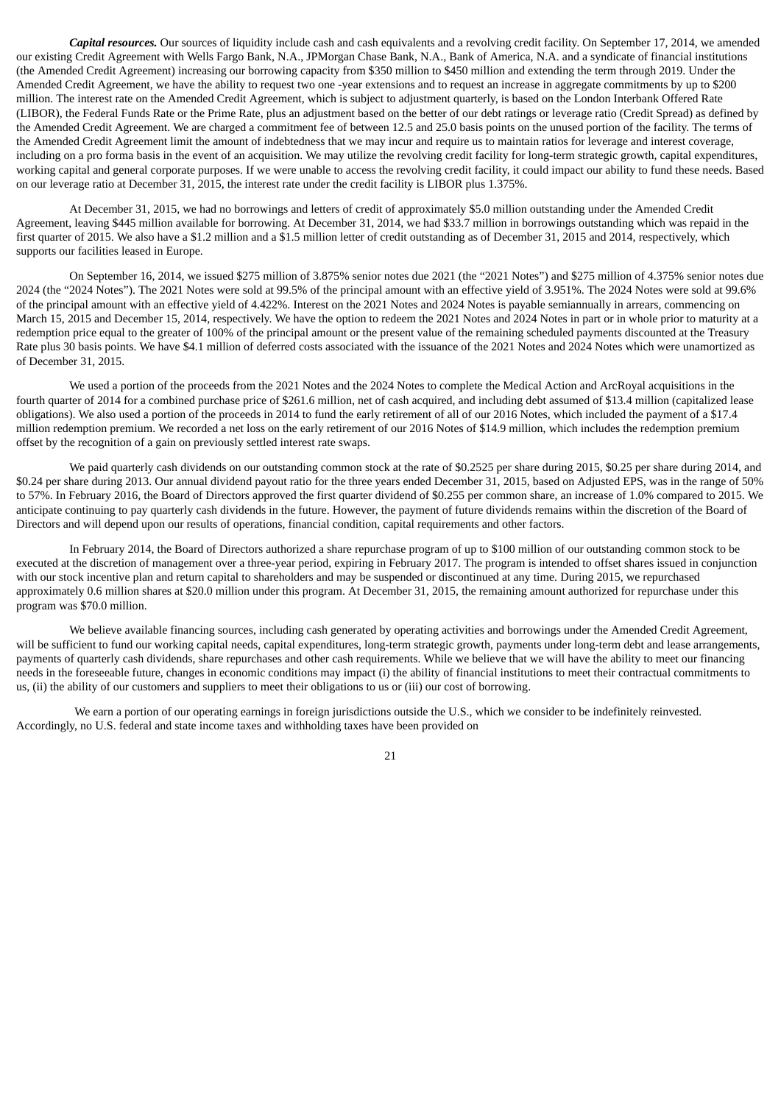*Capital resources.* Our sources of liquidity include cash and cash equivalents and a revolving credit facility. On September 17, 2014, we amended our existing Credit Agreement with Wells Fargo Bank, N.A., JPMorgan Chase Bank, N.A., Bank of America, N.A. and a syndicate of financial institutions (the Amended Credit Agreement) increasing our borrowing capacity from \$350 million to \$450 million and extending the term through 2019. Under the Amended Credit Agreement, we have the ability to request two one -year extensions and to request an increase in aggregate commitments by up to \$200 million. The interest rate on the Amended Credit Agreement, which is subject to adjustment quarterly, is based on the London Interbank Offered Rate (LIBOR), the Federal Funds Rate or the Prime Rate, plus an adjustment based on the better of our debt ratings or leverage ratio (Credit Spread) as defined by the Amended Credit Agreement. We are charged a commitment fee of between 12.5 and 25.0 basis points on the unused portion of the facility. The terms of the Amended Credit Agreement limit the amount of indebtedness that we may incur and require us to maintain ratios for leverage and interest coverage, including on a pro forma basis in the event of an acquisition. We may utilize the revolving credit facility for long-term strategic growth, capital expenditures, working capital and general corporate purposes. If we were unable to access the revolving credit facility, it could impact our ability to fund these needs. Based on our leverage ratio at December 31, 2015, the interest rate under the credit facility is LIBOR plus 1.375%.

At December 31, 2015, we had no borrowings and letters of credit of approximately \$5.0 million outstanding under the Amended Credit Agreement, leaving \$445 million available for borrowing. At December 31, 2014, we had \$33.7 million in borrowings outstanding which was repaid in the first quarter of 2015. We also have a \$1.2 million and a \$1.5 million letter of credit outstanding as of December 31, 2015 and 2014, respectively, which supports our facilities leased in Europe.

On September 16, 2014, we issued \$275 million of 3.875% senior notes due 2021 (the "2021 Notes") and \$275 million of 4.375% senior notes due 2024 (the "2024 Notes"). The 2021 Notes were sold at 99.5% of the principal amount with an effective yield of 3.951%. The 2024 Notes were sold at 99.6% of the principal amount with an effective yield of 4.422%. Interest on the 2021 Notes and 2024 Notes is payable semiannually in arrears, commencing on March 15, 2015 and December 15, 2014, respectively. We have the option to redeem the 2021 Notes and 2024 Notes in part or in whole prior to maturity at a redemption price equal to the greater of 100% of the principal amount or the present value of the remaining scheduled payments discounted at the Treasury Rate plus 30 basis points. We have \$4.1 million of deferred costs associated with the issuance of the 2021 Notes and 2024 Notes which were unamortized as of December 31, 2015.

We used a portion of the proceeds from the 2021 Notes and the 2024 Notes to complete the Medical Action and ArcRoyal acquisitions in the fourth quarter of 2014 for a combined purchase price of \$261.6 million, net of cash acquired, and including debt assumed of \$13.4 million (capitalized lease obligations). We also used a portion of the proceeds in 2014 to fund the early retirement of all of our 2016 Notes, which included the payment of a \$17.4 million redemption premium. We recorded a net loss on the early retirement of our 2016 Notes of \$14.9 million, which includes the redemption premium offset by the recognition of a gain on previously settled interest rate swaps.

We paid quarterly cash dividends on our outstanding common stock at the rate of \$0.2525 per share during 2015, \$0.25 per share during 2014, and \$0.24 per share during 2013. Our annual dividend payout ratio for the three years ended December 31, 2015, based on Adjusted EPS, was in the range of 50% to 57%. In February 2016, the Board of Directors approved the first quarter dividend of \$0.255 per common share, an increase of 1.0% compared to 2015. We anticipate continuing to pay quarterly cash dividends in the future. However, the payment of future dividends remains within the discretion of the Board of Directors and will depend upon our results of operations, financial condition, capital requirements and other factors.

In February 2014, the Board of Directors authorized a share repurchase program of up to \$100 million of our outstanding common stock to be executed at the discretion of management over a three-year period, expiring in February 2017. The program is intended to offset shares issued in conjunction with our stock incentive plan and return capital to shareholders and may be suspended or discontinued at any time. During 2015, we repurchased approximately 0.6 million shares at \$20.0 million under this program. At December 31, 2015, the remaining amount authorized for repurchase under this program was \$70.0 million.

We believe available financing sources, including cash generated by operating activities and borrowings under the Amended Credit Agreement, will be sufficient to fund our working capital needs, capital expenditures, long-term strategic growth, payments under long-term debt and lease arrangements, payments of quarterly cash dividends, share repurchases and other cash requirements. While we believe that we will have the ability to meet our financing needs in the foreseeable future, changes in economic conditions may impact (i) the ability of financial institutions to meet their contractual commitments to us, (ii) the ability of our customers and suppliers to meet their obligations to us or (iii) our cost of borrowing.

We earn a portion of our operating earnings in foreign jurisdictions outside the U.S., which we consider to be indefinitely reinvested. Accordingly, no U.S. federal and state income taxes and withholding taxes have been provided on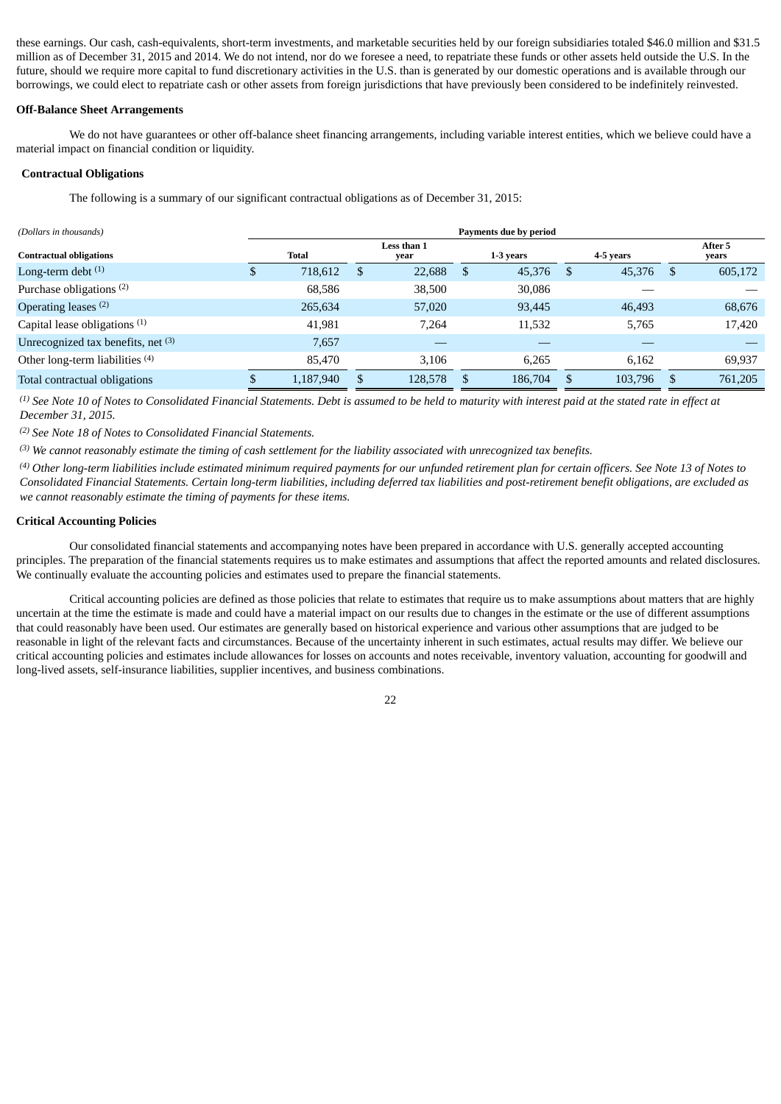these earnings. Our cash, cash-equivalents, short-term investments, and marketable securities held by our foreign subsidiaries totaled \$46.0 million and \$31.5 million as of December 31, 2015 and 2014. We do not intend, nor do we foresee a need, to repatriate these funds or other assets held outside the U.S. In the future, should we require more capital to fund discretionary activities in the U.S. than is generated by our domestic operations and is available through our borrowings, we could elect to repatriate cash or other assets from foreign jurisdictions that have previously been considered to be indefinitely reinvested.

#### **Off-Balance Sheet Arrangements**

We do not have guarantees or other off-balance sheet financing arrangements, including variable interest entities, which we believe could have a material impact on financial condition or liquidity.

## **Contractual Obligations**

The following is a summary of our significant contractual obligations as of December 31, 2015:

| (Dollars in thousands)             | Payments due by period |    |                     |           |         |           |         |              |                  |  |
|------------------------------------|------------------------|----|---------------------|-----------|---------|-----------|---------|--------------|------------------|--|
| <b>Contractual obligations</b>     | Total                  |    | Less than 1<br>year | 1-3 years |         | 4-5 years |         |              | After 5<br>years |  |
| Long-term debt $(1)$               | 718,612                | -S | 22,688              | S         | 45,376  | -S        | 45,376  | $\mathbf{s}$ | 605,172          |  |
| Purchase obligations $(2)$         | 68,586                 |    | 38,500              |           | 30,086  |           |         |              |                  |  |
| Operating leases <sup>(2)</sup>    | 265,634                |    | 57,020              |           | 93,445  |           | 46,493  |              | 68,676           |  |
| Capital lease obligations $(1)$    | 41,981                 |    | 7.264               |           | 11,532  |           | 5,765   |              | 17,420           |  |
| Unrecognized tax benefits, net (3) | 7,657                  |    |                     |           |         |           |         |              |                  |  |
| Other long-term liabilities (4)    | 85,470                 |    | 3,106               |           | 6,265   |           | 6,162   |              | 69,937           |  |
| Total contractual obligations      | 1,187,940              | \$ | 128,578             |           | 186,704 |           | 103,796 |              | 761,205          |  |

 $^{(1)}$  See Note 10 of Notes to Consolidated Financial Statements. Debt is assumed to be held to maturity with interest paid at the stated rate in effect at *December 31, 2015.*

*(2) See Note 18 of Notes to Consolidated Financial Statements.*

 $^{(3)}$  We cannot reasonably estimate the timing of cash settlement for the liability associated with unrecognized tax benefits.

<sup>(4)</sup> Other long-term liabilities include estimated minimum required payments for our unfunded retirement plan for certain officers. See Note 13 of Notes to Consolidated Financial Statements. Certain long-term liabilities, including deferred tax liabilities and post-retirement benefit obligations, are excluded as *we cannot reasonably estimate the timing of payments for these items.*

## **Critical Accounting Policies**

Our consolidated financial statements and accompanying notes have been prepared in accordance with U.S. generally accepted accounting principles. The preparation of the financial statements requires us to make estimates and assumptions that affect the reported amounts and related disclosures. We continually evaluate the accounting policies and estimates used to prepare the financial statements.

Critical accounting policies are defined as those policies that relate to estimates that require us to make assumptions about matters that are highly uncertain at the time the estimate is made and could have a material impact on our results due to changes in the estimate or the use of different assumptions that could reasonably have been used. Our estimates are generally based on historical experience and various other assumptions that are judged to be reasonable in light of the relevant facts and circumstances. Because of the uncertainty inherent in such estimates, actual results may differ. We believe our critical accounting policies and estimates include allowances for losses on accounts and notes receivable, inventory valuation, accounting for goodwill and long-lived assets, self-insurance liabilities, supplier incentives, and business combinations.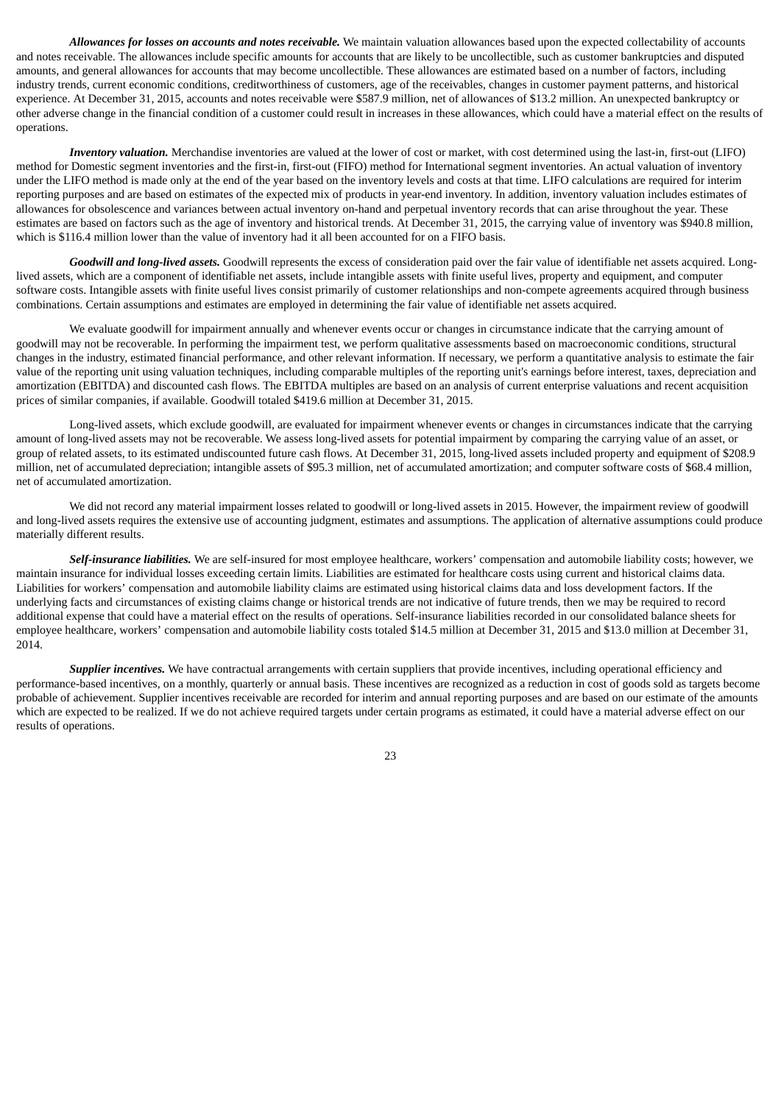*Allowances for losses on accounts and notes receivable.* We maintain valuation allowances based upon the expected collectability of accounts and notes receivable. The allowances include specific amounts for accounts that are likely to be uncollectible, such as customer bankruptcies and disputed amounts, and general allowances for accounts that may become uncollectible. These allowances are estimated based on a number of factors, including industry trends, current economic conditions, creditworthiness of customers, age of the receivables, changes in customer payment patterns, and historical experience. At December 31, 2015, accounts and notes receivable were \$587.9 million, net of allowances of \$13.2 million. An unexpected bankruptcy or other adverse change in the financial condition of a customer could result in increases in these allowances, which could have a material effect on the results of operations.

*Inventory valuation.* Merchandise inventories are valued at the lower of cost or market, with cost determined using the last-in, first-out (LIFO) method for Domestic segment inventories and the first-in, first-out (FIFO) method for International segment inventories. An actual valuation of inventory under the LIFO method is made only at the end of the year based on the inventory levels and costs at that time. LIFO calculations are required for interim reporting purposes and are based on estimates of the expected mix of products in year-end inventory. In addition, inventory valuation includes estimates of allowances for obsolescence and variances between actual inventory on-hand and perpetual inventory records that can arise throughout the year. These estimates are based on factors such as the age of inventory and historical trends. At December 31, 2015, the carrying value of inventory was \$940.8 million, which is \$116.4 million lower than the value of inventory had it all been accounted for on a FIFO basis.

*Goodwill and long-lived assets.* Goodwill represents the excess of consideration paid over the fair value of identifiable net assets acquired. Longlived assets, which are a component of identifiable net assets, include intangible assets with finite useful lives, property and equipment, and computer software costs. Intangible assets with finite useful lives consist primarily of customer relationships and non-compete agreements acquired through business combinations. Certain assumptions and estimates are employed in determining the fair value of identifiable net assets acquired.

We evaluate goodwill for impairment annually and whenever events occur or changes in circumstance indicate that the carrying amount of goodwill may not be recoverable. In performing the impairment test, we perform qualitative assessments based on macroeconomic conditions, structural changes in the industry, estimated financial performance, and other relevant information. If necessary, we perform a quantitative analysis to estimate the fair value of the reporting unit using valuation techniques, including comparable multiples of the reporting unit's earnings before interest, taxes, depreciation and amortization (EBITDA) and discounted cash flows. The EBITDA multiples are based on an analysis of current enterprise valuations and recent acquisition prices of similar companies, if available. Goodwill totaled \$419.6 million at December 31, 2015.

Long-lived assets, which exclude goodwill, are evaluated for impairment whenever events or changes in circumstances indicate that the carrying amount of long-lived assets may not be recoverable. We assess long-lived assets for potential impairment by comparing the carrying value of an asset, or group of related assets, to its estimated undiscounted future cash flows. At December 31, 2015, long-lived assets included property and equipment of \$208.9 million, net of accumulated depreciation; intangible assets of \$95.3 million, net of accumulated amortization; and computer software costs of \$68.4 million, net of accumulated amortization.

We did not record any material impairment losses related to goodwill or long-lived assets in 2015. However, the impairment review of goodwill and long-lived assets requires the extensive use of accounting judgment, estimates and assumptions. The application of alternative assumptions could produce materially different results.

*Self-insurance liabilities.* We are self-insured for most employee healthcare, workers' compensation and automobile liability costs; however, we maintain insurance for individual losses exceeding certain limits. Liabilities are estimated for healthcare costs using current and historical claims data. Liabilities for workers' compensation and automobile liability claims are estimated using historical claims data and loss development factors. If the underlying facts and circumstances of existing claims change or historical trends are not indicative of future trends, then we may be required to record additional expense that could have a material effect on the results of operations. Self-insurance liabilities recorded in our consolidated balance sheets for employee healthcare, workers' compensation and automobile liability costs totaled \$14.5 million at December 31, 2015 and \$13.0 million at December 31, 2014.

*Supplier incentives.* We have contractual arrangements with certain suppliers that provide incentives, including operational efficiency and performance-based incentives, on a monthly, quarterly or annual basis. These incentives are recognized as a reduction in cost of goods sold as targets become probable of achievement. Supplier incentives receivable are recorded for interim and annual reporting purposes and are based on our estimate of the amounts which are expected to be realized. If we do not achieve required targets under certain programs as estimated, it could have a material adverse effect on our results of operations.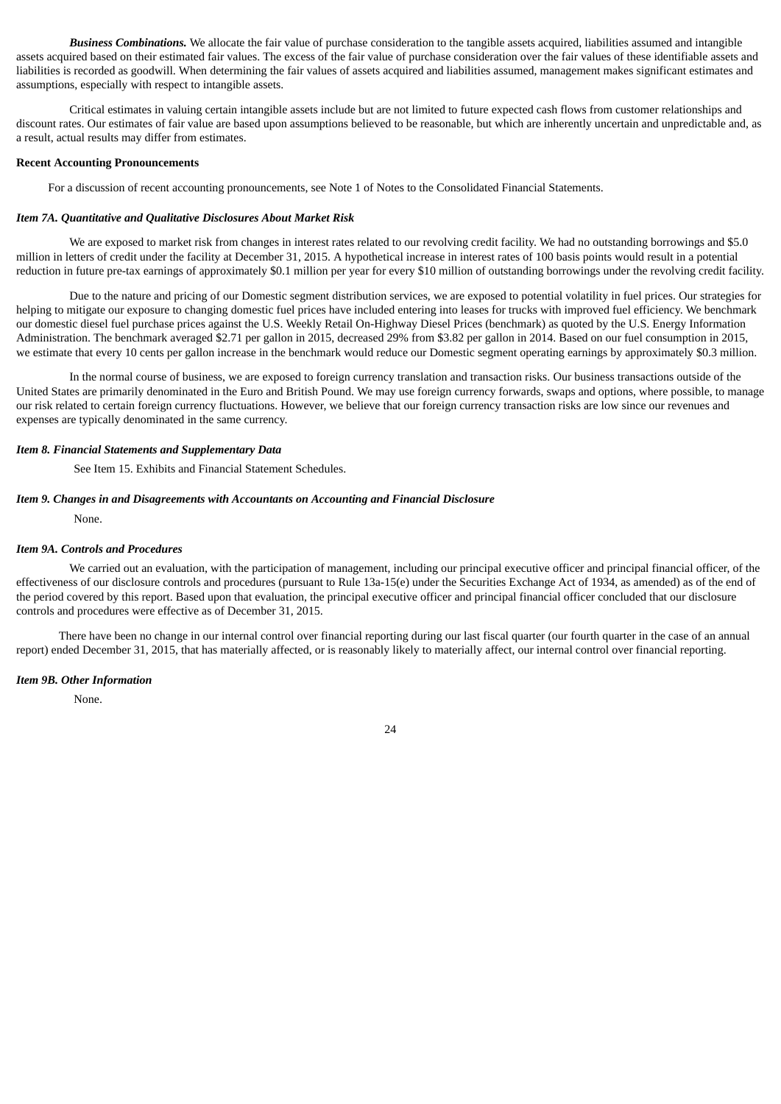*Business Combinations.* We allocate the fair value of purchase consideration to the tangible assets acquired, liabilities assumed and intangible assets acquired based on their estimated fair values. The excess of the fair value of purchase consideration over the fair values of these identifiable assets and liabilities is recorded as goodwill. When determining the fair values of assets acquired and liabilities assumed, management makes significant estimates and assumptions, especially with respect to intangible assets.

Critical estimates in valuing certain intangible assets include but are not limited to future expected cash flows from customer relationships and discount rates. Our estimates of fair value are based upon assumptions believed to be reasonable, but which are inherently uncertain and unpredictable and, as a result, actual results may differ from estimates.

## **Recent Accounting Pronouncements**

For a discussion of recent accounting pronouncements, see Note 1 of Notes to the Consolidated Financial Statements.

## <span id="page-23-0"></span>*Item 7A. Quantitative and Qualitative Disclosures About Market Risk*

We are exposed to market risk from changes in interest rates related to our revolving credit facility. We had no outstanding borrowings and \$5.0 million in letters of credit under the facility at December 31, 2015. A hypothetical increase in interest rates of 100 basis points would result in a potential reduction in future pre-tax earnings of approximately \$0.1 million per year for every \$10 million of outstanding borrowings under the revolving credit facility.

Due to the nature and pricing of our Domestic segment distribution services, we are exposed to potential volatility in fuel prices. Our strategies for helping to mitigate our exposure to changing domestic fuel prices have included entering into leases for trucks with improved fuel efficiency. We benchmark our domestic diesel fuel purchase prices against the U.S. Weekly Retail On-Highway Diesel Prices (benchmark) as quoted by the U.S. Energy Information Administration. The benchmark averaged \$2.71 per gallon in 2015, decreased 29% from \$3.82 per gallon in 2014. Based on our fuel consumption in 2015, we estimate that every 10 cents per gallon increase in the benchmark would reduce our Domestic segment operating earnings by approximately \$0.3 million.

In the normal course of business, we are exposed to foreign currency translation and transaction risks. Our business transactions outside of the United States are primarily denominated in the Euro and British Pound. We may use foreign currency forwards, swaps and options, where possible, to manage our risk related to certain foreign currency fluctuations. However, we believe that our foreign currency transaction risks are low since our revenues and expenses are typically denominated in the same currency.

#### <span id="page-23-1"></span>*Item 8. Financial Statements and Supplementary Data*

See Item 15. Exhibits and Financial Statement Schedules.

#### <span id="page-23-2"></span>*Item 9. Changes in and Disagreements with Accountants on Accounting and Financial Disclosure*

None.

#### <span id="page-23-3"></span>*Item 9A. Controls and Procedures*

We carried out an evaluation, with the participation of management, including our principal executive officer and principal financial officer, of the effectiveness of our disclosure controls and procedures (pursuant to Rule 13a-15(e) under the Securities Exchange Act of 1934, as amended) as of the end of the period covered by this report. Based upon that evaluation, the principal executive officer and principal financial officer concluded that our disclosure controls and procedures were effective as of December 31, 2015.

There have been no change in our internal control over financial reporting during our last fiscal quarter (our fourth quarter in the case of an annual report) ended December 31, 2015, that has materially affected, or is reasonably likely to materially affect, our internal control over financial reporting.

## <span id="page-23-5"></span><span id="page-23-4"></span>*Item 9B. Other Information*

None.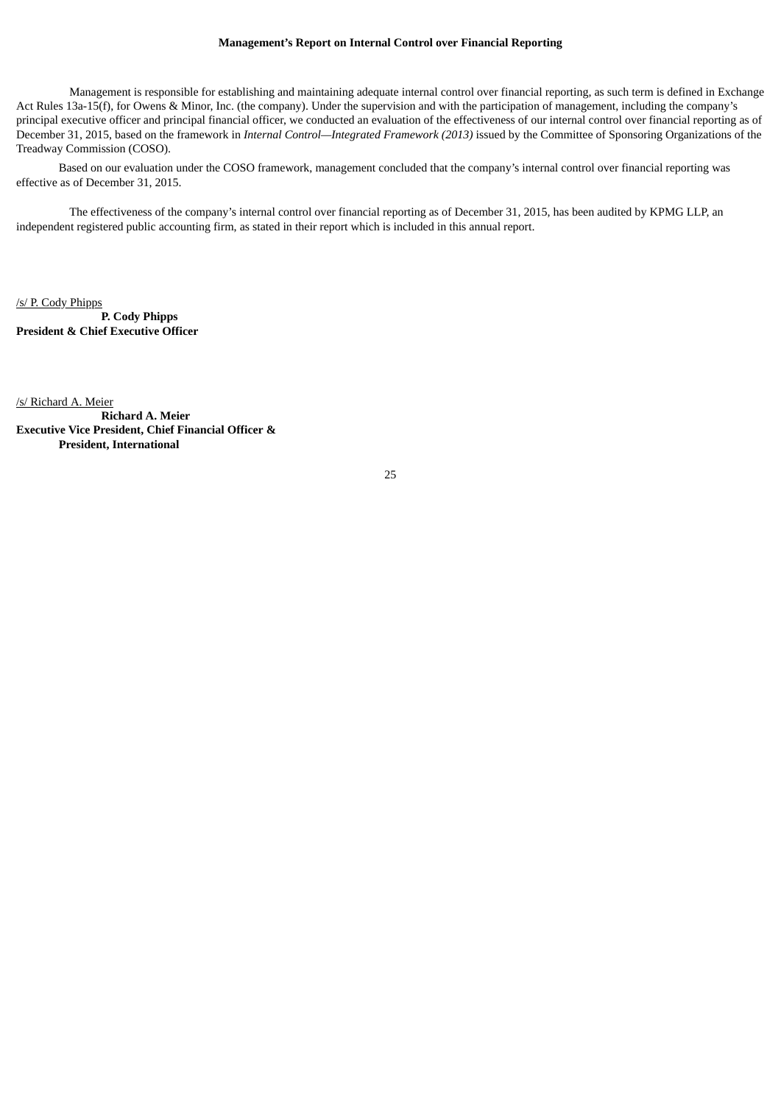## **Management's Report on Internal Control over Financial Reporting**

Management is responsible for establishing and maintaining adequate internal control over financial reporting, as such term is defined in Exchange Act Rules 13a-15(f), for Owens & Minor, Inc. (the company). Under the supervision and with the participation of management, including the company's principal executive officer and principal financial officer, we conducted an evaluation of the effectiveness of our internal control over financial reporting as of December 31, 2015, based on the framework in *Internal Control—Integrated Framework (2013)* issued by the Committee of Sponsoring Organizations of the Treadway Commission (COSO).

Based on our evaluation under the COSO framework, management concluded that the company's internal control over financial reporting was effective as of December 31, 2015.

The effectiveness of the company's internal control over financial reporting as of December 31, 2015, has been audited by KPMG LLP, an independent registered public accounting firm, as stated in their report which is included in this annual report.

/s/ P. Cody Phipps **P. Cody Phipps President & Chief Executive Officer**

/s/ Richard A. Meier

<span id="page-24-0"></span>**Richard A. Meier Executive Vice President, Chief Financial Officer & President, International**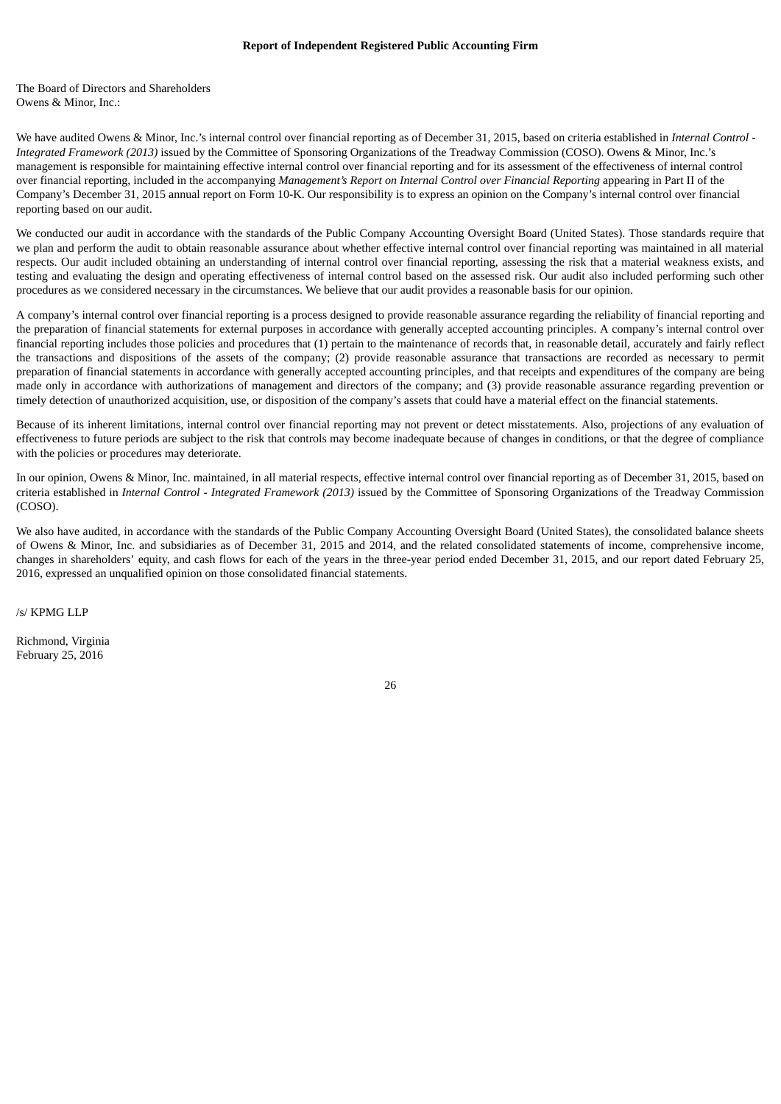The Board of Directors and Shareholders Owens & Minor, Inc.:

We have audited Owens & Minor, Inc.'s internal control over financial reporting as of December 31, 2015, based on criteria established in *Internal Control - Integrated Framework (2013)* issued by the Committee of Sponsoring Organizations of the Treadway Commission (COSO). Owens & Minor, Inc.'s management is responsible for maintaining effective internal control over financial reporting and for its assessment of the effectiveness of internal control over financial reporting, included in the accompanying *Management's Report on Internal Control over Financial Reporting* appearing in Part II of the Company's December 31, 2015 annual report on Form 10-K. Our responsibility is to express an opinion on the Company's internal control over financial reporting based on our audit.

We conducted our audit in accordance with the standards of the Public Company Accounting Oversight Board (United States). Those standards require that we plan and perform the audit to obtain reasonable assurance about whether effective internal control over financial reporting was maintained in all material respects. Our audit included obtaining an understanding of internal control over financial reporting, assessing the risk that a material weakness exists, and testing and evaluating the design and operating effectiveness of internal control based on the assessed risk. Our audit also included performing such other procedures as we considered necessary in the circumstances. We believe that our audit provides a reasonable basis for our opinion.

A company's internal control over financial reporting is a process designed to provide reasonable assurance regarding the reliability of financial reporting and the preparation of financial statements for external purposes in accordance with generally accepted accounting principles. A company's internal control over financial reporting includes those policies and procedures that (1) pertain to the maintenance of records that, in reasonable detail, accurately and fairly reflect the transactions and dispositions of the assets of the company; (2) provide reasonable assurance that transactions are recorded as necessary to permit preparation of financial statements in accordance with generally accepted accounting principles, and that receipts and expenditures of the company are being made only in accordance with authorizations of management and directors of the company; and (3) provide reasonable assurance regarding prevention or timely detection of unauthorized acquisition, use, or disposition of the company's assets that could have a material effect on the financial statements.

Because of its inherent limitations, internal control over financial reporting may not prevent or detect misstatements. Also, projections of any evaluation of effectiveness to future periods are subject to the risk that controls may become inadequate because of changes in conditions, or that the degree of compliance with the policies or procedures may deteriorate.

In our opinion, Owens & Minor, Inc. maintained, in all material respects, effective internal control over financial reporting as of December 31, 2015, based on criteria established in *Internal Control - Integrated Framework (2013)* issued by the Committee of Sponsoring Organizations of the Treadway Commission (COSO).

We also have audited, in accordance with the standards of the Public Company Accounting Oversight Board (United States), the consolidated balance sheets of Owens & Minor, Inc. and subsidiaries as of December 31, 2015 and 2014, and the related consolidated statements of income, comprehensive income, changes in shareholders' equity, and cash flows for each of the years in the three-year period ended December 31, 2015, and our report dated February 25, 2016, expressed an unqualified opinion on those consolidated financial statements.

/s/ KPMG LLP

<span id="page-25-0"></span>Richmond, Virginia February 25, 2016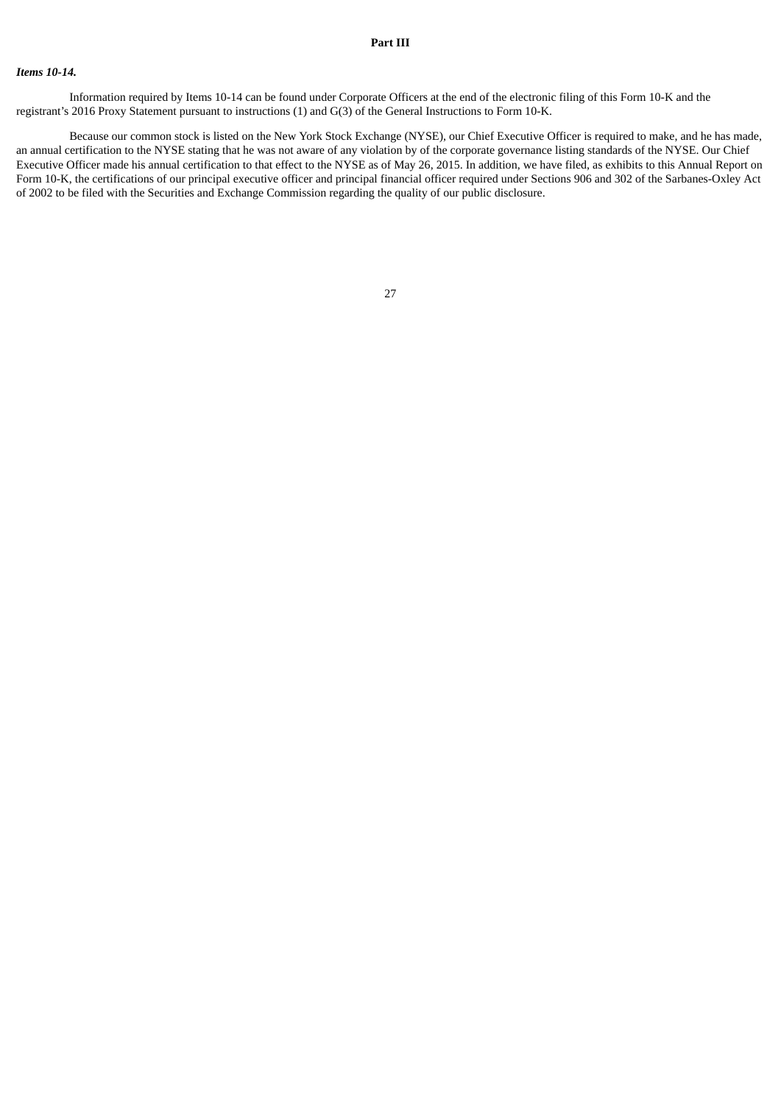#### <span id="page-26-0"></span>*Items 10-14.*

Information required by Items 10-14 can be found under Corporate Officers at the end of the electronic filing of this Form 10-K and the registrant's 2016 Proxy Statement pursuant to instructions (1) and G(3) of the General Instructions to Form 10-K.

<span id="page-26-6"></span><span id="page-26-5"></span><span id="page-26-4"></span><span id="page-26-3"></span><span id="page-26-2"></span><span id="page-26-1"></span>Because our common stock is listed on the New York Stock Exchange (NYSE), our Chief Executive Officer is required to make, and he has made, an annual certification to the NYSE stating that he was not aware of any violation by of the corporate governance listing standards of the NYSE. Our Chief Executive Officer made his annual certification to that effect to the NYSE as of May 26, 2015. In addition, we have filed, as exhibits to this Annual Report on Form 10-K, the certifications of our principal executive officer and principal financial officer required under Sections 906 and 302 of the Sarbanes-Oxley Act of 2002 to be filed with the Securities and Exchange Commission regarding the quality of our public disclosure.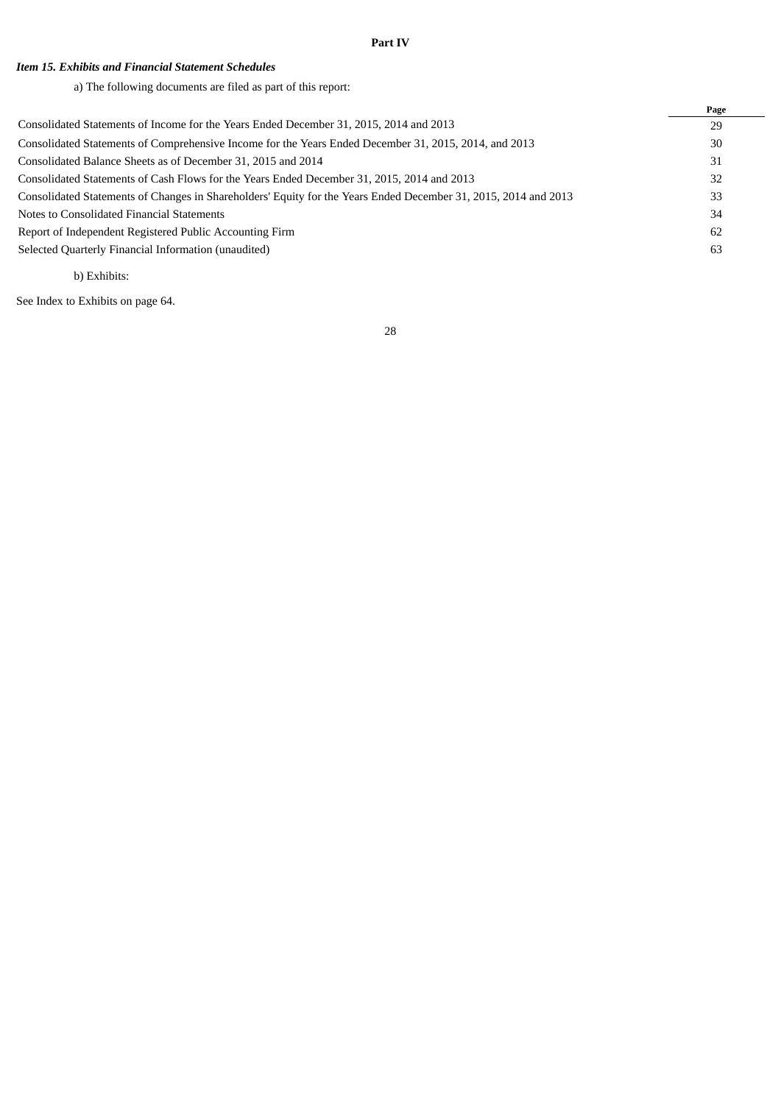## **Part IV**

# <span id="page-27-0"></span>*Item 15. Exhibits and Financial Statement Schedules*

a) The following documents are filed as part of this report:

|                                                                                                                 | Page |
|-----------------------------------------------------------------------------------------------------------------|------|
| Consolidated Statements of Income for the Years Ended December 31, 2015, 2014 and 2013                          | 29   |
| Consolidated Statements of Comprehensive Income for the Years Ended December 31, 2015, 2014, and 2013           | 30   |
| Consolidated Balance Sheets as of December 31, 2015 and 2014                                                    | 31   |
| Consolidated Statements of Cash Flows for the Years Ended December 31, 2015, 2014 and 2013                      | 32   |
| Consolidated Statements of Changes in Shareholders' Equity for the Years Ended December 31, 2015, 2014 and 2013 | 33   |
| Notes to Consolidated Financial Statements                                                                      | 34   |
| Report of Independent Registered Public Accounting Firm                                                         | 62   |
| Selected Quarterly Financial Information (unaudited)                                                            | 63   |
|                                                                                                                 |      |

b) Exhibits:

<span id="page-27-1"></span>See Index to Exhibits on page 64.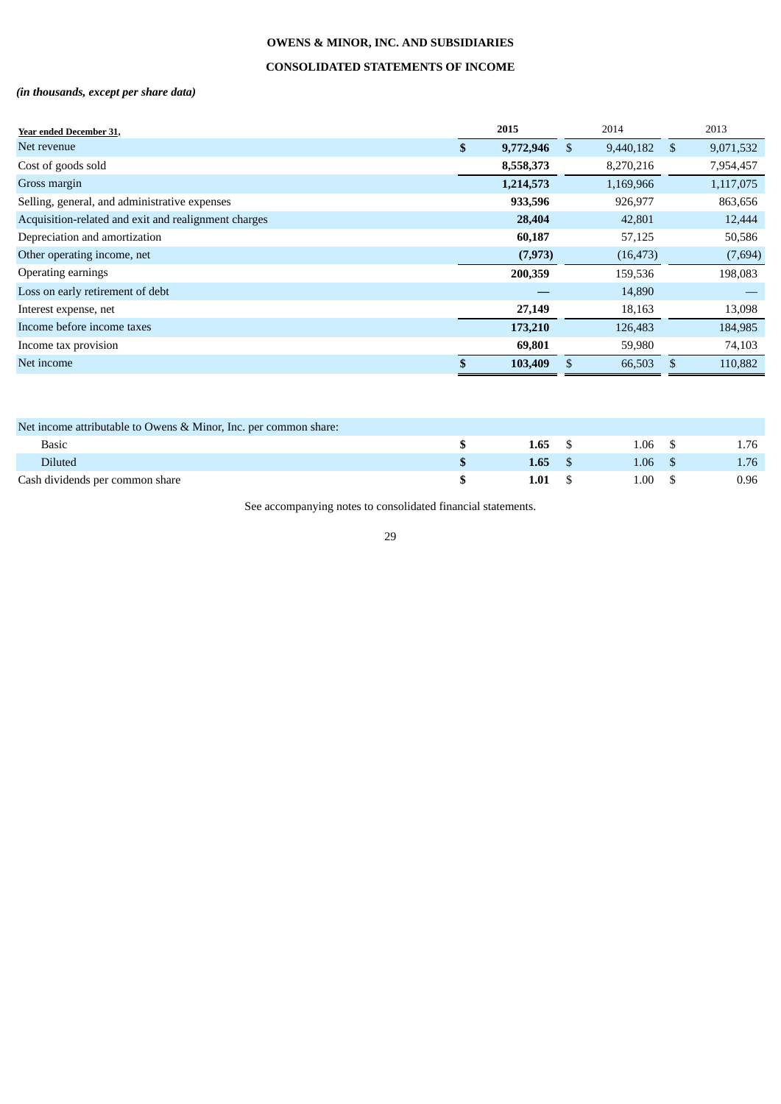# **CONSOLIDATED STATEMENTS OF INCOME**

# *(in thousands, except per share data)*

| Year ended December 31,                              |               | 2015      |     | 2014      | 2013          |           |
|------------------------------------------------------|---------------|-----------|-----|-----------|---------------|-----------|
| Net revenue                                          | <sup>\$</sup> | 9,772,946 | \$. | 9,440,182 | <sup>\$</sup> | 9,071,532 |
| Cost of goods sold                                   |               | 8,558,373 |     | 8,270,216 |               | 7,954,457 |
| Gross margin                                         |               | 1,214,573 |     | 1,169,966 |               | 1,117,075 |
| Selling, general, and administrative expenses        |               | 933,596   |     | 926,977   |               | 863,656   |
| Acquisition-related and exit and realignment charges |               | 28,404    |     | 42,801    |               | 12,444    |
| Depreciation and amortization                        |               | 60,187    |     | 57,125    |               | 50,586    |
| Other operating income, net                          |               | (7, 973)  |     | (16, 473) |               | (7,694)   |
| <b>Operating earnings</b>                            |               | 200,359   |     | 159,536   |               | 198,083   |
| Loss on early retirement of debt                     |               |           |     | 14,890    |               |           |
| Interest expense, net                                |               | 27,149    |     | 18,163    |               | 13,098    |
| Income before income taxes                           |               | 173,210   |     | 126,483   |               | 184,985   |
| Income tax provision                                 |               | 69,801    |     | 59,980    |               | 74,103    |
| Net income                                           |               | 103,409   | \$  | 66,503    |               | 110,882   |

<span id="page-28-0"></span>

| Net income attributable to Owens & Minor, Inc. per common share: |      |                   |      |
|------------------------------------------------------------------|------|-------------------|------|
| Basic                                                            | 1.65 | 1.06 <sub>5</sub> | 1.76 |
| Diluted                                                          | 1.65 | $1.06-5$          | 1.76 |
| Cash dividends per common share                                  | 1.01 | 1.00S             | 0.96 |

See accompanying notes to consolidated financial statements.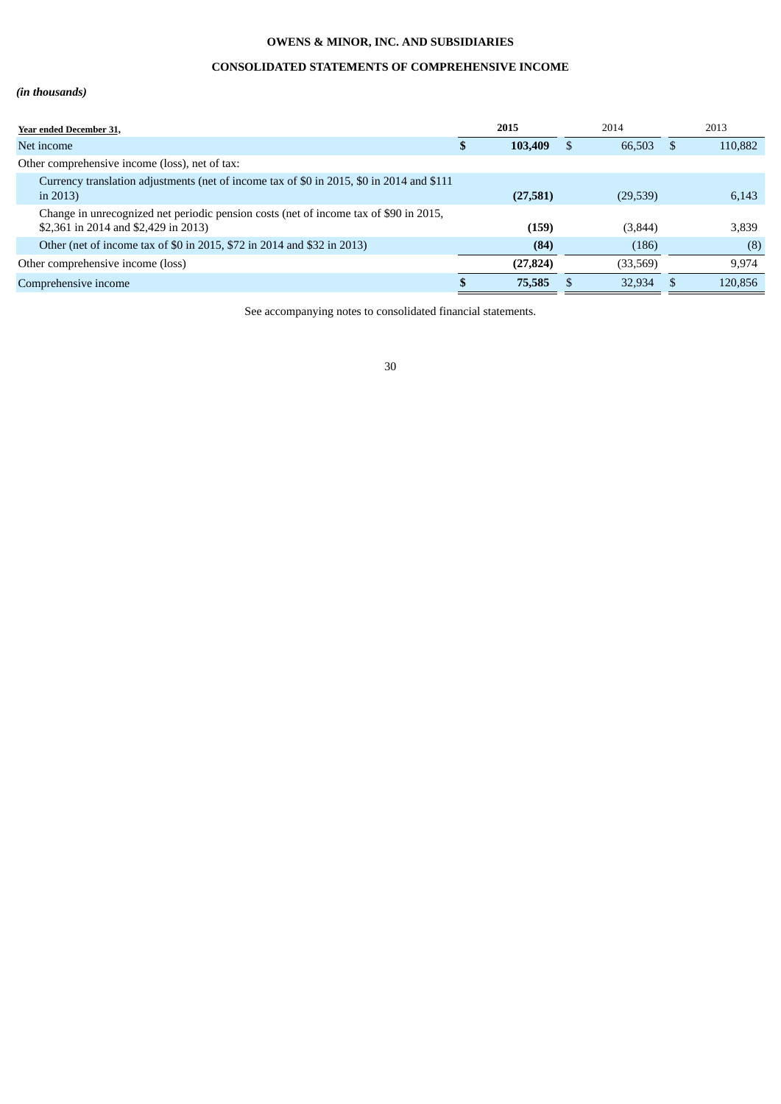# **CONSOLIDATED STATEMENTS OF COMPREHENSIVE INCOME**

# *(in thousands)*

| Year ended December 31,                                                                                                       | 2015 |           | 2014 |           |  | 2013    |  |  |
|-------------------------------------------------------------------------------------------------------------------------------|------|-----------|------|-----------|--|---------|--|--|
| Net income                                                                                                                    | J    | 103,409   |      | 66.503    |  | 110,882 |  |  |
| Other comprehensive income (loss), net of tax:                                                                                |      |           |      |           |  |         |  |  |
| Currency translation adjustments (net of income tax of \$0 in 2015, \$0 in 2014 and \$111<br>in $2013$ )                      |      | (27,581)  |      | (29, 539) |  | 6,143   |  |  |
| Change in unrecognized net periodic pension costs (net of income tax of \$90 in 2015,<br>\$2,361 in 2014 and \$2,429 in 2013) |      | (159)     |      | (3, 844)  |  | 3,839   |  |  |
| Other (net of income tax of \$0 in 2015, \$72 in 2014 and \$32 in 2013)                                                       |      | (84)      |      | (186)     |  | (8)     |  |  |
| Other comprehensive income (loss)                                                                                             |      | (27, 824) |      | (33, 569) |  | 9,974   |  |  |
| Comprehensive income                                                                                                          |      | 75,585    |      | 32,934    |  | 120,856 |  |  |

<span id="page-29-0"></span>See accompanying notes to consolidated financial statements.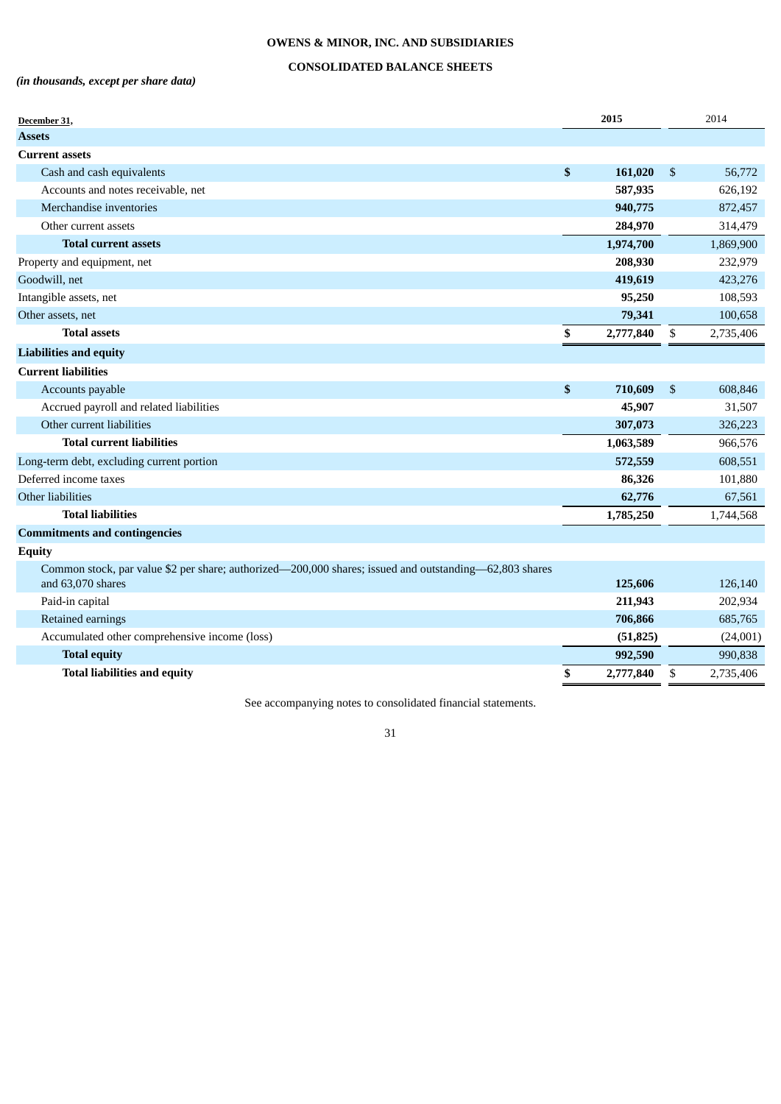# **CONSOLIDATED BALANCE SHEETS**

# *(in thousands, except per share data)*

| December 31,                                                                                                                | 2015            | 2014            |
|-----------------------------------------------------------------------------------------------------------------------------|-----------------|-----------------|
| <b>Assets</b>                                                                                                               |                 |                 |
| <b>Current assets</b>                                                                                                       |                 |                 |
| Cash and cash equivalents                                                                                                   | \$<br>161,020   | \$<br>56,772    |
| Accounts and notes receivable, net                                                                                          | 587,935         | 626,192         |
| Merchandise inventories                                                                                                     | 940,775         | 872,457         |
| Other current assets                                                                                                        | 284,970         | 314,479         |
| <b>Total current assets</b>                                                                                                 | 1,974,700       | 1,869,900       |
| Property and equipment, net                                                                                                 | 208,930         | 232,979         |
| Goodwill, net                                                                                                               | 419,619         | 423,276         |
| Intangible assets, net                                                                                                      | 95,250          | 108,593         |
| Other assets, net                                                                                                           | 79,341          | 100,658         |
| <b>Total assets</b>                                                                                                         | \$<br>2,777,840 | \$<br>2,735,406 |
| <b>Liabilities and equity</b>                                                                                               |                 |                 |
| <b>Current liabilities</b>                                                                                                  |                 |                 |
| Accounts payable                                                                                                            | \$<br>710,609   | \$<br>608,846   |
| Accrued payroll and related liabilities                                                                                     | 45,907          | 31,507          |
| Other current liabilities                                                                                                   | 307,073         | 326,223         |
| <b>Total current liabilities</b>                                                                                            | 1,063,589       | 966,576         |
| Long-term debt, excluding current portion                                                                                   | 572,559         | 608,551         |
| Deferred income taxes                                                                                                       | 86,326          | 101,880         |
| Other liabilities                                                                                                           | 62,776          | 67,561          |
| <b>Total liabilities</b>                                                                                                    | 1,785,250       | 1,744,568       |
| <b>Commitments and contingencies</b>                                                                                        |                 |                 |
| <b>Equity</b>                                                                                                               |                 |                 |
| Common stock, par value \$2 per share; authorized—200,000 shares; issued and outstanding—62,803 shares<br>and 63,070 shares | 125,606         | 126,140         |
| Paid-in capital                                                                                                             | 211,943         | 202,934         |
| Retained earnings                                                                                                           | 706,866         | 685,765         |
| Accumulated other comprehensive income (loss)                                                                               | (51, 825)       | (24,001)        |
| <b>Total equity</b>                                                                                                         | 992,590         | 990,838         |
| <b>Total liabilities and equity</b>                                                                                         | \$<br>2,777,840 | \$<br>2,735,406 |

<span id="page-30-0"></span>See accompanying notes to consolidated financial statements.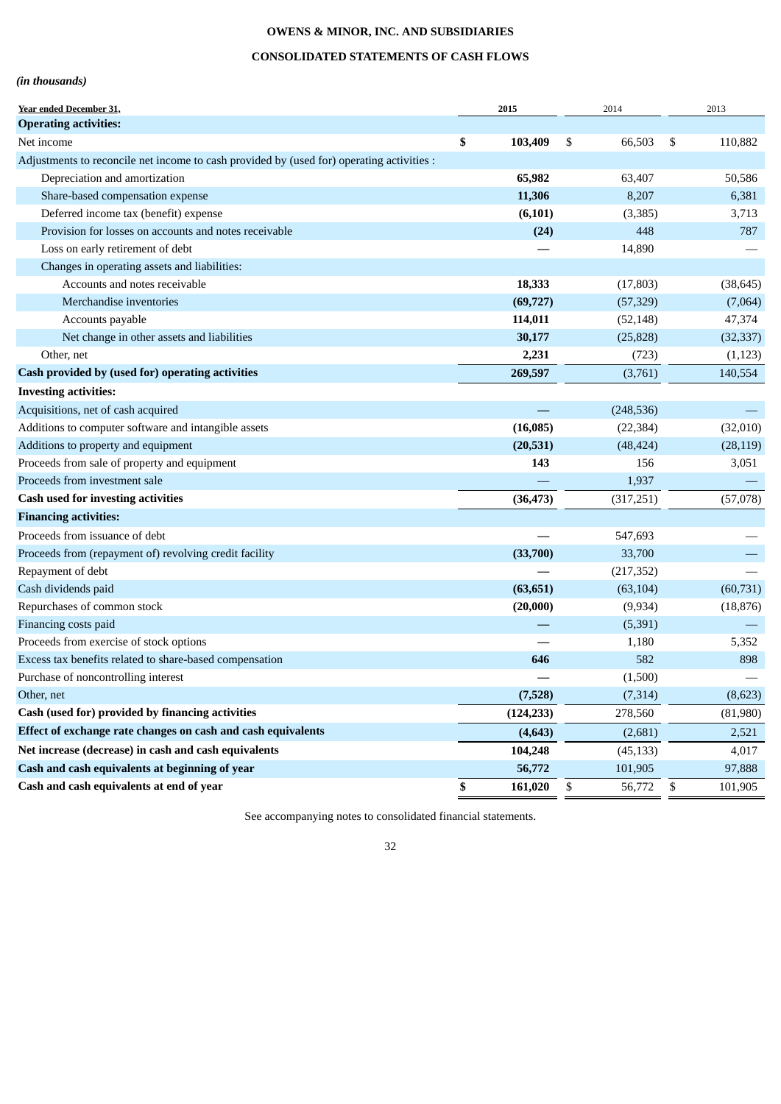# **CONSOLIDATED STATEMENTS OF CASH FLOWS**

# *(in thousands)*

| <b>Year ended December 31,</b>                                                            | 2015 |            | 2014 |            |              | 2013      |
|-------------------------------------------------------------------------------------------|------|------------|------|------------|--------------|-----------|
| <b>Operating activities:</b>                                                              |      |            |      |            |              |           |
| Net income                                                                                | \$   | 103,409    | \$   | 66,503     | \$           | 110,882   |
| Adjustments to reconcile net income to cash provided by (used for) operating activities : |      |            |      |            |              |           |
| Depreciation and amortization                                                             |      | 65,982     |      | 63,407     |              | 50,586    |
| Share-based compensation expense                                                          |      | 11,306     |      | 8,207      |              | 6,381     |
| Deferred income tax (benefit) expense                                                     |      | (6, 101)   |      | (3,385)    |              | 3,713     |
| Provision for losses on accounts and notes receivable                                     |      | (24)       |      | 448        |              | 787       |
| Loss on early retirement of debt                                                          |      |            |      | 14,890     |              |           |
| Changes in operating assets and liabilities:                                              |      |            |      |            |              |           |
| Accounts and notes receivable                                                             |      | 18,333     |      | (17, 803)  |              | (38, 645) |
| Merchandise inventories                                                                   |      | (69, 727)  |      | (57, 329)  |              | (7,064)   |
| Accounts payable                                                                          |      | 114,011    |      | (52, 148)  |              | 47,374    |
| Net change in other assets and liabilities                                                |      | 30,177     |      | (25, 828)  |              | (32, 337) |
| Other, net                                                                                |      | 2,231      |      | (723)      |              | (1, 123)  |
| Cash provided by (used for) operating activities                                          |      | 269,597    |      | (3,761)    |              | 140,554   |
| <b>Investing activities:</b>                                                              |      |            |      |            |              |           |
| Acquisitions, net of cash acquired                                                        |      |            |      | (248, 536) |              |           |
| Additions to computer software and intangible assets                                      |      | (16,085)   |      | (22, 384)  |              | (32,010)  |
| Additions to property and equipment                                                       |      | (20, 531)  |      | (48, 424)  |              | (28, 119) |
| Proceeds from sale of property and equipment                                              |      | 143        |      | 156        |              | 3,051     |
| Proceeds from investment sale                                                             |      |            |      | 1,937      |              |           |
| <b>Cash used for investing activities</b>                                                 |      | (36, 473)  |      | (317, 251) |              | (57,078)  |
| <b>Financing activities:</b>                                                              |      |            |      |            |              |           |
| Proceeds from issuance of debt                                                            |      |            |      | 547,693    |              |           |
| Proceeds from (repayment of) revolving credit facility                                    |      | (33,700)   |      | 33,700     |              |           |
| Repayment of debt                                                                         |      |            |      | (217, 352) |              |           |
| Cash dividends paid                                                                       |      | (63, 651)  |      | (63, 104)  |              | (60, 731) |
| Repurchases of common stock                                                               |      | (20,000)   |      | (9,934)    |              | (18, 876) |
| Financing costs paid                                                                      |      |            |      | (5, 391)   |              |           |
| Proceeds from exercise of stock options                                                   |      |            |      | 1,180      |              | 5,352     |
| Excess tax benefits related to share-based compensation                                   |      | 646        |      | 582        |              | 898       |
| Purchase of noncontrolling interest                                                       |      |            |      | (1,500)    |              |           |
| Other, net                                                                                |      | (7,528)    |      | (7, 314)   |              | (8,623)   |
| Cash (used for) provided by financing activities                                          |      | (124, 233) |      | 278,560    |              | (81,980)  |
| Effect of exchange rate changes on cash and cash equivalents                              |      | (4, 643)   |      | (2,681)    |              | 2,521     |
| Net increase (decrease) in cash and cash equivalents                                      |      | 104,248    |      | (45, 133)  |              | 4,017     |
| Cash and cash equivalents at beginning of year                                            |      | 56,772     |      | 101,905    |              | 97,888    |
| Cash and cash equivalents at end of year                                                  | \$   | 161,020    | \$   | 56,772     | $\mathbb{S}$ | 101,905   |

<span id="page-31-0"></span>See accompanying notes to consolidated financial statements.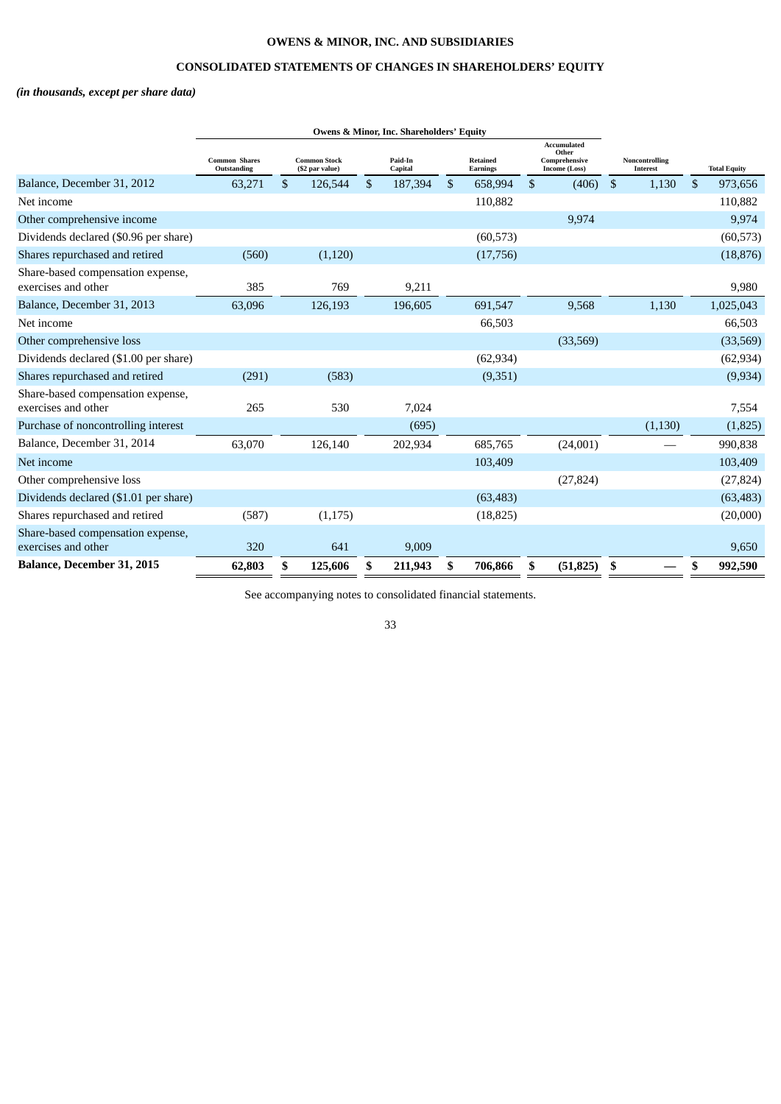# **CONSOLIDATED STATEMENTS OF CHANGES IN SHAREHOLDERS' EQUITY**

*(in thousands, except per share data)*

|                                                          | Owens & Minor, Inc. Shareholders' Equity |    |                                        |    |                    |                                    |           |    |           |             |               |                                                        |  |  |  |                                   |                     |
|----------------------------------------------------------|------------------------------------------|----|----------------------------------------|----|--------------------|------------------------------------|-----------|----|-----------|-------------|---------------|--------------------------------------------------------|--|--|--|-----------------------------------|---------------------|
|                                                          | <b>Common Shares</b><br>Outstanding      |    | <b>Common Stock</b><br>(\$2 par value) |    | Paid-In<br>Capital | <b>Retained</b><br><b>Earnings</b> |           |    |           |             |               | Accumulated<br>Other<br>Comprehensive<br>Income (Loss) |  |  |  | Noncontrolling<br><b>Interest</b> | <b>Total Equity</b> |
| Balance, December 31, 2012                               | 63,271                                   | \$ | 126,544                                | \$ | 187,394            | \$                                 | 658,994   | \$ | (406)     | \$<br>1,130 | \$<br>973,656 |                                                        |  |  |  |                                   |                     |
| Net income                                               |                                          |    |                                        |    |                    |                                    | 110,882   |    |           |             | 110,882       |                                                        |  |  |  |                                   |                     |
| Other comprehensive income                               |                                          |    |                                        |    |                    |                                    |           |    | 9,974     |             | 9,974         |                                                        |  |  |  |                                   |                     |
| Dividends declared (\$0.96 per share)                    |                                          |    |                                        |    |                    |                                    | (60, 573) |    |           |             | (60, 573)     |                                                        |  |  |  |                                   |                     |
| Shares repurchased and retired                           | (560)                                    |    | (1,120)                                |    |                    |                                    | (17,756)  |    |           |             | (18, 876)     |                                                        |  |  |  |                                   |                     |
| Share-based compensation expense,<br>exercises and other | 385                                      |    | 769                                    |    | 9,211              |                                    |           |    |           |             | 9,980         |                                                        |  |  |  |                                   |                     |
| Balance, December 31, 2013                               | 63,096                                   |    | 126,193                                |    | 196,605            |                                    | 691,547   |    | 9,568     | 1,130       | 1,025,043     |                                                        |  |  |  |                                   |                     |
| Net income                                               |                                          |    |                                        |    |                    |                                    | 66,503    |    |           |             | 66,503        |                                                        |  |  |  |                                   |                     |
| Other comprehensive loss                                 |                                          |    |                                        |    |                    |                                    |           |    | (33, 569) |             | (33, 569)     |                                                        |  |  |  |                                   |                     |
| Dividends declared (\$1.00 per share)                    |                                          |    |                                        |    |                    |                                    | (62, 934) |    |           |             | (62, 934)     |                                                        |  |  |  |                                   |                     |
| Shares repurchased and retired                           | (291)                                    |    | (583)                                  |    |                    |                                    | (9,351)   |    |           |             | (9, 934)      |                                                        |  |  |  |                                   |                     |
| Share-based compensation expense,<br>exercises and other | 265                                      |    | 530                                    |    | 7,024              |                                    |           |    |           |             | 7,554         |                                                        |  |  |  |                                   |                     |
| Purchase of noncontrolling interest                      |                                          |    |                                        |    | (695)              |                                    |           |    |           | (1,130)     | (1,825)       |                                                        |  |  |  |                                   |                     |
| Balance, December 31, 2014                               | 63,070                                   |    | 126,140                                |    | 202,934            |                                    | 685,765   |    | (24,001)  |             | 990,838       |                                                        |  |  |  |                                   |                     |
| Net income                                               |                                          |    |                                        |    |                    |                                    | 103,409   |    |           |             | 103,409       |                                                        |  |  |  |                                   |                     |
| Other comprehensive loss                                 |                                          |    |                                        |    |                    |                                    |           |    | (27, 824) |             | (27, 824)     |                                                        |  |  |  |                                   |                     |
| Dividends declared (\$1.01 per share)                    |                                          |    |                                        |    |                    |                                    | (63, 483) |    |           |             | (63, 483)     |                                                        |  |  |  |                                   |                     |
| Shares repurchased and retired                           | (587)                                    |    | (1, 175)                               |    |                    |                                    | (18, 825) |    |           |             | (20,000)      |                                                        |  |  |  |                                   |                     |
| Share-based compensation expense,<br>exercises and other | 320                                      |    | 641                                    |    | 9,009              |                                    |           |    |           |             | 9,650         |                                                        |  |  |  |                                   |                     |
| Balance, December 31, 2015                               | 62,803                                   | \$ | 125,606                                | \$ | 211,943            | \$                                 | 706,866   | \$ | (51, 825) | \$          | \$<br>992,590 |                                                        |  |  |  |                                   |                     |

<span id="page-32-0"></span>See accompanying notes to consolidated financial statements.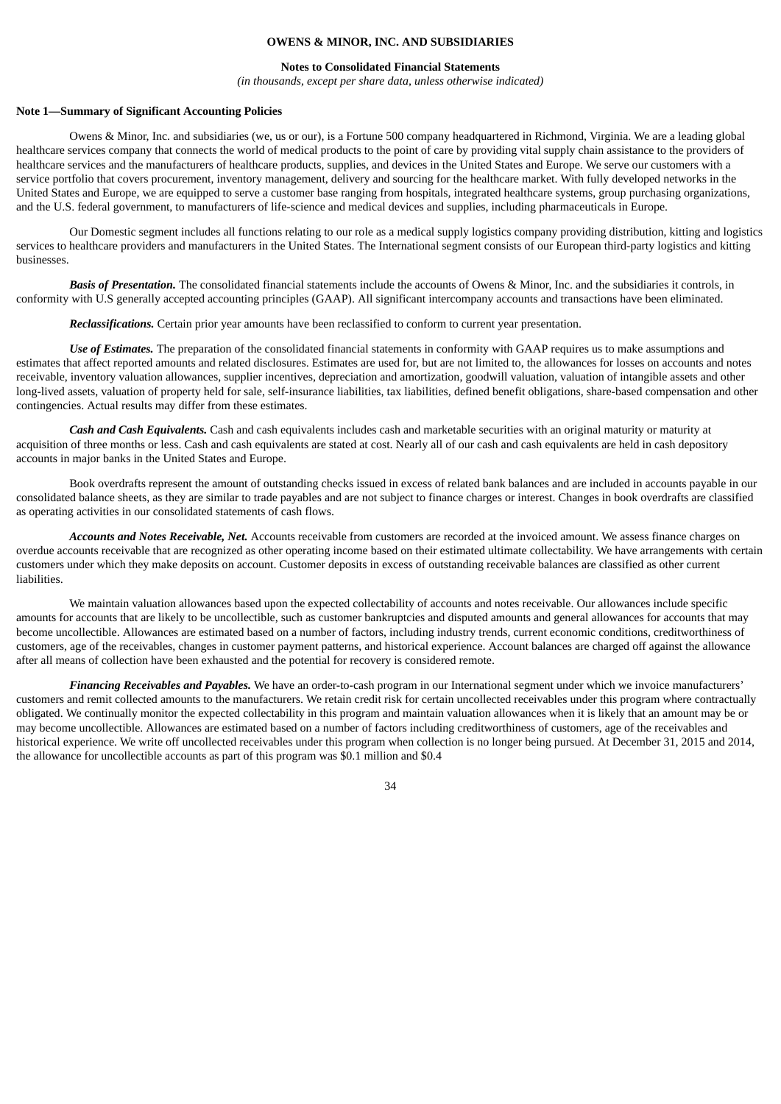## **Notes to Consolidated Financial Statements**

*(in thousands, except per share data, unless otherwise indicated)*

#### **Note 1—Summary of Significant Accounting Policies**

Owens & Minor, Inc. and subsidiaries (we, us or our), is a Fortune 500 company headquartered in Richmond, Virginia. We are a leading global healthcare services company that connects the world of medical products to the point of care by providing vital supply chain assistance to the providers of healthcare services and the manufacturers of healthcare products, supplies, and devices in the United States and Europe. We serve our customers with a service portfolio that covers procurement, inventory management, delivery and sourcing for the healthcare market. With fully developed networks in the United States and Europe, we are equipped to serve a customer base ranging from hospitals, integrated healthcare systems, group purchasing organizations, and the U.S. federal government, to manufacturers of life-science and medical devices and supplies, including pharmaceuticals in Europe.

Our Domestic segment includes all functions relating to our role as a medical supply logistics company providing distribution, kitting and logistics services to healthcare providers and manufacturers in the United States. The International segment consists of our European third-party logistics and kitting businesses.

*Basis of Presentation.* The consolidated financial statements include the accounts of Owens & Minor, Inc. and the subsidiaries it controls, in conformity with U.S generally accepted accounting principles (GAAP). All significant intercompany accounts and transactions have been eliminated.

*Reclassifications.* Certain prior year amounts have been reclassified to conform to current year presentation.

*Use of Estimates.* The preparation of the consolidated financial statements in conformity with GAAP requires us to make assumptions and estimates that affect reported amounts and related disclosures. Estimates are used for, but are not limited to, the allowances for losses on accounts and notes receivable, inventory valuation allowances, supplier incentives, depreciation and amortization, goodwill valuation, valuation of intangible assets and other long-lived assets, valuation of property held for sale, self-insurance liabilities, tax liabilities, defined benefit obligations, share-based compensation and other contingencies. Actual results may differ from these estimates.

*Cash and Cash Equivalents.* Cash and cash equivalents includes cash and marketable securities with an original maturity or maturity at acquisition of three months or less. Cash and cash equivalents are stated at cost. Nearly all of our cash and cash equivalents are held in cash depository accounts in major banks in the United States and Europe.

Book overdrafts represent the amount of outstanding checks issued in excess of related bank balances and are included in accounts payable in our consolidated balance sheets, as they are similar to trade payables and are not subject to finance charges or interest. Changes in book overdrafts are classified as operating activities in our consolidated statements of cash flows.

*Accounts and Notes Receivable, Net.* Accounts receivable from customers are recorded at the invoiced amount. We assess finance charges on overdue accounts receivable that are recognized as other operating income based on their estimated ultimate collectability. We have arrangements with certain customers under which they make deposits on account. Customer deposits in excess of outstanding receivable balances are classified as other current liabilities.

We maintain valuation allowances based upon the expected collectability of accounts and notes receivable. Our allowances include specific amounts for accounts that are likely to be uncollectible, such as customer bankruptcies and disputed amounts and general allowances for accounts that may become uncollectible. Allowances are estimated based on a number of factors, including industry trends, current economic conditions, creditworthiness of customers, age of the receivables, changes in customer payment patterns, and historical experience. Account balances are charged off against the allowance after all means of collection have been exhausted and the potential for recovery is considered remote.

*Financing Receivables and Payables.* We have an order-to-cash program in our International segment under which we invoice manufacturers' customers and remit collected amounts to the manufacturers. We retain credit risk for certain uncollected receivables under this program where contractually obligated. We continually monitor the expected collectability in this program and maintain valuation allowances when it is likely that an amount may be or may become uncollectible. Allowances are estimated based on a number of factors including creditworthiness of customers, age of the receivables and historical experience. We write off uncollected receivables under this program when collection is no longer being pursued. At December 31, 2015 and 2014, the allowance for uncollectible accounts as part of this program was \$0.1 million and \$0.4

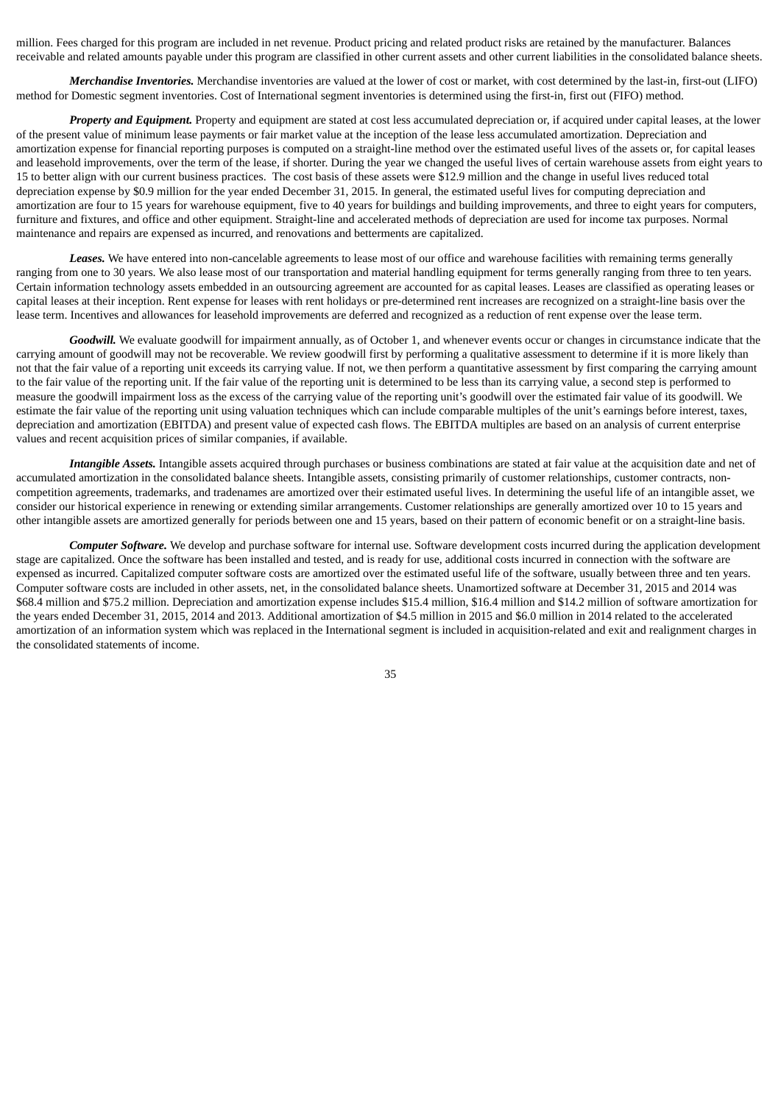million. Fees charged for this program are included in net revenue. Product pricing and related product risks are retained by the manufacturer. Balances receivable and related amounts payable under this program are classified in other current assets and other current liabilities in the consolidated balance sheets.

*Merchandise Inventories.* Merchandise inventories are valued at the lower of cost or market, with cost determined by the last-in, first-out (LIFO) method for Domestic segment inventories. Cost of International segment inventories is determined using the first-in, first out (FIFO) method.

*Property and Equipment.* Property and equipment are stated at cost less accumulated depreciation or, if acquired under capital leases, at the lower of the present value of minimum lease payments or fair market value at the inception of the lease less accumulated amortization. Depreciation and amortization expense for financial reporting purposes is computed on a straight-line method over the estimated useful lives of the assets or, for capital leases and leasehold improvements, over the term of the lease, if shorter. During the year we changed the useful lives of certain warehouse assets from eight years to 15 to better align with our current business practices. The cost basis of these assets were \$12.9 million and the change in useful lives reduced total depreciation expense by \$0.9 million for the year ended December 31, 2015. In general, the estimated useful lives for computing depreciation and amortization are four to 15 years for warehouse equipment, five to 40 years for buildings and building improvements, and three to eight years for computers, furniture and fixtures, and office and other equipment. Straight-line and accelerated methods of depreciation are used for income tax purposes. Normal maintenance and repairs are expensed as incurred, and renovations and betterments are capitalized.

*Leases.* We have entered into non-cancelable agreements to lease most of our office and warehouse facilities with remaining terms generally ranging from one to 30 years. We also lease most of our transportation and material handling equipment for terms generally ranging from three to ten years. Certain information technology assets embedded in an outsourcing agreement are accounted for as capital leases. Leases are classified as operating leases or capital leases at their inception. Rent expense for leases with rent holidays or pre-determined rent increases are recognized on a straight-line basis over the lease term. Incentives and allowances for leasehold improvements are deferred and recognized as a reduction of rent expense over the lease term.

*Goodwill.* We evaluate goodwill for impairment annually, as of October 1, and whenever events occur or changes in circumstance indicate that the carrying amount of goodwill may not be recoverable. We review goodwill first by performing a qualitative assessment to determine if it is more likely than not that the fair value of a reporting unit exceeds its carrying value. If not, we then perform a quantitative assessment by first comparing the carrying amount to the fair value of the reporting unit. If the fair value of the reporting unit is determined to be less than its carrying value, a second step is performed to measure the goodwill impairment loss as the excess of the carrying value of the reporting unit's goodwill over the estimated fair value of its goodwill. We estimate the fair value of the reporting unit using valuation techniques which can include comparable multiples of the unit's earnings before interest, taxes, depreciation and amortization (EBITDA) and present value of expected cash flows. The EBITDA multiples are based on an analysis of current enterprise values and recent acquisition prices of similar companies, if available.

*Intangible Assets.* Intangible assets acquired through purchases or business combinations are stated at fair value at the acquisition date and net of accumulated amortization in the consolidated balance sheets. Intangible assets, consisting primarily of customer relationships, customer contracts, noncompetition agreements, trademarks, and tradenames are amortized over their estimated useful lives. In determining the useful life of an intangible asset, we consider our historical experience in renewing or extending similar arrangements. Customer relationships are generally amortized over 10 to 15 years and other intangible assets are amortized generally for periods between one and 15 years, based on their pattern of economic benefit or on a straight-line basis.

*Computer Software.* We develop and purchase software for internal use. Software development costs incurred during the application development stage are capitalized. Once the software has been installed and tested, and is ready for use, additional costs incurred in connection with the software are expensed as incurred. Capitalized computer software costs are amortized over the estimated useful life of the software, usually between three and ten years. Computer software costs are included in other assets, net, in the consolidated balance sheets. Unamortized software at December 31, 2015 and 2014 was \$68.4 million and \$75.2 million. Depreciation and amortization expense includes \$15.4 million, \$16.4 million and \$14.2 million of software amortization for the years ended December 31, 2015, 2014 and 2013. Additional amortization of \$4.5 million in 2015 and \$6.0 million in 2014 related to the accelerated amortization of an information system which was replaced in the International segment is included in acquisition-related and exit and realignment charges in the consolidated statements of income.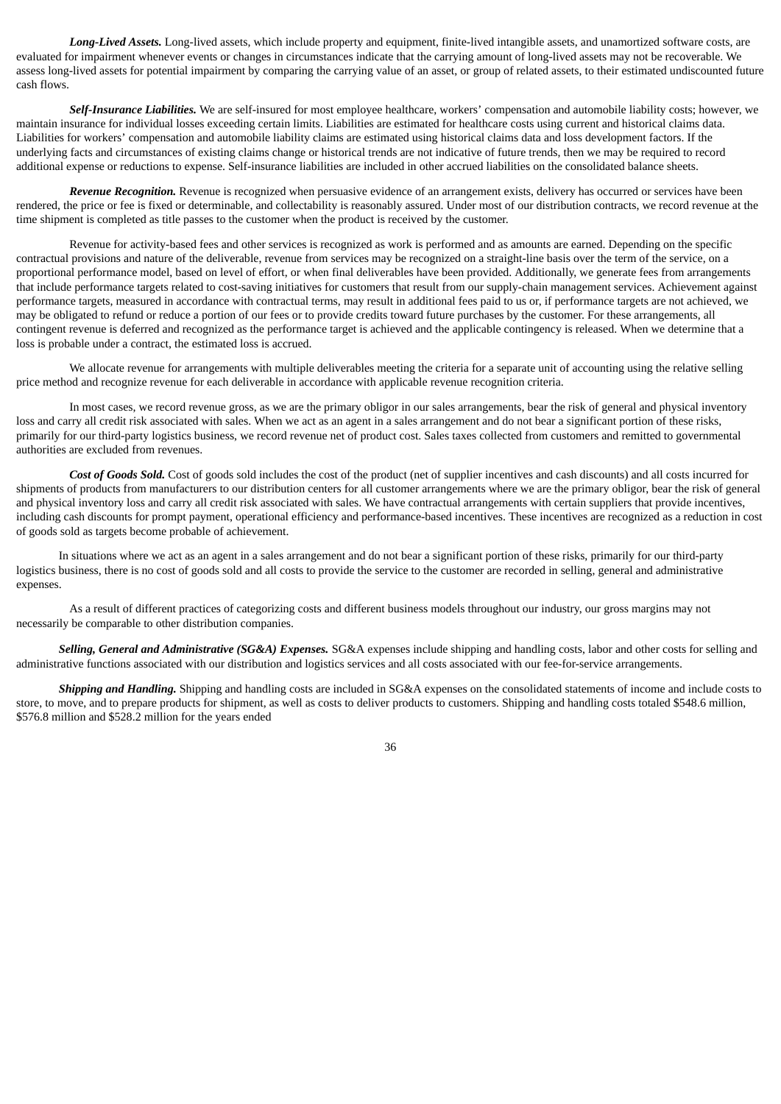*Long-Lived Assets.* Long-lived assets, which include property and equipment, finite-lived intangible assets, and unamortized software costs, are evaluated for impairment whenever events or changes in circumstances indicate that the carrying amount of long-lived assets may not be recoverable. We assess long-lived assets for potential impairment by comparing the carrying value of an asset, or group of related assets, to their estimated undiscounted future cash flows.

*Self-Insurance Liabilities.* We are self-insured for most employee healthcare, workers' compensation and automobile liability costs; however, we maintain insurance for individual losses exceeding certain limits. Liabilities are estimated for healthcare costs using current and historical claims data. Liabilities for workers' compensation and automobile liability claims are estimated using historical claims data and loss development factors. If the underlying facts and circumstances of existing claims change or historical trends are not indicative of future trends, then we may be required to record additional expense or reductions to expense. Self-insurance liabilities are included in other accrued liabilities on the consolidated balance sheets.

*Revenue Recognition.* Revenue is recognized when persuasive evidence of an arrangement exists, delivery has occurred or services have been rendered, the price or fee is fixed or determinable, and collectability is reasonably assured. Under most of our distribution contracts, we record revenue at the time shipment is completed as title passes to the customer when the product is received by the customer.

Revenue for activity-based fees and other services is recognized as work is performed and as amounts are earned. Depending on the specific contractual provisions and nature of the deliverable, revenue from services may be recognized on a straight-line basis over the term of the service, on a proportional performance model, based on level of effort, or when final deliverables have been provided. Additionally, we generate fees from arrangements that include performance targets related to cost-saving initiatives for customers that result from our supply-chain management services. Achievement against performance targets, measured in accordance with contractual terms, may result in additional fees paid to us or, if performance targets are not achieved, we may be obligated to refund or reduce a portion of our fees or to provide credits toward future purchases by the customer. For these arrangements, all contingent revenue is deferred and recognized as the performance target is achieved and the applicable contingency is released. When we determine that a loss is probable under a contract, the estimated loss is accrued.

We allocate revenue for arrangements with multiple deliverables meeting the criteria for a separate unit of accounting using the relative selling price method and recognize revenue for each deliverable in accordance with applicable revenue recognition criteria.

In most cases, we record revenue gross, as we are the primary obligor in our sales arrangements, bear the risk of general and physical inventory loss and carry all credit risk associated with sales. When we act as an agent in a sales arrangement and do not bear a significant portion of these risks, primarily for our third-party logistics business, we record revenue net of product cost. Sales taxes collected from customers and remitted to governmental authorities are excluded from revenues.

*Cost of Goods Sold.* Cost of goods sold includes the cost of the product (net of supplier incentives and cash discounts) and all costs incurred for shipments of products from manufacturers to our distribution centers for all customer arrangements where we are the primary obligor, bear the risk of general and physical inventory loss and carry all credit risk associated with sales. We have contractual arrangements with certain suppliers that provide incentives, including cash discounts for prompt payment, operational efficiency and performance-based incentives. These incentives are recognized as a reduction in cost of goods sold as targets become probable of achievement.

In situations where we act as an agent in a sales arrangement and do not bear a significant portion of these risks, primarily for our third-party logistics business, there is no cost of goods sold and all costs to provide the service to the customer are recorded in selling, general and administrative expenses.

As a result of different practices of categorizing costs and different business models throughout our industry, our gross margins may not necessarily be comparable to other distribution companies.

*Selling, General and Administrative (SG&A) Expenses.* SG&A expenses include shipping and handling costs, labor and other costs for selling and administrative functions associated with our distribution and logistics services and all costs associated with our fee-for-service arrangements.

*Shipping and Handling.* Shipping and handling costs are included in SG&A expenses on the consolidated statements of income and include costs to store, to move, and to prepare products for shipment, as well as costs to deliver products to customers. Shipping and handling costs totaled \$548.6 million, \$576.8 million and \$528.2 million for the years ended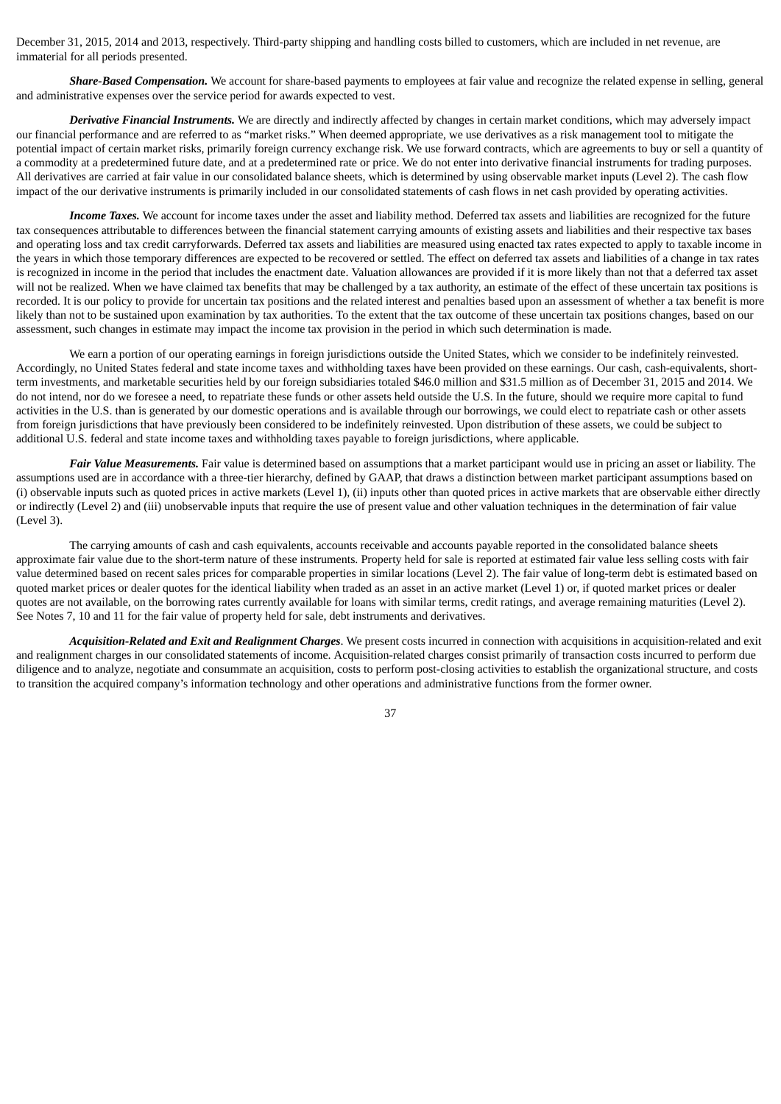December 31, 2015, 2014 and 2013, respectively. Third-party shipping and handling costs billed to customers, which are included in net revenue, are immaterial for all periods presented.

*Share-Based Compensation.* We account for share-based payments to employees at fair value and recognize the related expense in selling, general and administrative expenses over the service period for awards expected to vest.

*Derivative Financial Instruments.* We are directly and indirectly affected by changes in certain market conditions, which may adversely impact our financial performance and are referred to as "market risks." When deemed appropriate, we use derivatives as a risk management tool to mitigate the potential impact of certain market risks, primarily foreign currency exchange risk. We use forward contracts, which are agreements to buy or sell a quantity of a commodity at a predetermined future date, and at a predetermined rate or price. We do not enter into derivative financial instruments for trading purposes. All derivatives are carried at fair value in our consolidated balance sheets, which is determined by using observable market inputs (Level 2). The cash flow impact of the our derivative instruments is primarily included in our consolidated statements of cash flows in net cash provided by operating activities.

*Income Taxes.* We account for income taxes under the asset and liability method. Deferred tax assets and liabilities are recognized for the future tax consequences attributable to differences between the financial statement carrying amounts of existing assets and liabilities and their respective tax bases and operating loss and tax credit carryforwards. Deferred tax assets and liabilities are measured using enacted tax rates expected to apply to taxable income in the years in which those temporary differences are expected to be recovered or settled. The effect on deferred tax assets and liabilities of a change in tax rates is recognized in income in the period that includes the enactment date. Valuation allowances are provided if it is more likely than not that a deferred tax asset will not be realized. When we have claimed tax benefits that may be challenged by a tax authority, an estimate of the effect of these uncertain tax positions is recorded. It is our policy to provide for uncertain tax positions and the related interest and penalties based upon an assessment of whether a tax benefit is more likely than not to be sustained upon examination by tax authorities. To the extent that the tax outcome of these uncertain tax positions changes, based on our assessment, such changes in estimate may impact the income tax provision in the period in which such determination is made.

We earn a portion of our operating earnings in foreign jurisdictions outside the United States, which we consider to be indefinitely reinvested. Accordingly, no United States federal and state income taxes and withholding taxes have been provided on these earnings. Our cash, cash-equivalents, shortterm investments, and marketable securities held by our foreign subsidiaries totaled \$46.0 million and \$31.5 million as of December 31, 2015 and 2014. We do not intend, nor do we foresee a need, to repatriate these funds or other assets held outside the U.S. In the future, should we require more capital to fund activities in the U.S. than is generated by our domestic operations and is available through our borrowings, we could elect to repatriate cash or other assets from foreign jurisdictions that have previously been considered to be indefinitely reinvested. Upon distribution of these assets, we could be subject to additional U.S. federal and state income taxes and withholding taxes payable to foreign jurisdictions, where applicable.

*Fair Value Measurements.* Fair value is determined based on assumptions that a market participant would use in pricing an asset or liability. The assumptions used are in accordance with a three-tier hierarchy, defined by GAAP, that draws a distinction between market participant assumptions based on (i) observable inputs such as quoted prices in active markets (Level 1), (ii) inputs other than quoted prices in active markets that are observable either directly or indirectly (Level 2) and (iii) unobservable inputs that require the use of present value and other valuation techniques in the determination of fair value (Level 3).

The carrying amounts of cash and cash equivalents, accounts receivable and accounts payable reported in the consolidated balance sheets approximate fair value due to the short-term nature of these instruments. Property held for sale is reported at estimated fair value less selling costs with fair value determined based on recent sales prices for comparable properties in similar locations (Level 2). The fair value of long-term debt is estimated based on quoted market prices or dealer quotes for the identical liability when traded as an asset in an active market (Level 1) or, if quoted market prices or dealer quotes are not available, on the borrowing rates currently available for loans with similar terms, credit ratings, and average remaining maturities (Level 2). See Notes 7, 10 and 11 for the fair value of property held for sale, debt instruments and derivatives.

*Acquisition-Related and Exit and Realignment Charges*. We present costs incurred in connection with acquisitions in acquisition-related and exit and realignment charges in our consolidated statements of income. Acquisition-related charges consist primarily of transaction costs incurred to perform due diligence and to analyze, negotiate and consummate an acquisition, costs to perform post-closing activities to establish the organizational structure, and costs to transition the acquired company's information technology and other operations and administrative functions from the former owner.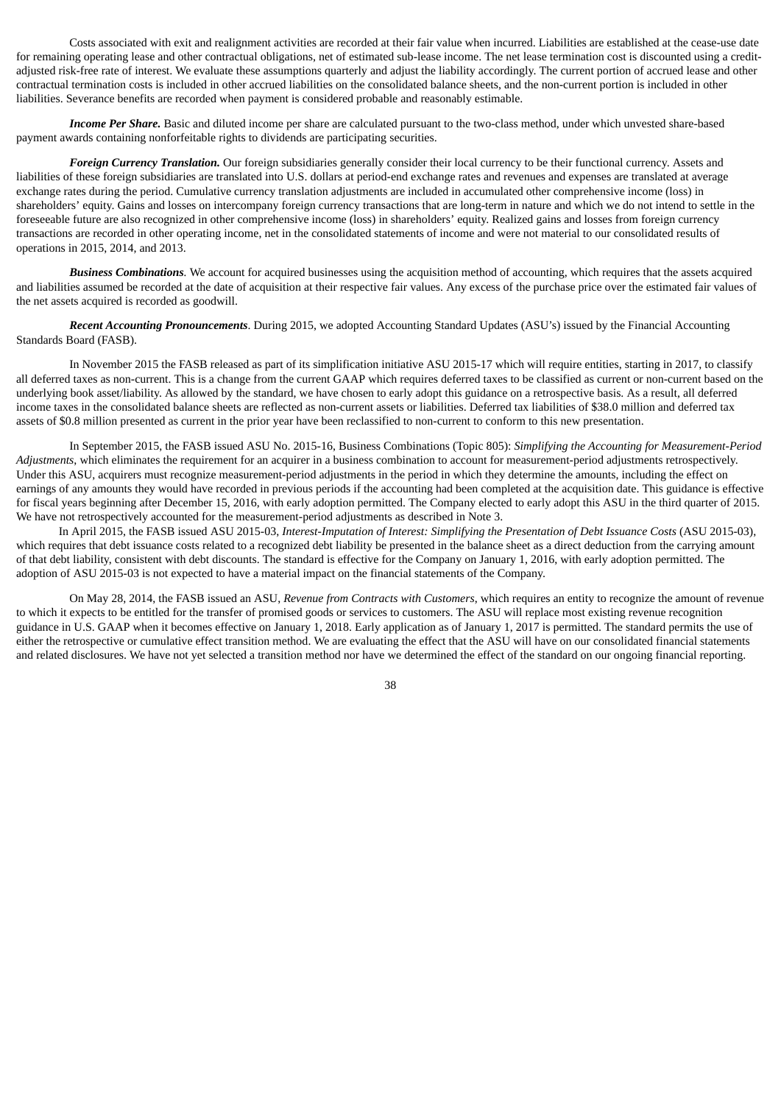Costs associated with exit and realignment activities are recorded at their fair value when incurred. Liabilities are established at the cease-use date for remaining operating lease and other contractual obligations, net of estimated sub-lease income. The net lease termination cost is discounted using a creditadjusted risk-free rate of interest. We evaluate these assumptions quarterly and adjust the liability accordingly. The current portion of accrued lease and other contractual termination costs is included in other accrued liabilities on the consolidated balance sheets, and the non-current portion is included in other liabilities. Severance benefits are recorded when payment is considered probable and reasonably estimable.

*Income Per Share.* Basic and diluted income per share are calculated pursuant to the two-class method, under which unvested share-based payment awards containing nonforfeitable rights to dividends are participating securities.

*Foreign Currency Translation.* Our foreign subsidiaries generally consider their local currency to be their functional currency. Assets and liabilities of these foreign subsidiaries are translated into U.S. dollars at period-end exchange rates and revenues and expenses are translated at average exchange rates during the period. Cumulative currency translation adjustments are included in accumulated other comprehensive income (loss) in shareholders' equity. Gains and losses on intercompany foreign currency transactions that are long-term in nature and which we do not intend to settle in the foreseeable future are also recognized in other comprehensive income (loss) in shareholders' equity. Realized gains and losses from foreign currency transactions are recorded in other operating income, net in the consolidated statements of income and were not material to our consolidated results of operations in 2015, 2014, and 2013.

*Business Combinations.* We account for acquired businesses using the acquisition method of accounting, which requires that the assets acquired and liabilities assumed be recorded at the date of acquisition at their respective fair values. Any excess of the purchase price over the estimated fair values of the net assets acquired is recorded as goodwill.

*Recent Accounting Pronouncements*. During 2015, we adopted Accounting Standard Updates (ASU's) issued by the Financial Accounting Standards Board (FASB).

In November 2015 the FASB released as part of its simplification initiative ASU 2015-17 which will require entities, starting in 2017, to classify all deferred taxes as non-current. This is a change from the current GAAP which requires deferred taxes to be classified as current or non-current based on the underlying book asset/liability. As allowed by the standard, we have chosen to early adopt this guidance on a retrospective basis. As a result, all deferred income taxes in the consolidated balance sheets are reflected as non-current assets or liabilities. Deferred tax liabilities of \$38.0 million and deferred tax assets of \$0.8 million presented as current in the prior year have been reclassified to non-current to conform to this new presentation.

In September 2015, the FASB issued ASU No. 2015-16, Business Combinations (Topic 805): *Simplifying the Accounting for Measurement-Period Adjustments*, which eliminates the requirement for an acquirer in a business combination to account for measurement-period adjustments retrospectively. Under this ASU, acquirers must recognize measurement-period adjustments in the period in which they determine the amounts, including the effect on earnings of any amounts they would have recorded in previous periods if the accounting had been completed at the acquisition date. This guidance is effective for fiscal years beginning after December 15, 2016, with early adoption permitted. The Company elected to early adopt this ASU in the third quarter of 2015. We have not retrospectively accounted for the measurement-period adjustments as described in Note 3.

In April 2015, the FASB issued ASU 2015-03, *Interest-Imputation of Interest: Simplifying the Presentation of Debt Issuance Costs* (ASU 2015-03), which requires that debt issuance costs related to a recognized debt liability be presented in the balance sheet as a direct deduction from the carrying amount of that debt liability, consistent with debt discounts. The standard is effective for the Company on January 1, 2016, with early adoption permitted. The adoption of ASU 2015-03 is not expected to have a material impact on the financial statements of the Company.

On May 28, 2014, the FASB issued an ASU, *Revenue from Contracts with Customers*, which requires an entity to recognize the amount of revenue to which it expects to be entitled for the transfer of promised goods or services to customers. The ASU will replace most existing revenue recognition guidance in U.S. GAAP when it becomes effective on January 1, 2018. Early application as of January 1, 2017 is permitted. The standard permits the use of either the retrospective or cumulative effect transition method. We are evaluating the effect that the ASU will have on our consolidated financial statements and related disclosures. We have not yet selected a transition method nor have we determined the effect of the standard on our ongoing financial reporting.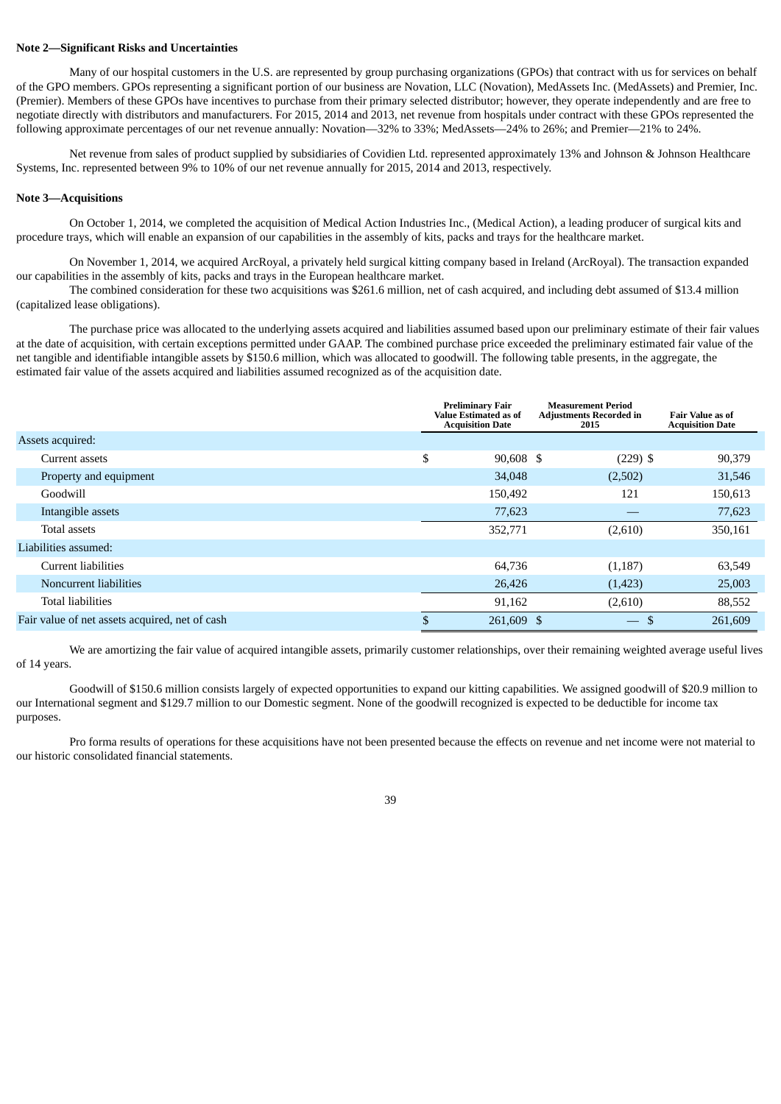### **Note 2—Significant Risks and Uncertainties**

Many of our hospital customers in the U.S. are represented by group purchasing organizations (GPOs) that contract with us for services on behalf of the GPO members. GPOs representing a significant portion of our business are Novation, LLC (Novation), MedAssets Inc. (MedAssets) and Premier, Inc. (Premier). Members of these GPOs have incentives to purchase from their primary selected distributor; however, they operate independently and are free to negotiate directly with distributors and manufacturers. For 2015, 2014 and 2013, net revenue from hospitals under contract with these GPOs represented the following approximate percentages of our net revenue annually: Novation—32% to 33%; MedAssets—24% to 26%; and Premier—21% to 24%.

Net revenue from sales of product supplied by subsidiaries of Covidien Ltd. represented approximately 13% and Johnson & Johnson Healthcare Systems, Inc. represented between 9% to 10% of our net revenue annually for 2015, 2014 and 2013, respectively.

#### **Note 3—Acquisitions**

On October 1, 2014, we completed the acquisition of Medical Action Industries Inc., (Medical Action), a leading producer of surgical kits and procedure trays, which will enable an expansion of our capabilities in the assembly of kits, packs and trays for the healthcare market.

On November 1, 2014, we acquired ArcRoyal, a privately held surgical kitting company based in Ireland (ArcRoyal). The transaction expanded our capabilities in the assembly of kits, packs and trays in the European healthcare market.

The combined consideration for these two acquisitions was \$261.6 million, net of cash acquired, and including debt assumed of \$13.4 million (capitalized lease obligations).

The purchase price was allocated to the underlying assets acquired and liabilities assumed based upon our preliminary estimate of their fair values at the date of acquisition, with certain exceptions permitted under GAAP. The combined purchase price exceeded the preliminary estimated fair value of the net tangible and identifiable intangible assets by \$150.6 million, which was allocated to goodwill. The following table presents, in the aggregate, the estimated fair value of the assets acquired and liabilities assumed recognized as of the acquisition date.

|                                                |    | <b>Preliminary Fair</b><br><b>Value Estimated as of</b><br><b>Acquisition Date</b> | <b>Measurement Period</b><br><b>Adjustments Recorded in</b><br>2015 | <b>Fair Value as of</b><br><b>Acquisition Date</b> |
|------------------------------------------------|----|------------------------------------------------------------------------------------|---------------------------------------------------------------------|----------------------------------------------------|
| Assets acquired:                               |    |                                                                                    |                                                                     |                                                    |
| Current assets                                 | \$ | 90,608 \$                                                                          | $(229)$ \$                                                          | 90,379                                             |
| Property and equipment                         |    | 34,048                                                                             | (2,502)                                                             | 31,546                                             |
| Goodwill                                       |    | 150,492                                                                            | 121                                                                 | 150,613                                            |
| Intangible assets                              |    | 77,623                                                                             |                                                                     | 77,623                                             |
| Total assets                                   |    | 352,771                                                                            | (2,610)                                                             | 350,161                                            |
| Liabilities assumed:                           |    |                                                                                    |                                                                     |                                                    |
| Current liabilities                            |    | 64,736                                                                             | (1,187)                                                             | 63,549                                             |
| Noncurrent liabilities                         |    | 26,426                                                                             | (1,423)                                                             | 25,003                                             |
| <b>Total liabilities</b>                       |    | 91,162                                                                             | (2,610)                                                             | 88,552                                             |
| Fair value of net assets acquired, net of cash |    | 261,609 \$                                                                         | $-$ \$                                                              | 261,609                                            |

We are amortizing the fair value of acquired intangible assets, primarily customer relationships, over their remaining weighted average useful lives of 14 years.

Goodwill of \$150.6 million consists largely of expected opportunities to expand our kitting capabilities. We assigned goodwill of \$20.9 million to our International segment and \$129.7 million to our Domestic segment. None of the goodwill recognized is expected to be deductible for income tax purposes.

Pro forma results of operations for these acquisitions have not been presented because the effects on revenue and net income were not material to our historic consolidated financial statements.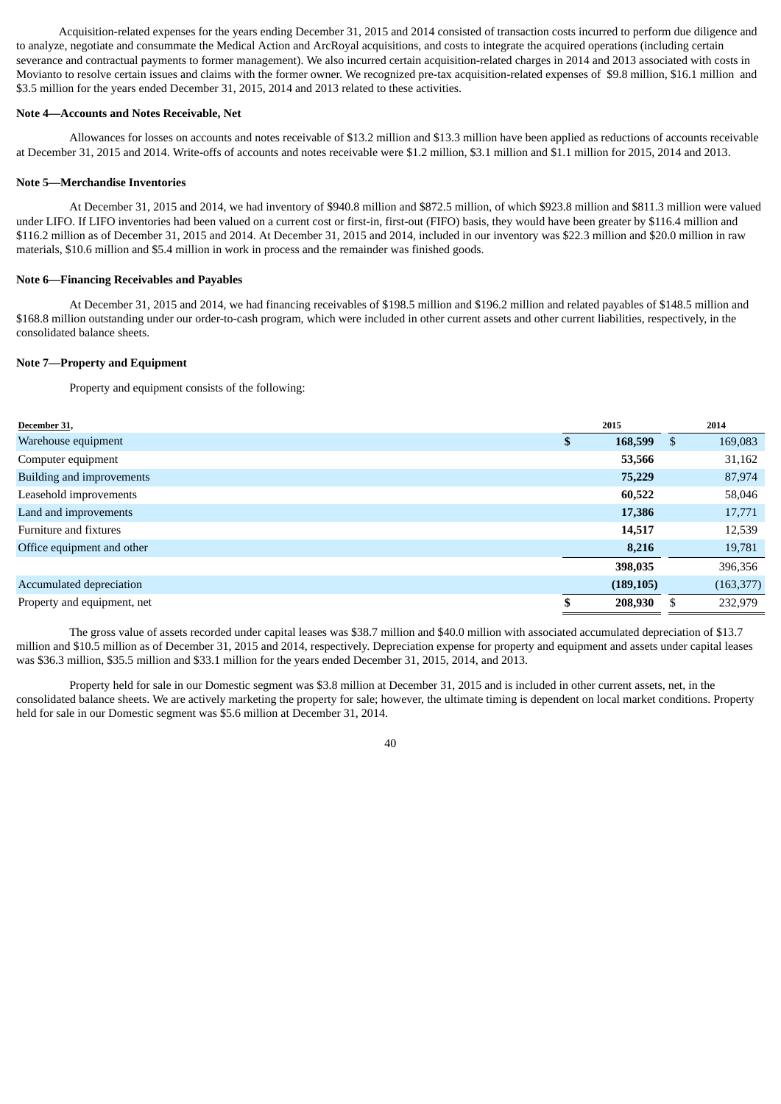Acquisition-related expenses for the years ending December 31, 2015 and 2014 consisted of transaction costs incurred to perform due diligence and to analyze, negotiate and consummate the Medical Action and ArcRoyal acquisitions, and costs to integrate the acquired operations (including certain severance and contractual payments to former management). We also incurred certain acquisition-related charges in 2014 and 2013 associated with costs in Movianto to resolve certain issues and claims with the former owner. We recognized pre-tax acquisition-related expenses of \$9.8 million, \$16.1 million and \$3.5 million for the years ended December 31, 2015, 2014 and 2013 related to these activities.

#### **Note 4—Accounts and Notes Receivable, Net**

Allowances for losses on accounts and notes receivable of \$13.2 million and \$13.3 million have been applied as reductions of accounts receivable at December 31, 2015 and 2014. Write-offs of accounts and notes receivable were \$1.2 million, \$3.1 million and \$1.1 million for 2015, 2014 and 2013.

#### **Note 5—Merchandise Inventories**

At December 31, 2015 and 2014, we had inventory of \$940.8 million and \$872.5 million, of which \$923.8 million and \$811.3 million were valued under LIFO. If LIFO inventories had been valued on a current cost or first-in, first-out (FIFO) basis, they would have been greater by \$116.4 million and \$116.2 million as of December 31, 2015 and 2014. At December 31, 2015 and 2014, included in our inventory was \$22.3 million and \$20.0 million in raw materials, \$10.6 million and \$5.4 million in work in process and the remainder was finished goods.

## **Note 6—Financing Receivables and Payables**

At December 31, 2015 and 2014, we had financing receivables of \$198.5 million and \$196.2 million and related payables of \$148.5 million and \$168.8 million outstanding under our order-to-cash program, which were included in other current assets and other current liabilities, respectively, in the consolidated balance sheets.

#### **Note 7—Property and Equipment**

Property and equipment consists of the following:

| December 31,                |   | 2015       |               | 2014       |
|-----------------------------|---|------------|---------------|------------|
| Warehouse equipment         | D | 168,599    | <sup>\$</sup> | 169,083    |
| Computer equipment          |   | 53,566     |               | 31,162     |
| Building and improvements   |   | 75,229     |               | 87,974     |
| Leasehold improvements      |   | 60,522     |               | 58,046     |
| Land and improvements       |   | 17,386     |               | 17,771     |
| Furniture and fixtures      |   | 14,517     |               | 12,539     |
| Office equipment and other  |   | 8,216      |               | 19,781     |
|                             |   | 398,035    |               | 396,356    |
| Accumulated depreciation    |   | (189, 105) |               | (163, 377) |
| Property and equipment, net | đ | 208,930    |               | 232,979    |

The gross value of assets recorded under capital leases was \$38.7 million and \$40.0 million with associated accumulated depreciation of \$13.7 million and \$10.5 million as of December 31, 2015 and 2014, respectively. Depreciation expense for property and equipment and assets under capital leases was \$36.3 million, \$35.5 million and \$33.1 million for the years ended December 31, 2015, 2014, and 2013.

Property held for sale in our Domestic segment was \$3.8 million at December 31, 2015 and is included in other current assets, net, in the consolidated balance sheets. We are actively marketing the property for sale; however, the ultimate timing is dependent on local market conditions. Property held for sale in our Domestic segment was \$5.6 million at December 31, 2014.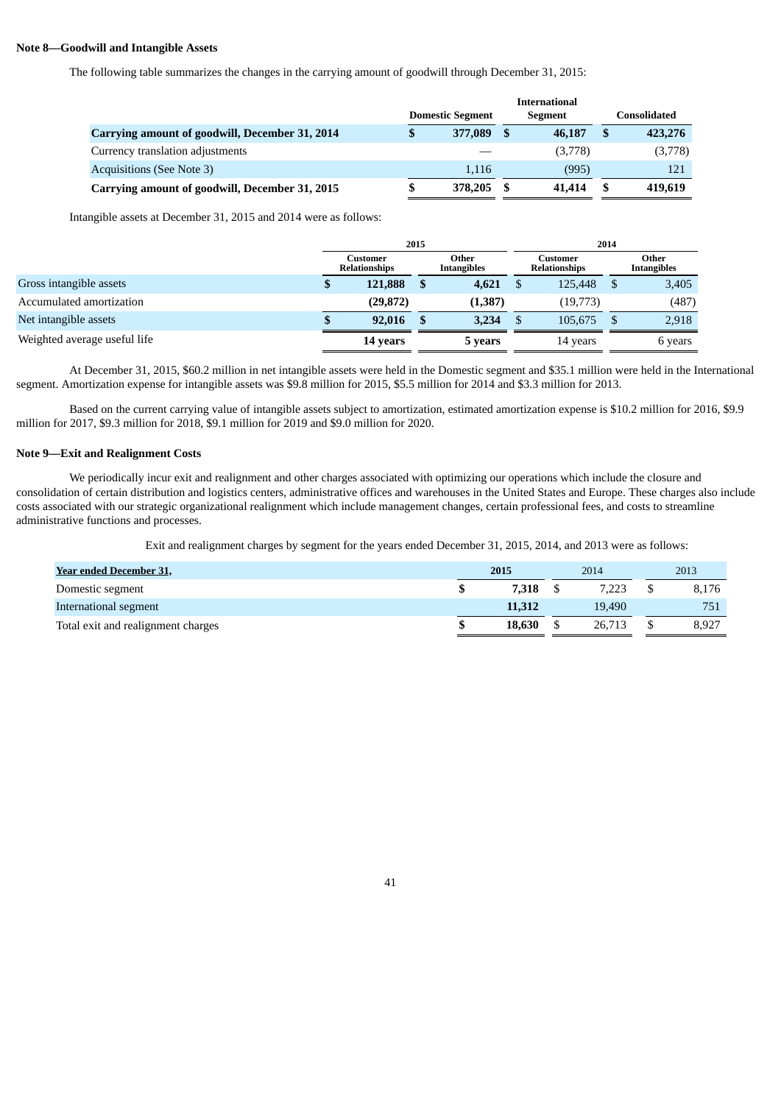## **Note 8—Goodwill and Intangible Assets**

The following table summarizes the changes in the carrying amount of goodwill through December 31, 2015:

|                                                | <b>International</b> |                         |      |                |    |              |  |  |
|------------------------------------------------|----------------------|-------------------------|------|----------------|----|--------------|--|--|
|                                                |                      | <b>Domestic Segment</b> |      | <b>Segment</b> |    | Consolidated |  |  |
| Carrying amount of goodwill, December 31, 2014 | \$                   | 377,089                 | - \$ | 46,187         | \$ | 423,276      |  |  |
| Currency translation adjustments               |                      |                         |      | (3,778)        |    | (3,778)      |  |  |
| <b>Acquisitions (See Note 3)</b>               |                      | 1.116                   |      | (995)          |    | 121          |  |  |
| Carrying amount of goodwill, December 31, 2015 |                      | 378,205                 | -S   | 41,414         | S  | 419.619      |  |  |

Intangible assets at December 31, 2015 and 2014 were as follows:

|                              | 2015                             |           |  |                             | 2014                             |          |  |                             |
|------------------------------|----------------------------------|-----------|--|-----------------------------|----------------------------------|----------|--|-----------------------------|
|                              | Customer<br><b>Relationships</b> |           |  | Other<br><b>Intangibles</b> | Customer<br><b>Relationships</b> |          |  | Other<br><b>Intangibles</b> |
| Gross intangible assets      |                                  | 121,888   |  | 4,621                       |                                  | 125,448  |  | 3,405                       |
| Accumulated amortization     |                                  | (29, 872) |  | (1,387)                     |                                  | (19,773) |  | (487)                       |
| Net intangible assets        |                                  | 92,016    |  | 3.234                       |                                  | 105.675  |  | 2,918                       |
| Weighted average useful life |                                  | 14 years  |  | 5 years                     |                                  | 14 years |  | 6 years                     |

At December 31, 2015, \$60.2 million in net intangible assets were held in the Domestic segment and \$35.1 million were held in the International segment. Amortization expense for intangible assets was \$9.8 million for 2015, \$5.5 million for 2014 and \$3.3 million for 2013.

Based on the current carrying value of intangible assets subject to amortization, estimated amortization expense is \$10.2 million for 2016, \$9.9 million for 2017, \$9.3 million for 2018, \$9.1 million for 2019 and \$9.0 million for 2020.

# **Note 9—Exit and Realignment Costs**

We periodically incur exit and realignment and other charges associated with optimizing our operations which include the closure and consolidation of certain distribution and logistics centers, administrative offices and warehouses in the United States and Europe. These charges also include costs associated with our strategic organizational realignment which include management changes, certain professional fees, and costs to streamline administrative functions and processes.

Exit and realignment charges by segment for the years ended December 31, 2015, 2014, and 2013 were as follows:

| Year ended December 31,            | 2015   | 2014   | 2013  |
|------------------------------------|--------|--------|-------|
| Domestic segment                   | 7.318  | 7.223  | 8,176 |
| International segment              | 11,312 | 19.490 | 751   |
| Total exit and realignment charges | 18.630 | 26.713 | 8,927 |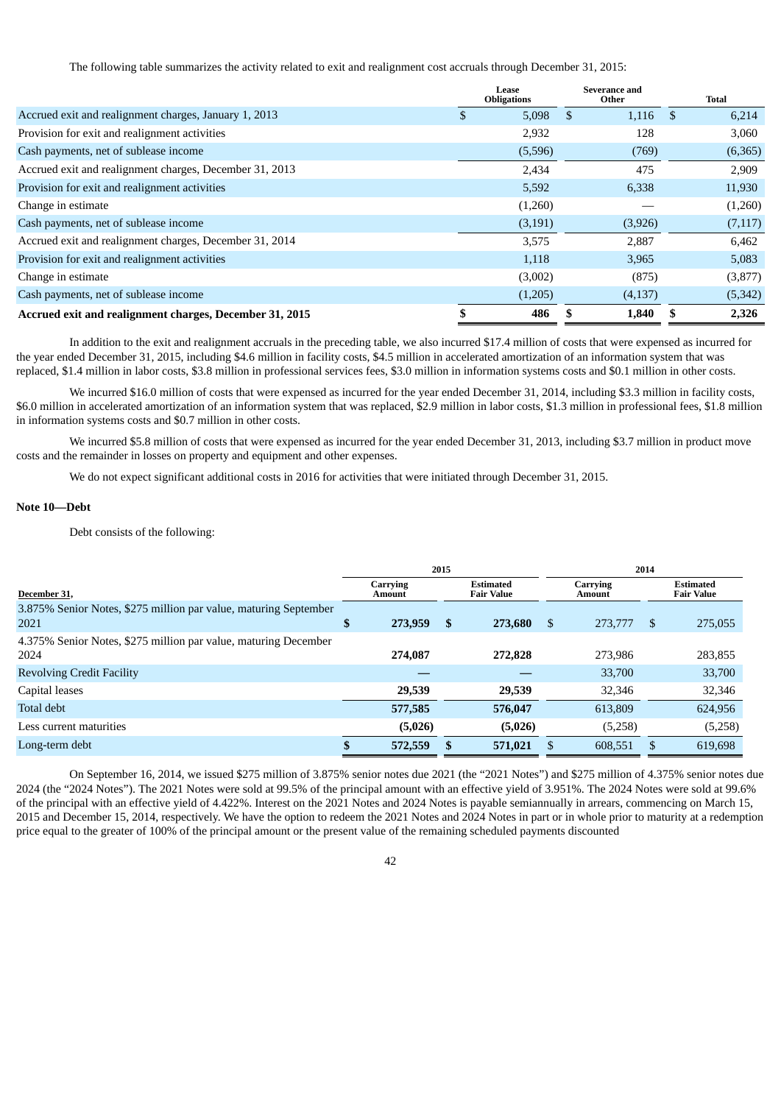The following table summarizes the activity related to exit and realignment cost accruals through December 31, 2015:

|                                                         | Lease<br><b>Obligations</b> | <b>Severance and</b><br>Other | <b>Total</b> |         |
|---------------------------------------------------------|-----------------------------|-------------------------------|--------------|---------|
| Accrued exit and realignment charges, January 1, 2013   | 5,098                       | 1,116<br>-S                   | - \$         | 6,214   |
| Provision for exit and realignment activities           | 2,932                       | 128                           |              | 3,060   |
| Cash payments, net of sublease income                   | (5,596)                     | (769)                         |              | (6,365) |
| Accrued exit and realignment charges, December 31, 2013 | 2,434                       | 475                           |              | 2,909   |
| Provision for exit and realignment activities           | 5,592                       | 6,338                         |              | 11,930  |
| Change in estimate                                      | (1,260)                     |                               |              | (1,260) |
| Cash payments, net of sublease income                   | (3, 191)                    | (3,926)                       |              | (7,117) |
| Accrued exit and realignment charges, December 31, 2014 | 3,575                       | 2,887                         |              | 6,462   |
| Provision for exit and realignment activities           | 1,118                       | 3,965                         |              | 5,083   |
| Change in estimate                                      | (3,002)                     | (875)                         |              | (3,877) |
| Cash payments, net of sublease income                   | (1,205)                     | (4,137)                       |              | (5,342) |
| Accrued exit and realignment charges, December 31, 2015 | 486                         | 1,840                         |              | 2,326   |

In addition to the exit and realignment accruals in the preceding table, we also incurred \$17.4 million of costs that were expensed as incurred for the year ended December 31, 2015, including \$4.6 million in facility costs, \$4.5 million in accelerated amortization of an information system that was replaced, \$1.4 million in labor costs, \$3.8 million in professional services fees, \$3.0 million in information systems costs and \$0.1 million in other costs.

We incurred \$16.0 million of costs that were expensed as incurred for the year ended December 31, 2014, including \$3.3 million in facility costs, \$6.0 million in accelerated amortization of an information system that was replaced, \$2.9 million in labor costs, \$1.3 million in professional fees, \$1.8 million in information systems costs and \$0.7 million in other costs.

We incurred \$5.8 million of costs that were expensed as incurred for the year ended December 31, 2013, including \$3.7 million in product move costs and the remainder in losses on property and equipment and other expenses.

We do not expect significant additional costs in 2016 for activities that were initiated through December 31, 2015.

### **Note 10—Debt**

Debt consists of the following:

|                                                                          | 2015 |                    |    |                                       |     | 2014               |   |                                       |
|--------------------------------------------------------------------------|------|--------------------|----|---------------------------------------|-----|--------------------|---|---------------------------------------|
| December 31,                                                             |      | Carrying<br>Amount |    | <b>Estimated</b><br><b>Fair Value</b> |     | Carrying<br>Amount |   | <b>Estimated</b><br><b>Fair Value</b> |
| 3.875% Senior Notes, \$275 million par value, maturing September<br>2021 | \$   | 273,959            | \$ | 273,680                               | \$. | 273,777            | S | 275,055                               |
| 4.375% Senior Notes, \$275 million par value, maturing December<br>2024  |      | 274,087            |    | 272,828                               |     | 273.986            |   | 283,855                               |
| <b>Revolving Credit Facility</b>                                         |      |                    |    |                                       |     | 33,700             |   | 33,700                                |
| Capital leases                                                           |      | 29,539             |    | 29,539                                |     | 32,346             |   | 32,346                                |
| Total debt                                                               |      | 577,585            |    | 576,047                               |     | 613,809            |   | 624,956                               |
| Less current maturities                                                  |      | (5,026)            |    | (5,026)                               |     | (5,258)            |   | (5,258)                               |
| Long-term debt                                                           |      | 572,559            |    | 571,021                               |     | 608,551            |   | 619,698                               |

On September 16, 2014, we issued \$275 million of 3.875% senior notes due 2021 (the "2021 Notes") and \$275 million of 4.375% senior notes due 2024 (the "2024 Notes"). The 2021 Notes were sold at 99.5% of the principal amount with an effective yield of 3.951%. The 2024 Notes were sold at 99.6% of the principal with an effective yield of 4.422%. Interest on the 2021 Notes and 2024 Notes is payable semiannually in arrears, commencing on March 15, 2015 and December 15, 2014, respectively. We have the option to redeem the 2021 Notes and 2024 Notes in part or in whole prior to maturity at a redemption price equal to the greater of 100% of the principal amount or the present value of the remaining scheduled payments discounted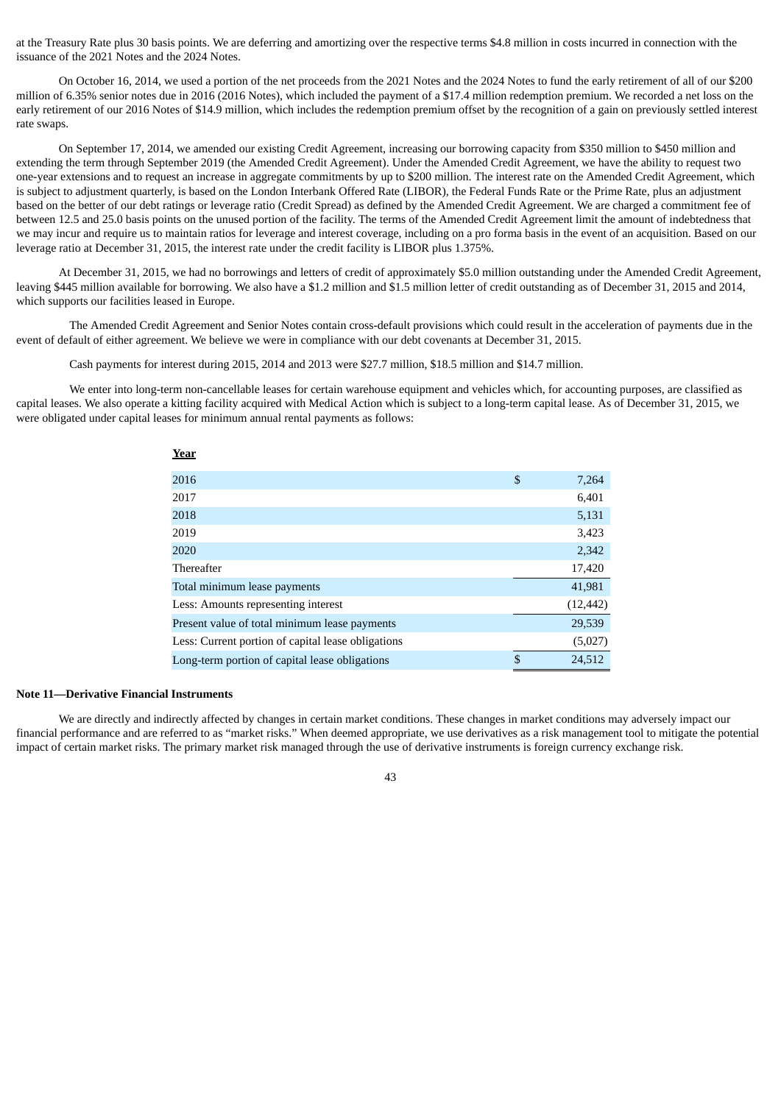at the Treasury Rate plus 30 basis points. We are deferring and amortizing over the respective terms \$4.8 million in costs incurred in connection with the issuance of the 2021 Notes and the 2024 Notes.

On October 16, 2014, we used a portion of the net proceeds from the 2021 Notes and the 2024 Notes to fund the early retirement of all of our \$200 million of 6.35% senior notes due in 2016 (2016 Notes), which included the payment of a \$17.4 million redemption premium. We recorded a net loss on the early retirement of our 2016 Notes of \$14.9 million, which includes the redemption premium offset by the recognition of a gain on previously settled interest rate swaps.

On September 17, 2014, we amended our existing Credit Agreement, increasing our borrowing capacity from \$350 million to \$450 million and extending the term through September 2019 (the Amended Credit Agreement). Under the Amended Credit Agreement, we have the ability to request two one-year extensions and to request an increase in aggregate commitments by up to \$200 million. The interest rate on the Amended Credit Agreement, which is subject to adjustment quarterly, is based on the London Interbank Offered Rate (LIBOR), the Federal Funds Rate or the Prime Rate, plus an adjustment based on the better of our debt ratings or leverage ratio (Credit Spread) as defined by the Amended Credit Agreement. We are charged a commitment fee of between 12.5 and 25.0 basis points on the unused portion of the facility. The terms of the Amended Credit Agreement limit the amount of indebtedness that we may incur and require us to maintain ratios for leverage and interest coverage, including on a pro forma basis in the event of an acquisition. Based on our leverage ratio at December 31, 2015, the interest rate under the credit facility is LIBOR plus 1.375%.

At December 31, 2015, we had no borrowings and letters of credit of approximately \$5.0 million outstanding under the Amended Credit Agreement, leaving \$445 million available for borrowing. We also have a \$1.2 million and \$1.5 million letter of credit outstanding as of December 31, 2015 and 2014, which supports our facilities leased in Europe.

The Amended Credit Agreement and Senior Notes contain cross-default provisions which could result in the acceleration of payments due in the event of default of either agreement. We believe we were in compliance with our debt covenants at December 31, 2015.

Cash payments for interest during 2015, 2014 and 2013 were \$27.7 million, \$18.5 million and \$14.7 million.

We enter into long-term non-cancellable leases for certain warehouse equipment and vehicles which, for accounting purposes, are classified as capital leases. We also operate a kitting facility acquired with Medical Action which is subject to a long-term capital lease. As of December 31, 2015, we were obligated under capital leases for minimum annual rental payments as follows:

| Year                                               |              |
|----------------------------------------------------|--------------|
| 2016                                               | \$<br>7,264  |
| 2017                                               | 6,401        |
| 2018                                               | 5,131        |
| 2019                                               | 3,423        |
| 2020                                               | 2,342        |
| <b>Thereafter</b>                                  | 17,420       |
| Total minimum lease payments                       | 41,981       |
| Less: Amounts representing interest                | (12, 442)    |
| Present value of total minimum lease payments      | 29,539       |
| Less: Current portion of capital lease obligations | (5,027)      |
| Long-term portion of capital lease obligations     | \$<br>24,512 |

## **Note 11—Derivative Financial Instruments**

We are directly and indirectly affected by changes in certain market conditions. These changes in market conditions may adversely impact our financial performance and are referred to as "market risks." When deemed appropriate, we use derivatives as a risk management tool to mitigate the potential impact of certain market risks. The primary market risk managed through the use of derivative instruments is foreign currency exchange risk.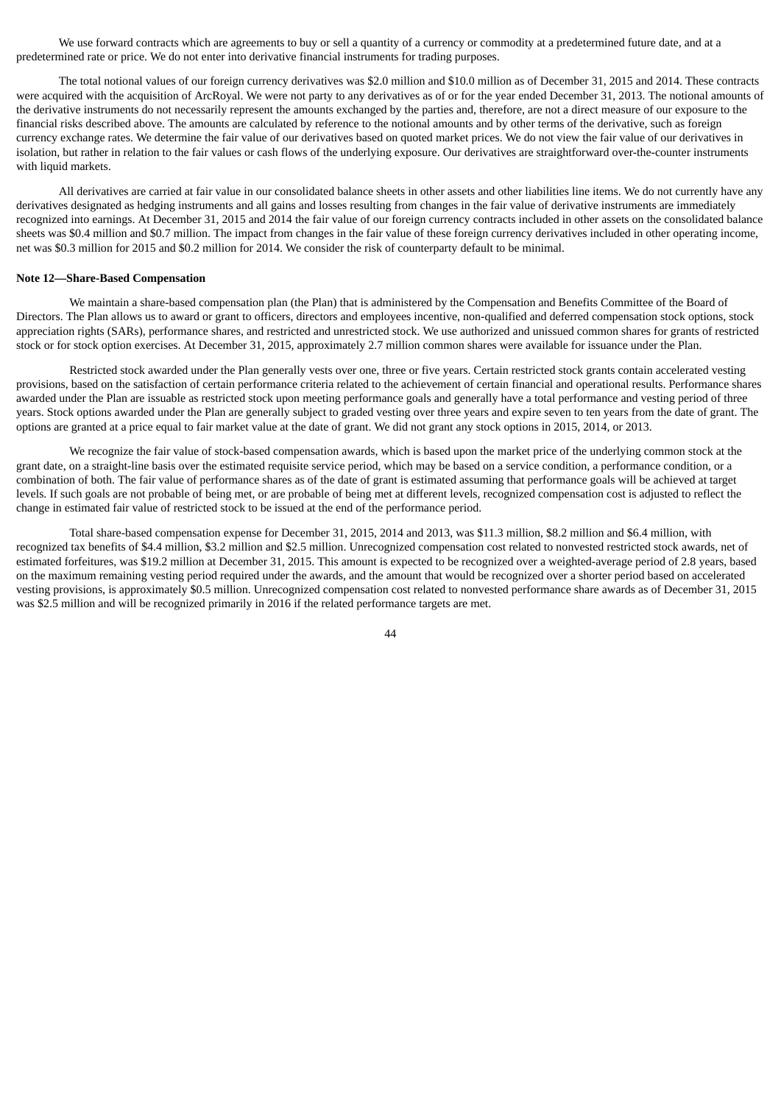We use forward contracts which are agreements to buy or sell a quantity of a currency or commodity at a predetermined future date, and at a predetermined rate or price. We do not enter into derivative financial instruments for trading purposes.

The total notional values of our foreign currency derivatives was \$2.0 million and \$10.0 million as of December 31, 2015 and 2014. These contracts were acquired with the acquisition of ArcRoyal. We were not party to any derivatives as of or for the year ended December 31, 2013. The notional amounts of the derivative instruments do not necessarily represent the amounts exchanged by the parties and, therefore, are not a direct measure of our exposure to the financial risks described above. The amounts are calculated by reference to the notional amounts and by other terms of the derivative, such as foreign currency exchange rates. We determine the fair value of our derivatives based on quoted market prices. We do not view the fair value of our derivatives in isolation, but rather in relation to the fair values or cash flows of the underlying exposure. Our derivatives are straightforward over-the-counter instruments with liquid markets.

All derivatives are carried at fair value in our consolidated balance sheets in other assets and other liabilities line items. We do not currently have any derivatives designated as hedging instruments and all gains and losses resulting from changes in the fair value of derivative instruments are immediately recognized into earnings. At December 31, 2015 and 2014 the fair value of our foreign currency contracts included in other assets on the consolidated balance sheets was \$0.4 million and \$0.7 million. The impact from changes in the fair value of these foreign currency derivatives included in other operating income, net was \$0.3 million for 2015 and \$0.2 million for 2014. We consider the risk of counterparty default to be minimal.

#### **Note 12—Share-Based Compensation**

We maintain a share-based compensation plan (the Plan) that is administered by the Compensation and Benefits Committee of the Board of Directors. The Plan allows us to award or grant to officers, directors and employees incentive, non-qualified and deferred compensation stock options, stock appreciation rights (SARs), performance shares, and restricted and unrestricted stock. We use authorized and unissued common shares for grants of restricted stock or for stock option exercises. At December 31, 2015, approximately 2.7 million common shares were available for issuance under the Plan.

Restricted stock awarded under the Plan generally vests over one, three or five years. Certain restricted stock grants contain accelerated vesting provisions, based on the satisfaction of certain performance criteria related to the achievement of certain financial and operational results. Performance shares awarded under the Plan are issuable as restricted stock upon meeting performance goals and generally have a total performance and vesting period of three years. Stock options awarded under the Plan are generally subject to graded vesting over three years and expire seven to ten years from the date of grant. The options are granted at a price equal to fair market value at the date of grant. We did not grant any stock options in 2015, 2014, or 2013.

We recognize the fair value of stock-based compensation awards, which is based upon the market price of the underlying common stock at the grant date, on a straight-line basis over the estimated requisite service period, which may be based on a service condition, a performance condition, or a combination of both. The fair value of performance shares as of the date of grant is estimated assuming that performance goals will be achieved at target levels. If such goals are not probable of being met, or are probable of being met at different levels, recognized compensation cost is adjusted to reflect the change in estimated fair value of restricted stock to be issued at the end of the performance period.

Total share-based compensation expense for December 31, 2015, 2014 and 2013, was \$11.3 million, \$8.2 million and \$6.4 million, with recognized tax benefits of \$4.4 million, \$3.2 million and \$2.5 million. Unrecognized compensation cost related to nonvested restricted stock awards, net of estimated forfeitures, was \$19.2 million at December 31, 2015. This amount is expected to be recognized over a weighted-average period of 2.8 years, based on the maximum remaining vesting period required under the awards, and the amount that would be recognized over a shorter period based on accelerated vesting provisions, is approximately \$0.5 million. Unrecognized compensation cost related to nonvested performance share awards as of December 31, 2015 was \$2.5 million and will be recognized primarily in 2016 if the related performance targets are met.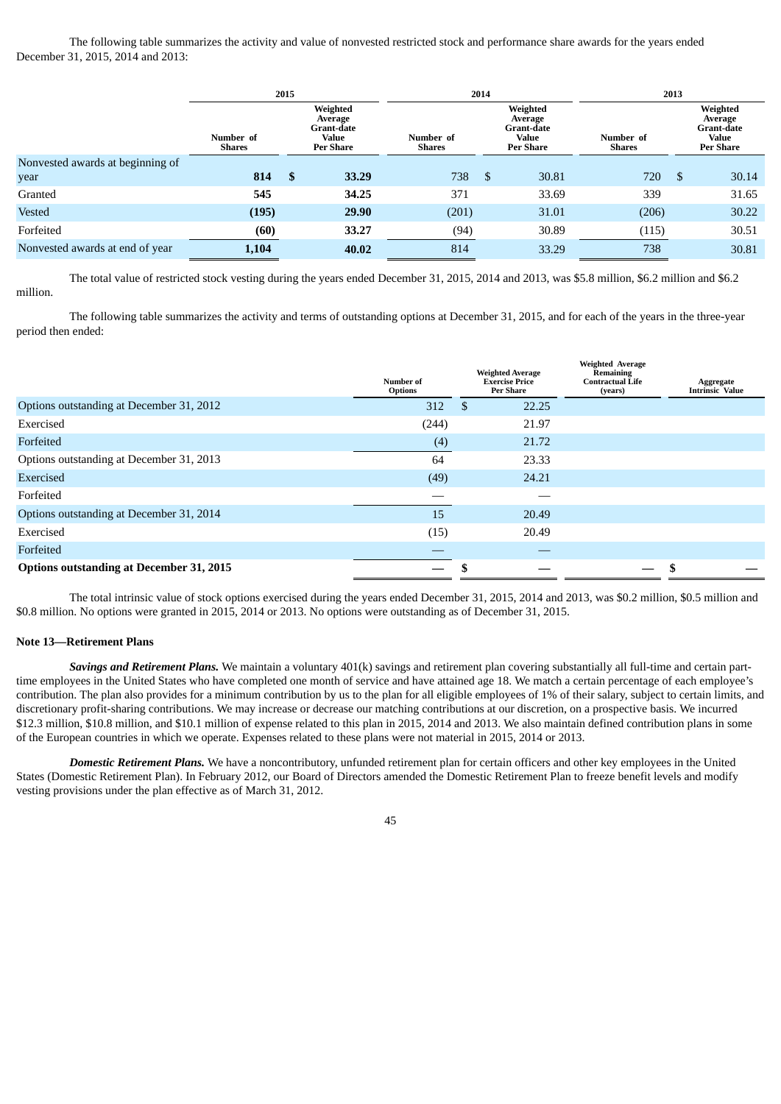The following table summarizes the activity and value of nonvested restricted stock and performance share awards for the years ended December 31, 2015, 2014 and 2013:

|                                  |                            | 2015 |                                                                | 2014                       |    |                                                                | 2013                       |    |                                                                |
|----------------------------------|----------------------------|------|----------------------------------------------------------------|----------------------------|----|----------------------------------------------------------------|----------------------------|----|----------------------------------------------------------------|
|                                  | Number of<br><b>Shares</b> |      | Weighted<br>Average<br>Grant-date<br>Value<br><b>Per Share</b> | Number of<br><b>Shares</b> |    | Weighted<br>Average<br>Grant-date<br>Value<br><b>Per Share</b> | Number of<br><b>Shares</b> |    | Weighted<br>Average<br>Grant-date<br>Value<br><b>Per Share</b> |
| Nonvested awards at beginning of |                            |      |                                                                |                            |    |                                                                |                            |    |                                                                |
| year                             | 814                        | -S   | 33.29                                                          | 738                        | \$ | 30.81                                                          | 720                        | -S | 30.14                                                          |
| Granted                          | 545                        |      | 34.25                                                          | 371                        |    | 33.69                                                          | 339                        |    | 31.65                                                          |
| Vested                           | (195)                      |      | 29.90                                                          | (201)                      |    | 31.01                                                          | (206)                      |    | 30.22                                                          |
| Forfeited                        | (60)                       |      | 33.27                                                          | (94)                       |    | 30.89                                                          | (115)                      |    | 30.51                                                          |
| Nonvested awards at end of year  | 1,104                      |      | 40.02                                                          | 814                        |    | 33.29                                                          | 738                        |    | 30.81                                                          |

The total value of restricted stock vesting during the years ended December 31, 2015, 2014 and 2013, was \$5.8 million, \$6.2 million and \$6.2 million.

The following table summarizes the activity and terms of outstanding options at December 31, 2015, and for each of the years in the three-year period then ended:

|                                                 | Number of<br><b>Options</b> | <b>Weighted Average</b><br><b>Exercise Price</b><br>Per Share | <b>Weighted Average</b><br>Remaining<br><b>Contractual Life</b><br>(years) | Aggregate<br><b>Intrinsic Value</b> |
|-------------------------------------------------|-----------------------------|---------------------------------------------------------------|----------------------------------------------------------------------------|-------------------------------------|
| Options outstanding at December 31, 2012        | 312                         | \$<br>22.25                                                   |                                                                            |                                     |
| Exercised                                       | (244)                       | 21.97                                                         |                                                                            |                                     |
| Forfeited                                       | (4)                         | 21.72                                                         |                                                                            |                                     |
| Options outstanding at December 31, 2013        | 64                          | 23.33                                                         |                                                                            |                                     |
| <b>Exercised</b>                                | (49)                        | 24.21                                                         |                                                                            |                                     |
| Forfeited                                       |                             |                                                               |                                                                            |                                     |
| Options outstanding at December 31, 2014        | 15                          | 20.49                                                         |                                                                            |                                     |
| Exercised                                       | (15)                        | 20.49                                                         |                                                                            |                                     |
| Forfeited                                       |                             |                                                               |                                                                            |                                     |
| <b>Options outstanding at December 31, 2015</b> |                             |                                                               |                                                                            |                                     |

The total intrinsic value of stock options exercised during the years ended December 31, 2015, 2014 and 2013, was \$0.2 million, \$0.5 million and \$0.8 million. No options were granted in 2015, 2014 or 2013. No options were outstanding as of December 31, 2015.

#### **Note 13—Retirement Plans**

*Savings and Retirement Plans.* We maintain a voluntary 401(k) savings and retirement plan covering substantially all full-time and certain parttime employees in the United States who have completed one month of service and have attained age 18. We match a certain percentage of each employee's contribution. The plan also provides for a minimum contribution by us to the plan for all eligible employees of 1% of their salary, subject to certain limits, and discretionary profit-sharing contributions. We may increase or decrease our matching contributions at our discretion, on a prospective basis. We incurred \$12.3 million, \$10.8 million, and \$10.1 million of expense related to this plan in 2015, 2014 and 2013. We also maintain defined contribution plans in some of the European countries in which we operate. Expenses related to these plans were not material in 2015, 2014 or 2013.

*Domestic Retirement Plans.* We have a noncontributory, unfunded retirement plan for certain officers and other key employees in the United States (Domestic Retirement Plan). In February 2012, our Board of Directors amended the Domestic Retirement Plan to freeze benefit levels and modify vesting provisions under the plan effective as of March 31, 2012.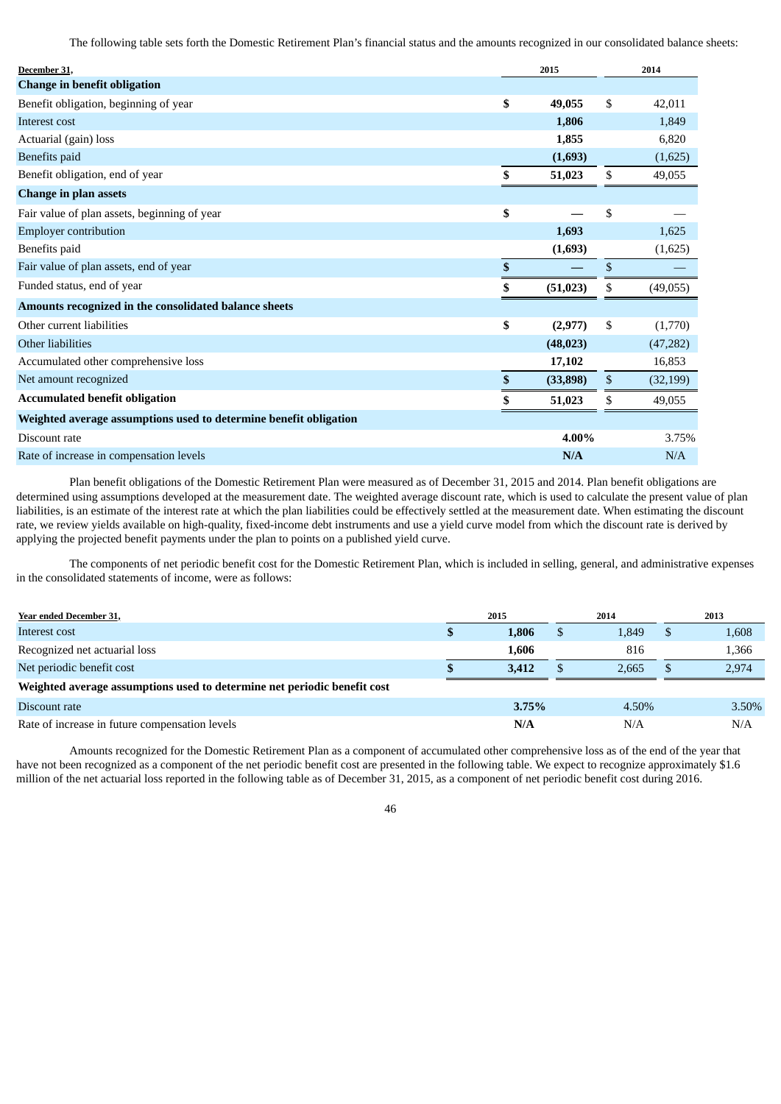The following table sets forth the Domestic Retirement Plan's financial status and the amounts recognized in our consolidated balance sheets:

| December 31,                                                      | 2015            | 2014            |  |  |
|-------------------------------------------------------------------|-----------------|-----------------|--|--|
| <b>Change in benefit obligation</b>                               |                 |                 |  |  |
| Benefit obligation, beginning of year                             | \$<br>49,055    | \$<br>42,011    |  |  |
| Interest cost                                                     | 1,806           | 1,849           |  |  |
| Actuarial (gain) loss                                             | 1,855           | 6,820           |  |  |
| <b>Benefits</b> paid                                              | (1,693)         | (1,625)         |  |  |
| Benefit obligation, end of year                                   | \$<br>51,023    | \$<br>49,055    |  |  |
| <b>Change in plan assets</b>                                      |                 |                 |  |  |
| Fair value of plan assets, beginning of year                      | \$              | \$              |  |  |
| <b>Employer contribution</b>                                      | 1,693           | 1,625           |  |  |
| Benefits paid                                                     | (1,693)         | (1,625)         |  |  |
| Fair value of plan assets, end of year                            | \$              | \$              |  |  |
| Funded status, end of year                                        | \$<br>(51, 023) | \$<br>(49,055)  |  |  |
| Amounts recognized in the consolidated balance sheets             |                 |                 |  |  |
| Other current liabilities                                         | \$<br>(2,977)   | \$<br>(1,770)   |  |  |
| Other liabilities                                                 | (48, 023)       | (47, 282)       |  |  |
| Accumulated other comprehensive loss                              | 17,102          | 16,853          |  |  |
| Net amount recognized                                             | \$<br>(33, 898) | \$<br>(32, 199) |  |  |
| <b>Accumulated benefit obligation</b>                             | \$<br>51,023    | \$<br>49,055    |  |  |
| Weighted average assumptions used to determine benefit obligation |                 |                 |  |  |
| Discount rate                                                     | 4.00%           | 3.75%           |  |  |
| Rate of increase in compensation levels                           | N/A             | N/A             |  |  |

Plan benefit obligations of the Domestic Retirement Plan were measured as of December 31, 2015 and 2014. Plan benefit obligations are determined using assumptions developed at the measurement date. The weighted average discount rate, which is used to calculate the present value of plan liabilities, is an estimate of the interest rate at which the plan liabilities could be effectively settled at the measurement date. When estimating the discount rate, we review yields available on high-quality, fixed-income debt instruments and use a yield curve model from which the discount rate is derived by applying the projected benefit payments under the plan to points on a published yield curve.

The components of net periodic benefit cost for the Domestic Retirement Plan, which is included in selling, general, and administrative expenses in the consolidated statements of income, were as follows:

| Year ended December 31,                                                  | 2015  |   | 2014  | 2013  |
|--------------------------------------------------------------------------|-------|---|-------|-------|
| Interest cost                                                            | 1.806 | S | 1,849 | 1,608 |
| Recognized net actuarial loss                                            | 1.606 |   | 816   | 1,366 |
| Net periodic benefit cost                                                | 3.412 |   | 2.665 | 2.974 |
| Weighted average assumptions used to determine net periodic benefit cost |       |   |       |       |
| Discount rate                                                            | 3.75% |   | 4.50% | 3.50% |
| Rate of increase in future compensation levels                           | N/A   |   | N/A   | N/A   |

Amounts recognized for the Domestic Retirement Plan as a component of accumulated other comprehensive loss as of the end of the year that have not been recognized as a component of the net periodic benefit cost are presented in the following table. We expect to recognize approximately \$1.6 million of the net actuarial loss reported in the following table as of December 31, 2015, as a component of net periodic benefit cost during 2016.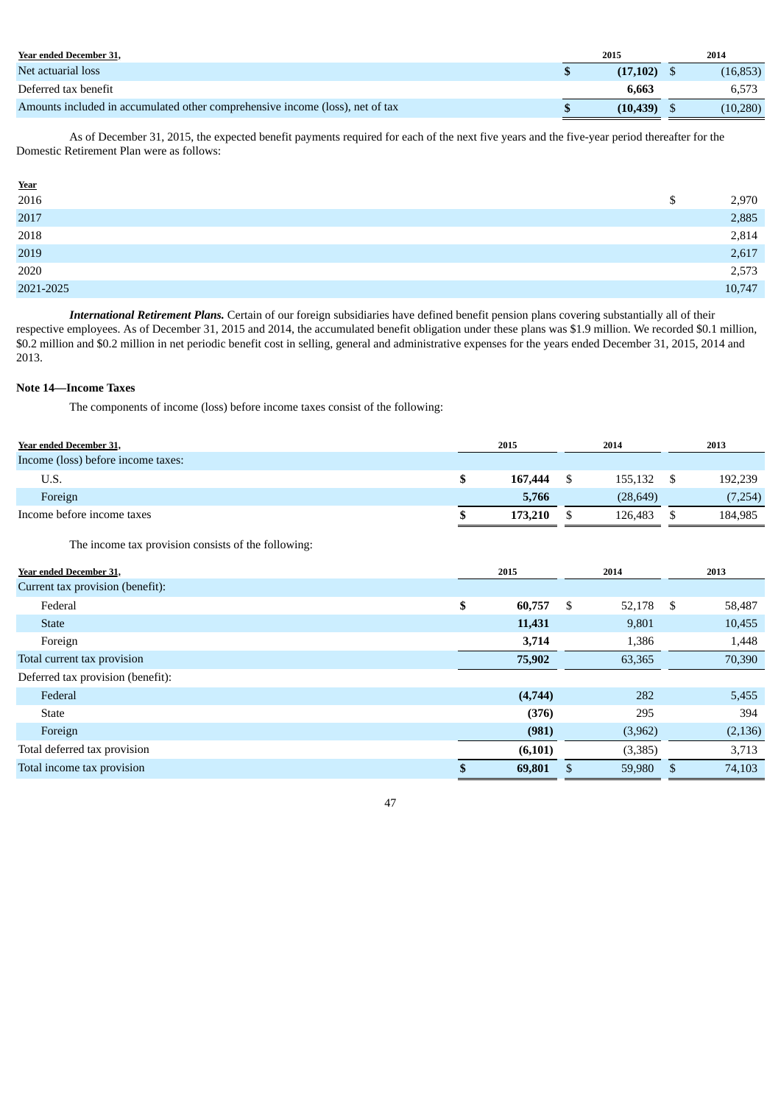| Year ended December 31,                                                       | 2015      | 2014      |
|-------------------------------------------------------------------------------|-----------|-----------|
| Net actuarial loss                                                            | (17, 102) | (16, 853) |
| Deferred tax benefit                                                          | 6.663     | 6,573     |
| Amounts included in accumulated other comprehensive income (loss), net of tax | (10, 439) | (10, 280) |

As of December 31, 2015, the expected benefit payments required for each of the next five years and the five-year period thereafter for the Domestic Retirement Plan were as follows:

| Year      |             |
|-----------|-------------|
| 2016      | \$<br>2,970 |
| 2017      | 2,885       |
| 2018      | 2,814       |
| 2019      | 2,617       |
| 2020      | 2,573       |
| 2021-2025 | 10,747      |

*International Retirement Plans.* Certain of our foreign subsidiaries have defined benefit pension plans covering substantially all of their respective employees. As of December 31, 2015 and 2014, the accumulated benefit obligation under these plans was \$1.9 million. We recorded \$0.1 million, \$0.2 million and \$0.2 million in net periodic benefit cost in selling, general and administrative expenses for the years ended December 31, 2015, 2014 and 2013.

# **Note 14—Income Taxes**

The components of income (loss) before income taxes consist of the following:

| Year ended December 31,            | 2015<br>2014 |  |           | 2013 |         |  |
|------------------------------------|--------------|--|-----------|------|---------|--|
| Income (loss) before income taxes: |              |  |           |      |         |  |
| U.S.                               | 167,444      |  | 155.132   |      | 192,239 |  |
| Foreign                            | 5,766        |  | (28, 649) |      | (7,254) |  |
| Income before income taxes         | 173,210      |  | 126,483   |      | 184,985 |  |

The income tax provision consists of the following:

| Year ended December 31,           | 2015 |          | 2014         |     |      | 2013     |
|-----------------------------------|------|----------|--------------|-----|------|----------|
| Current tax provision (benefit):  |      |          |              |     |      |          |
| Federal                           | \$   | 60,757   | \$<br>52,178 |     | - \$ | 58,487   |
| <b>State</b>                      |      | 11,431   | 9,801        |     |      | 10,455   |
| Foreign                           |      | 3,714    | 1,386        |     |      | 1,448    |
| Total current tax provision       |      | 75,902   | 63,365       |     |      | 70,390   |
| Deferred tax provision (benefit): |      |          |              |     |      |          |
| Federal                           |      | (4,744)  |              | 282 |      | 5,455    |
| <b>State</b>                      |      | (376)    |              | 295 |      | 394      |
| Foreign                           |      | (981)    | (3,962)      |     |      | (2, 136) |
| Total deferred tax provision      |      | (6, 101) | (3,385)      |     |      | 3,713    |
| Total income tax provision        |      | 69,801   | 59,980<br>\$ |     |      | 74,103   |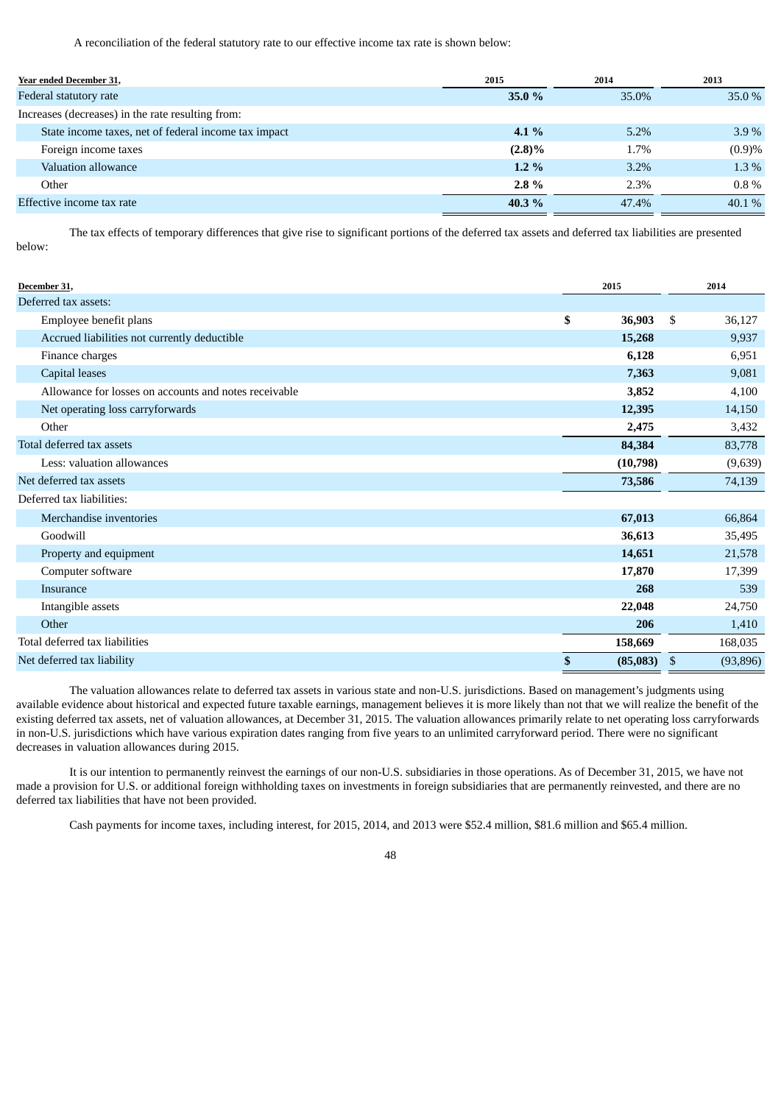A reconciliation of the federal statutory rate to our effective income tax rate is shown below:

| Year ended December 31,                              | 2015      | 2014    | 2013    |
|------------------------------------------------------|-----------|---------|---------|
| Federal statutory rate                               | 35.0%     | 35.0%   | 35.0 %  |
| Increases (decreases) in the rate resulting from:    |           |         |         |
| State income taxes, net of federal income tax impact | 4.1 $%$   | 5.2%    | $3.9\%$ |
| Foreign income taxes                                 | $(2.8)\%$ | 1.7%    | (0.9)%  |
| Valuation allowance                                  | $1.2\%$   | $3.2\%$ | $1.3\%$ |
| Other                                                | $2.8\%$   | 2.3%    | $0.8\%$ |
| Effective income tax rate                            | 40.3 %    | 47.4%   | 40.1 %  |

The tax effects of temporary differences that give rise to significant portions of the deferred tax assets and deferred tax liabilities are presented below:

| December 31,                                          | 2015 |               | 2014         |
|-------------------------------------------------------|------|---------------|--------------|
| Deferred tax assets:                                  |      |               |              |
| Employee benefit plans                                | \$   | 36,903        | \$<br>36,127 |
| Accrued liabilities not currently deductible          |      | 15,268        | 9,937        |
| Finance charges                                       |      | 6,128         | 6,951        |
| Capital leases                                        |      | 7,363         | 9,081        |
| Allowance for losses on accounts and notes receivable |      | 3,852         | 4,100        |
| Net operating loss carryforwards                      |      | 12,395        | 14,150       |
| Other                                                 |      | 2,475         | 3,432        |
| Total deferred tax assets                             |      | 84,384        | 83,778       |
| Less: valuation allowances                            |      | (10,798)      | (9,639)      |
| Net deferred tax assets                               |      | 73,586        | 74,139       |
| Deferred tax liabilities:                             |      |               |              |
| Merchandise inventories                               |      | 67,013        | 66,864       |
| Goodwill                                              |      | 36,613        | 35,495       |
| Property and equipment                                |      | 14,651        | 21,578       |
| Computer software                                     |      | 17,870        | 17,399       |
| Insurance                                             |      | 268           | 539          |
| Intangible assets                                     |      | 22,048        | 24,750       |
| Other                                                 |      | 206           | 1,410        |
| Total deferred tax liabilities                        |      | 158,669       | 168,035      |
| Net deferred tax liability                            | \$   | $(85,083)$ \$ | (93, 896)    |

The valuation allowances relate to deferred tax assets in various state and non-U.S. jurisdictions. Based on management's judgments using available evidence about historical and expected future taxable earnings, management believes it is more likely than not that we will realize the benefit of the existing deferred tax assets, net of valuation allowances, at December 31, 2015. The valuation allowances primarily relate to net operating loss carryforwards in non-U.S. jurisdictions which have various expiration dates ranging from five years to an unlimited carryforward period. There were no significant decreases in valuation allowances during 2015.

It is our intention to permanently reinvest the earnings of our non-U.S. subsidiaries in those operations. As of December 31, 2015, we have not made a provision for U.S. or additional foreign withholding taxes on investments in foreign subsidiaries that are permanently reinvested, and there are no deferred tax liabilities that have not been provided.

Cash payments for income taxes, including interest, for 2015, 2014, and 2013 were \$52.4 million, \$81.6 million and \$65.4 million.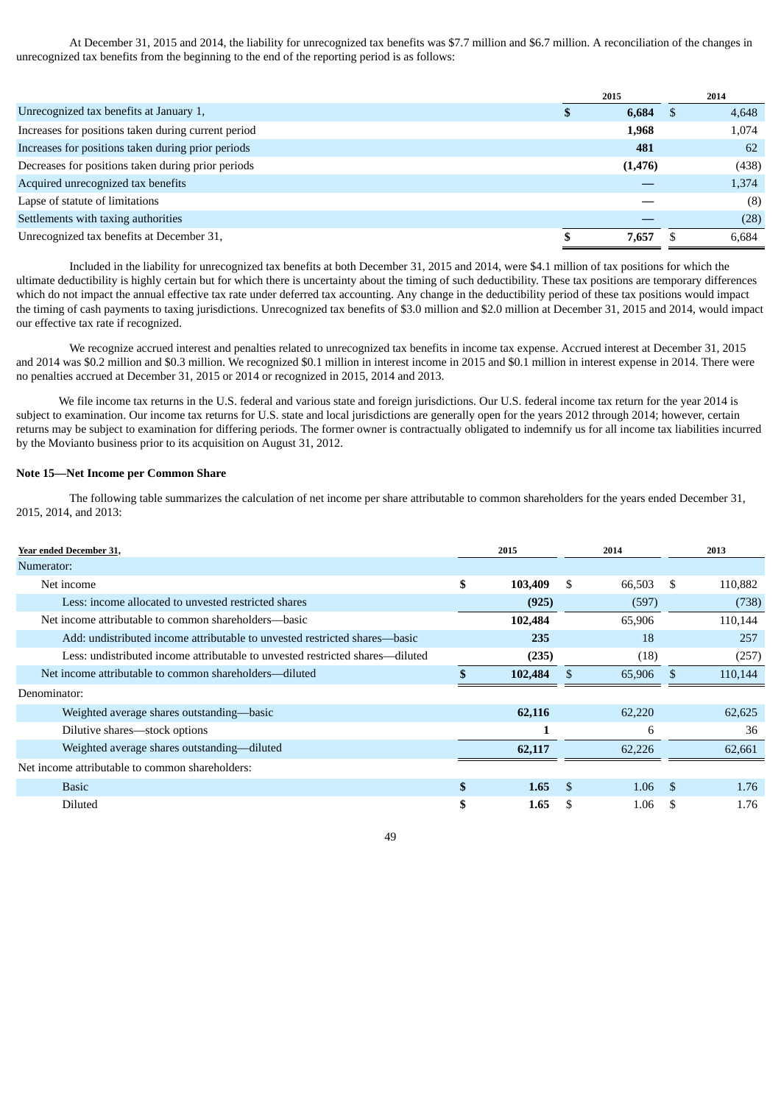At December 31, 2015 and 2014, the liability for unrecognized tax benefits was \$7.7 million and \$6.7 million. A reconciliation of the changes in unrecognized tax benefits from the beginning to the end of the reporting period is as follows:

| Unrecognized tax benefits at January 1,             | 6.684    | 4,648<br>- S |
|-----------------------------------------------------|----------|--------------|
| Increases for positions taken during current period | 1,968    | 1,074        |
| Increases for positions taken during prior periods  | 481      | 62           |
| Decreases for positions taken during prior periods  | (1, 476) | (438)        |
| Acquired unrecognized tax benefits                  |          | 1,374        |
| Lapse of statute of limitations                     |          | (8)          |
| Settlements with taxing authorities                 |          | (28)         |
| Unrecognized tax benefits at December 31,           | 7,657    | 6.684        |

Included in the liability for unrecognized tax benefits at both December 31, 2015 and 2014, were \$4.1 million of tax positions for which the ultimate deductibility is highly certain but for which there is uncertainty about the timing of such deductibility. These tax positions are temporary differences which do not impact the annual effective tax rate under deferred tax accounting. Any change in the deductibility period of these tax positions would impact the timing of cash payments to taxing jurisdictions. Unrecognized tax benefits of \$3.0 million and \$2.0 million at December 31, 2015 and 2014, would impact our effective tax rate if recognized.

We recognize accrued interest and penalties related to unrecognized tax benefits in income tax expense. Accrued interest at December 31, 2015 and 2014 was \$0.2 million and \$0.3 million. We recognized \$0.1 million in interest income in 2015 and \$0.1 million in interest expense in 2014. There were no penalties accrued at December 31, 2015 or 2014 or recognized in 2015, 2014 and 2013.

We file income tax returns in the U.S. federal and various state and foreign jurisdictions. Our U.S. federal income tax return for the year 2014 is subject to examination. Our income tax returns for U.S. state and local jurisdictions are generally open for the years 2012 through 2014; however, certain returns may be subject to examination for differing periods. The former owner is contractually obligated to indemnify us for all income tax liabilities incurred by the Movianto business prior to its acquisition on August 31, 2012.

## **Note 15—Net Income per Common Share**

The following table summarizes the calculation of net income per share attributable to common shareholders for the years ended December 31, 2015, 2014, and 2013:

| Year ended December 31,                                                       | 2015<br>2014  |     | 2013   |               |
|-------------------------------------------------------------------------------|---------------|-----|--------|---------------|
| Numerator:                                                                    |               |     |        |               |
| Net income                                                                    | \$<br>103,409 | \$  | 66,503 | -S<br>110,882 |
| Less: income allocated to unvested restricted shares                          | (925)         |     | (597)  | (738)         |
| Net income attributable to common shareholders—basic                          | 102,484       |     | 65,906 | 110,144       |
| Add: undistributed income attributable to unvested restricted shares—basic    | 235           |     | 18     | 257           |
| Less: undistributed income attributable to unvested restricted shares—diluted | (235)         |     | (18)   | (257)         |
| Net income attributable to common shareholders—diluted                        | 102,484       |     | 65,906 | 110,144       |
| Denominator:                                                                  |               |     |        |               |
| Weighted average shares outstanding—basic                                     | 62,116        |     | 62,220 | 62,625        |
| Dilutive shares—stock options                                                 |               |     | 6      | 36            |
| Weighted average shares outstanding-diluted                                   | 62,117        |     | 62,226 | 62,661        |
| Net income attributable to common shareholders:                               |               |     |        |               |
| <b>Basic</b>                                                                  | \$<br>1.65    | \$  | 1.06   | -\$<br>1.76   |
| <b>Diluted</b>                                                                | \$<br>1.65    | \$. | 1.06   | 1.76<br>\$.   |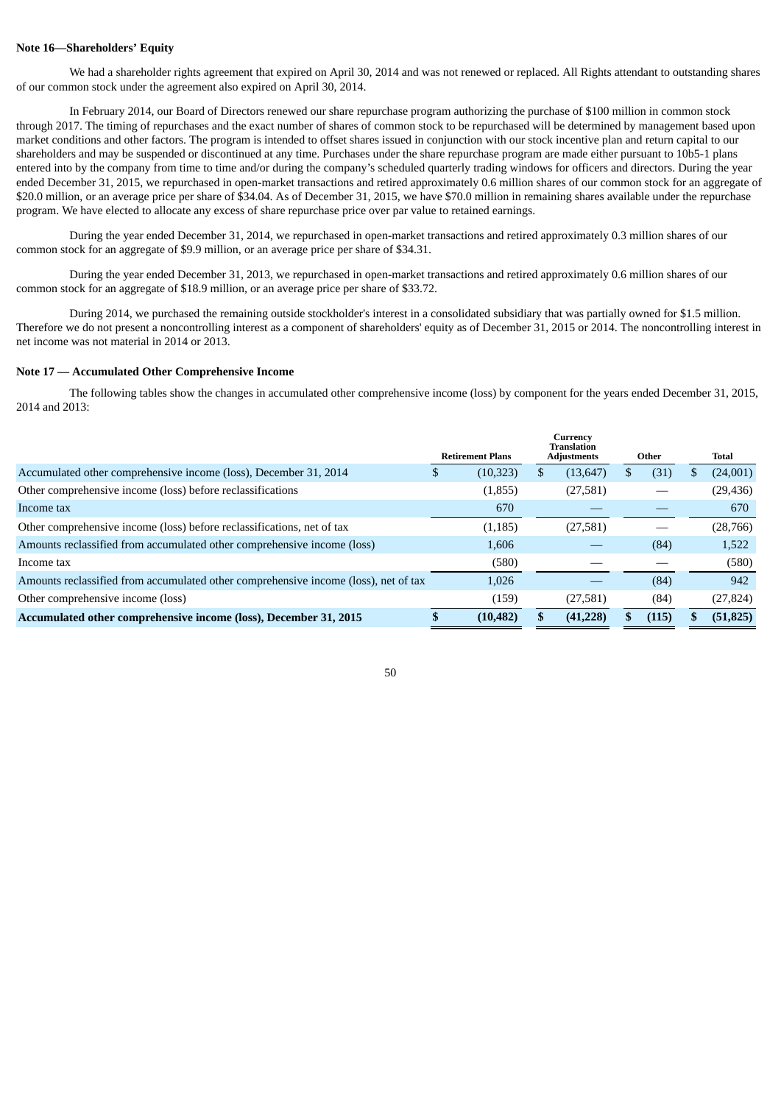## **Note 16—Shareholders' Equity**

We had a shareholder rights agreement that expired on April 30, 2014 and was not renewed or replaced. All Rights attendant to outstanding shares of our common stock under the agreement also expired on April 30, 2014.

In February 2014, our Board of Directors renewed our share repurchase program authorizing the purchase of \$100 million in common stock through 2017. The timing of repurchases and the exact number of shares of common stock to be repurchased will be determined by management based upon market conditions and other factors. The program is intended to offset shares issued in conjunction with our stock incentive plan and return capital to our shareholders and may be suspended or discontinued at any time. Purchases under the share repurchase program are made either pursuant to 10b5-1 plans entered into by the company from time to time and/or during the company's scheduled quarterly trading windows for officers and directors. During the year ended December 31, 2015, we repurchased in open-market transactions and retired approximately 0.6 million shares of our common stock for an aggregate of \$20.0 million, or an average price per share of \$34.04. As of December 31, 2015, we have \$70.0 million in remaining shares available under the repurchase program. We have elected to allocate any excess of share repurchase price over par value to retained earnings.

During the year ended December 31, 2014, we repurchased in open-market transactions and retired approximately 0.3 million shares of our common stock for an aggregate of \$9.9 million, or an average price per share of \$34.31.

During the year ended December 31, 2013, we repurchased in open-market transactions and retired approximately 0.6 million shares of our common stock for an aggregate of \$18.9 million, or an average price per share of \$33.72.

During 2014, we purchased the remaining outside stockholder's interest in a consolidated subsidiary that was partially owned for \$1.5 million. Therefore we do not present a noncontrolling interest as a component of shareholders' equity as of December 31, 2015 or 2014. The noncontrolling interest in net income was not material in 2014 or 2013.

### **Note 17 — Accumulated Other Comprehensive Income**

The following tables show the changes in accumulated other comprehensive income (loss) by component for the years ended December 31, 2015, 2014 and 2013:

|                                                                                     |                         | Currency<br>Translation |                    |   |       |           |
|-------------------------------------------------------------------------------------|-------------------------|-------------------------|--------------------|---|-------|-----------|
|                                                                                     | <b>Retirement Plans</b> |                         | <b>Adjustments</b> |   | Other | Total     |
| Accumulated other comprehensive income (loss), December 31, 2014                    | (10, 323)               |                         | (13, 647)          | D | (31)  | (24,001)  |
| Other comprehensive income (loss) before reclassifications                          | (1,855)                 |                         | (27,581)           |   |       | (29, 436) |
| Income tax                                                                          | 670                     |                         |                    |   |       | 670       |
| Other comprehensive income (loss) before reclassifications, net of tax              | (1, 185)                |                         | (27, 581)          |   |       | (28, 766) |
| Amounts reclassified from accumulated other comprehensive income (loss)             | 1,606                   |                         |                    |   | (84)  | 1,522     |
| Income tax                                                                          | (580)                   |                         |                    |   |       | (580)     |
| Amounts reclassified from accumulated other comprehensive income (loss), net of tax | 1,026                   |                         |                    |   | (84)  | 942       |
| Other comprehensive income (loss)                                                   | (159)                   |                         | (27, 581)          |   | (84)  | (27, 824) |
| Accumulated other comprehensive income (loss), December 31, 2015                    | (10, 482)               |                         | (41,228)           |   | (115) | (51, 825) |
|                                                                                     |                         |                         |                    |   |       |           |

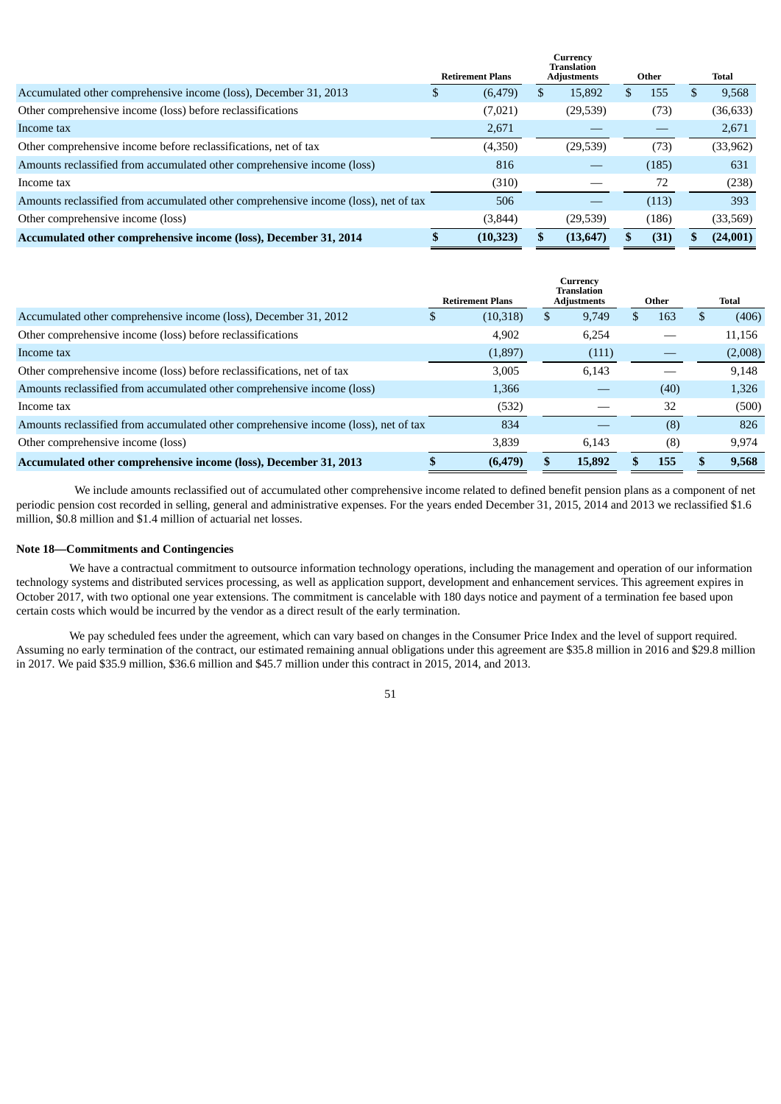|                                                                                     | Currency<br><b>Translation</b> |                         |  |                    |  |       |   |           |
|-------------------------------------------------------------------------------------|--------------------------------|-------------------------|--|--------------------|--|-------|---|-----------|
|                                                                                     |                                | <b>Retirement Plans</b> |  | <b>Adjustments</b> |  | Other |   | Total     |
| Accumulated other comprehensive income (loss), December 31, 2013                    |                                | (6, 479)                |  | 15,892             |  | 155   | S | 9,568     |
| Other comprehensive income (loss) before reclassifications                          |                                | (7,021)                 |  | (29, 539)          |  | (73)  |   | (36, 633) |
| Income tax                                                                          |                                | 2,671                   |  |                    |  |       |   | 2,671     |
| Other comprehensive income before reclassifications, net of tax                     |                                | (4,350)                 |  | (29, 539)          |  | (73)  |   | (33,962)  |
| Amounts reclassified from accumulated other comprehensive income (loss)             |                                | 816                     |  |                    |  | (185) |   | 631       |
| Income tax                                                                          |                                | (310)                   |  |                    |  | 72    |   | (238)     |
| Amounts reclassified from accumulated other comprehensive income (loss), net of tax |                                | 506                     |  |                    |  | (113) |   | 393       |
| Other comprehensive income (loss)                                                   |                                | (3,844)                 |  | (29, 539)          |  | (186) |   | (33, 569) |
| Accumulated other comprehensive income (loss), December 31, 2014                    |                                | (10, 323)               |  | (13, 647)          |  | (31)  |   | (24,001)  |

|                                                                                     | <b>Currency</b><br>Translation<br><b>Adjustments</b><br><b>Retirement Plans</b> |          |    |        |    | Other |    | Total   |
|-------------------------------------------------------------------------------------|---------------------------------------------------------------------------------|----------|----|--------|----|-------|----|---------|
| Accumulated other comprehensive income (loss), December 31, 2012                    |                                                                                 | (10,318) | аĐ | 9,749  | S. | 163   | -S | (406)   |
| Other comprehensive income (loss) before reclassifications                          |                                                                                 | 4.902    |    | 6.254  |    |       |    | 11,156  |
| Income tax                                                                          |                                                                                 | (1,897)  |    | (111)  |    |       |    | (2,008) |
| Other comprehensive income (loss) before reclassifications, net of tax              |                                                                                 | 3,005    |    | 6.143  |    |       |    | 9,148   |
| Amounts reclassified from accumulated other comprehensive income (loss)             |                                                                                 | 1,366    |    |        |    | (40)  |    | 1,326   |
| Income tax                                                                          |                                                                                 | (532)    |    |        |    | 32    |    | (500)   |
| Amounts reclassified from accumulated other comprehensive income (loss), net of tax |                                                                                 | 834      |    |        |    | (8)   |    | 826     |
| Other comprehensive income (loss)                                                   |                                                                                 | 3,839    |    | 6,143  |    | (8)   |    | 9,974   |
| Accumulated other comprehensive income (loss), December 31, 2013                    |                                                                                 | (6, 479) |    | 15,892 |    | 155   |    | 9,568   |

We include amounts reclassified out of accumulated other comprehensive income related to defined benefit pension plans as a component of net periodic pension cost recorded in selling, general and administrative expenses. For the years ended December 31, 2015, 2014 and 2013 we reclassified \$1.6 million, \$0.8 million and \$1.4 million of actuarial net losses.

## **Note 18—Commitments and Contingencies**

We have a contractual commitment to outsource information technology operations, including the management and operation of our information technology systems and distributed services processing, as well as application support, development and enhancement services. This agreement expires in October 2017, with two optional one year extensions. The commitment is cancelable with 180 days notice and payment of a termination fee based upon certain costs which would be incurred by the vendor as a direct result of the early termination.

We pay scheduled fees under the agreement, which can vary based on changes in the Consumer Price Index and the level of support required. Assuming no early termination of the contract, our estimated remaining annual obligations under this agreement are \$35.8 million in 2016 and \$29.8 million in 2017. We paid \$35.9 million, \$36.6 million and \$45.7 million under this contract in 2015, 2014, and 2013.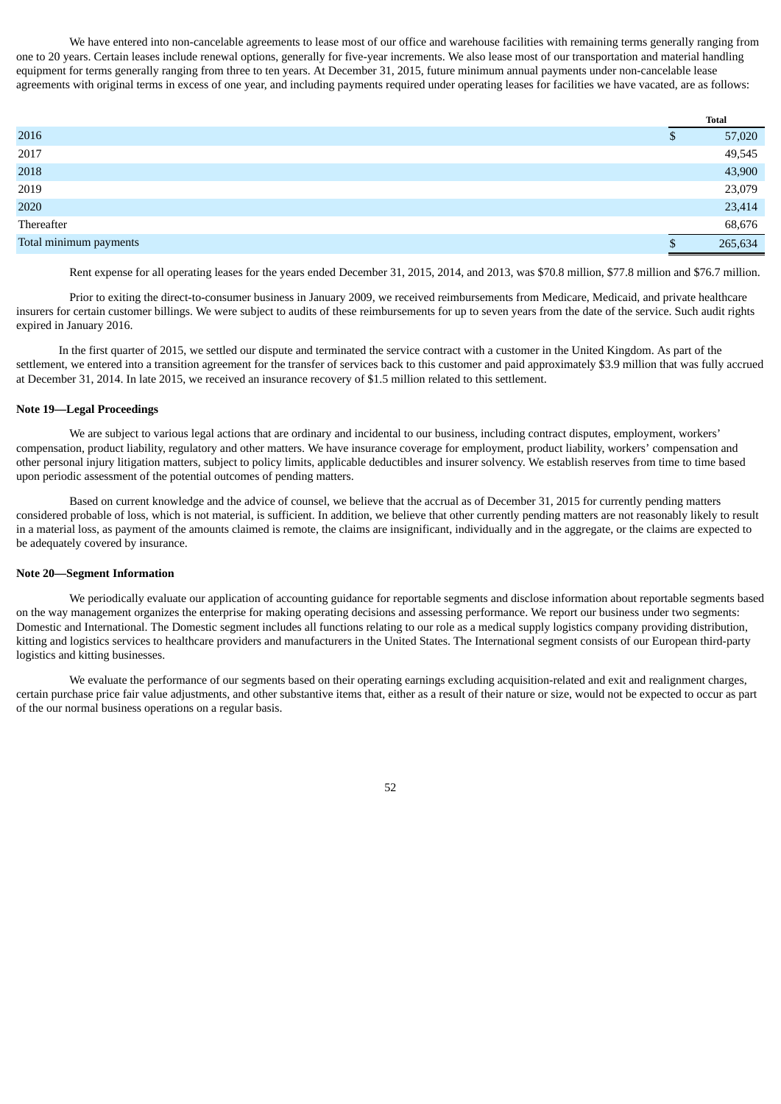We have entered into non-cancelable agreements to lease most of our office and warehouse facilities with remaining terms generally ranging from one to 20 years. Certain leases include renewal options, generally for five-year increments. We also lease most of our transportation and material handling equipment for terms generally ranging from three to ten years. At December 31, 2015, future minimum annual payments under non-cancelable lease agreements with original terms in excess of one year, and including payments required under operating leases for facilities we have vacated, are as follows:

|                        |   | <b>Total</b> |
|------------------------|---|--------------|
| 2016                   | Φ | 57,020       |
| 2017                   |   | 49,545       |
| 2018                   |   | 43,900       |
| 2019                   |   | 23,079       |
| 2020                   |   | 23,414       |
| Thereafter             |   | 68,676       |
| Total minimum payments |   | 265,634      |

Rent expense for all operating leases for the years ended December 31, 2015, 2014, and 2013, was \$70.8 million, \$77.8 million and \$76.7 million.

Prior to exiting the direct-to-consumer business in January 2009, we received reimbursements from Medicare, Medicaid, and private healthcare insurers for certain customer billings. We were subject to audits of these reimbursements for up to seven years from the date of the service. Such audit rights expired in January 2016.

In the first quarter of 2015, we settled our dispute and terminated the service contract with a customer in the United Kingdom. As part of the settlement, we entered into a transition agreement for the transfer of services back to this customer and paid approximately \$3.9 million that was fully accrued at December 31, 2014. In late 2015, we received an insurance recovery of \$1.5 million related to this settlement.

### **Note 19—Legal Proceedings**

We are subject to various legal actions that are ordinary and incidental to our business, including contract disputes, employment, workers' compensation, product liability, regulatory and other matters. We have insurance coverage for employment, product liability, workers' compensation and other personal injury litigation matters, subject to policy limits, applicable deductibles and insurer solvency. We establish reserves from time to time based upon periodic assessment of the potential outcomes of pending matters.

Based on current knowledge and the advice of counsel, we believe that the accrual as of December 31, 2015 for currently pending matters considered probable of loss, which is not material, is sufficient. In addition, we believe that other currently pending matters are not reasonably likely to result in a material loss, as payment of the amounts claimed is remote, the claims are insignificant, individually and in the aggregate, or the claims are expected to be adequately covered by insurance.

#### **Note 20—Segment Information**

We periodically evaluate our application of accounting guidance for reportable segments and disclose information about reportable segments based on the way management organizes the enterprise for making operating decisions and assessing performance. We report our business under two segments: Domestic and International. The Domestic segment includes all functions relating to our role as a medical supply logistics company providing distribution, kitting and logistics services to healthcare providers and manufacturers in the United States. The International segment consists of our European third-party logistics and kitting businesses.

We evaluate the performance of our segments based on their operating earnings excluding acquisition-related and exit and realignment charges, certain purchase price fair value adjustments, and other substantive items that, either as a result of their nature or size, would not be expected to occur as part of the our normal business operations on a regular basis.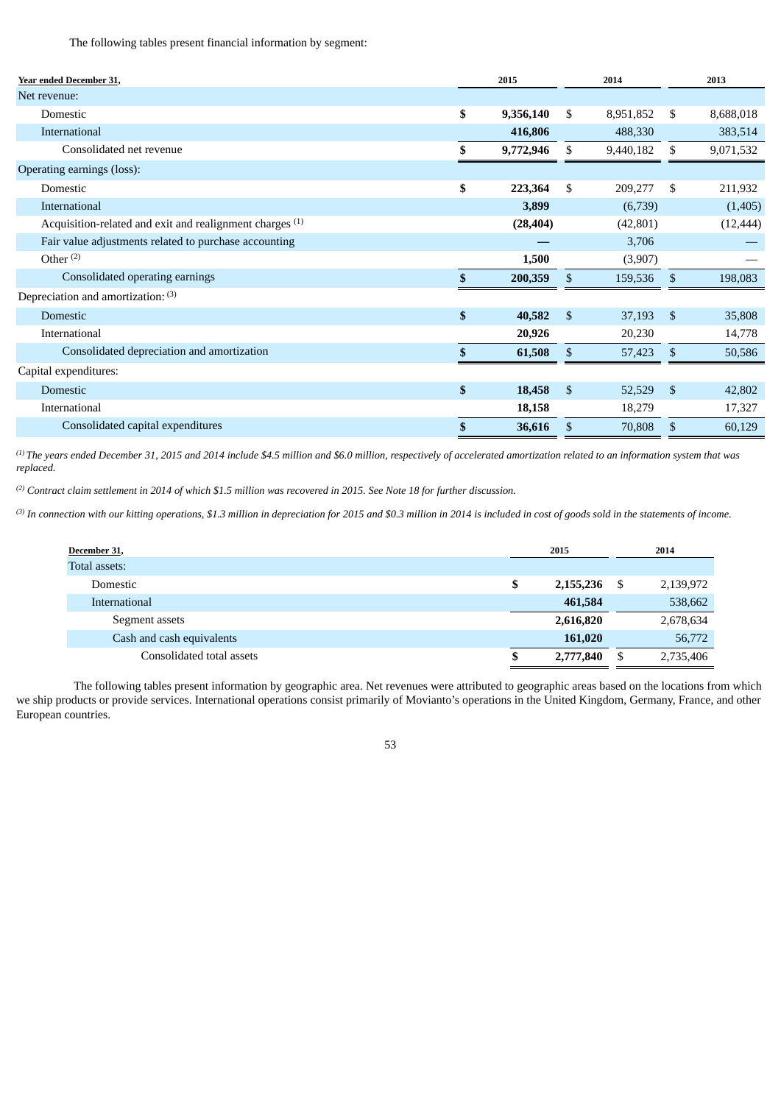The following tables present financial information by segment:

| Year ended December 31,                                             |              | 2015      |               | 2014      |                | 2013      |
|---------------------------------------------------------------------|--------------|-----------|---------------|-----------|----------------|-----------|
| Net revenue:                                                        |              |           |               |           |                |           |
| Domestic                                                            | \$           | 9,356,140 | \$            | 8,951,852 | \$             | 8,688,018 |
| International                                                       |              | 416,806   |               | 488,330   |                | 383,514   |
| Consolidated net revenue                                            | \$           | 9,772,946 | \$            | 9,440,182 | \$             | 9,071,532 |
| Operating earnings (loss):                                          |              |           |               |           |                |           |
| Domestic                                                            | \$           | 223,364   | \$            | 209,277   | \$.            | 211,932   |
| International                                                       |              | 3,899     |               | (6,739)   |                | (1,405)   |
| Acquisition-related and exit and realignment charges <sup>(1)</sup> |              | (28, 404) |               | (42, 801) |                | (12, 444) |
| Fair value adjustments related to purchase accounting               |              |           |               | 3,706     |                |           |
| Other $(2)$                                                         |              | 1,500     |               | (3,907)   |                |           |
| Consolidated operating earnings                                     |              | 200,359   | \$            | 159,536   | <sup>\$</sup>  | 198,083   |
| Depreciation and amortization: (3)                                  |              |           |               |           |                |           |
| <b>Domestic</b>                                                     | $\mathbf{s}$ | 40,582    | $\mathcal{S}$ | 37,193    | $\mathbf{\$}$  | 35,808    |
| International                                                       |              | 20,926    |               | 20,230    |                | 14,778    |
| Consolidated depreciation and amortization                          | $\mathbf{s}$ | 61,508    | \$            | 57,423    | $\mathfrak{S}$ | 50,586    |
| Capital expenditures:                                               |              |           |               |           |                |           |
| Domestic                                                            | $\mathbf{s}$ | 18,458    | \$            | 52,529    | <sup>\$</sup>  | 42,802    |
| International                                                       |              | 18,158    |               | 18,279    |                | 17,327    |
| Consolidated capital expenditures                                   | \$           | 36,616    | \$            | 70,808    | \$             | 60,129    |

*(1) The years ended December 31, 2015 and 2014 include \$4.5 million and \$6.0 million, respectively of accelerated amortization related to an information system that was replaced.*

*(2) Contract claim settlement in 2014 of which \$1.5 million was recovered in 2015. See Note 18 for further discussion.*

*(3) In connection with our kitting operations, \$1.3 million in depreciation for 2015 and \$0.3 million in 2014 is included in cost of goods sold in the statements of income.*

| December 31,              | 2015            |    | 2014      |
|---------------------------|-----------------|----|-----------|
| Total assets:             |                 |    |           |
| Domestic                  | \$<br>2,155,236 | -S | 2,139,972 |
| <b>International</b>      | 461,584         |    | 538,662   |
| Segment assets            | 2,616,820       |    | 2,678,634 |
| Cash and cash equivalents | 161,020         |    | 56,772    |
| Consolidated total assets | \$<br>2,777,840 | \$ | 2,735,406 |

The following tables present information by geographic area. Net revenues were attributed to geographic areas based on the locations from which we ship products or provide services. International operations consist primarily of Movianto's operations in the United Kingdom, Germany, France, and other European countries.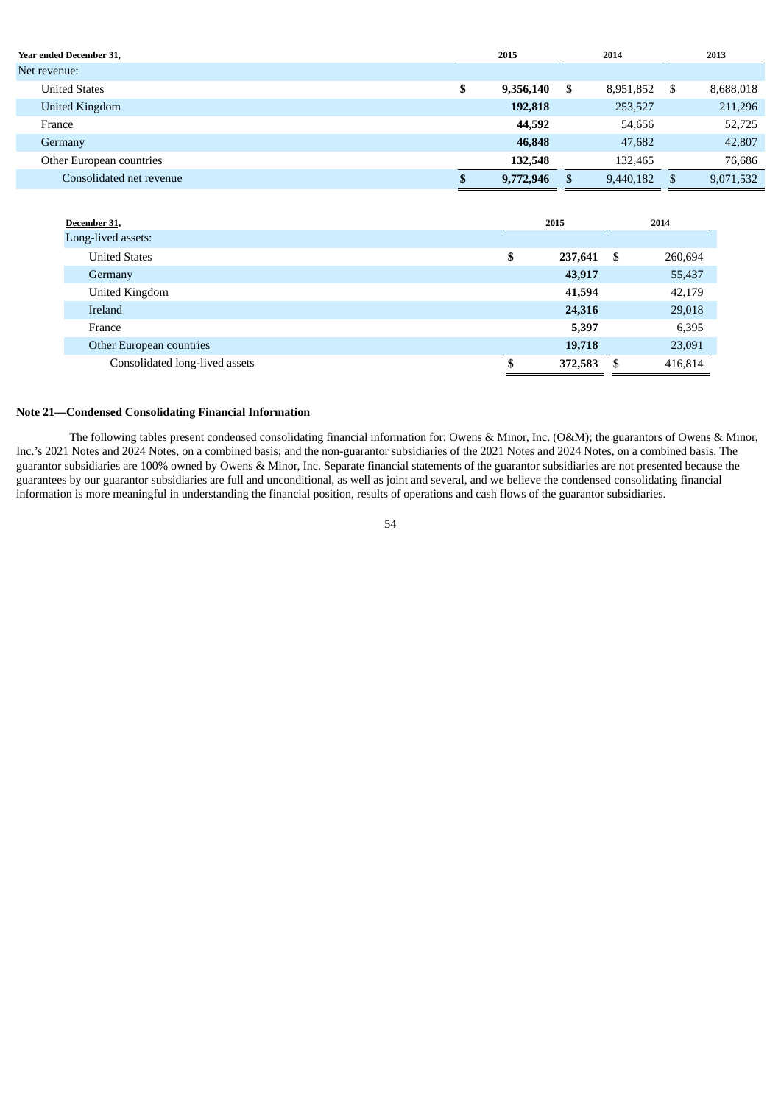| Year ended December 31,  | 2015 |           |    | 2014      |    | 2013      |
|--------------------------|------|-----------|----|-----------|----|-----------|
| Net revenue:             |      |           |    |           |    |           |
| <b>United States</b>     | \$   | 9,356,140 | \$ | 8,951,852 | -S | 8,688,018 |
| <b>United Kingdom</b>    |      | 192,818   |    | 253,527   |    | 211,296   |
| France                   |      | 44,592    |    | 54,656    |    | 52,725    |
| Germany                  |      | 46,848    |    | 47,682    |    | 42,807    |
| Other European countries |      | 132,548   |    | 132,465   |    | 76,686    |
| Consolidated net revenue |      | 9,772,946 |    | 9,440,182 |    | 9,071,532 |

| December 31,                   |     | 2015    |      | 2014    |
|--------------------------------|-----|---------|------|---------|
| Long-lived assets:             |     |         |      |         |
| <b>United States</b>           | \$  | 237,641 | - \$ | 260,694 |
| Germany                        |     | 43,917  |      | 55,437  |
| <b>United Kingdom</b>          |     | 41,594  |      | 42,179  |
| Ireland                        |     | 24,316  |      | 29,018  |
| France                         |     | 5,397   |      | 6,395   |
| Other European countries       |     | 19,718  |      | 23,091  |
| Consolidated long-lived assets | \$. | 372,583 | -S   | 416,814 |

The following tables present condensed consolidating financial information for: Owens & Minor, Inc. (O&M); the guarantors of Owens & Minor, Inc.'s 2021 Notes and 2024 Notes, on a combined basis; and the non-guarantor subsidiaries of the 2021 Notes and 2024 Notes, on a combined basis. The guarantor subsidiaries are 100% owned by Owens & Minor, Inc. Separate financial statements of the guarantor subsidiaries are not presented because the guarantees by our guarantor subsidiaries are full and unconditional, as well as joint and several, and we believe the condensed consolidating financial information is more meaningful in understanding the financial position, results of operations and cash flows of the guarantor subsidiaries.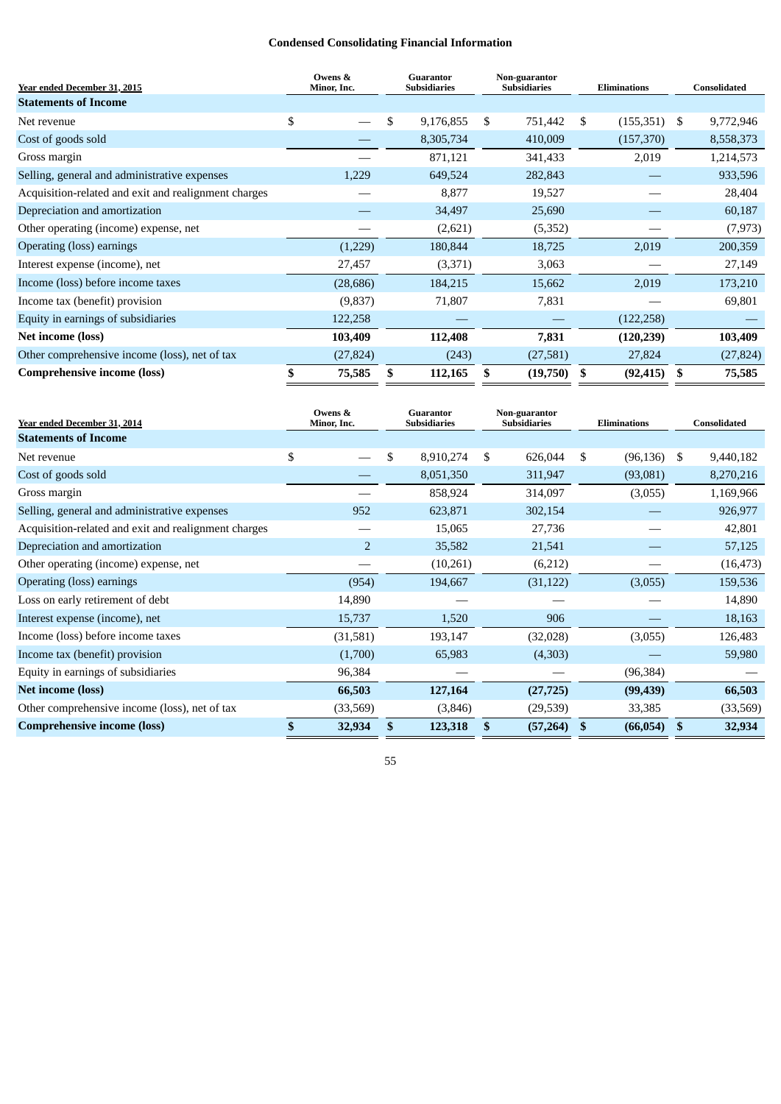| Year ended December 31, 2015                         | Owens &<br>Minor, Inc. | Guarantor<br><b>Subsidiaries</b> | Non-guarantor<br><b>Subsidiaries</b> | <b>Eliminations</b> |            |    | Consolidated |
|------------------------------------------------------|------------------------|----------------------------------|--------------------------------------|---------------------|------------|----|--------------|
| <b>Statements of Income</b>                          |                        |                                  |                                      |                     |            |    |              |
| Net revenue                                          | \$                     | \$<br>9,176,855                  | \$<br>751,442                        | \$.                 | (155, 351) | S  | 9,772,946    |
| Cost of goods sold                                   |                        | 8,305,734                        | 410,009                              |                     | (157, 370) |    | 8,558,373    |
| Gross margin                                         |                        | 871,121                          | 341,433                              |                     | 2,019      |    | 1,214,573    |
| Selling, general and administrative expenses         | 1,229                  | 649,524                          | 282,843                              |                     |            |    | 933,596      |
| Acquisition-related and exit and realignment charges |                        | 8,877                            | 19,527                               |                     |            |    | 28,404       |
| Depreciation and amortization                        |                        | 34,497                           | 25,690                               |                     |            |    | 60,187       |
| Other operating (income) expense, net                |                        | (2,621)                          | (5,352)                              |                     |            |    | (7, 973)     |
| Operating (loss) earnings                            | (1,229)                | 180,844                          | 18,725                               |                     | 2,019      |    | 200,359      |
| Interest expense (income), net                       | 27,457                 | (3,371)                          | 3,063                                |                     |            |    | 27,149       |
| Income (loss) before income taxes                    | (28, 686)              | 184,215                          | 15,662                               |                     | 2,019      |    | 173,210      |
| Income tax (benefit) provision                       | (9,837)                | 71,807                           | 7,831                                |                     |            |    | 69,801       |
| Equity in earnings of subsidiaries                   | 122,258                |                                  |                                      |                     | (122, 258) |    |              |
| <b>Net income (loss)</b>                             | 103,409                | 112,408                          | 7,831                                |                     | (120, 239) |    | 103,409      |
| Other comprehensive income (loss), net of tax        | (27, 824)              | (243)                            | (27, 581)                            |                     | 27,824     |    | (27, 824)    |
| <b>Comprehensive income (loss)</b>                   | \$<br>75,585           | 112,165                          | (19,750)                             |                     | (92, 415)  | S. | 75,585       |

| Year ended December 31, 2014                         | Owens &<br>Minor. Inc. | <b>Guarantor</b><br><b>Subsidiaries</b> | Non-guarantor<br><b>Subsidiaries</b> | <b>Eliminations</b> |           |    | Consolidated |
|------------------------------------------------------|------------------------|-----------------------------------------|--------------------------------------|---------------------|-----------|----|--------------|
| <b>Statements of Income</b>                          |                        |                                         |                                      |                     |           |    |              |
| Net revenue                                          | \$                     | \$<br>8,910,274                         | \$<br>626,044                        | \$                  | (96, 136) | S. | 9,440,182    |
| Cost of goods sold                                   |                        | 8,051,350                               | 311,947                              |                     | (93,081)  |    | 8,270,216    |
| Gross margin                                         |                        | 858,924                                 | 314,097                              |                     | (3,055)   |    | 1,169,966    |
| Selling, general and administrative expenses         | 952                    | 623,871                                 | 302,154                              |                     |           |    | 926,977      |
| Acquisition-related and exit and realignment charges |                        | 15,065                                  | 27,736                               |                     |           |    | 42,801       |
| Depreciation and amortization                        | $\overline{2}$         | 35,582                                  | 21,541                               |                     |           |    | 57,125       |
| Other operating (income) expense, net                |                        | (10,261)                                | (6,212)                              |                     |           |    | (16, 473)    |
| Operating (loss) earnings                            | (954)                  | 194,667                                 | (31, 122)                            |                     | (3,055)   |    | 159,536      |
| Loss on early retirement of debt                     | 14,890                 |                                         |                                      |                     |           |    | 14,890       |
| Interest expense (income), net                       | 15,737                 | 1,520                                   | 906                                  |                     |           |    | 18,163       |
| Income (loss) before income taxes                    | (31,581)               | 193,147                                 | (32,028)                             |                     | (3,055)   |    | 126,483      |
| Income tax (benefit) provision                       | (1,700)                | 65,983                                  | (4,303)                              |                     |           |    | 59,980       |
| Equity in earnings of subsidiaries                   | 96,384                 |                                         |                                      |                     | (96, 384) |    |              |
| Net income (loss)                                    | 66,503                 | 127,164                                 | (27, 725)                            |                     | (99, 439) |    | 66,503       |
| Other comprehensive income (loss), net of tax        | (33, 569)              | (3,846)                                 | (29, 539)                            |                     | 33,385    |    | (33, 569)    |
| <b>Comprehensive income (loss)</b>                   | \$<br>32,934           | \$<br>123,318                           | \$<br>(57, 264)                      | - 5                 | (66, 054) | -S | 32,934       |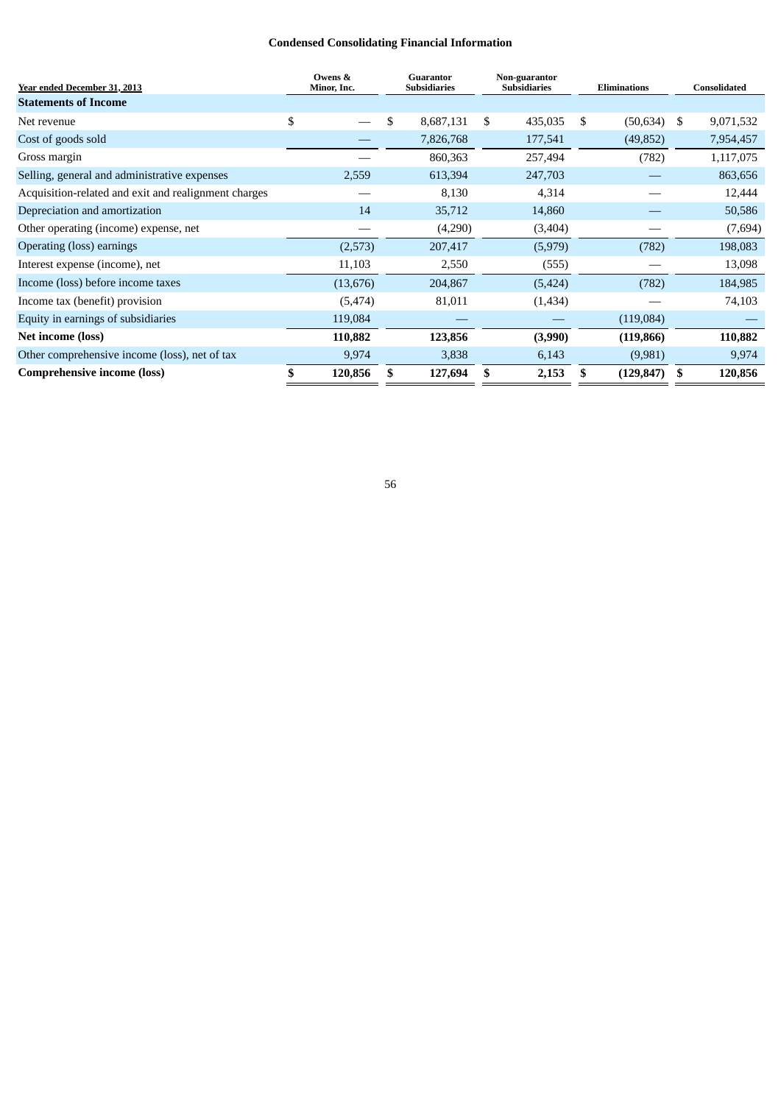| Year ended December 31, 2013                         | Owens &<br>Minor, Inc. | <b>Guarantor</b><br><b>Subsidiaries</b> |           | Non-guarantor<br><b>Subsidiaries</b> |          | <b>Eliminations</b> |            |    | Consolidated |
|------------------------------------------------------|------------------------|-----------------------------------------|-----------|--------------------------------------|----------|---------------------|------------|----|--------------|
| <b>Statements of Income</b>                          |                        |                                         |           |                                      |          |                     |            |    |              |
| Net revenue                                          | \$                     | \$                                      | 8,687,131 | \$                                   | 435,035  | \$                  | (50, 634)  | \$ | 9,071,532    |
| Cost of goods sold                                   |                        |                                         | 7,826,768 |                                      | 177,541  |                     | (49, 852)  |    | 7,954,457    |
| Gross margin                                         |                        |                                         | 860,363   |                                      | 257,494  |                     | (782)      |    | 1,117,075    |
| Selling, general and administrative expenses         | 2,559                  |                                         | 613,394   |                                      | 247,703  |                     |            |    | 863,656      |
| Acquisition-related and exit and realignment charges |                        |                                         | 8,130     |                                      | 4,314    |                     |            |    | 12,444       |
| Depreciation and amortization                        | 14                     |                                         | 35,712    |                                      | 14,860   |                     |            |    | 50,586       |
| Other operating (income) expense, net                |                        |                                         | (4,290)   |                                      | (3,404)  |                     |            |    | (7,694)      |
| Operating (loss) earnings                            | (2,573)                |                                         | 207,417   |                                      | (5,979)  |                     | (782)      |    | 198,083      |
| Interest expense (income), net                       | 11,103                 |                                         | 2,550     |                                      | (555)    |                     |            |    | 13,098       |
| Income (loss) before income taxes                    | (13, 676)              |                                         | 204,867   |                                      | (5, 424) |                     | (782)      |    | 184,985      |
| Income tax (benefit) provision                       | (5, 474)               |                                         | 81,011    |                                      | (1,434)  |                     |            |    | 74,103       |
| Equity in earnings of subsidiaries                   | 119,084                |                                         |           |                                      |          |                     | (119,084)  |    |              |
| Net income (loss)                                    | 110,882                |                                         | 123,856   |                                      | (3,990)  |                     | (119, 866) |    | 110,882      |
| Other comprehensive income (loss), net of tax        | 9,974                  |                                         | 3,838     |                                      | 6,143    |                     | (9,981)    |    | 9,974        |
| <b>Comprehensive income (loss)</b>                   | \$<br>120,856          | \$                                      | 127,694   |                                      | 2,153    | S                   | (129, 847) | S. | 120,856      |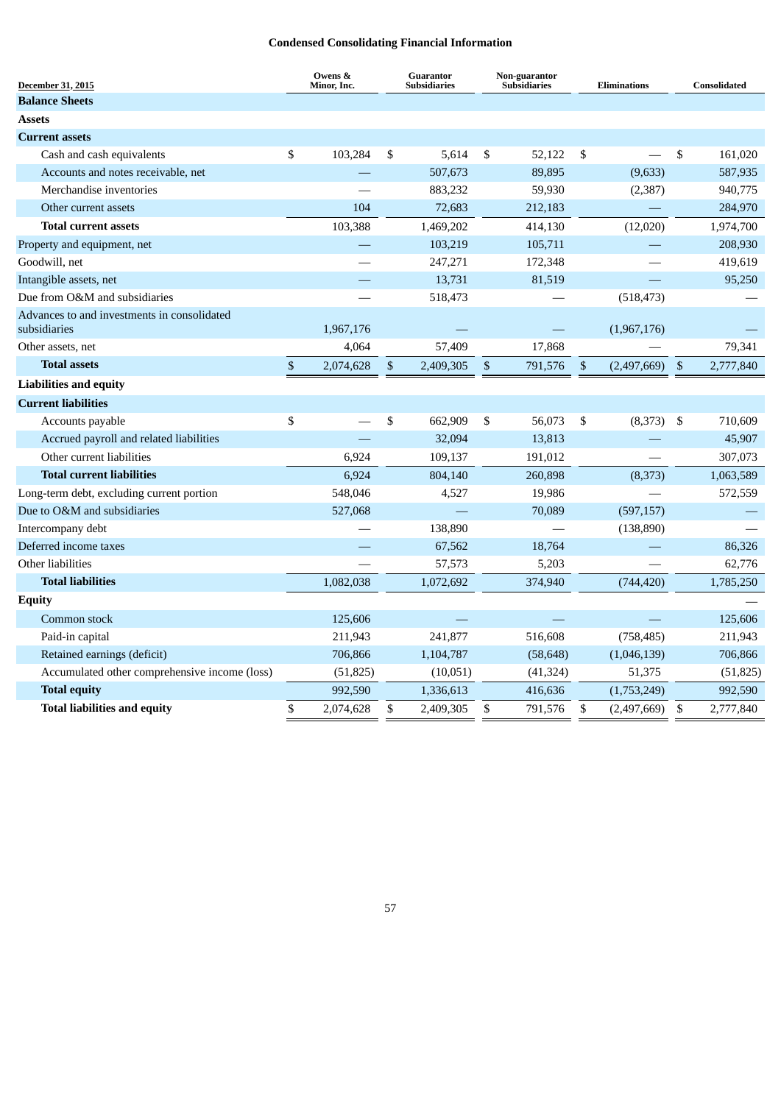| December 31, 2015                                           | Owens &<br>Minor, Inc. |      | Guarantor<br>Subsidiaries | Non-guarantor<br><b>Subsidiaries</b> |                | <b>Eliminations</b> |              | Consolidated |
|-------------------------------------------------------------|------------------------|------|---------------------------|--------------------------------------|----------------|---------------------|--------------|--------------|
| <b>Balance Sheets</b>                                       |                        |      |                           |                                      |                |                     |              |              |
| Assets                                                      |                        |      |                           |                                      |                |                     |              |              |
| <b>Current assets</b>                                       |                        |      |                           |                                      |                |                     |              |              |
| Cash and cash equivalents                                   | \$<br>103,284          | \$   | 5,614                     | \$<br>52,122                         | \$             |                     | \$           | 161,020      |
| Accounts and notes receivable, net                          |                        |      | 507,673                   | 89,895                               |                | (9,633)             |              | 587,935      |
| Merchandise inventories                                     |                        |      | 883,232                   | 59,930                               |                | (2, 387)            |              | 940,775      |
| Other current assets                                        | 104                    |      | 72,683                    | 212,183                              |                |                     |              | 284,970      |
| <b>Total current assets</b>                                 | 103,388                |      | 1,469,202                 | 414,130                              |                | (12,020)            |              | 1,974,700    |
| Property and equipment, net                                 |                        |      | 103,219                   | 105,711                              |                |                     |              | 208,930      |
| Goodwill, net                                               |                        |      | 247,271                   | 172,348                              |                |                     |              | 419,619      |
| Intangible assets, net                                      |                        |      | 13,731                    | 81,519                               |                |                     |              | 95,250       |
| Due from O&M and subsidiaries                               |                        |      | 518,473                   |                                      |                | (518, 473)          |              |              |
| Advances to and investments in consolidated<br>subsidiaries | 1,967,176              |      |                           |                                      |                | (1,967,176)         |              |              |
| Other assets, net                                           | 4,064                  |      | 57,409                    | 17,868                               |                |                     |              | 79,341       |
| <b>Total assets</b>                                         | \$<br>2,074,628        | $\$$ | 2,409,305                 | \$<br>791,576                        | $\mathfrak{S}$ | (2,497,669)         | $\mathbb{S}$ | 2,777,840    |
| <b>Liabilities and equity</b>                               |                        |      |                           |                                      |                |                     |              |              |
| <b>Current liabilities</b>                                  |                        |      |                           |                                      |                |                     |              |              |
| Accounts payable                                            | \$                     | \$   | 662,909                   | \$<br>56,073                         | \$             | (8,373)             | \$           | 710,609      |
| Accrued payroll and related liabilities                     |                        |      | 32,094                    | 13,813                               |                |                     |              | 45,907       |
| Other current liabilities                                   | 6,924                  |      | 109,137                   | 191,012                              |                |                     |              | 307,073      |
| <b>Total current liabilities</b>                            | 6,924                  |      | 804,140                   | 260,898                              |                | (8,373)             |              | 1,063,589    |
| Long-term debt, excluding current portion                   | 548,046                |      | 4,527                     | 19,986                               |                |                     |              | 572,559      |
| Due to O&M and subsidiaries                                 | 527,068                |      |                           | 70,089                               |                | (597, 157)          |              |              |
| Intercompany debt                                           |                        |      | 138,890                   |                                      |                | (138, 890)          |              |              |
| Deferred income taxes                                       |                        |      | 67,562                    | 18,764                               |                |                     |              | 86,326       |
| Other liabilities                                           |                        |      | 57,573                    | 5,203                                |                |                     |              | 62,776       |
| <b>Total liabilities</b>                                    | 1,082,038              |      | 1,072,692                 | 374,940                              |                | (744, 420)          |              | 1,785,250    |
| <b>Equity</b>                                               |                        |      |                           |                                      |                |                     |              |              |
| Common stock                                                | 125,606                |      |                           |                                      |                |                     |              | 125,606      |
| Paid-in capital                                             | 211,943                |      | 241,877                   | 516,608                              |                | (758, 485)          |              | 211,943      |
| Retained earnings (deficit)                                 | 706,866                |      | 1,104,787                 | (58, 648)                            |                | (1,046,139)         |              | 706,866      |
| Accumulated other comprehensive income (loss)               | (51, 825)              |      | (10, 051)                 | (41, 324)                            |                | 51,375              |              | (51, 825)    |
| <b>Total equity</b>                                         | 992,590                |      | 1,336,613                 | 416,636                              |                | (1,753,249)         |              | 992,590      |
| <b>Total liabilities and equity</b>                         | \$<br>2,074,628        | \$   | 2,409,305                 | \$<br>791,576                        | \$             | (2,497,669)         | \$           | 2,777,840    |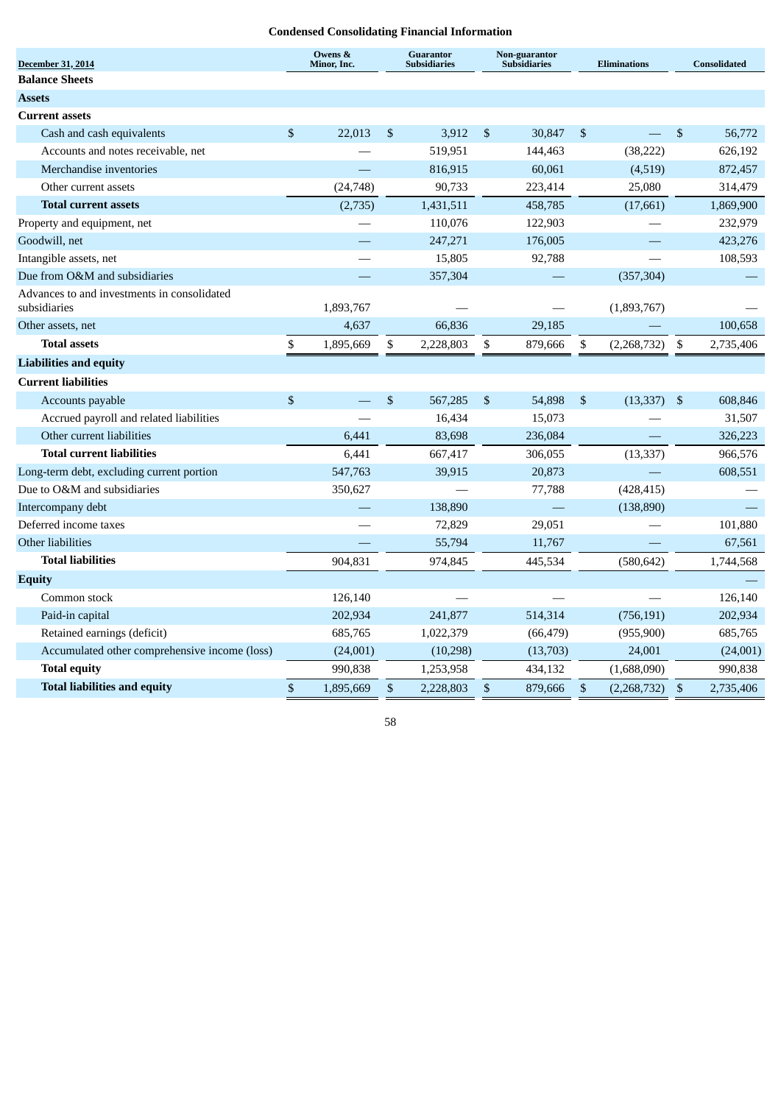| December 31, 2014                                           |      | Owens &<br>Minor. Inc. | <b>Guarantor</b><br><b>Subsidiaries</b> |           | Non-guarantor<br><b>Subsidiaries</b> |           | <b>Eliminations</b>       |             | <b>Consolidated</b> |
|-------------------------------------------------------------|------|------------------------|-----------------------------------------|-----------|--------------------------------------|-----------|---------------------------|-------------|---------------------|
| <b>Balance Sheets</b>                                       |      |                        |                                         |           |                                      |           |                           |             |                     |
| <b>Assets</b>                                               |      |                        |                                         |           |                                      |           |                           |             |                     |
| <b>Current assets</b>                                       |      |                        |                                         |           |                                      |           |                           |             |                     |
| Cash and cash equivalents                                   | \$   | 22,013                 | \$                                      | 3,912     | \$                                   | 30,847    | \$                        |             | \$<br>56,772        |
| Accounts and notes receivable, net                          |      |                        |                                         | 519,951   |                                      | 144,463   |                           | (38, 222)   | 626,192             |
| Merchandise inventories                                     |      |                        |                                         | 816,915   |                                      | 60,061    |                           | (4,519)     | 872,457             |
| Other current assets                                        |      | (24, 748)              |                                         | 90,733    |                                      | 223,414   |                           | 25,080      | 314,479             |
| Total current assets                                        |      | (2,735)                |                                         | 1,431,511 |                                      | 458,785   |                           | (17,661)    | 1,869,900           |
| Property and equipment, net                                 |      |                        |                                         | 110,076   |                                      | 122,903   |                           |             | 232,979             |
| Goodwill, net                                               |      |                        |                                         | 247,271   |                                      | 176,005   |                           |             | 423,276             |
| Intangible assets, net                                      |      |                        |                                         | 15,805    |                                      | 92,788    |                           |             | 108,593             |
| Due from O&M and subsidiaries                               |      |                        |                                         | 357,304   |                                      |           |                           | (357, 304)  |                     |
| Advances to and investments in consolidated<br>subsidiaries |      | 1,893,767              |                                         |           |                                      |           |                           | (1,893,767) |                     |
| Other assets, net                                           |      | 4,637                  |                                         | 66,836    |                                      | 29,185    |                           |             | 100,658             |
| <b>Total assets</b>                                         | \$   | 1,895,669              | \$                                      | 2,228,803 | \$                                   | 879,666   | \$                        | (2,268,732) | \$<br>2,735,406     |
| <b>Liabilities and equity</b>                               |      |                        |                                         |           |                                      |           |                           |             |                     |
| <b>Current liabilities</b>                                  |      |                        |                                         |           |                                      |           |                           |             |                     |
| Accounts payable                                            | $\$$ |                        | $\mathbb{S}$                            | 567,285   | \$                                   | 54,898    | \$                        | (13, 337)   | \$<br>608,846       |
| Accrued payroll and related liabilities                     |      |                        |                                         | 16,434    |                                      | 15,073    |                           |             | 31,507              |
| Other current liabilities                                   |      | 6,441                  |                                         | 83,698    |                                      | 236,084   |                           |             | 326,223             |
| <b>Total current liabilities</b>                            |      | 6,441                  |                                         | 667,417   |                                      | 306,055   |                           | (13, 337)   | 966,576             |
| Long-term debt, excluding current portion                   |      | 547,763                |                                         | 39,915    |                                      | 20,873    |                           |             | 608,551             |
| Due to O&M and subsidiaries                                 |      | 350,627                |                                         |           |                                      | 77,788    |                           | (428, 415)  |                     |
| Intercompany debt                                           |      |                        |                                         | 138,890   |                                      |           |                           | (138, 890)  |                     |
| Deferred income taxes                                       |      |                        |                                         | 72,829    |                                      | 29,051    |                           |             | 101,880             |
| Other liabilities                                           |      |                        |                                         | 55,794    |                                      | 11,767    |                           |             | 67,561              |
| <b>Total liabilities</b>                                    |      | 904,831                |                                         | 974,845   |                                      | 445,534   |                           | (580, 642)  | 1,744,568           |
| <b>Equity</b>                                               |      |                        |                                         |           |                                      |           |                           |             |                     |
| Common stock                                                |      | 126,140                |                                         |           |                                      |           |                           |             | 126,140             |
| Paid-in capital                                             |      | 202,934                |                                         | 241,877   |                                      | 514,314   |                           | (756, 191)  | 202,934             |
| Retained earnings (deficit)                                 |      | 685,765                |                                         | 1,022,379 |                                      | (66, 479) |                           | (955, 900)  | 685,765             |
| Accumulated other comprehensive income (loss)               |      | (24,001)               |                                         | (10,298)  |                                      | (13,703)  |                           | 24,001      | (24,001)            |
| <b>Total equity</b>                                         |      | 990,838                |                                         | 1,253,958 |                                      | 434,132   |                           | (1,688,090) | 990,838             |
| <b>Total liabilities and equity</b>                         | \$   | 1,895,669              | \$                                      | 2,228,803 | \$                                   | 879,666   | $\boldsymbol{\mathsf{S}}$ | (2,268,732) | \$<br>2,735,406     |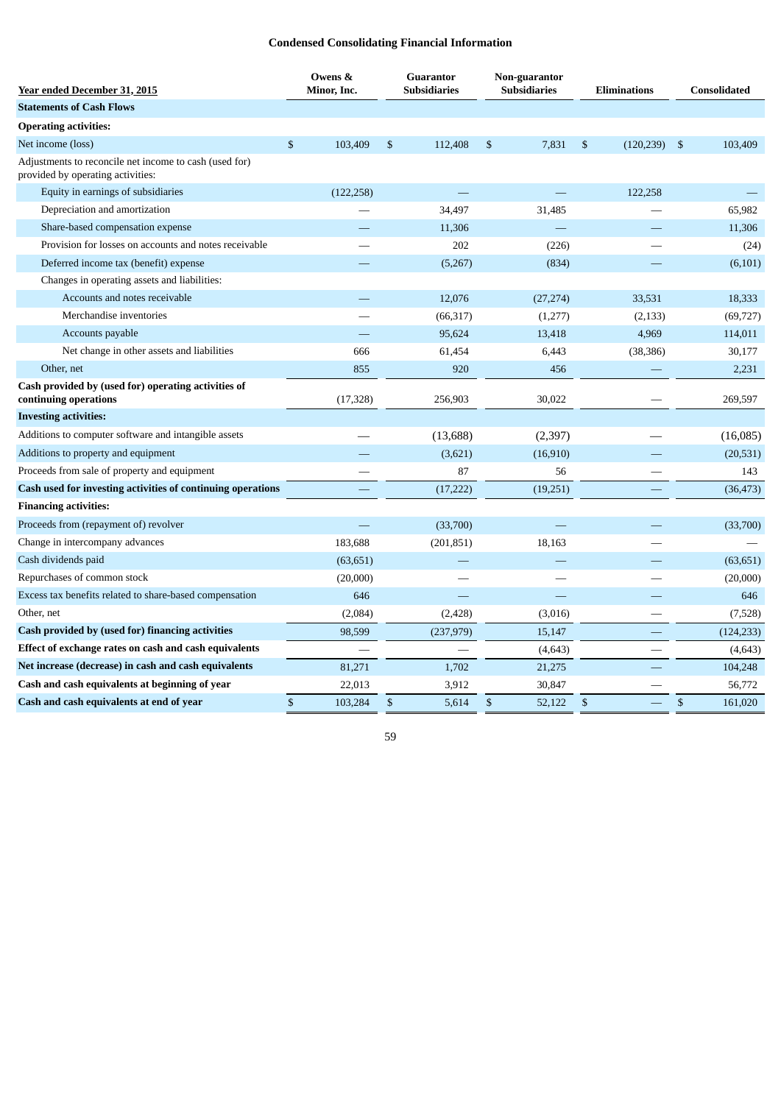| Year ended December 31, 2015                                                                | Owens &<br>Guarantor<br><b>Subsidiaries</b><br>Minor, Inc. |            |               | Non-guarantor<br><b>Subsidiaries</b> | <b>Eliminations</b> |                   |               | Consolidated |                    |            |
|---------------------------------------------------------------------------------------------|------------------------------------------------------------|------------|---------------|--------------------------------------|---------------------|-------------------|---------------|--------------|--------------------|------------|
| <b>Statements of Cash Flows</b>                                                             |                                                            |            |               |                                      |                     |                   |               |              |                    |            |
| <b>Operating activities:</b>                                                                |                                                            |            |               |                                      |                     |                   |               |              |                    |            |
| Net income (loss)                                                                           | \$                                                         | 103,409    | \$            | 112,408                              | \$                  | 7,831             | \$            | (120, 239)   | \$                 | 103,409    |
| Adjustments to reconcile net income to cash (used for)<br>provided by operating activities: |                                                            |            |               |                                      |                     |                   |               |              |                    |            |
| Equity in earnings of subsidiaries                                                          |                                                            | (122, 258) |               |                                      |                     |                   |               | 122,258      |                    |            |
| Depreciation and amortization                                                               |                                                            |            |               | 34,497                               |                     | 31,485            |               |              |                    | 65,982     |
| Share-based compensation expense                                                            |                                                            |            |               | 11,306                               |                     |                   |               |              |                    | 11,306     |
| Provision for losses on accounts and notes receivable                                       |                                                            |            |               | 202                                  |                     | (226)             |               |              |                    | (24)       |
| Deferred income tax (benefit) expense                                                       |                                                            |            |               | (5,267)                              |                     | (834)             |               |              |                    | (6,101)    |
| Changes in operating assets and liabilities:                                                |                                                            |            |               |                                      |                     |                   |               |              |                    |            |
| Accounts and notes receivable                                                               |                                                            |            |               | 12,076                               |                     | (27, 274)         |               | 33,531       |                    | 18,333     |
| Merchandise inventories                                                                     |                                                            |            |               | (66, 317)                            |                     | (1,277)           |               | (2, 133)     |                    | (69, 727)  |
| Accounts payable                                                                            |                                                            |            |               | 95,624                               |                     | 13,418            |               | 4,969        |                    | 114,011    |
| Net change in other assets and liabilities                                                  |                                                            | 666        |               | 61,454                               |                     | 6,443             |               | (38, 386)    |                    | 30,177     |
| Other, net                                                                                  |                                                            | 855        |               | 920                                  |                     | 456               |               |              |                    | 2,231      |
| Cash provided by (used for) operating activities of<br>continuing operations                |                                                            | (17, 328)  |               | 256,903                              |                     | 30,022            |               |              |                    | 269,597    |
| <b>Investing activities:</b>                                                                |                                                            |            |               |                                      |                     |                   |               |              |                    |            |
| Additions to computer software and intangible assets                                        |                                                            |            |               | (13, 688)                            |                     | (2, 397)          |               |              |                    | (16,085)   |
| Additions to property and equipment                                                         |                                                            |            |               | (3,621)                              |                     | (16, 910)         |               |              |                    | (20, 531)  |
| Proceeds from sale of property and equipment                                                |                                                            |            |               | 87                                   |                     | 56                |               |              |                    | 143        |
| Cash used for investing activities of continuing operations                                 |                                                            |            |               | (17, 222)                            |                     | (19, 251)         |               |              |                    | (36, 473)  |
| <b>Financing activities:</b>                                                                |                                                            |            |               |                                      |                     |                   |               |              |                    |            |
| Proceeds from (repayment of) revolver                                                       |                                                            |            |               | (33,700)                             |                     |                   |               |              |                    | (33,700)   |
| Change in intercompany advances                                                             |                                                            | 183,688    |               | (201, 851)                           |                     | 18.163            |               |              |                    |            |
| Cash dividends paid                                                                         |                                                            | (63, 651)  |               |                                      |                     |                   |               |              |                    | (63, 651)  |
| Repurchases of common stock                                                                 |                                                            | (20,000)   |               |                                      |                     |                   |               |              |                    | (20,000)   |
| Excess tax benefits related to share-based compensation                                     |                                                            | 646        |               |                                      |                     | $\qquad \qquad -$ |               |              |                    | 646        |
| Other, net                                                                                  |                                                            | (2,084)    |               | (2,428)                              |                     | (3,016)           |               |              |                    | (7,528)    |
| Cash provided by (used for) financing activities                                            |                                                            | 98,599     |               | (237, 979)                           |                     | 15,147            |               |              |                    | (124, 233) |
| Effect of exchange rates on cash and cash equivalents                                       |                                                            |            |               |                                      |                     | (4, 643)          |               |              |                    | (4, 643)   |
| Net increase (decrease) in cash and cash equivalents                                        |                                                            | 81,271     |               | 1,702                                |                     | 21,275            |               |              |                    | 104,248    |
| Cash and cash equivalents at beginning of year                                              |                                                            | 22,013     |               | 3,912                                |                     | 30,847            |               |              |                    | 56,772     |
| Cash and cash equivalents at end of year                                                    | \$                                                         | 103,284    | ${\mathbb S}$ | 5,614                                | $\mathbb{S}$        | 52,122            | ${\mathbb S}$ |              | $\mathbf{\hat{S}}$ | 161,020    |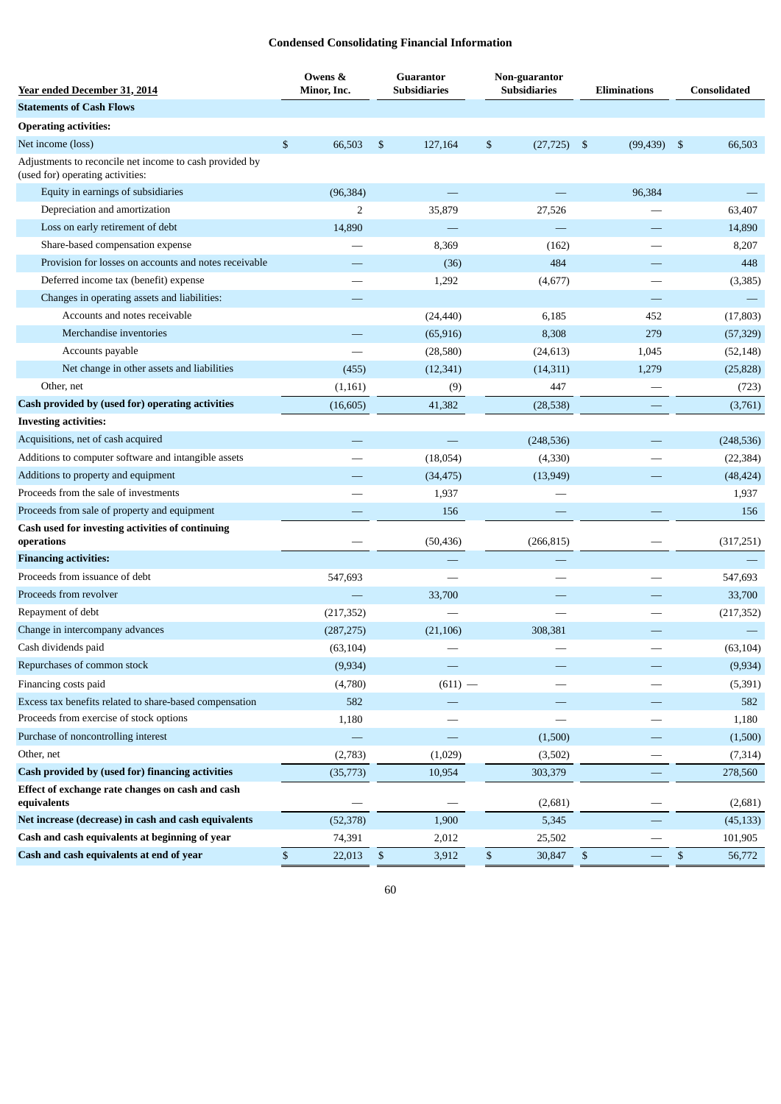| Year ended December 31, 2014                                                                |                | Owens &<br>Minor, Inc. | <b>Guarantor</b><br><b>Subsidiaries</b> | Non-guarantor<br><b>Subsidiaries</b> | <b>Eliminations</b> |           |      | <b>Consolidated</b> |
|---------------------------------------------------------------------------------------------|----------------|------------------------|-----------------------------------------|--------------------------------------|---------------------|-----------|------|---------------------|
| <b>Statements of Cash Flows</b>                                                             |                |                        |                                         |                                      |                     |           |      |                     |
| <b>Operating activities:</b>                                                                |                |                        |                                         |                                      |                     |           |      |                     |
| Net income (loss)                                                                           | $\mathfrak{S}$ | 66,503                 | \$<br>127,164                           | \$<br>(27, 725)                      | $\mathfrak{s}$      | (99, 439) | -\$  | 66,503              |
| Adjustments to reconcile net income to cash provided by<br>(used for) operating activities: |                |                        |                                         |                                      |                     |           |      |                     |
| Equity in earnings of subsidiaries                                                          |                | (96, 384)              |                                         |                                      |                     | 96,384    |      |                     |
| Depreciation and amortization                                                               |                | 2                      | 35,879                                  | 27,526                               |                     |           |      | 63,407              |
| Loss on early retirement of debt                                                            |                | 14,890                 |                                         |                                      |                     |           |      | 14,890              |
| Share-based compensation expense                                                            |                |                        | 8,369                                   | (162)                                |                     |           |      | 8,207               |
| Provision for losses on accounts and notes receivable                                       |                |                        | (36)                                    | 484                                  |                     |           |      | 448                 |
| Deferred income tax (benefit) expense                                                       |                |                        | 1,292                                   | (4,677)                              |                     |           |      | (3, 385)            |
| Changes in operating assets and liabilities:                                                |                |                        |                                         |                                      |                     |           |      |                     |
| Accounts and notes receivable                                                               |                |                        | (24, 440)                               | 6,185                                |                     | 452       |      | (17, 803)           |
| Merchandise inventories                                                                     |                |                        | (65, 916)                               | 8,308                                |                     | 279       |      | (57, 329)           |
| Accounts payable                                                                            |                |                        | (28,580)                                | (24, 613)                            |                     | 1,045     |      | (52, 148)           |
| Net change in other assets and liabilities                                                  |                | (455)                  | (12, 341)                               | (14, 311)                            |                     | 1,279     |      | (25, 828)           |
| Other, net                                                                                  |                | (1,161)                | (9)                                     | 447                                  |                     |           |      | (723)               |
| Cash provided by (used for) operating activities                                            |                | (16, 605)              | 41,382                                  | (28, 538)                            |                     |           |      | (3,761)             |
| <b>Investing activities:</b>                                                                |                |                        |                                         |                                      |                     |           |      |                     |
| Acquisitions, net of cash acquired                                                          |                |                        |                                         | (248, 536)                           |                     |           |      | (248, 536)          |
| Additions to computer software and intangible assets                                        |                |                        | (18,054)                                | (4,330)                              |                     |           |      | (22, 384)           |
| Additions to property and equipment                                                         |                |                        | (34, 475)                               | (13,949)                             |                     |           |      | (48, 424)           |
| Proceeds from the sale of investments                                                       |                |                        | 1,937                                   |                                      |                     |           |      | 1,937               |
| Proceeds from sale of property and equipment                                                |                |                        | 156                                     |                                      |                     |           |      | 156                 |
| Cash used for investing activities of continuing<br>operations                              |                |                        | (50, 436)                               | (266, 815)                           |                     |           |      | (317, 251)          |
| <b>Financing activities:</b>                                                                |                |                        |                                         |                                      |                     |           |      |                     |
| Proceeds from issuance of debt                                                              |                | 547,693                |                                         |                                      |                     |           |      | 547,693             |
| Proceeds from revolver                                                                      |                |                        | 33,700                                  |                                      |                     |           |      | 33,700              |
| Repayment of debt                                                                           |                | (217, 352)             |                                         |                                      |                     |           |      | (217, 352)          |
| Change in intercompany advances                                                             |                | (287, 275)             | (21, 106)                               | 308,381                              |                     |           |      |                     |
| Cash dividends paid                                                                         |                | (63, 104)              |                                         |                                      |                     |           |      | (63, 104)           |
| Repurchases of common stock                                                                 |                | (9, 934)               |                                         |                                      |                     |           |      | (9, 934)            |
| Financing costs paid                                                                        |                | (4,780)                | $(611)$ —                               |                                      |                     |           |      | (5, 391)            |
| Excess tax benefits related to share-based compensation                                     |                | 582                    |                                         |                                      |                     |           |      | 582                 |
| Proceeds from exercise of stock options                                                     |                | 1,180                  |                                         |                                      |                     |           |      | 1,180               |
| Purchase of noncontrolling interest                                                         |                |                        |                                         | (1,500)                              |                     |           |      | (1,500)             |
| Other, net                                                                                  |                | (2,783)                | (1,029)                                 | (3,502)                              |                     |           |      | (7, 314)            |
| Cash provided by (used for) financing activities                                            |                | (35, 773)              | 10,954                                  | 303,379                              |                     |           |      | 278,560             |
| Effect of exchange rate changes on cash and cash<br>equivalents                             |                |                        |                                         | (2,681)                              |                     |           |      | (2,681)             |
| Net increase (decrease) in cash and cash equivalents                                        |                | (52, 378)              | 1,900                                   | 5,345                                |                     |           |      | (45, 133)           |
| Cash and cash equivalents at beginning of year                                              |                | 74,391                 | 2,012                                   | 25,502                               |                     |           |      | 101,905             |
| Cash and cash equivalents at end of year                                                    | $\mathbb{S}$   | 22,013                 | \$<br>3,912                             | \$<br>30,847                         | $\,$                |           | $\,$ | 56,772              |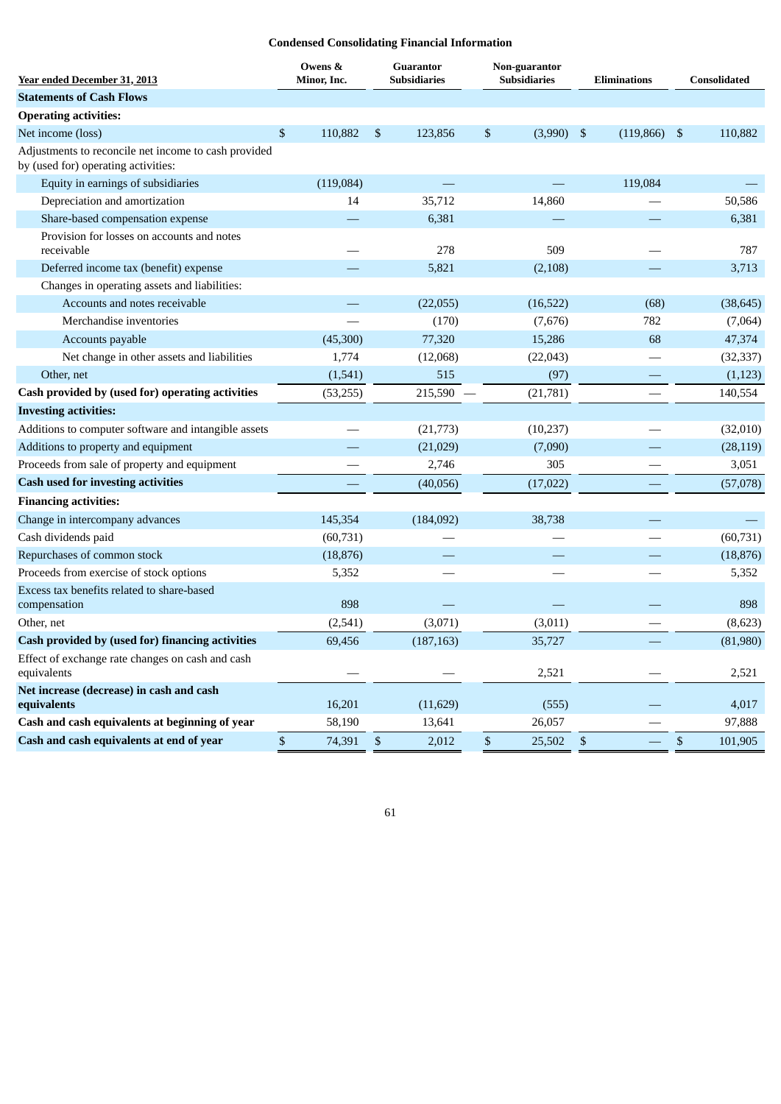| Year ended December 31, 2013                                                                |              | Owens &<br><b>Guarantor</b><br><b>Subsidiaries</b><br>Minor, Inc. |                |            | Non-guarantor<br><b>Subsidiaries</b> |           | <b>Eliminations</b> |            |              | <b>Consolidated</b> |
|---------------------------------------------------------------------------------------------|--------------|-------------------------------------------------------------------|----------------|------------|--------------------------------------|-----------|---------------------|------------|--------------|---------------------|
| <b>Statements of Cash Flows</b>                                                             |              |                                                                   |                |            |                                      |           |                     |            |              |                     |
| <b>Operating activities:</b>                                                                |              |                                                                   |                |            |                                      |           |                     |            |              |                     |
| Net income (loss)                                                                           | \$           | 110,882                                                           | \$             | 123,856    | \$                                   | (3,990)   | \$                  | (119, 866) | \$           | 110,882             |
| Adjustments to reconcile net income to cash provided<br>by (used for) operating activities: |              |                                                                   |                |            |                                      |           |                     |            |              |                     |
| Equity in earnings of subsidiaries                                                          |              | (119,084)                                                         |                |            |                                      |           |                     | 119,084    |              |                     |
| Depreciation and amortization                                                               |              | 14                                                                |                | 35,712     |                                      | 14,860    |                     |            |              | 50,586              |
| Share-based compensation expense                                                            |              |                                                                   |                | 6,381      |                                      |           |                     |            |              | 6,381               |
| Provision for losses on accounts and notes<br>receivable                                    |              |                                                                   |                | 278        |                                      | 509       |                     |            |              | 787                 |
| Deferred income tax (benefit) expense                                                       |              |                                                                   |                | 5,821      |                                      | (2, 108)  |                     |            |              | 3,713               |
| Changes in operating assets and liabilities:                                                |              |                                                                   |                |            |                                      |           |                     |            |              |                     |
| Accounts and notes receivable                                                               |              |                                                                   |                | (22,055)   |                                      | (16, 522) |                     | (68)       |              | (38, 645)           |
| Merchandise inventories                                                                     |              |                                                                   |                | (170)      |                                      | (7,676)   |                     | 782        |              | (7,064)             |
| Accounts payable                                                                            |              | (45,300)                                                          |                | 77,320     |                                      | 15,286    |                     | 68         |              | 47,374              |
| Net change in other assets and liabilities                                                  |              | 1,774                                                             |                | (12,068)   |                                      | (22, 043) |                     |            |              | (32, 337)           |
| Other, net                                                                                  |              | (1,541)                                                           |                | 515        |                                      | (97)      |                     |            |              | (1, 123)            |
| Cash provided by (used for) operating activities                                            |              | (53, 255)                                                         |                | 215,590    |                                      | (21, 781) |                     |            |              | 140,554             |
| <b>Investing activities:</b>                                                                |              |                                                                   |                |            |                                      |           |                     |            |              |                     |
| Additions to computer software and intangible assets                                        |              |                                                                   |                | (21,773)   |                                      | (10, 237) |                     |            |              | (32,010)            |
| Additions to property and equipment                                                         |              |                                                                   |                | (21,029)   |                                      | (7,090)   |                     |            |              | (28, 119)           |
| Proceeds from sale of property and equipment                                                |              |                                                                   |                | 2,746      |                                      | 305       |                     |            |              | 3,051               |
| <b>Cash used for investing activities</b>                                                   |              |                                                                   |                | (40,056)   |                                      | (17, 022) |                     |            |              | (57,078)            |
| <b>Financing activities:</b>                                                                |              |                                                                   |                |            |                                      |           |                     |            |              |                     |
| Change in intercompany advances                                                             |              | 145,354                                                           |                | (184,092)  |                                      | 38,738    |                     |            |              |                     |
| Cash dividends paid                                                                         |              | (60, 731)                                                         |                |            |                                      |           |                     |            |              | (60, 731)           |
| Repurchases of common stock                                                                 |              | (18, 876)                                                         |                |            |                                      |           |                     |            |              | (18, 876)           |
| Proceeds from exercise of stock options                                                     |              | 5,352                                                             |                |            |                                      |           |                     |            |              | 5,352               |
| Excess tax benefits related to share-based<br>compensation                                  |              | 898                                                               |                |            |                                      |           |                     |            |              | 898                 |
| Other, net                                                                                  |              | (2,541)                                                           |                | (3,071)    |                                      | (3,011)   |                     |            |              | (8,623)             |
| Cash provided by (used for) financing activities                                            |              | 69,456                                                            |                | (187, 163) |                                      | 35,727    |                     |            |              | (81,980)            |
| Effect of exchange rate changes on cash and cash<br>equivalents                             |              |                                                                   |                |            |                                      | 2,521     |                     |            |              | 2,521               |
| Net increase (decrease) in cash and cash<br>equivalents                                     |              | 16,201                                                            |                | (11, 629)  |                                      | (555)     |                     |            |              | 4,017               |
| Cash and cash equivalents at beginning of year                                              |              | 58,190                                                            |                | 13,641     |                                      | 26,057    |                     |            |              | 97,888              |
| Cash and cash equivalents at end of year                                                    | $\mathbb{S}$ | 74,391                                                            | $\mathfrak{s}$ | 2,012      | $\mathbb{S}$                         | 25,502    | $\mathbb{S}$        |            | $\mathbb{S}$ | 101,905             |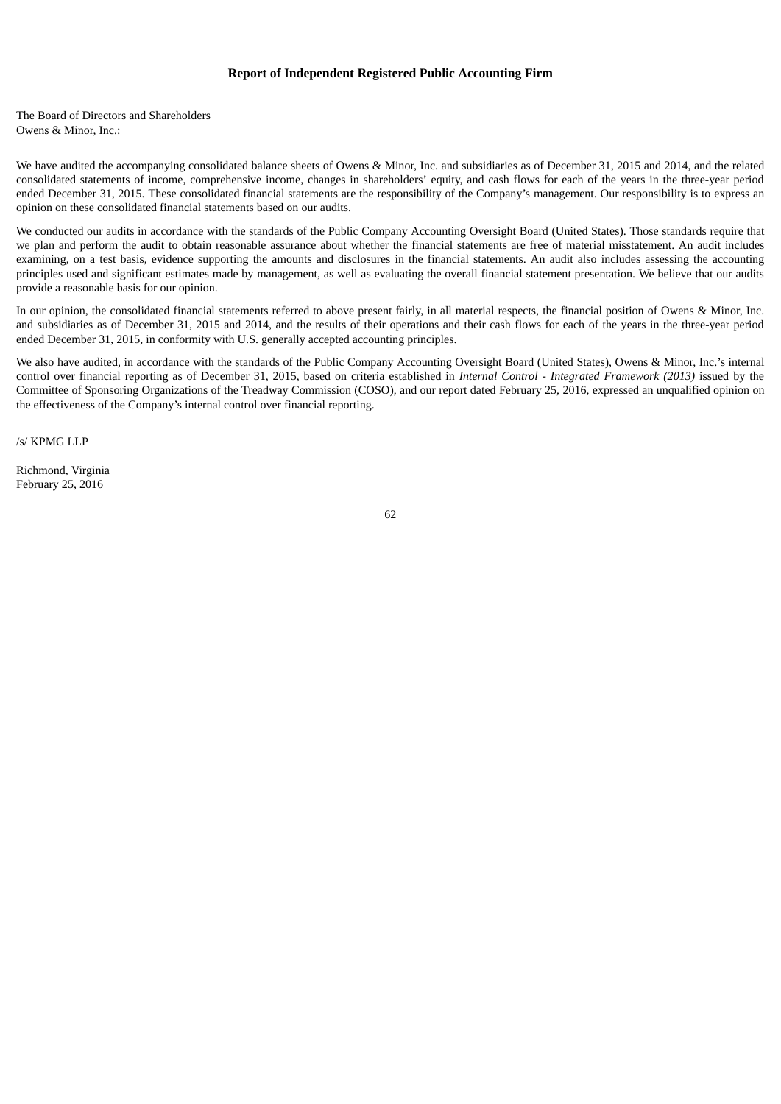## **Report of Independent Registered Public Accounting Firm**

The Board of Directors and Shareholders Owens & Minor, Inc.:

We have audited the accompanying consolidated balance sheets of Owens & Minor, Inc. and subsidiaries as of December 31, 2015 and 2014, and the related consolidated statements of income, comprehensive income, changes in shareholders' equity, and cash flows for each of the years in the three-year period ended December 31, 2015. These consolidated financial statements are the responsibility of the Company's management. Our responsibility is to express an opinion on these consolidated financial statements based on our audits.

We conducted our audits in accordance with the standards of the Public Company Accounting Oversight Board (United States). Those standards require that we plan and perform the audit to obtain reasonable assurance about whether the financial statements are free of material misstatement. An audit includes examining, on a test basis, evidence supporting the amounts and disclosures in the financial statements. An audit also includes assessing the accounting principles used and significant estimates made by management, as well as evaluating the overall financial statement presentation. We believe that our audits provide a reasonable basis for our opinion.

In our opinion, the consolidated financial statements referred to above present fairly, in all material respects, the financial position of Owens & Minor, Inc. and subsidiaries as of December 31, 2015 and 2014, and the results of their operations and their cash flows for each of the years in the three-year period ended December 31, 2015, in conformity with U.S. generally accepted accounting principles.

We also have audited, in accordance with the standards of the Public Company Accounting Oversight Board (United States), Owens & Minor, Inc.'s internal control over financial reporting as of December 31, 2015, based on criteria established in *Internal Control - Integrated Framework (2013)* issued by the Committee of Sponsoring Organizations of the Treadway Commission (COSO), and our report dated February 25, 2016, expressed an unqualified opinion on the effectiveness of the Company's internal control over financial reporting.

/s/ KPMG LLP

Richmond, Virginia February 25, 2016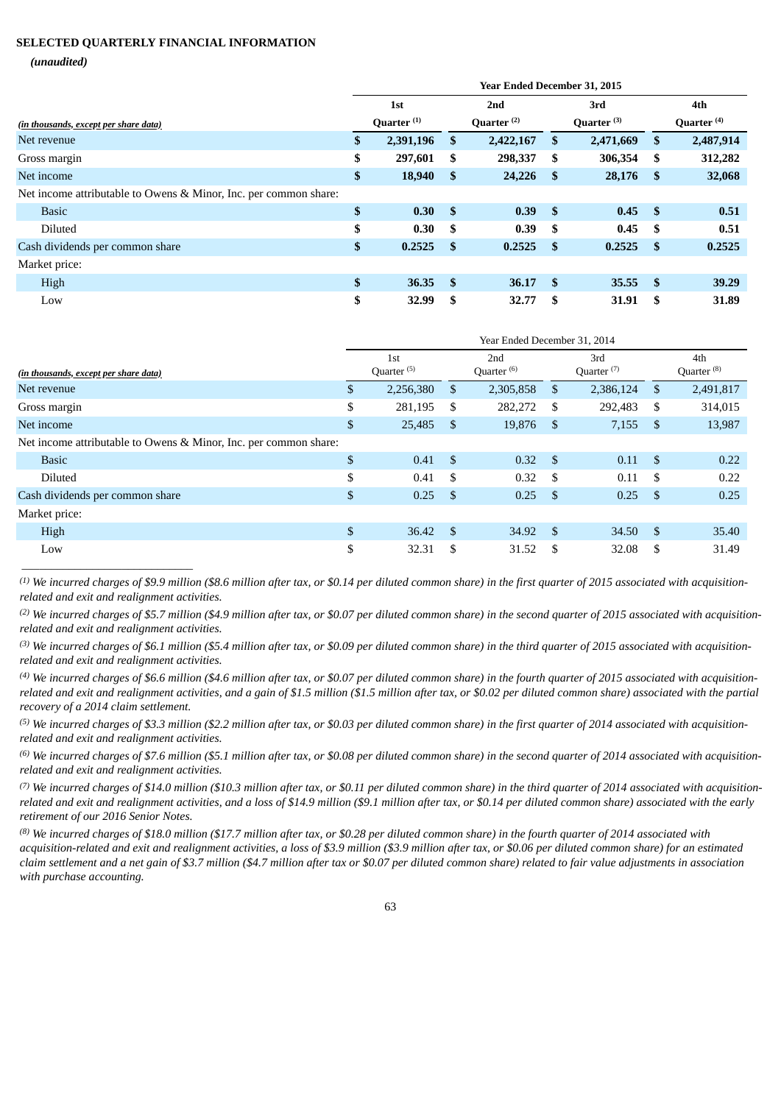#### **SELECTED QUARTERLY FINANCIAL INFORMATION**

*(unaudited)*

|                                                                  | Year Ended December 31, 2015 |                        |      |                        |      |                        |      |                        |
|------------------------------------------------------------------|------------------------------|------------------------|------|------------------------|------|------------------------|------|------------------------|
|                                                                  |                              | 1st                    |      | 2nd                    |      | 3rd                    |      | 4th                    |
| (in thousands, except per share data)                            |                              | Quarter <sup>(1)</sup> |      | Quarter <sup>(2)</sup> |      | Quarter <sup>(3)</sup> |      | Quarter <sup>(4)</sup> |
| Net revenue                                                      | $\mathbf{s}$                 | 2,391,196              | \$.  | 2,422,167              | \$   | 2,471,669              | \$.  | 2,487,914              |
| Gross margin                                                     | \$                           | 297,601                | S    | 298,337                | \$   | 306,354                | S    | 312,282                |
| Net income                                                       | \$                           | 18,940                 | -S   | 24,226                 | \$   | 28,176                 | - \$ | 32,068                 |
| Net income attributable to Owens & Minor, Inc. per common share: |                              |                        |      |                        |      |                        |      |                        |
| <b>Basic</b>                                                     | \$                           | 0.30                   | - \$ | 0.39                   | - \$ | 0.45                   | - \$ | 0.51                   |
| Diluted                                                          | \$                           | 0.30                   | -S   | 0.39                   | -S   | 0.45                   | - \$ | 0.51                   |
| Cash dividends per common share                                  | \$                           | 0.2525                 | - \$ | 0.2525                 | -\$  | 0.2525                 | - \$ | 0.2525                 |
| Market price:                                                    |                              |                        |      |                        |      |                        |      |                        |
| High                                                             | \$                           | 36.35                  | - \$ | 36.17                  | -\$  | 35.55                  | - \$ | 39.29                  |
| Low                                                              | \$                           | 32.99                  | \$.  | 32.77                  | S    | 31.91                  | - \$ | 31.89                  |

|                                                                  | Year Ended December 31, 2014 |                                  |      |                               |                |                      |            |                               |
|------------------------------------------------------------------|------------------------------|----------------------------------|------|-------------------------------|----------------|----------------------|------------|-------------------------------|
| (in thousands, except per share data)                            |                              | 1 <sub>st</sub><br>Quarter $(5)$ |      | 2nd<br>Quarter <sup>(6)</sup> |                | 3rd<br>Quarter $(7)$ |            | 4th<br>Quarter <sup>(8)</sup> |
| Net revenue                                                      | \$                           | 2,256,380                        | \$   | 2,305,858                     | \$             | 2,386,124            | \$.        | 2,491,817                     |
| Gross margin                                                     | \$                           | 281,195                          | S    | 282,272                       | \$             | 292,483              | \$         | 314,015                       |
| Net income                                                       | \$                           | 25,485                           | - \$ | 19,876                        | \$             | 7,155                | - \$       | 13,987                        |
| Net income attributable to Owens & Minor, Inc. per common share: |                              |                                  |      |                               |                |                      |            |                               |
| <b>Basic</b>                                                     | \$                           | 0.41                             | - \$ | 0.32                          | - \$           | 0.11                 | $^{\circ}$ | 0.22                          |
| Diluted                                                          | \$                           | 0.41                             | -S   | 0.32                          | \$             | 0.11                 | - \$       | 0.22                          |
| Cash dividends per common share                                  | \$                           | 0.25                             | -\$  | 0.25                          | - \$           | 0.25                 | - \$       | 0.25                          |
| Market price:                                                    |                              |                                  |      |                               |                |                      |            |                               |
| High                                                             | \$                           | 36.42                            | -\$  | 34.92                         | $\mathfrak{S}$ | 34.50                | - \$       | 35.40                         |
| Low                                                              | \$                           | 32.31                            | \$   | 31.52                         | \$             | 32.08                | \$         | 31.49                         |

 $^{(1)}$  We incurred charges of \$9.9 million (\$8.6 million after tax, or \$0.14 per diluted common share) in the first quarter of 2015 associated with acquisition*related and exit and realignment activities.*

(2) We incurred charges of \$5.7 million (\$4.9 million after tax, or \$0.07 per diluted common share) in the second quarter of 2015 associated with acquisition*related and exit and realignment activities.*

(3) We incurred charges of \$6.1 million (\$5.4 million after tax, or \$0.09 per diluted common share) in the third quarter of 2015 associated with acquisition*related and exit and realignment activities.*

 $^{(4)}$  We incurred charges of \$6.6 million (\$4.6 million after tax, or \$0.07 per diluted common share) in the fourth quarter of 2015 associated with acquisitionrelated and exit and realignment activities, and a gain of \$1.5 million (\$1.5 million after tax, or \$0.02 per diluted common share) associated with the partial *recovery of a 2014 claim settlement.*

(5) We incurred charges of \$3.3 million (\$2.2 million after tax, or \$0.03 per diluted common share) in the first quarter of 2014 associated with acquisition*related and exit and realignment activities.*

 $^{(6)}$  We incurred charges of \$7.6 million (\$5.1 million after tax, or \$0.08 per diluted common share) in the second quarter of 2014 associated with acquisition*related and exit and realignment activities.*

(7) We incurred charges of \$14.0 million (\$10.3 million after tax, or \$0.11 per diluted common share) in the third quarter of 2014 associated with acquisitionrelated and exit and realignment activities, and a loss of \$14.9 million (\$9.1 million after tax, or \$0.14 per diluted common share) associated with the early *retirement of our 2016 Senior Notes.*

(8) We incurred charges of \$18.0 million (\$17.7 million after tax, or \$0.28 per diluted common share) in the fourth quarter of 2014 associated with acquisition-related and exit and realignment activities, a loss of \$3.9 million (\$3.9 million after tax, or \$0.06 per diluted common share) for an estimated claim settlement and a net gain of \$3.7 million (\$4.7 million after tax or \$0.07 per diluted common share) related to fair value adjustments in association *with purchase accounting.*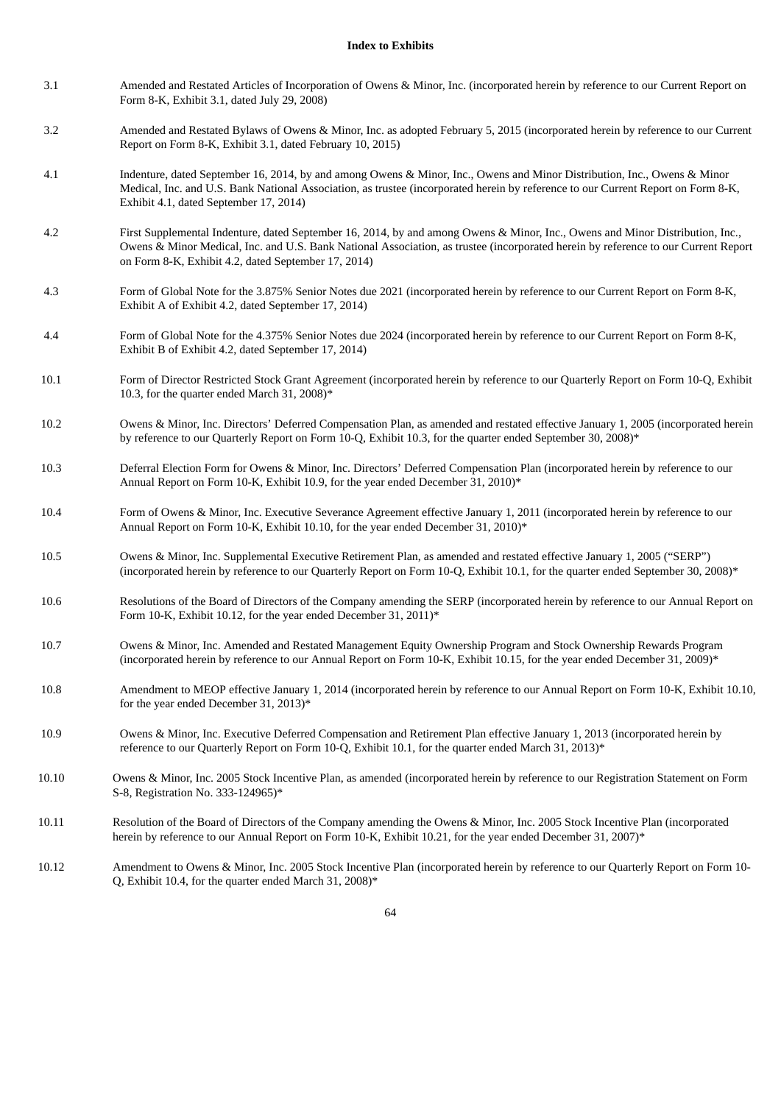#### **Index to Exhibits**

- 3.1 Amended and Restated Articles of Incorporation of Owens & Minor, Inc. (incorporated herein by reference to our Current Report on Form 8-K, Exhibit 3.1, dated July 29, 2008)
- 3.2 Amended and Restated Bylaws of Owens & Minor, Inc. as adopted February 5, 2015 (incorporated herein by reference to our Current Report on Form 8-K, Exhibit 3.1, dated February 10, 2015)
- 4.1 Indenture, dated September 16, 2014, by and among Owens & Minor, Inc., Owens and Minor Distribution, Inc., Owens & Minor Medical, Inc. and U.S. Bank National Association, as trustee (incorporated herein by reference to our Current Report on Form 8-K, Exhibit 4.1, dated September 17, 2014)
- 4.2 First Supplemental Indenture, dated September 16, 2014, by and among Owens & Minor, Inc., Owens and Minor Distribution, Inc., Owens & Minor Medical, Inc. and U.S. Bank National Association, as trustee (incorporated herein by reference to our Current Report on Form 8-K, Exhibit 4.2, dated September 17, 2014)
- 4.3 Form of Global Note for the 3.875% Senior Notes due 2021 (incorporated herein by reference to our Current Report on Form 8-K, Exhibit A of Exhibit 4.2, dated September 17, 2014)
- 4.4 Form of Global Note for the 4.375% Senior Notes due 2024 (incorporated herein by reference to our Current Report on Form 8-K, Exhibit B of Exhibit 4.2, dated September 17, 2014)
- 10.1 Form of Director Restricted Stock Grant Agreement (incorporated herein by reference to our Quarterly Report on Form 10-Q, Exhibit 10.3, for the quarter ended March 31, 2008)\*
- 10.2 Owens & Minor, Inc. Directors' Deferred Compensation Plan, as amended and restated effective January 1, 2005 (incorporated herein by reference to our Quarterly Report on Form 10-Q, Exhibit 10.3, for the quarter ended September 30, 2008)\*
- 10.3 Deferral Election Form for Owens & Minor, Inc. Directors' Deferred Compensation Plan (incorporated herein by reference to our Annual Report on Form 10-K, Exhibit 10.9, for the year ended December 31, 2010)\*
- 10.4 Form of Owens & Minor, Inc. Executive Severance Agreement effective January 1, 2011 (incorporated herein by reference to our Annual Report on Form 10-K, Exhibit 10.10, for the year ended December 31, 2010)\*
- 10.5 Owens & Minor, Inc. Supplemental Executive Retirement Plan, as amended and restated effective January 1, 2005 ("SERP") (incorporated herein by reference to our Quarterly Report on Form 10-Q, Exhibit 10.1, for the quarter ended September 30, 2008)\*
- 10.6 Resolutions of the Board of Directors of the Company amending the SERP (incorporated herein by reference to our Annual Report on Form 10-K, Exhibit 10.12, for the year ended December 31, 2011)\*
- 10.7 Owens & Minor, Inc. Amended and Restated Management Equity Ownership Program and Stock Ownership Rewards Program (incorporated herein by reference to our Annual Report on Form 10-K, Exhibit 10.15, for the year ended December 31, 2009)\*
- 10.8 Amendment to MEOP effective January 1, 2014 (incorporated herein by reference to our Annual Report on Form 10-K, Exhibit 10.10, for the year ended December 31, 2013)\*
- 10.9 Owens & Minor, Inc. Executive Deferred Compensation and Retirement Plan effective January 1, 2013 (incorporated herein by reference to our Quarterly Report on Form 10-Q, Exhibit 10.1, for the quarter ended March 31, 2013)\*
- 10.10 Owens & Minor, Inc. 2005 Stock Incentive Plan, as amended (incorporated herein by reference to our Registration Statement on Form S-8, Registration No. 333-124965)\*
- 10.11 Resolution of the Board of Directors of the Company amending the Owens & Minor, Inc. 2005 Stock Incentive Plan (incorporated herein by reference to our Annual Report on Form 10-K, Exhibit 10.21, for the year ended December 31, 2007)\*
- 10.12 Amendment to Owens & Minor, Inc. 2005 Stock Incentive Plan (incorporated herein by reference to our Quarterly Report on Form 10- Q, Exhibit 10.4, for the quarter ended March 31, 2008)\*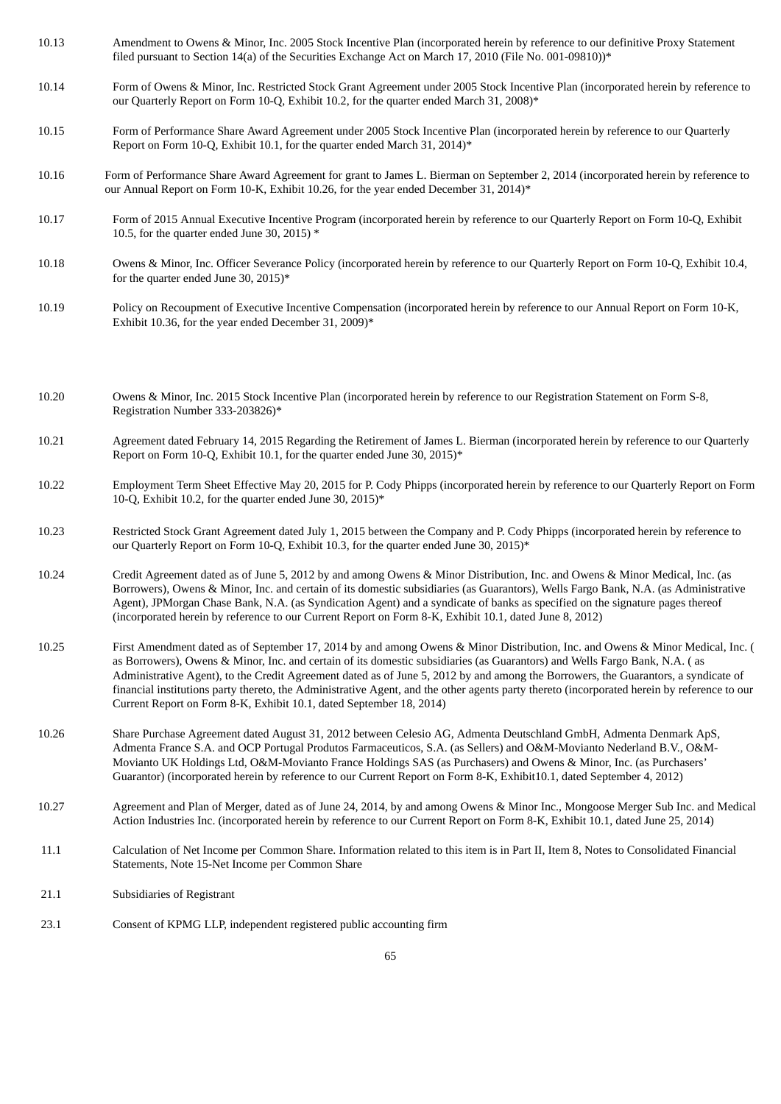- 10.13 Amendment to Owens & Minor, Inc. 2005 Stock Incentive Plan (incorporated herein by reference to our definitive Proxy Statement filed pursuant to Section 14(a) of the Securities Exchange Act on March 17, 2010 (File No. 001-09810))\*
- 10.14 Form of Owens & Minor, Inc. Restricted Stock Grant Agreement under 2005 Stock Incentive Plan (incorporated herein by reference to our Quarterly Report on Form 10-Q, Exhibit 10.2, for the quarter ended March 31, 2008)\*
- 10.15 Form of Performance Share Award Agreement under 2005 Stock Incentive Plan (incorporated herein by reference to our Quarterly Report on Form 10-Q, Exhibit 10.1, for the quarter ended March 31, 2014)\*
- 10.16 Form of Performance Share Award Agreement for grant to James L. Bierman on September 2, 2014 (incorporated herein by reference to our Annual Report on Form 10-K, Exhibit 10.26, for the year ended December 31, 2014)\*
- 10.17 Form of 2015 Annual Executive Incentive Program (incorporated herein by reference to our Quarterly Report on Form 10-Q, Exhibit 10.5, for the quarter ended June 30, 2015) \*
- 10.18 Owens & Minor, Inc. Officer Severance Policy (incorporated herein by reference to our Quarterly Report on Form 10-Q, Exhibit 10.4, for the quarter ended June 30, 2015)\*
- 10.19 Policy on Recoupment of Executive Incentive Compensation (incorporated herein by reference to our Annual Report on Form 10-K, Exhibit 10.36, for the year ended December 31, 2009)\*
- 10.20 Owens & Minor, Inc. 2015 Stock Incentive Plan (incorporated herein by reference to our Registration Statement on Form S-8, Registration Number 333-203826)\*
- 10.21 Agreement dated February 14, 2015 Regarding the Retirement of James L. Bierman (incorporated herein by reference to our Quarterly Report on Form 10-Q, Exhibit 10.1, for the quarter ended June 30, 2015)\*
- 10.22 Employment Term Sheet Effective May 20, 2015 for P. Cody Phipps (incorporated herein by reference to our Quarterly Report on Form 10-Q, Exhibit 10.2, for the quarter ended June 30, 2015)\*
- 10.23 Restricted Stock Grant Agreement dated July 1, 2015 between the Company and P. Cody Phipps (incorporated herein by reference to our Quarterly Report on Form 10-Q, Exhibit 10.3, for the quarter ended June 30, 2015)\*
- 10.24 Credit Agreement dated as of June 5, 2012 by and among Owens & Minor Distribution, Inc. and Owens & Minor Medical, Inc. (as Borrowers), Owens & Minor, Inc. and certain of its domestic subsidiaries (as Guarantors), Wells Fargo Bank, N.A. (as Administrative Agent), JPMorgan Chase Bank, N.A. (as Syndication Agent) and a syndicate of banks as specified on the signature pages thereof (incorporated herein by reference to our Current Report on Form 8-K, Exhibit 10.1, dated June 8, 2012)
- 10.25 First Amendment dated as of September 17, 2014 by and among Owens & Minor Distribution, Inc. and Owens & Minor Medical, Inc. ( as Borrowers), Owens & Minor, Inc. and certain of its domestic subsidiaries (as Guarantors) and Wells Fargo Bank, N.A. ( as Administrative Agent), to the Credit Agreement dated as of June 5, 2012 by and among the Borrowers, the Guarantors, a syndicate of financial institutions party thereto, the Administrative Agent, and the other agents party thereto (incorporated herein by reference to our Current Report on Form 8-K, Exhibit 10.1, dated September 18, 2014)
- 10.26 Share Purchase Agreement dated August 31, 2012 between Celesio AG, Admenta Deutschland GmbH, Admenta Denmark ApS, Admenta France S.A. and OCP Portugal Produtos Farmaceuticos, S.A. (as Sellers) and O&M-Movianto Nederland B.V., O&M-Movianto UK Holdings Ltd, O&M-Movianto France Holdings SAS (as Purchasers) and Owens & Minor, Inc. (as Purchasers' Guarantor) (incorporated herein by reference to our Current Report on Form 8-K, Exhibit10.1, dated September 4, 2012)
- 10.27 Agreement and Plan of Merger, dated as of June 24, 2014, by and among Owens & Minor Inc., Mongoose Merger Sub Inc. and Medical Action Industries Inc. (incorporated herein by reference to our Current Report on Form 8-K, Exhibit 10.1, dated June 25, 2014)
- 11.1 Calculation of Net Income per Common Share. Information related to this item is in Part II, Item 8, Notes to Consolidated Financial Statements, Note 15-Net Income per Common Share
- 21.1 Subsidiaries of Registrant
- 23.1 Consent of KPMG LLP, independent registered public accounting firm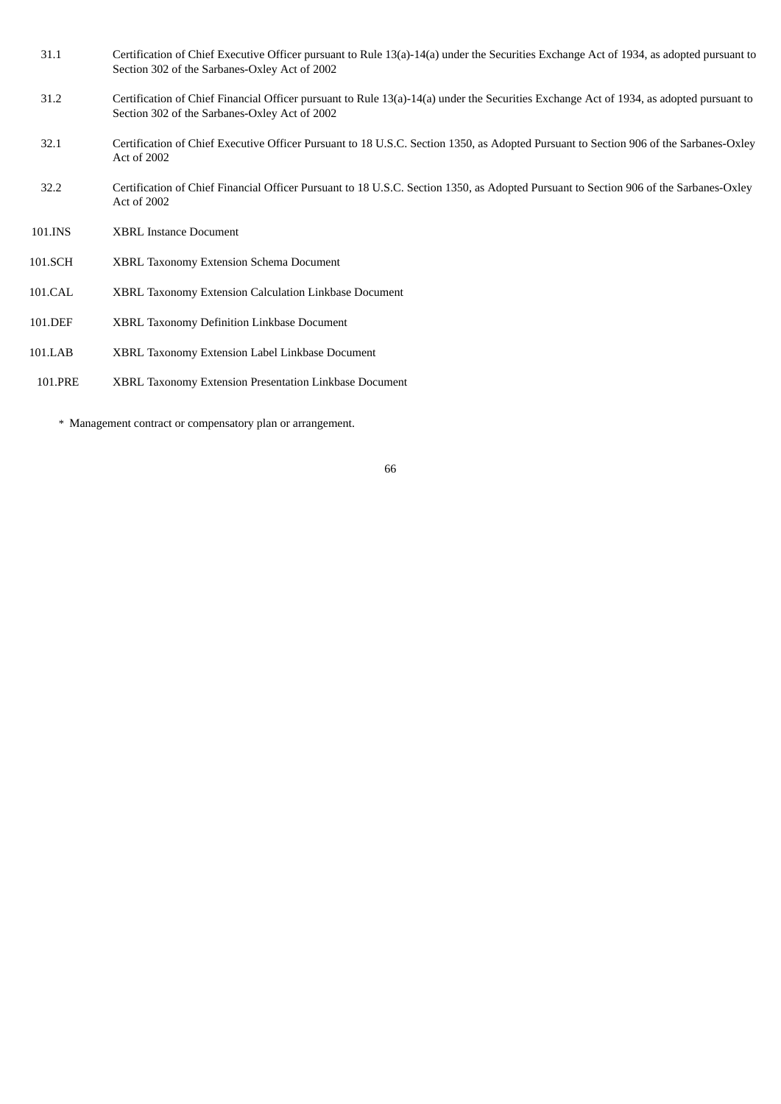| 31.1    | Certification of Chief Executive Officer pursuant to Rule $13(a)$ -14(a) under the Securities Exchange Act of 1934, as adopted pursuant to<br>Section 302 of the Sarbanes-Oxley Act of 2002 |
|---------|---------------------------------------------------------------------------------------------------------------------------------------------------------------------------------------------|
| 31.2    | Certification of Chief Financial Officer pursuant to Rule 13(a)-14(a) under the Securities Exchange Act of 1934, as adopted pursuant to<br>Section 302 of the Sarbanes-Oxley Act of 2002    |
| 32.1    | Certification of Chief Executive Officer Pursuant to 18 U.S.C. Section 1350, as Adopted Pursuant to Section 906 of the Sarbanes-Oxley<br>Act of 2002                                        |
| 32.2    | Certification of Chief Financial Officer Pursuant to 18 U.S.C. Section 1350, as Adopted Pursuant to Section 906 of the Sarbanes-Oxley<br>Act of 2002                                        |
| 101.INS | <b>XBRL Instance Document</b>                                                                                                                                                               |
| 101.SCH | XBRL Taxonomy Extension Schema Document                                                                                                                                                     |
| 101.CAL | XBRL Taxonomy Extension Calculation Linkbase Document                                                                                                                                       |
| 101.DEF | <b>XBRL Taxonomy Definition Linkbase Document</b>                                                                                                                                           |
| 101.LAB | XBRL Taxonomy Extension Label Linkbase Document                                                                                                                                             |
| 101.PRE | XBRL Taxonomy Extension Presentation Linkbase Document                                                                                                                                      |
|         | * Management contract or compensatory plan or arrangement.                                                                                                                                  |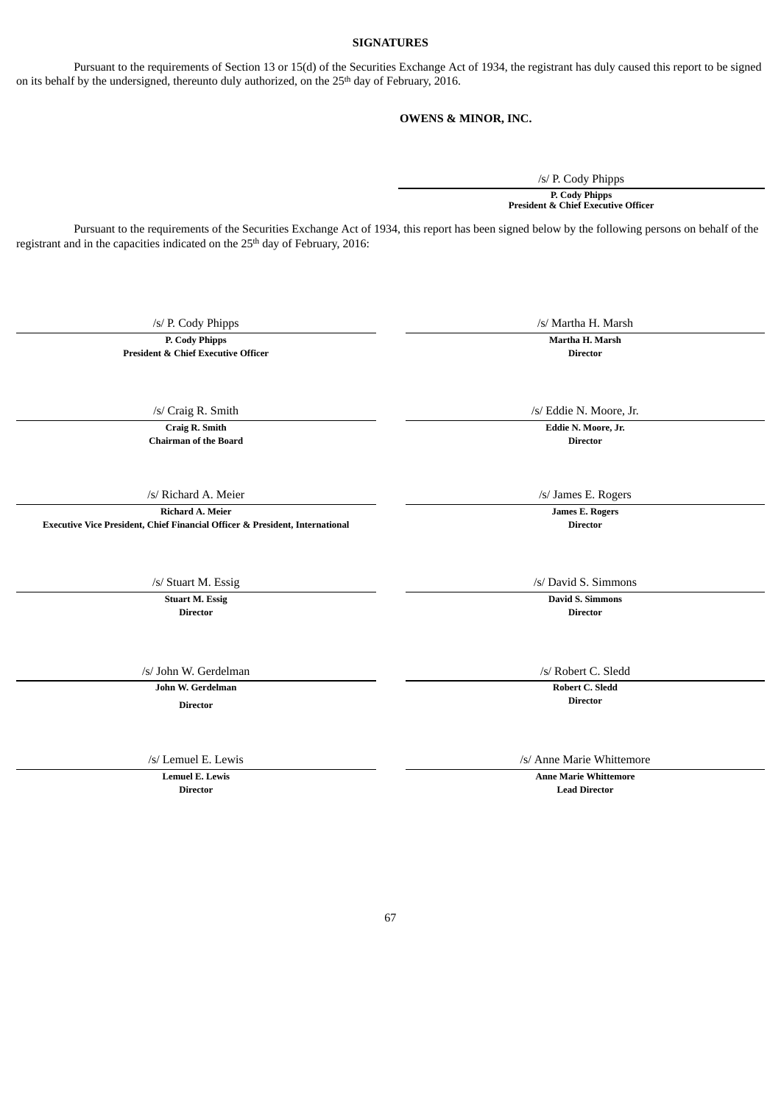### **SIGNATURES**

Pursuant to the requirements of Section 13 or 15(d) of the Securities Exchange Act of 1934, the registrant has duly caused this report to be signed on its behalf by the undersigned, thereunto duly authorized, on the  $25<sup>th</sup>$  day of February, 2016.

#### **OWENS & MINOR, INC.**

/s/ P. Cody Phipps

**P. Cody Phipps President & Chief Executive Officer**

Pursuant to the requirements of the Securities Exchange Act of 1934, this report has been signed below by the following persons on behalf of the registrant and in the capacities indicated on the 25<sup>th</sup> day of February, 2016:

/s/ P. Cody Phipps /s/ Martha H. Marsh **P. Cody Phipps Martha H. Marsh President & Chief Executive Officer Director** /s/ Craig R. Smith /s/ Eddie N. Moore, Jr. **Craig R. Smith Eddie N. Moore, Jr. Chairman of the Board Director** /s/ Richard A. Meier /s/ James E. Rogers **Richard A. Meier James E. Rogers Executive Vice President, Chief Financial Officer & President, International Director** /s/ Stuart M. Essig /s/ David S. Simmons **Stuart M. Essig David S. Simmons Director Director** /s/ John W. Gerdelman /s/ Robert C. Sledd **John W. Gerdelman Robert C. Sledd Director Director** /s/ Lemuel E. Lewis /s/ Anne Marie Whittemore **Lemuel E. Lewis Anne Marie Whittemore Director Lead Director**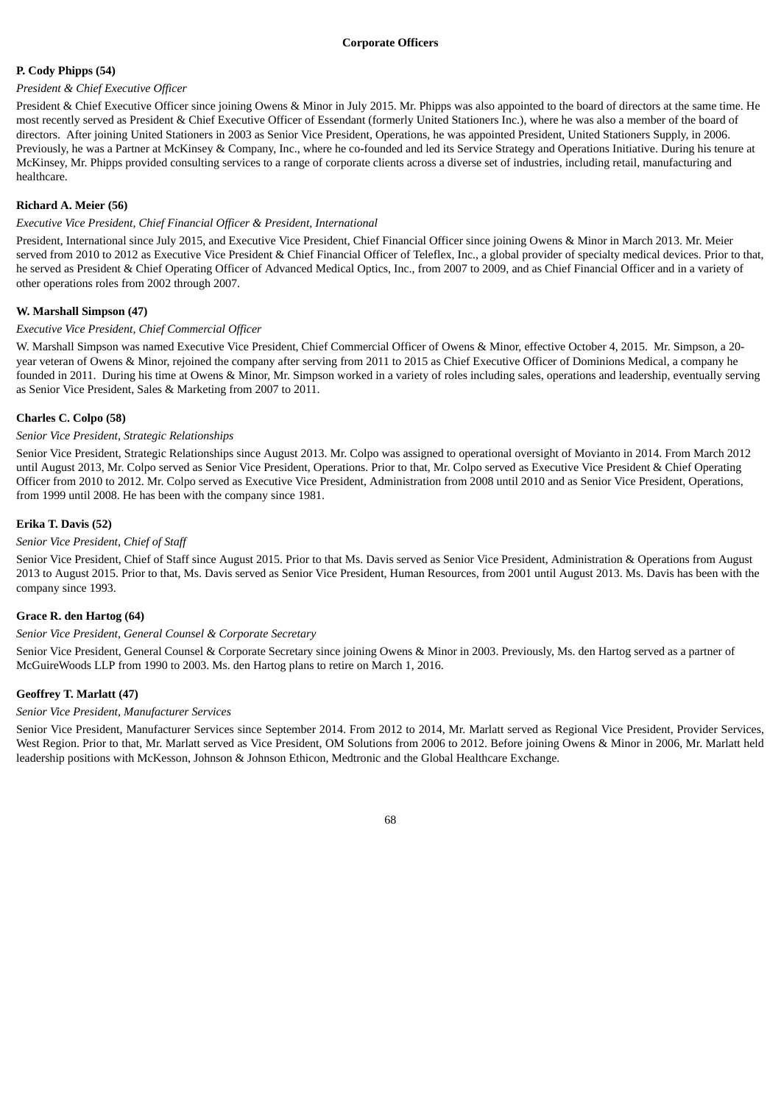# **P. Cody Phipps (54)**

## *President & Chief Executive Officer*

President & Chief Executive Officer since joining Owens & Minor in July 2015. Mr. Phipps was also appointed to the board of directors at the same time. He most recently served as President & Chief Executive Officer of Essendant (formerly United Stationers Inc.), where he was also a member of the board of directors. After joining United Stationers in 2003 as Senior Vice President, Operations, he was appointed President, United Stationers Supply, in 2006. Previously, he was a Partner at McKinsey & Company, Inc., where he co-founded and led its Service Strategy and Operations Initiative. During his tenure at McKinsey, Mr. Phipps provided consulting services to a range of corporate clients across a diverse set of industries, including retail, manufacturing and healthcare.

# **Richard A. Meier (56)**

#### *Executive Vice President, Chief Financial Officer & President, International*

President, International since July 2015, and Executive Vice President, Chief Financial Officer since joining Owens & Minor in March 2013. Mr. Meier served from 2010 to 2012 as Executive Vice President & Chief Financial Officer of Teleflex, Inc., a global provider of specialty medical devices. Prior to that, he served as President & Chief Operating Officer of Advanced Medical Optics, Inc., from 2007 to 2009, and as Chief Financial Officer and in a variety of other operations roles from 2002 through 2007.

## **W. Marshall Simpson (47)**

## *Executive Vice President, Chief Commercial Officer*

W. Marshall Simpson was named Executive Vice President, Chief Commercial Officer of Owens & Minor, effective October 4, 2015. Mr. Simpson, a 20 year veteran of Owens & Minor, rejoined the company after serving from 2011 to 2015 as Chief Executive Officer of Dominions Medical, a company he founded in 2011. During his time at Owens & Minor, Mr. Simpson worked in a variety of roles including sales, operations and leadership, eventually serving as Senior Vice President, Sales & Marketing from 2007 to 2011.

## **Charles C. Colpo (58)**

### *Senior Vice President, Strategic Relationships*

Senior Vice President, Strategic Relationships since August 2013. Mr. Colpo was assigned to operational oversight of Movianto in 2014. From March 2012 until August 2013, Mr. Colpo served as Senior Vice President, Operations. Prior to that, Mr. Colpo served as Executive Vice President & Chief Operating Officer from 2010 to 2012. Mr. Colpo served as Executive Vice President, Administration from 2008 until 2010 and as Senior Vice President, Operations, from 1999 until 2008. He has been with the company since 1981.

## **Erika T. Davis (52)**

# *Senior Vice President, Chief of Staff*

Senior Vice President, Chief of Staff since August 2015. Prior to that Ms. Davis served as Senior Vice President, Administration & Operations from August 2013 to August 2015. Prior to that, Ms. Davis served as Senior Vice President, Human Resources, from 2001 until August 2013. Ms. Davis has been with the company since 1993.

# **Grace R. den Hartog (64)**

#### *Senior Vice President, General Counsel & Corporate Secretary*

Senior Vice President, General Counsel & Corporate Secretary since joining Owens & Minor in 2003. Previously, Ms. den Hartog served as a partner of McGuireWoods LLP from 1990 to 2003. Ms. den Hartog plans to retire on March 1, 2016.

# **Geoffrey T. Marlatt (47)**

### *Senior Vice President, Manufacturer Services*

Senior Vice President, Manufacturer Services since September 2014. From 2012 to 2014, Mr. Marlatt served as Regional Vice President, Provider Services, West Region. Prior to that, Mr. Marlatt served as Vice President, OM Solutions from 2006 to 2012. Before joining Owens & Minor in 2006, Mr. Marlatt held leadership positions with McKesson, Johnson & Johnson Ethicon, Medtronic and the Global Healthcare Exchange.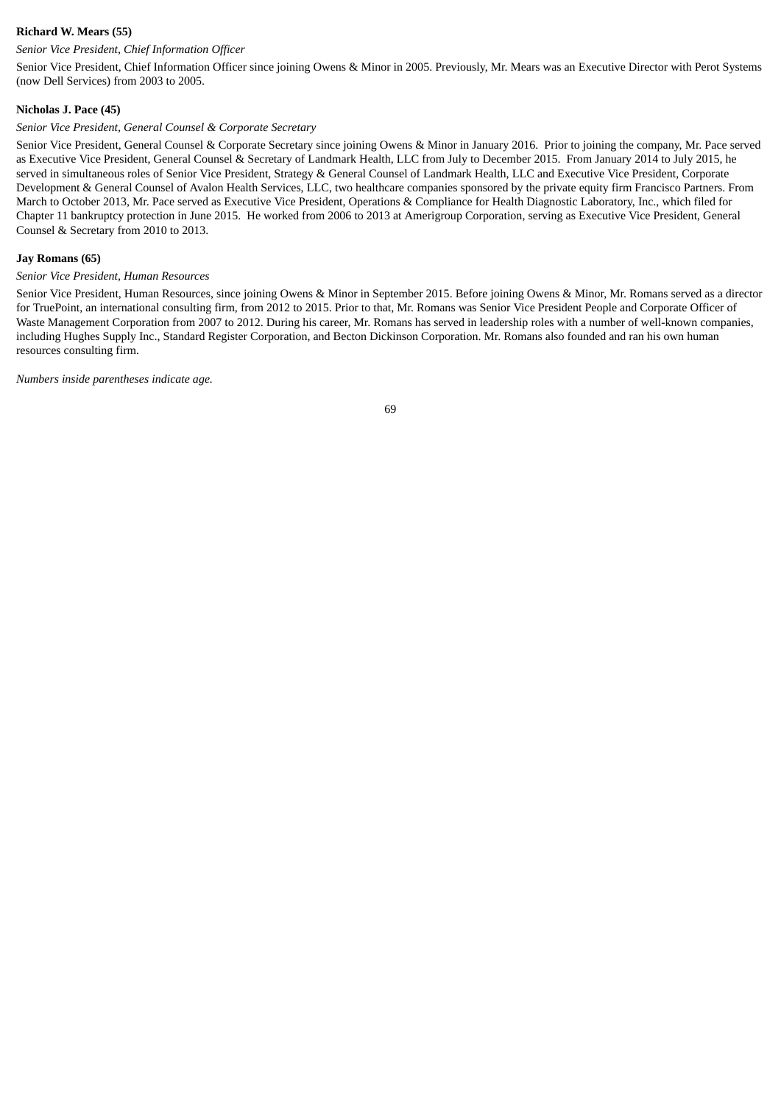# **Richard W. Mears (55)**

# *Senior Vice President, Chief Information Officer*

Senior Vice President, Chief Information Officer since joining Owens & Minor in 2005. Previously, Mr. Mears was an Executive Director with Perot Systems (now Dell Services) from 2003 to 2005.

# **Nicholas J. Pace (45)**

# *Senior Vice President, General Counsel & Corporate Secretary*

Senior Vice President, General Counsel & Corporate Secretary since joining Owens & Minor in January 2016. Prior to joining the company, Mr. Pace served as Executive Vice President, General Counsel & Secretary of Landmark Health, LLC from July to December 2015. From January 2014 to July 2015, he served in simultaneous roles of Senior Vice President, Strategy & General Counsel of Landmark Health, LLC and Executive Vice President, Corporate Development & General Counsel of Avalon Health Services, LLC, two healthcare companies sponsored by the private equity firm Francisco Partners. From March to October 2013, Mr. Pace served as Executive Vice President, Operations & Compliance for Health Diagnostic Laboratory, Inc., which filed for Chapter 11 bankruptcy protection in June 2015. He worked from 2006 to 2013 at Amerigroup Corporation, serving as Executive Vice President, General Counsel & Secretary from 2010 to 2013.

# **Jay Romans (65)**

# *Senior Vice President, Human Resources*

Senior Vice President, Human Resources, since joining Owens & Minor in September 2015. Before joining Owens & Minor, Mr. Romans served as a director for TruePoint, an international consulting firm, from 2012 to 2015. Prior to that, Mr. Romans was Senior Vice President People and Corporate Officer of Waste Management Corporation from 2007 to 2012. During his career, Mr. Romans has served in leadership roles with a number of well-known companies, including Hughes Supply Inc., Standard Register Corporation, and Becton Dickinson Corporation. Mr. Romans also founded and ran his own human resources consulting firm.

*Numbers inside parentheses indicate age.*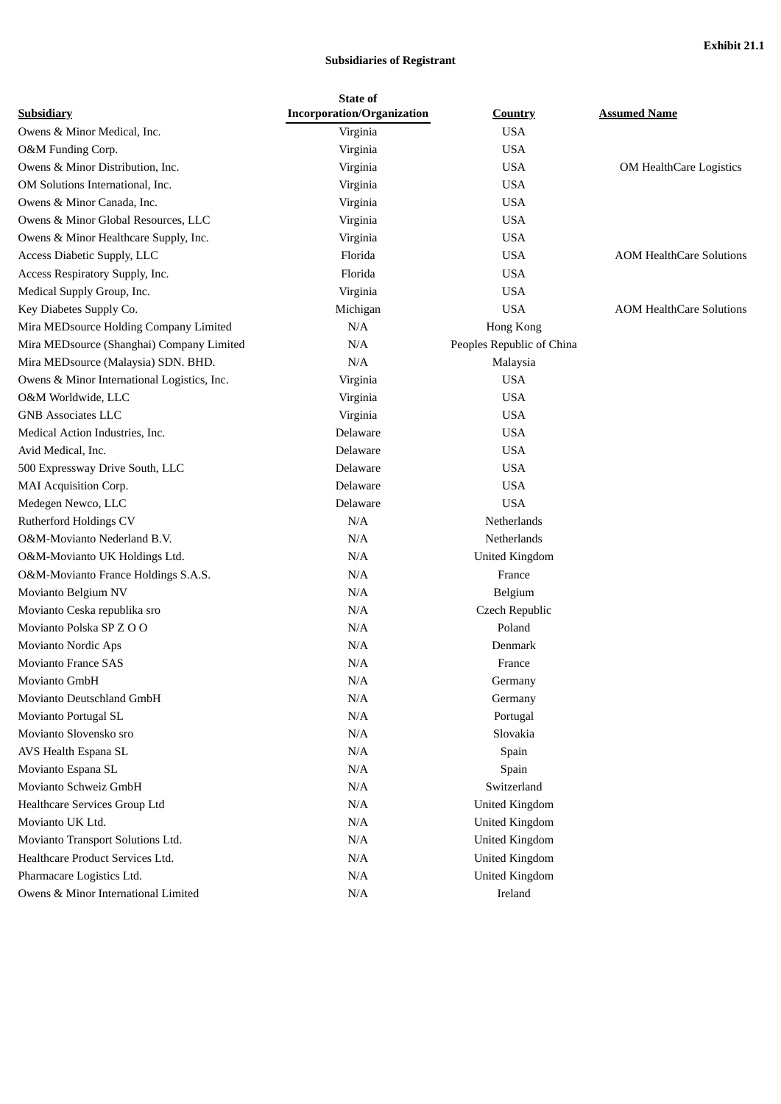# **Subsidiaries of Registrant**

| <b>Subsidiary</b>                           | <b>State of</b><br><b>Incorporation/Organization</b> | <b>Country</b>            | <b>Assumed Name</b>             |
|---------------------------------------------|------------------------------------------------------|---------------------------|---------------------------------|
| Owens & Minor Medical, Inc.                 | Virginia                                             | <b>USA</b>                |                                 |
| O&M Funding Corp.                           | Virginia                                             | <b>USA</b>                |                                 |
| Owens & Minor Distribution, Inc.            | Virginia                                             | <b>USA</b>                | OM HealthCare Logistics         |
| OM Solutions International, Inc.            | Virginia                                             | <b>USA</b>                |                                 |
| Owens & Minor Canada, Inc.                  | Virginia                                             | <b>USA</b>                |                                 |
| Owens & Minor Global Resources, LLC         | Virginia                                             | <b>USA</b>                |                                 |
| Owens & Minor Healthcare Supply, Inc.       | Virginia                                             | <b>USA</b>                |                                 |
| Access Diabetic Supply, LLC                 | Florida                                              | <b>USA</b>                | <b>AOM HealthCare Solutions</b> |
| Access Respiratory Supply, Inc.             | Florida                                              | <b>USA</b>                |                                 |
| Medical Supply Group, Inc.                  | Virginia                                             | <b>USA</b>                |                                 |
| Key Diabetes Supply Co.                     | Michigan                                             | <b>USA</b>                | <b>AOM HealthCare Solutions</b> |
| Mira MEDsource Holding Company Limited      | N/A                                                  | Hong Kong                 |                                 |
| Mira MEDsource (Shanghai) Company Limited   | N/A                                                  | Peoples Republic of China |                                 |
| Mira MEDsource (Malaysia) SDN. BHD.         | N/A                                                  | Malaysia                  |                                 |
| Owens & Minor International Logistics, Inc. | Virginia                                             | <b>USA</b>                |                                 |
| O&M Worldwide, LLC                          | Virginia                                             | <b>USA</b>                |                                 |
| <b>GNB Associates LLC</b>                   | Virginia                                             | <b>USA</b>                |                                 |
| Medical Action Industries, Inc.             | Delaware                                             | <b>USA</b>                |                                 |
| Avid Medical, Inc.                          | Delaware                                             | <b>USA</b>                |                                 |
| 500 Expressway Drive South, LLC             | Delaware                                             | <b>USA</b>                |                                 |
| MAI Acquisition Corp.                       | Delaware                                             | <b>USA</b>                |                                 |
| Medegen Newco, LLC                          | Delaware                                             | <b>USA</b>                |                                 |
| Rutherford Holdings CV                      | N/A                                                  | Netherlands               |                                 |
| O&M-Movianto Nederland B.V.                 | N/A                                                  | Netherlands               |                                 |
| O&M-Movianto UK Holdings Ltd.               | N/A                                                  | <b>United Kingdom</b>     |                                 |
| O&M-Movianto France Holdings S.A.S.         | N/A                                                  | France                    |                                 |
| Movianto Belgium NV                         | N/A                                                  | Belgium                   |                                 |
| Movianto Ceska republika sro                | N/A                                                  | Czech Republic            |                                 |
| Movianto Polska SP Z O O                    | N/A                                                  | Poland                    |                                 |
| Movianto Nordic Aps                         | N/A                                                  | Denmark                   |                                 |
| <b>Movianto France SAS</b>                  | N/A                                                  | France                    |                                 |
| Movianto GmbH                               | N/A                                                  | Germany                   |                                 |
| Movianto Deutschland GmbH                   | N/A                                                  | Germany                   |                                 |
| Movianto Portugal SL                        | N/A                                                  | Portugal                  |                                 |
| Movianto Slovensko sro                      | N/A                                                  | Slovakia                  |                                 |
| AVS Health Espana SL                        | N/A                                                  | Spain                     |                                 |
| Movianto Espana SL                          | N/A                                                  | Spain                     |                                 |
| Movianto Schweiz GmbH                       | N/A                                                  | Switzerland               |                                 |
| Healthcare Services Group Ltd               | N/A                                                  | <b>United Kingdom</b>     |                                 |
| Movianto UK Ltd.                            | N/A                                                  | <b>United Kingdom</b>     |                                 |
| Movianto Transport Solutions Ltd.           | N/A                                                  | <b>United Kingdom</b>     |                                 |
| Healthcare Product Services Ltd.            | N/A                                                  | <b>United Kingdom</b>     |                                 |
| Pharmacare Logistics Ltd.                   | N/A                                                  | <b>United Kingdom</b>     |                                 |
| Owens & Minor International Limited         | N/A                                                  | Ireland                   |                                 |
|                                             |                                                      |                           |                                 |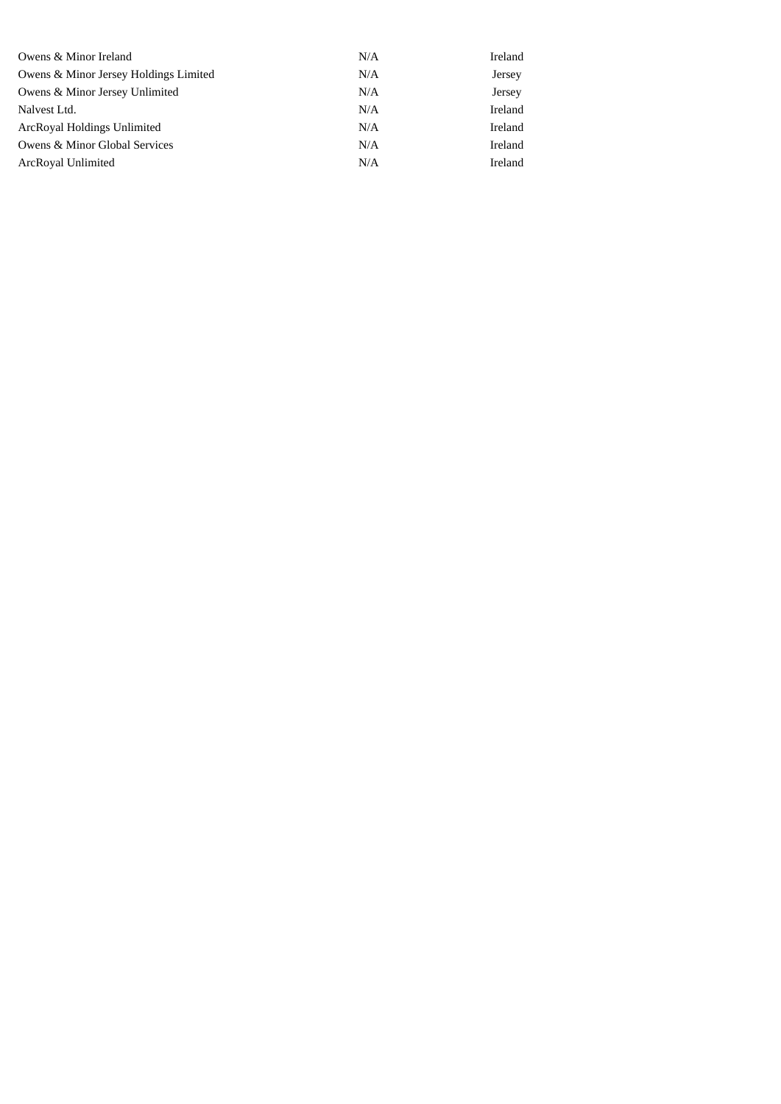| Owens & Minor Ireland                 | N/A | Ireland |
|---------------------------------------|-----|---------|
| Owens & Minor Jersey Holdings Limited | N/A | Jersey  |
| Owens & Minor Jersey Unlimited        | N/A | Jersey  |
| Nalvest Ltd.                          | N/A | Ireland |
| ArcRoyal Holdings Unlimited           | N/A | Ireland |
| Owens & Minor Global Services         | N/A | Ireland |
| <b>ArcRoyal Unlimited</b>             | N/A | Ireland |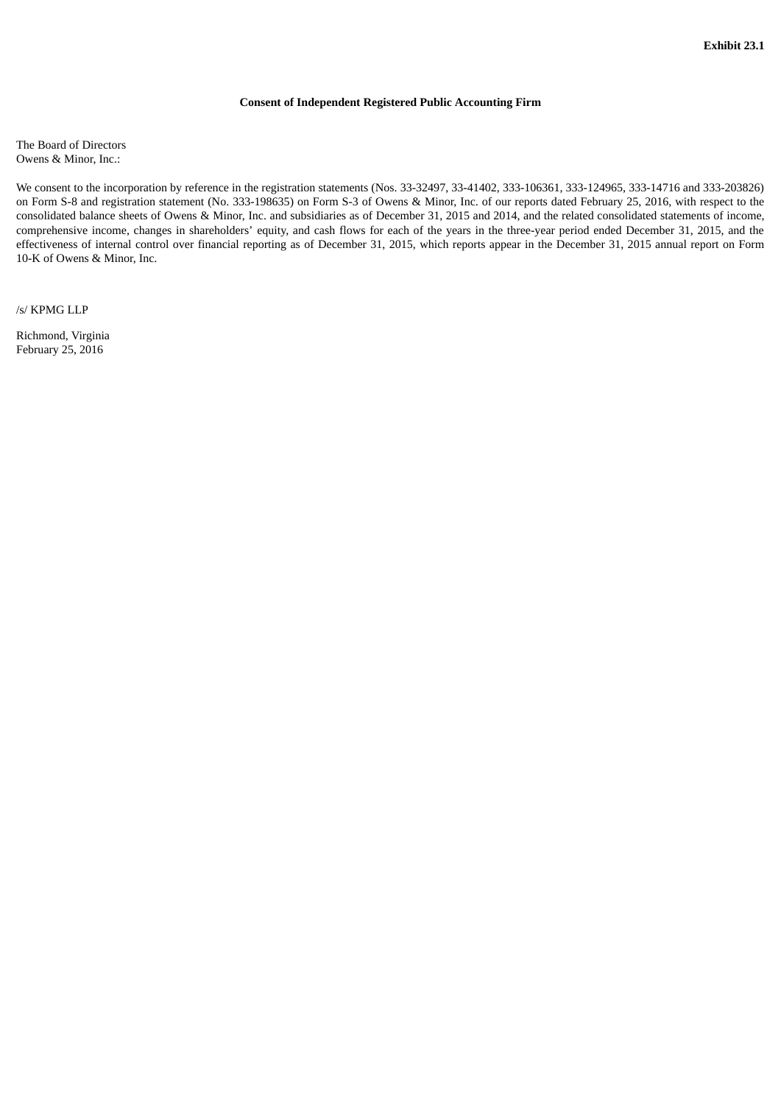## **Consent of Independent Registered Public Accounting Firm**

The Board of Directors Owens & Minor, Inc.:

We consent to the incorporation by reference in the registration statements (Nos. 33-32497, 33-41402, 333-106361, 333-124965, 333-14716 and 333-203826) on Form S-8 and registration statement (No. 333-198635) on Form S-3 of Owens & Minor, Inc. of our reports dated February 25, 2016, with respect to the consolidated balance sheets of Owens & Minor, Inc. and subsidiaries as of December 31, 2015 and 2014, and the related consolidated statements of income, comprehensive income, changes in shareholders' equity, and cash flows for each of the years in the three-year period ended December 31, 2015, and the effectiveness of internal control over financial reporting as of December 31, 2015, which reports appear in the December 31, 2015 annual report on Form 10‑K of Owens & Minor, Inc.

/s/ KPMG LLP

Richmond, Virginia February 25, 2016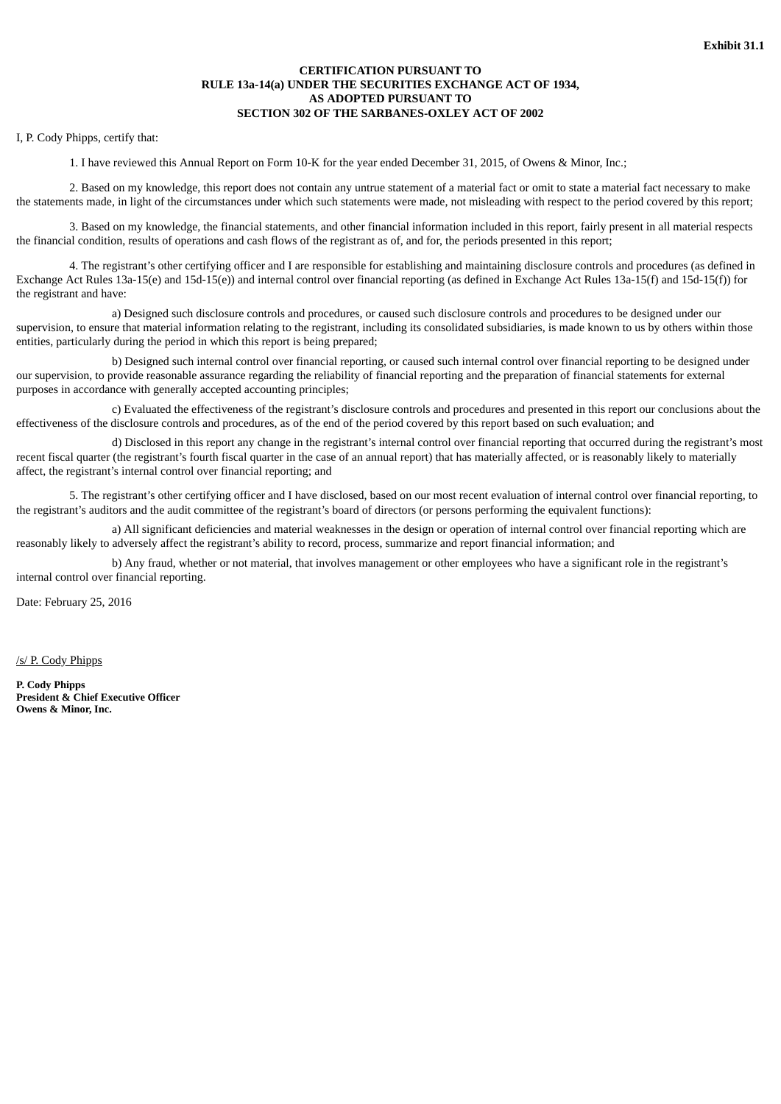# **CERTIFICATION PURSUANT TO RULE 13a-14(a) UNDER THE SECURITIES EXCHANGE ACT OF 1934, AS ADOPTED PURSUANT TO SECTION 302 OF THE SARBANES-OXLEY ACT OF 2002**

#### I, P. Cody Phipps, certify that:

1. I have reviewed this Annual Report on Form 10-K for the year ended December 31, 2015, of Owens & Minor, Inc.;

2. Based on my knowledge, this report does not contain any untrue statement of a material fact or omit to state a material fact necessary to make the statements made, in light of the circumstances under which such statements were made, not misleading with respect to the period covered by this report;

3. Based on my knowledge, the financial statements, and other financial information included in this report, fairly present in all material respects the financial condition, results of operations and cash flows of the registrant as of, and for, the periods presented in this report;

4. The registrant's other certifying officer and I are responsible for establishing and maintaining disclosure controls and procedures (as defined in Exchange Act Rules 13a-15(e) and 15d-15(e)) and internal control over financial reporting (as defined in Exchange Act Rules 13a-15(f) and 15d-15(f)) for the registrant and have:

a) Designed such disclosure controls and procedures, or caused such disclosure controls and procedures to be designed under our supervision, to ensure that material information relating to the registrant, including its consolidated subsidiaries, is made known to us by others within those entities, particularly during the period in which this report is being prepared;

b) Designed such internal control over financial reporting, or caused such internal control over financial reporting to be designed under our supervision, to provide reasonable assurance regarding the reliability of financial reporting and the preparation of financial statements for external purposes in accordance with generally accepted accounting principles;

c) Evaluated the effectiveness of the registrant's disclosure controls and procedures and presented in this report our conclusions about the effectiveness of the disclosure controls and procedures, as of the end of the period covered by this report based on such evaluation; and

d) Disclosed in this report any change in the registrant's internal control over financial reporting that occurred during the registrant's most recent fiscal quarter (the registrant's fourth fiscal quarter in the case of an annual report) that has materially affected, or is reasonably likely to materially affect, the registrant's internal control over financial reporting; and

5. The registrant's other certifying officer and I have disclosed, based on our most recent evaluation of internal control over financial reporting, to the registrant's auditors and the audit committee of the registrant's board of directors (or persons performing the equivalent functions):

a) All significant deficiencies and material weaknesses in the design or operation of internal control over financial reporting which are reasonably likely to adversely affect the registrant's ability to record, process, summarize and report financial information; and

b) Any fraud, whether or not material, that involves management or other employees who have a significant role in the registrant's internal control over financial reporting.

Date: February 25, 2016

/s/ P. Cody Phipps

**P. Cody Phipps President & Chief Executive Officer Owens & Minor, Inc.**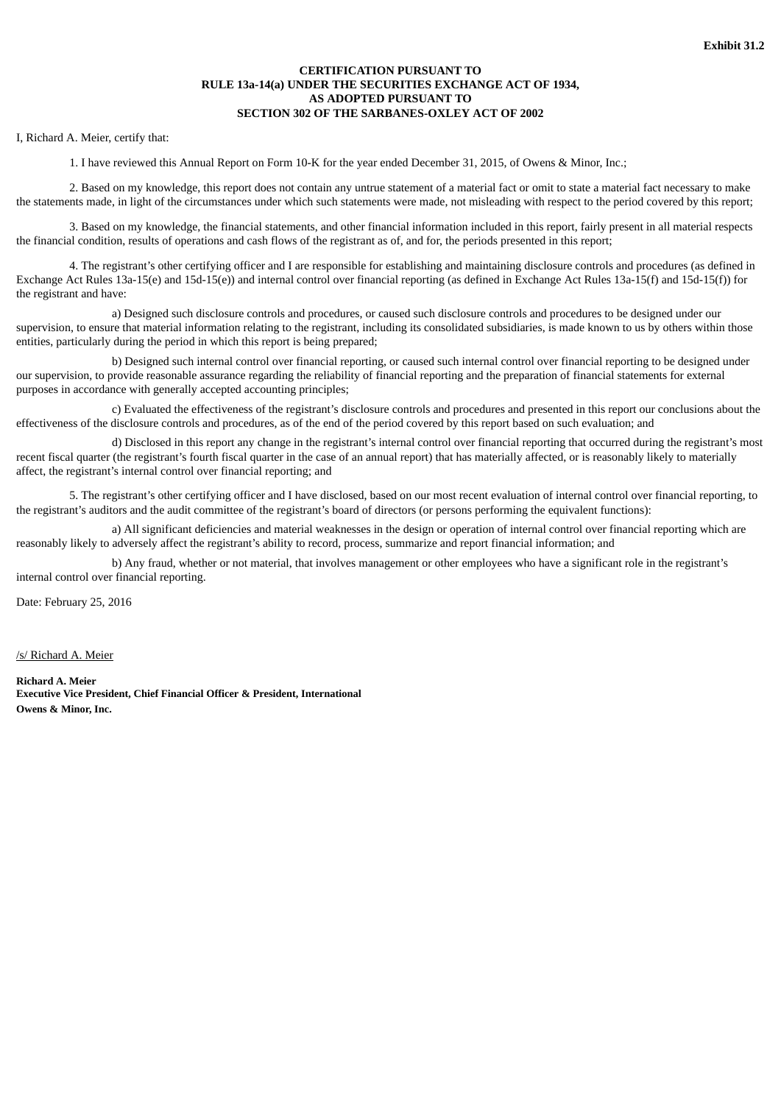# **CERTIFICATION PURSUANT TO RULE 13a-14(a) UNDER THE SECURITIES EXCHANGE ACT OF 1934, AS ADOPTED PURSUANT TO SECTION 302 OF THE SARBANES-OXLEY ACT OF 2002**

#### I, Richard A. Meier, certify that:

1. I have reviewed this Annual Report on Form 10-K for the year ended December 31, 2015, of Owens & Minor, Inc.;

2. Based on my knowledge, this report does not contain any untrue statement of a material fact or omit to state a material fact necessary to make the statements made, in light of the circumstances under which such statements were made, not misleading with respect to the period covered by this report;

3. Based on my knowledge, the financial statements, and other financial information included in this report, fairly present in all material respects the financial condition, results of operations and cash flows of the registrant as of, and for, the periods presented in this report;

4. The registrant's other certifying officer and I are responsible for establishing and maintaining disclosure controls and procedures (as defined in Exchange Act Rules 13a-15(e) and 15d-15(e)) and internal control over financial reporting (as defined in Exchange Act Rules 13a-15(f) and 15d-15(f)) for the registrant and have:

a) Designed such disclosure controls and procedures, or caused such disclosure controls and procedures to be designed under our supervision, to ensure that material information relating to the registrant, including its consolidated subsidiaries, is made known to us by others within those entities, particularly during the period in which this report is being prepared;

b) Designed such internal control over financial reporting, or caused such internal control over financial reporting to be designed under our supervision, to provide reasonable assurance regarding the reliability of financial reporting and the preparation of financial statements for external purposes in accordance with generally accepted accounting principles;

c) Evaluated the effectiveness of the registrant's disclosure controls and procedures and presented in this report our conclusions about the effectiveness of the disclosure controls and procedures, as of the end of the period covered by this report based on such evaluation; and

d) Disclosed in this report any change in the registrant's internal control over financial reporting that occurred during the registrant's most recent fiscal quarter (the registrant's fourth fiscal quarter in the case of an annual report) that has materially affected, or is reasonably likely to materially affect, the registrant's internal control over financial reporting; and

5. The registrant's other certifying officer and I have disclosed, based on our most recent evaluation of internal control over financial reporting, to the registrant's auditors and the audit committee of the registrant's board of directors (or persons performing the equivalent functions):

a) All significant deficiencies and material weaknesses in the design or operation of internal control over financial reporting which are reasonably likely to adversely affect the registrant's ability to record, process, summarize and report financial information; and

b) Any fraud, whether or not material, that involves management or other employees who have a significant role in the registrant's internal control over financial reporting.

Date: February 25, 2016

/s/ Richard A. Meier

**Richard A. Meier Executive Vice President, Chief Financial Officer & President, International Owens & Minor, Inc.**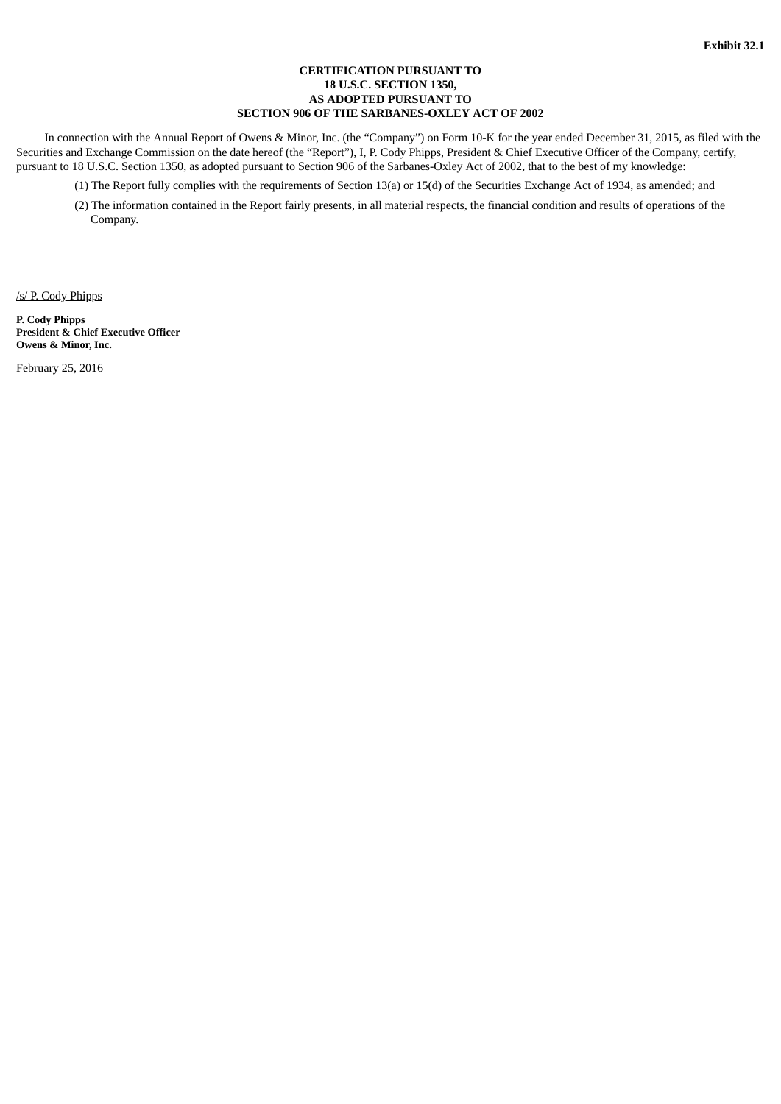### **CERTIFICATION PURSUANT TO 18 U.S.C. SECTION 1350, AS ADOPTED PURSUANT TO SECTION 906 OF THE SARBANES-OXLEY ACT OF 2002**

In connection with the Annual Report of Owens & Minor, Inc. (the "Company") on Form 10-K for the year ended December 31, 2015, as filed with the Securities and Exchange Commission on the date hereof (the "Report"), I, P. Cody Phipps, President & Chief Executive Officer of the Company, certify, pursuant to 18 U.S.C. Section 1350, as adopted pursuant to Section 906 of the Sarbanes-Oxley Act of 2002, that to the best of my knowledge:

- (1) The Report fully complies with the requirements of Section 13(a) or 15(d) of the Securities Exchange Act of 1934, as amended; and
- (2) The information contained in the Report fairly presents, in all material respects, the financial condition and results of operations of the Company.

/s/ P. Cody Phipps

**P. Cody Phipps President & Chief Executive Officer Owens & Minor, Inc.**

February 25, 2016